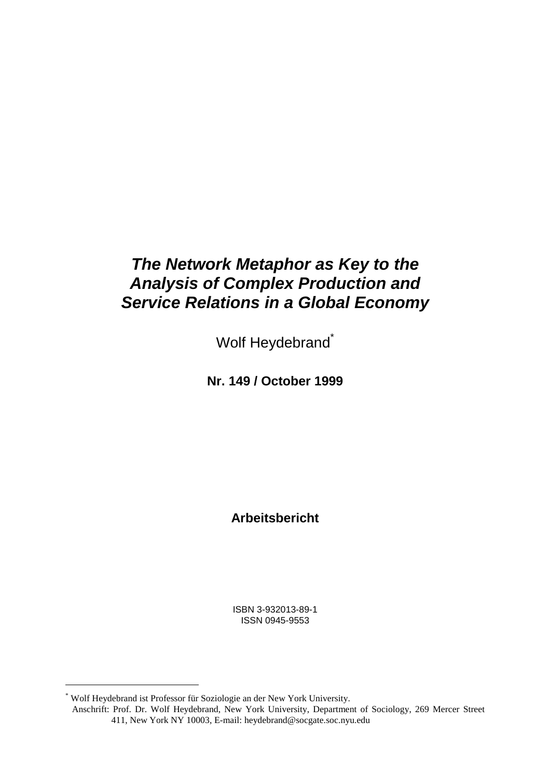# *The Network Metaphor as Key to the Analysis of Complex Production and Service Relations in a Global Economy*

Wolf Heydebrand<sup>\*</sup>

**Nr. 149 / October 1999**

**Arbeitsbericht**

ISBN 3-932013-89-1 ISSN 0945-9553

l

<sup>\*</sup> Wolf Heydebrand ist Professor für Soziologie an der New York University.

Anschrift: Prof. Dr. Wolf Heydebrand, New York University, Department of Sociology, 269 Mercer Street 411, New York NY 10003, E-mail: heydebrand@socgate.soc.nyu.edu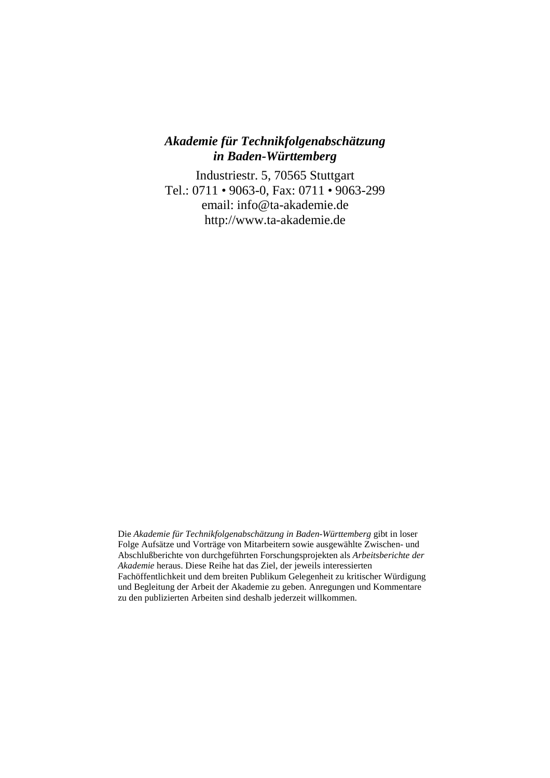### *Akademie für Technikfolgenabschätzung in Baden-Württemberg*

Industriestr. 5, 70565 Stuttgart Tel.: 0711 • 9063-0, Fax: 0711 • 9063-299 email: info@ta-akademie.de http://www.ta-akademie.de

Die *Akademie für Technikfolgenabschätzung in Baden-Württemberg* gibt in loser Folge Aufsätze und Vorträge von Mitarbeitern sowie ausgewählte Zwischen- und Abschlußberichte von durchgeführten Forschungsprojekten als *Arbeitsberichte der Akademie* heraus. Diese Reihe hat das Ziel, der jeweils interessierten Fachöffentlichkeit und dem breiten Publikum Gelegenheit zu kritischer Würdigung und Begleitung der Arbeit der Akademie zu geben. Anregungen und Kommentare zu den publizierten Arbeiten sind deshalb jederzeit willkommen.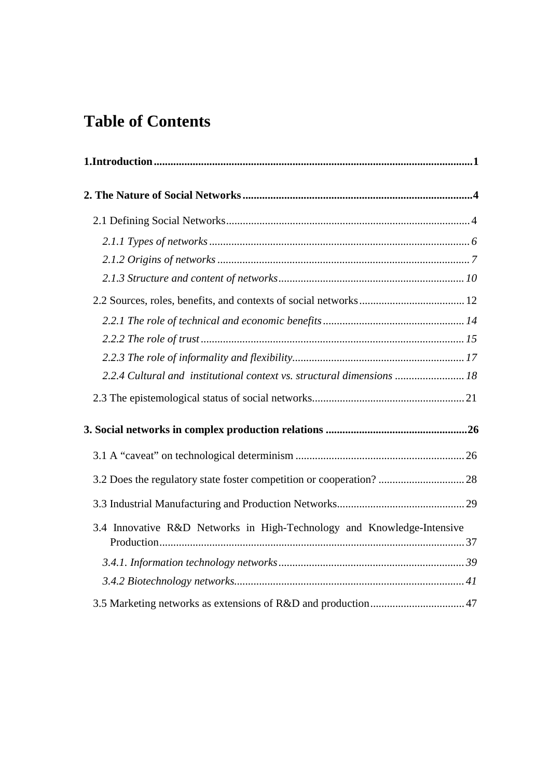# **Table of Contents**

| 2.2.4 Cultural and institutional context vs. structural dimensions  18 |  |
|------------------------------------------------------------------------|--|
|                                                                        |  |
|                                                                        |  |
|                                                                        |  |
| 3.2 Does the regulatory state foster competition or cooperation?  28   |  |
|                                                                        |  |
| 3.4 Innovative R&D Networks in High-Technology and Knowledge-Intensive |  |
|                                                                        |  |
|                                                                        |  |
|                                                                        |  |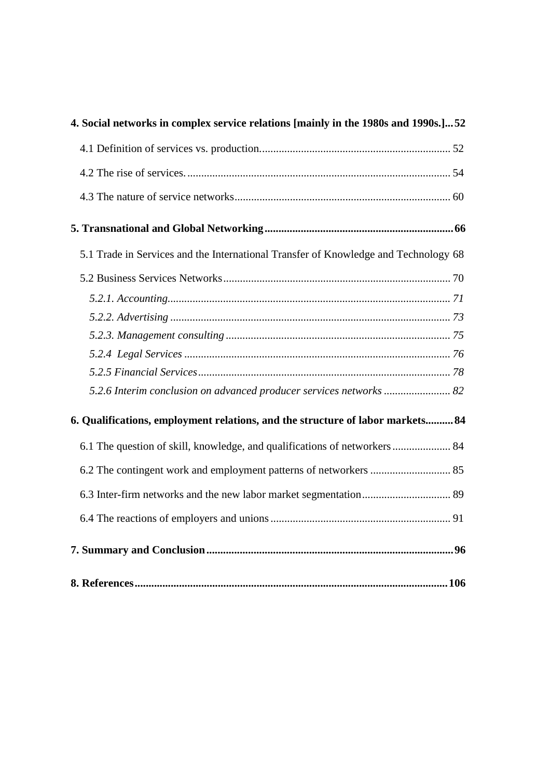| 4. Social networks in complex service relations [mainly in the 1980s and 1990s.]52  |
|-------------------------------------------------------------------------------------|
|                                                                                     |
|                                                                                     |
|                                                                                     |
|                                                                                     |
| 5.1 Trade in Services and the International Transfer of Knowledge and Technology 68 |
|                                                                                     |
|                                                                                     |
|                                                                                     |
|                                                                                     |
|                                                                                     |
|                                                                                     |
| 5.2.6 Interim conclusion on advanced producer services networks  82                 |
| 6. Qualifications, employment relations, and the structure of labor markets 84      |
| 6.1 The question of skill, knowledge, and qualifications of networkers  84          |
| 6.2 The contingent work and employment patterns of networkers  85                   |
|                                                                                     |
|                                                                                     |
|                                                                                     |
|                                                                                     |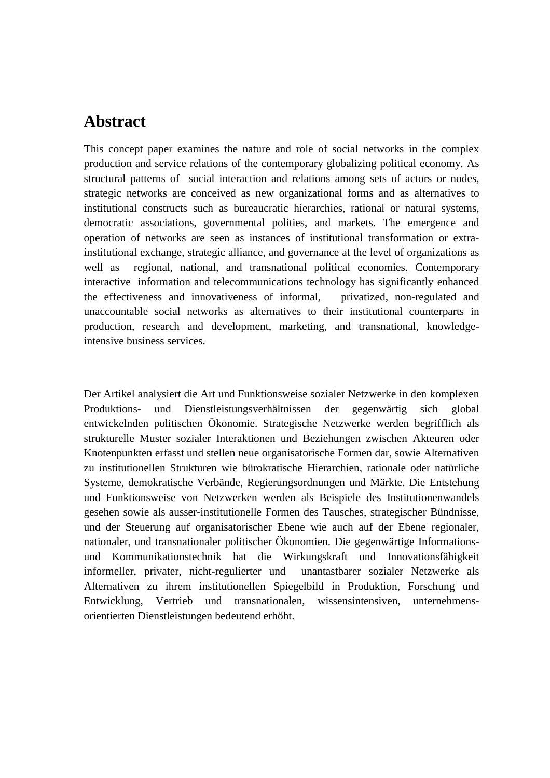# **Abstract**

This concept paper examines the nature and role of social networks in the complex production and service relations of the contemporary globalizing political economy. As structural patterns of social interaction and relations among sets of actors or nodes, strategic networks are conceived as new organizational forms and as alternatives to institutional constructs such as bureaucratic hierarchies, rational or natural systems, democratic associations, governmental polities, and markets. The emergence and operation of networks are seen as instances of institutional transformation or extrainstitutional exchange, strategic alliance, and governance at the level of organizations as well as regional, national, and transnational political economies. Contemporary interactive information and telecommunications technology has significantly enhanced the effectiveness and innovativeness of informal, privatized, non-regulated and unaccountable social networks as alternatives to their institutional counterparts in production, research and development, marketing, and transnational, knowledgeintensive business services.

Der Artikel analysiert die Art und Funktionsweise sozialer Netzwerke in den komplexen Produktions- und Dienstleistungsverhältnissen der gegenwärtig sich global entwickelnden politischen Ökonomie. Strategische Netzwerke werden begrifflich als strukturelle Muster sozialer Interaktionen und Beziehungen zwischen Akteuren oder Knotenpunkten erfasst und stellen neue organisatorische Formen dar, sowie Alternativen zu institutionellen Strukturen wie bürokratische Hierarchien, rationale oder natürliche Systeme, demokratische Verbände, Regierungsordnungen und Märkte. Die Entstehung und Funktionsweise von Netzwerken werden als Beispiele des Institutionenwandels gesehen sowie als ausser-institutionelle Formen des Tausches, strategischer Bündnisse, und der Steuerung auf organisatorischer Ebene wie auch auf der Ebene regionaler, nationaler, und transnationaler politischer Ökonomien. Die gegenwärtige Informationsund Kommunikationstechnik hat die Wirkungskraft und Innovationsfähigkeit informeller, privater, nicht-regulierter und unantastbarer sozialer Netzwerke als Alternativen zu ihrem institutionellen Spiegelbild in Produktion, Forschung und Entwicklung, Vertrieb und transnationalen, wissensintensiven, unternehmensorientierten Dienstleistungen bedeutend erhöht.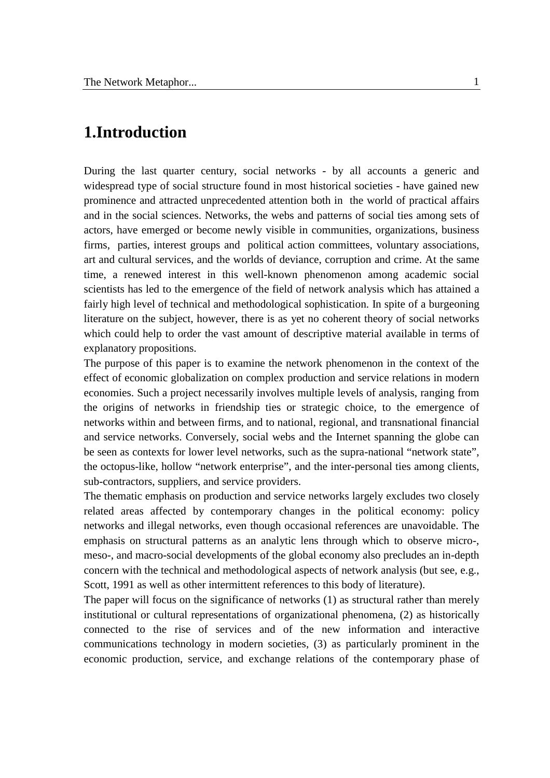# **1.Introduction**

During the last quarter century, social networks - by all accounts a generic and widespread type of social structure found in most historical societies - have gained new prominence and attracted unprecedented attention both in the world of practical affairs and in the social sciences. Networks, the webs and patterns of social ties among sets of actors, have emerged or become newly visible in communities, organizations, business firms, parties, interest groups and political action committees, voluntary associations, art and cultural services, and the worlds of deviance, corruption and crime. At the same time, a renewed interest in this well-known phenomenon among academic social scientists has led to the emergence of the field of network analysis which has attained a fairly high level of technical and methodological sophistication. In spite of a burgeoning literature on the subject, however, there is as yet no coherent theory of social networks which could help to order the vast amount of descriptive material available in terms of explanatory propositions.

The purpose of this paper is to examine the network phenomenon in the context of the effect of economic globalization on complex production and service relations in modern economies. Such a project necessarily involves multiple levels of analysis, ranging from the origins of networks in friendship ties or strategic choice, to the emergence of networks within and between firms, and to national, regional, and transnational financial and service networks. Conversely, social webs and the Internet spanning the globe can be seen as contexts for lower level networks, such as the supra-national "network state", the octopus-like, hollow "network enterprise", and the inter-personal ties among clients, sub-contractors, suppliers, and service providers.

The thematic emphasis on production and service networks largely excludes two closely related areas affected by contemporary changes in the political economy: policy networks and illegal networks, even though occasional references are unavoidable. The emphasis on structural patterns as an analytic lens through which to observe micro-, meso-, and macro-social developments of the global economy also precludes an in-depth concern with the technical and methodological aspects of network analysis (but see, e.g., Scott, 1991 as well as other intermittent references to this body of literature).

The paper will focus on the significance of networks (1) as structural rather than merely institutional or cultural representations of organizational phenomena, (2) as historically connected to the rise of services and of the new information and interactive communications technology in modern societies, (3) as particularly prominent in the economic production, service, and exchange relations of the contemporary phase of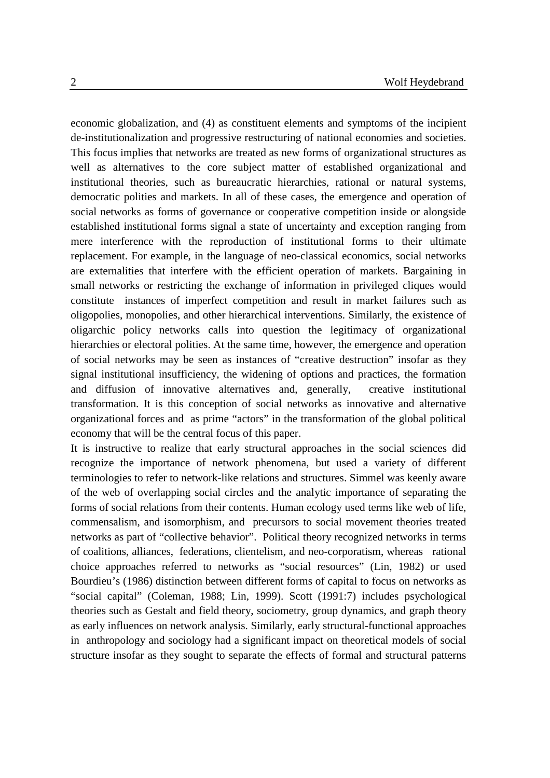economic globalization, and (4) as constituent elements and symptoms of the incipient de-institutionalization and progressive restructuring of national economies and societies. This focus implies that networks are treated as new forms of organizational structures as well as alternatives to the core subject matter of established organizational and institutional theories, such as bureaucratic hierarchies, rational or natural systems, democratic polities and markets. In all of these cases, the emergence and operation of social networks as forms of governance or cooperative competition inside or alongside established institutional forms signal a state of uncertainty and exception ranging from mere interference with the reproduction of institutional forms to their ultimate replacement. For example, in the language of neo-classical economics, social networks are externalities that interfere with the efficient operation of markets. Bargaining in small networks or restricting the exchange of information in privileged cliques would constitute instances of imperfect competition and result in market failures such as oligopolies, monopolies, and other hierarchical interventions. Similarly, the existence of oligarchic policy networks calls into question the legitimacy of organizational hierarchies or electoral polities. At the same time, however, the emergence and operation of social networks may be seen as instances of "creative destruction" insofar as they signal institutional insufficiency, the widening of options and practices, the formation and diffusion of innovative alternatives and, generally, creative institutional transformation. It is this conception of social networks as innovative and alternative organizational forces and as prime "actors" in the transformation of the global political economy that will be the central focus of this paper.

It is instructive to realize that early structural approaches in the social sciences did recognize the importance of network phenomena, but used a variety of different terminologies to refer to network-like relations and structures. Simmel was keenly aware of the web of overlapping social circles and the analytic importance of separating the forms of social relations from their contents. Human ecology used terms like web of life, commensalism, and isomorphism, and precursors to social movement theories treated networks as part of "collective behavior". Political theory recognized networks in terms of coalitions, alliances, federations, clientelism, and neo-corporatism, whereas rational choice approaches referred to networks as "social resources" (Lin, 1982) or used Bourdieu's (1986) distinction between different forms of capital to focus on networks as "social capital" (Coleman, 1988; Lin, 1999). Scott (1991:7) includes psychological theories such as Gestalt and field theory, sociometry, group dynamics, and graph theory as early influences on network analysis. Similarly, early structural-functional approaches in anthropology and sociology had a significant impact on theoretical models of social structure insofar as they sought to separate the effects of formal and structural patterns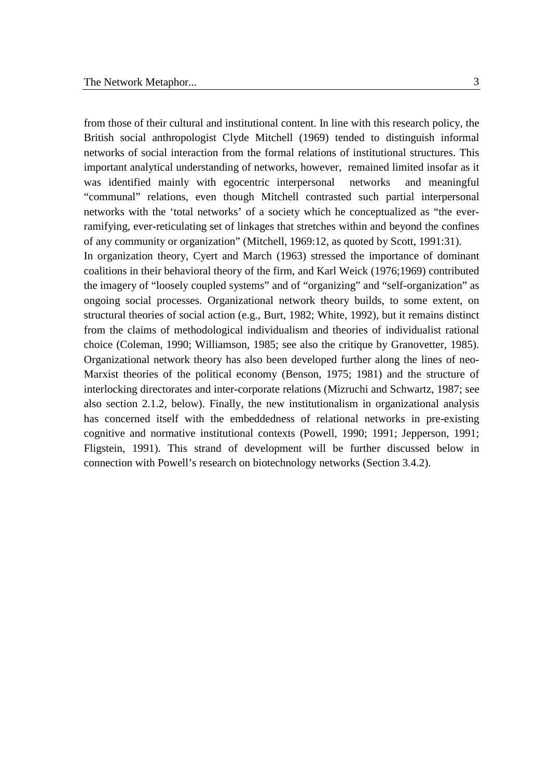from those of their cultural and institutional content. In line with this research policy, the British social anthropologist Clyde Mitchell (1969) tended to distinguish informal networks of social interaction from the formal relations of institutional structures. This important analytical understanding of networks, however, remained limited insofar as it was identified mainly with egocentric interpersonal networks and meaningful "communal" relations, even though Mitchell contrasted such partial interpersonal networks with the 'total networks' of a society which he conceptualized as "the everramifying, ever-reticulating set of linkages that stretches within and beyond the confines of any community or organization" (Mitchell, 1969:12, as quoted by Scott, 1991:31). In organization theory, Cyert and March (1963) stressed the importance of dominant coalitions in their behavioral theory of the firm, and Karl Weick (1976;1969) contributed the imagery of "loosely coupled systems" and of "organizing" and "self-organization" as ongoing social processes. Organizational network theory builds, to some extent, on structural theories of social action (e.g., Burt, 1982; White, 1992), but it remains distinct from the claims of methodological individualism and theories of individualist rational choice (Coleman, 1990; Williamson, 1985; see also the critique by Granovetter, 1985). Organizational network theory has also been developed further along the lines of neo-Marxist theories of the political economy (Benson, 1975; 1981) and the structure of interlocking directorates and inter-corporate relations (Mizruchi and Schwartz, 1987; see also section 2.1.2, below). Finally, the new institutionalism in organizational analysis has concerned itself with the embeddedness of relational networks in pre-existing cognitive and normative institutional contexts (Powell, 1990; 1991; Jepperson, 1991; Fligstein, 1991). This strand of development will be further discussed below in connection with Powell's research on biotechnology networks (Section 3.4.2).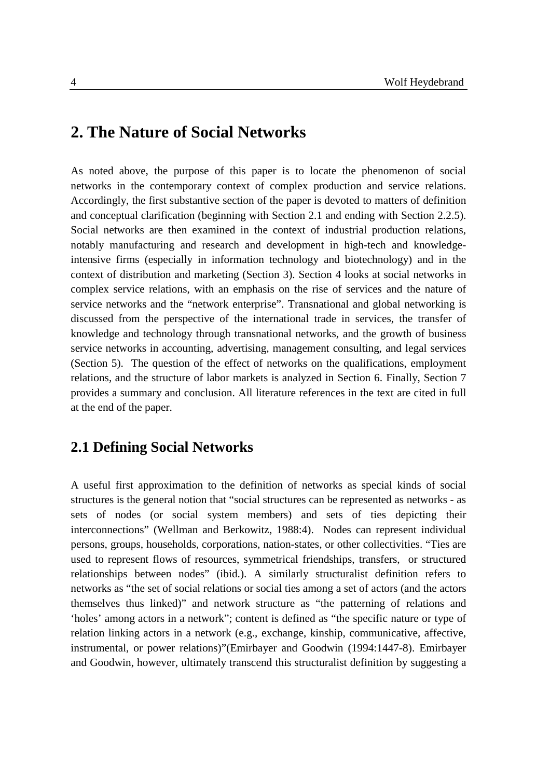# **2. The Nature of Social Networks**

As noted above, the purpose of this paper is to locate the phenomenon of social networks in the contemporary context of complex production and service relations. Accordingly, the first substantive section of the paper is devoted to matters of definition and conceptual clarification (beginning with Section 2.1 and ending with Section 2.2.5). Social networks are then examined in the context of industrial production relations, notably manufacturing and research and development in high-tech and knowledgeintensive firms (especially in information technology and biotechnology) and in the context of distribution and marketing (Section 3). Section 4 looks at social networks in complex service relations, with an emphasis on the rise of services and the nature of service networks and the "network enterprise". Transnational and global networking is discussed from the perspective of the international trade in services, the transfer of knowledge and technology through transnational networks, and the growth of business service networks in accounting, advertising, management consulting, and legal services (Section 5). The question of the effect of networks on the qualifications, employment relations, and the structure of labor markets is analyzed in Section 6. Finally, Section 7 provides a summary and conclusion. All literature references in the text are cited in full at the end of the paper.

### **2.1 Defining Social Networks**

A useful first approximation to the definition of networks as special kinds of social structures is the general notion that "social structures can be represented as networks - as sets of nodes (or social system members) and sets of ties depicting their interconnections" (Wellman and Berkowitz, 1988:4). Nodes can represent individual persons, groups, households, corporations, nation-states, or other collectivities. "Ties are used to represent flows of resources, symmetrical friendships, transfers, or structured relationships between nodes" (ibid.). A similarly structuralist definition refers to networks as "the set of social relations or social ties among a set of actors (and the actors themselves thus linked)" and network structure as "the patterning of relations and 'holes' among actors in a network"; content is defined as "the specific nature or type of relation linking actors in a network (e.g., exchange, kinship, communicative, affective, instrumental, or power relations)"(Emirbayer and Goodwin (1994:1447-8). Emirbayer and Goodwin, however, ultimately transcend this structuralist definition by suggesting a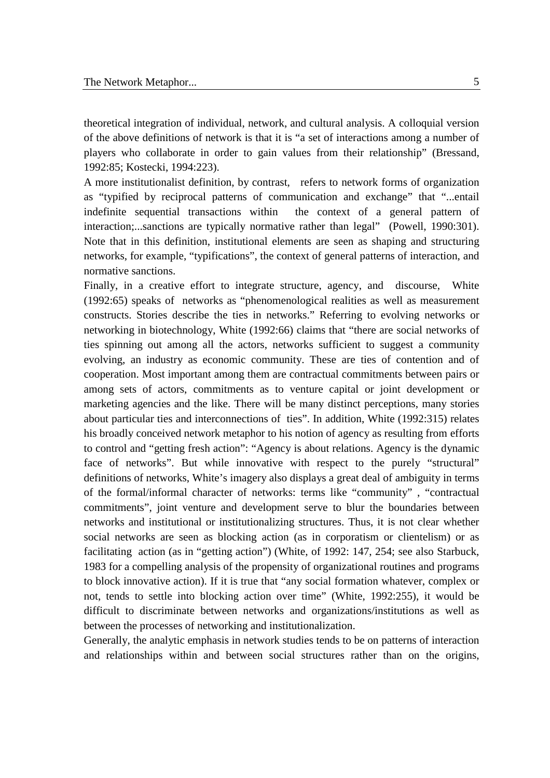theoretical integration of individual, network, and cultural analysis. A colloquial version of the above definitions of network is that it is "a set of interactions among a number of players who collaborate in order to gain values from their relationship" (Bressand, 1992:85; Kostecki, 1994:223).

A more institutionalist definition, by contrast, refers to network forms of organization as "typified by reciprocal patterns of communication and exchange" that "...entail indefinite sequential transactions within the context of a general pattern of interaction;...sanctions are typically normative rather than legal" (Powell, 1990:301). Note that in this definition, institutional elements are seen as shaping and structuring networks, for example, "typifications", the context of general patterns of interaction, and normative sanctions.

Finally, in a creative effort to integrate structure, agency, and discourse, White (1992:65) speaks of networks as "phenomenological realities as well as measurement constructs. Stories describe the ties in networks." Referring to evolving networks or networking in biotechnology, White (1992:66) claims that "there are social networks of ties spinning out among all the actors, networks sufficient to suggest a community evolving, an industry as economic community. These are ties of contention and of cooperation. Most important among them are contractual commitments between pairs or among sets of actors, commitments as to venture capital or joint development or marketing agencies and the like. There will be many distinct perceptions, many stories about particular ties and interconnections of ties". In addition, White (1992:315) relates his broadly conceived network metaphor to his notion of agency as resulting from efforts to control and "getting fresh action": "Agency is about relations. Agency is the dynamic face of networks". But while innovative with respect to the purely "structural" definitions of networks, White's imagery also displays a great deal of ambiguity in terms of the formal/informal character of networks: terms like "community" , "contractual commitments", joint venture and development serve to blur the boundaries between networks and institutional or institutionalizing structures. Thus, it is not clear whether social networks are seen as blocking action (as in corporatism or clientelism) or as facilitating action (as in "getting action") (White, of 1992: 147, 254; see also Starbuck, 1983 for a compelling analysis of the propensity of organizational routines and programs to block innovative action). If it is true that "any social formation whatever, complex or not, tends to settle into blocking action over time" (White, 1992:255), it would be difficult to discriminate between networks and organizations/institutions as well as between the processes of networking and institutionalization.

Generally, the analytic emphasis in network studies tends to be on patterns of interaction and relationships within and between social structures rather than on the origins,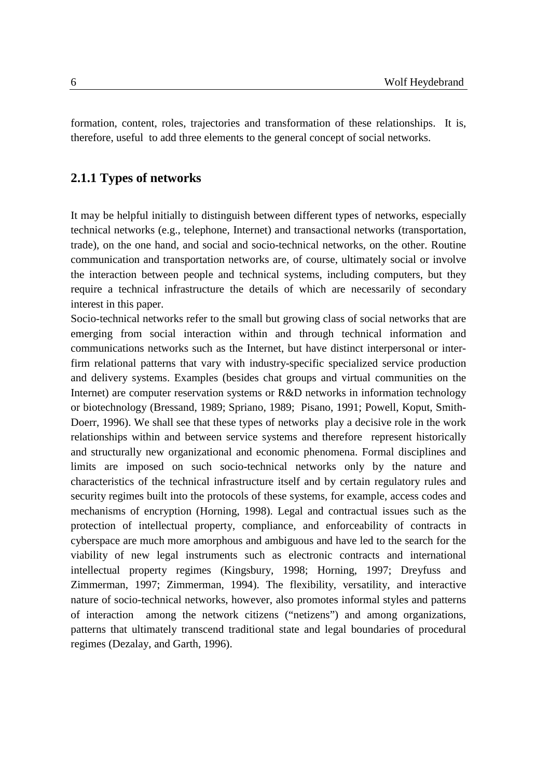formation, content, roles, trajectories and transformation of these relationships. It is, therefore, useful to add three elements to the general concept of social networks.

#### **2.1.1 Types of networks**

It may be helpful initially to distinguish between different types of networks, especially technical networks (e.g., telephone, Internet) and transactional networks (transportation, trade), on the one hand, and social and socio-technical networks, on the other. Routine communication and transportation networks are, of course, ultimately social or involve the interaction between people and technical systems, including computers, but they require a technical infrastructure the details of which are necessarily of secondary interest in this paper.

Socio-technical networks refer to the small but growing class of social networks that are emerging from social interaction within and through technical information and communications networks such as the Internet, but have distinct interpersonal or interfirm relational patterns that vary with industry-specific specialized service production and delivery systems. Examples (besides chat groups and virtual communities on the Internet) are computer reservation systems or R&D networks in information technology or biotechnology (Bressand, 1989; Spriano, 1989; Pisano, 1991; Powell, Koput, Smith-Doerr, 1996). We shall see that these types of networks play a decisive role in the work relationships within and between service systems and therefore represent historically and structurally new organizational and economic phenomena. Formal disciplines and limits are imposed on such socio-technical networks only by the nature and characteristics of the technical infrastructure itself and by certain regulatory rules and security regimes built into the protocols of these systems, for example, access codes and mechanisms of encryption (Horning, 1998). Legal and contractual issues such as the protection of intellectual property, compliance, and enforceability of contracts in cyberspace are much more amorphous and ambiguous and have led to the search for the viability of new legal instruments such as electronic contracts and international intellectual property regimes (Kingsbury, 1998; Horning, 1997; Dreyfuss and Zimmerman, 1997; Zimmerman, 1994). The flexibility, versatility, and interactive nature of socio-technical networks, however, also promotes informal styles and patterns of interaction among the network citizens ("netizens") and among organizations, patterns that ultimately transcend traditional state and legal boundaries of procedural regimes (Dezalay, and Garth, 1996).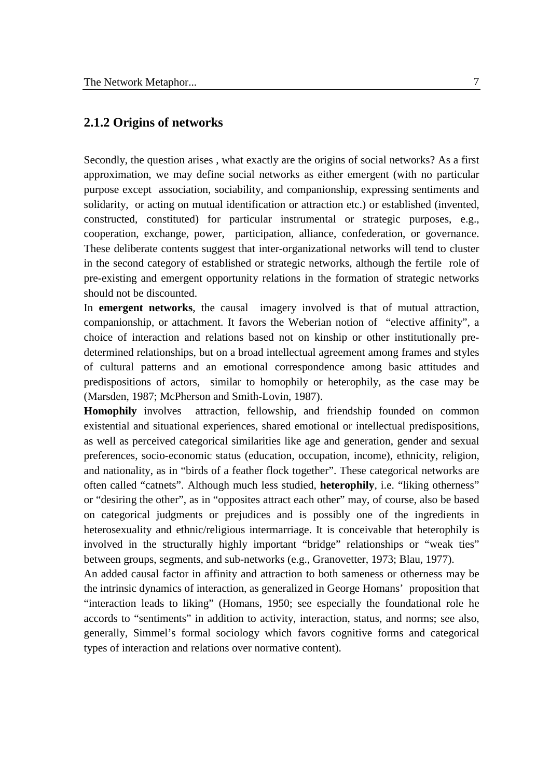#### **2.1.2 Origins of networks**

Secondly, the question arises , what exactly are the origins of social networks? As a first approximation, we may define social networks as either emergent (with no particular purpose except association, sociability, and companionship, expressing sentiments and solidarity, or acting on mutual identification or attraction etc.) or established (invented, constructed, constituted) for particular instrumental or strategic purposes, e.g., cooperation, exchange, power, participation, alliance, confederation, or governance. These deliberate contents suggest that inter-organizational networks will tend to cluster in the second category of established or strategic networks, although the fertile role of pre-existing and emergent opportunity relations in the formation of strategic networks should not be discounted.

In **emergent networks**, the causal imagery involved is that of mutual attraction, companionship, or attachment. It favors the Weberian notion of "elective affinity", a choice of interaction and relations based not on kinship or other institutionally predetermined relationships, but on a broad intellectual agreement among frames and styles of cultural patterns and an emotional correspondence among basic attitudes and predispositions of actors, similar to homophily or heterophily, as the case may be (Marsden, 1987; McPherson and Smith-Lovin, 1987).

**Homophily** involves attraction, fellowship, and friendship founded on common existential and situational experiences, shared emotional or intellectual predispositions, as well as perceived categorical similarities like age and generation, gender and sexual preferences, socio-economic status (education, occupation, income), ethnicity, religion, and nationality, as in "birds of a feather flock together". These categorical networks are often called "catnets". Although much less studied, **heterophily**, i.e. "liking otherness" or "desiring the other", as in "opposites attract each other" may, of course, also be based on categorical judgments or prejudices and is possibly one of the ingredients in heterosexuality and ethnic/religious intermarriage. It is conceivable that heterophily is involved in the structurally highly important "bridge" relationships or "weak ties" between groups, segments, and sub-networks (e.g., Granovetter, 1973; Blau, 1977).

An added causal factor in affinity and attraction to both sameness or otherness may be the intrinsic dynamics of interaction, as generalized in George Homans' proposition that "interaction leads to liking" (Homans, 1950; see especially the foundational role he accords to "sentiments" in addition to activity, interaction, status, and norms; see also, generally, Simmel's formal sociology which favors cognitive forms and categorical types of interaction and relations over normative content).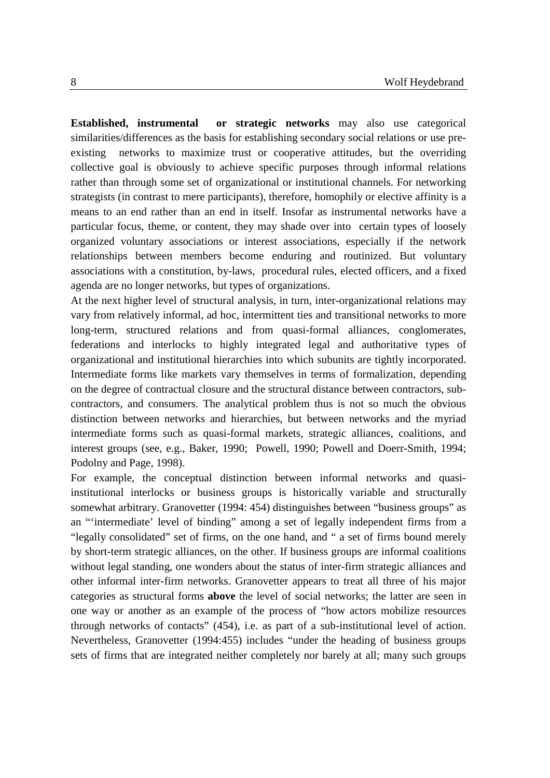**Established, instrumental or strategic networks** may also use categorical similarities/differences as the basis for establishing secondary social relations or use preexisting networks to maximize trust or cooperative attitudes, but the overriding collective goal is obviously to achieve specific purposes through informal relations rather than through some set of organizational or institutional channels. For networking strategists (in contrast to mere participants), therefore, homophily or elective affinity is a means to an end rather than an end in itself. Insofar as instrumental networks have a particular focus, theme, or content, they may shade over into certain types of loosely organized voluntary associations or interest associations, especially if the network relationships between members become enduring and routinized. But voluntary associations with a constitution, by-laws, procedural rules, elected officers, and a fixed agenda are no longer networks, but types of organizations.

At the next higher level of structural analysis, in turn, inter-organizational relations may vary from relatively informal, ad hoc, intermittent ties and transitional networks to more long-term, structured relations and from quasi-formal alliances, conglomerates, federations and interlocks to highly integrated legal and authoritative types of organizational and institutional hierarchies into which subunits are tightly incorporated. Intermediate forms like markets vary themselves in terms of formalization, depending on the degree of contractual closure and the structural distance between contractors, subcontractors, and consumers. The analytical problem thus is not so much the obvious distinction between networks and hierarchies, but between networks and the myriad intermediate forms such as quasi-formal markets, strategic alliances, coalitions, and interest groups (see, e.g., Baker, 1990; Powell, 1990; Powell and Doerr-Smith, 1994; Podolny and Page, 1998).

For example, the conceptual distinction between informal networks and quasiinstitutional interlocks or business groups is historically variable and structurally somewhat arbitrary. Granovetter (1994: 454) distinguishes between "business groups" as an "'intermediate' level of binding" among a set of legally independent firms from a "legally consolidated" set of firms, on the one hand, and " a set of firms bound merely by short-term strategic alliances, on the other. If business groups are informal coalitions without legal standing, one wonders about the status of inter-firm strategic alliances and other informal inter-firm networks. Granovetter appears to treat all three of his major categories as structural forms **above** the level of social networks; the latter are seen in one way or another as an example of the process of "how actors mobilize resources through networks of contacts" (454), i.e. as part of a sub-institutional level of action. Nevertheless, Granovetter (1994:455) includes "under the heading of business groups sets of firms that are integrated neither completely nor barely at all; many such groups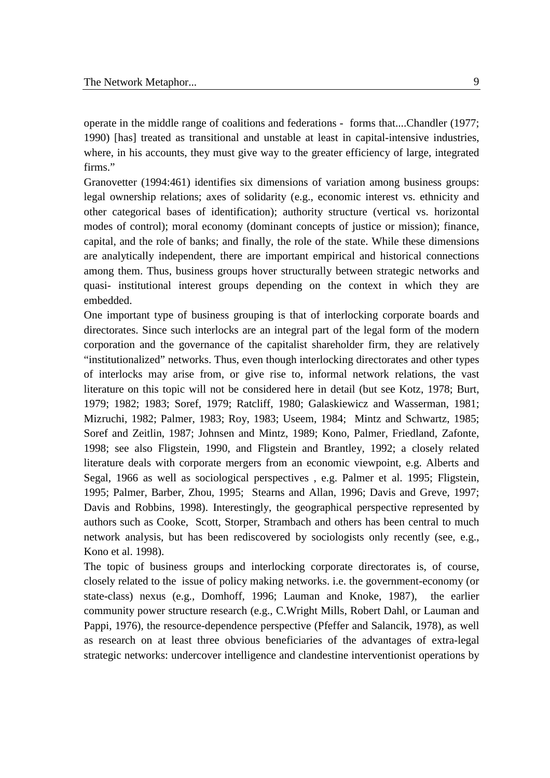operate in the middle range of coalitions and federations - forms that....Chandler (1977; 1990) [has] treated as transitional and unstable at least in capital-intensive industries, where, in his accounts, they must give way to the greater efficiency of large, integrated firms."

Granovetter (1994:461) identifies six dimensions of variation among business groups: legal ownership relations; axes of solidarity (e.g., economic interest vs. ethnicity and other categorical bases of identification); authority structure (vertical vs. horizontal modes of control); moral economy (dominant concepts of justice or mission); finance, capital, and the role of banks; and finally, the role of the state. While these dimensions are analytically independent, there are important empirical and historical connections among them. Thus, business groups hover structurally between strategic networks and quasi- institutional interest groups depending on the context in which they are embedded.

One important type of business grouping is that of interlocking corporate boards and directorates. Since such interlocks are an integral part of the legal form of the modern corporation and the governance of the capitalist shareholder firm, they are relatively "institutionalized" networks. Thus, even though interlocking directorates and other types of interlocks may arise from, or give rise to, informal network relations, the vast literature on this topic will not be considered here in detail (but see Kotz, 1978; Burt, 1979; 1982; 1983; Soref, 1979; Ratcliff, 1980; Galaskiewicz and Wasserman, 1981; Mizruchi, 1982; Palmer, 1983; Roy, 1983; Useem, 1984; Mintz and Schwartz, 1985; Soref and Zeitlin, 1987; Johnsen and Mintz, 1989; Kono, Palmer, Friedland, Zafonte, 1998; see also Fligstein, 1990, and Fligstein and Brantley, 1992; a closely related literature deals with corporate mergers from an economic viewpoint, e.g. Alberts and Segal, 1966 as well as sociological perspectives , e.g. Palmer et al. 1995; Fligstein, 1995; Palmer, Barber, Zhou, 1995; Stearns and Allan, 1996; Davis and Greve, 1997; Davis and Robbins, 1998). Interestingly, the geographical perspective represented by authors such as Cooke, Scott, Storper, Strambach and others has been central to much network analysis, but has been rediscovered by sociologists only recently (see, e.g., Kono et al. 1998).

The topic of business groups and interlocking corporate directorates is, of course, closely related to the issue of policy making networks. i.e. the government-economy (or state-class) nexus (e.g., Domhoff, 1996; Lauman and Knoke, 1987), the earlier community power structure research (e.g., C.Wright Mills, Robert Dahl, or Lauman and Pappi, 1976), the resource-dependence perspective (Pfeffer and Salancik, 1978), as well as research on at least three obvious beneficiaries of the advantages of extra-legal strategic networks: undercover intelligence and clandestine interventionist operations by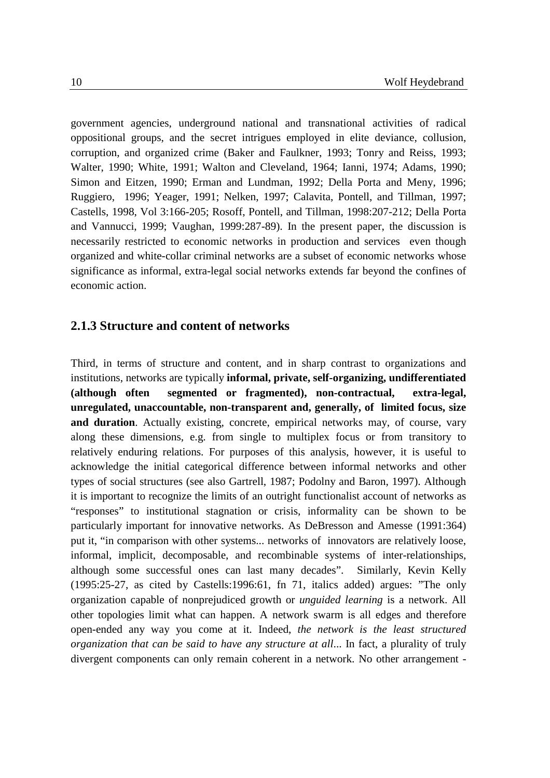government agencies, underground national and transnational activities of radical oppositional groups, and the secret intrigues employed in elite deviance, collusion, corruption, and organized crime (Baker and Faulkner, 1993; Tonry and Reiss, 1993; Walter, 1990; White, 1991; Walton and Cleveland, 1964; Ianni, 1974; Adams, 1990; Simon and Eitzen, 1990; Erman and Lundman, 1992; Della Porta and Meny, 1996; Ruggiero, 1996; Yeager, 1991; Nelken, 1997; Calavita, Pontell, and Tillman, 1997; Castells, 1998, Vol 3:166-205; Rosoff, Pontell, and Tillman, 1998:207-212; Della Porta and Vannucci, 1999; Vaughan, 1999:287-89). In the present paper, the discussion is necessarily restricted to economic networks in production and services even though organized and white-collar criminal networks are a subset of economic networks whose significance as informal, extra-legal social networks extends far beyond the confines of economic action.

#### **2.1.3 Structure and content of networks**

Third, in terms of structure and content, and in sharp contrast to organizations and institutions, networks are typically **informal, private, self-organizing, undifferentiated (although often segmented or fragmented), non-contractual, extra-legal, unregulated, unaccountable, non-transparent and, generally, of limited focus, size and duration**. Actually existing, concrete, empirical networks may, of course, vary along these dimensions, e.g. from single to multiplex focus or from transitory to relatively enduring relations. For purposes of this analysis, however, it is useful to acknowledge the initial categorical difference between informal networks and other types of social structures (see also Gartrell, 1987; Podolny and Baron, 1997). Although it is important to recognize the limits of an outright functionalist account of networks as "responses" to institutional stagnation or crisis, informality can be shown to be particularly important for innovative networks. As DeBresson and Amesse (1991:364) put it, "in comparison with other systems... networks of innovators are relatively loose, informal, implicit, decomposable, and recombinable systems of inter-relationships, although some successful ones can last many decades". Similarly, Kevin Kelly (1995:25-27, as cited by Castells:1996:61, fn 71, italics added) argues: "The only organization capable of nonprejudiced growth or *unguided learning* is a network. All other topologies limit what can happen. A network swarm is all edges and therefore open-ended any way you come at it. Indeed, *the network is the least structured organization that can be said to have any structure at all*... In fact, a plurality of truly divergent components can only remain coherent in a network. No other arrangement -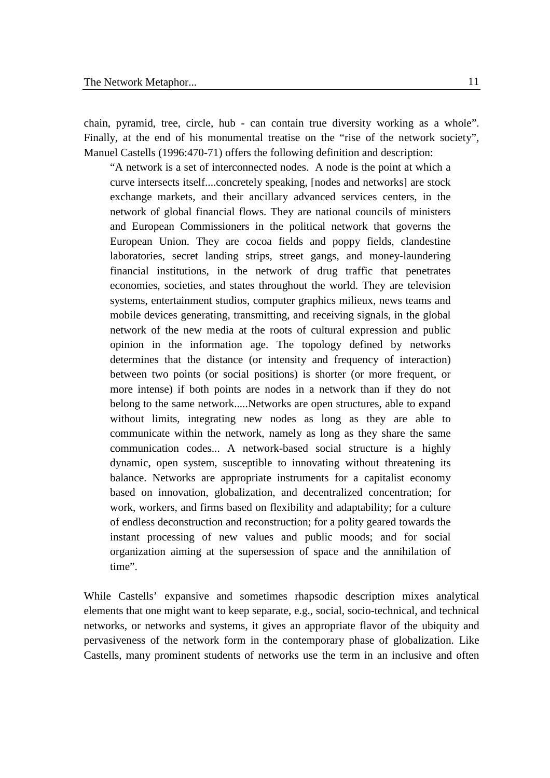chain, pyramid, tree, circle, hub - can contain true diversity working as a whole". Finally, at the end of his monumental treatise on the "rise of the network society". Manuel Castells (1996:470-71) offers the following definition and description:

"A network is a set of interconnected nodes. A node is the point at which a curve intersects itself....concretely speaking, [nodes and networks] are stock exchange markets, and their ancillary advanced services centers, in the network of global financial flows. They are national councils of ministers and European Commissioners in the political network that governs the European Union. They are cocoa fields and poppy fields, clandestine laboratories, secret landing strips, street gangs, and money-laundering financial institutions, in the network of drug traffic that penetrates economies, societies, and states throughout the world. They are television systems, entertainment studios, computer graphics milieux, news teams and mobile devices generating, transmitting, and receiving signals, in the global network of the new media at the roots of cultural expression and public opinion in the information age. The topology defined by networks determines that the distance (or intensity and frequency of interaction) between two points (or social positions) is shorter (or more frequent, or more intense) if both points are nodes in a network than if they do not belong to the same network.....Networks are open structures, able to expand without limits, integrating new nodes as long as they are able to communicate within the network, namely as long as they share the same communication codes... A network-based social structure is a highly dynamic, open system, susceptible to innovating without threatening its balance. Networks are appropriate instruments for a capitalist economy based on innovation, globalization, and decentralized concentration; for work, workers, and firms based on flexibility and adaptability; for a culture of endless deconstruction and reconstruction; for a polity geared towards the instant processing of new values and public moods; and for social organization aiming at the supersession of space and the annihilation of time".

While Castells' expansive and sometimes rhapsodic description mixes analytical elements that one might want to keep separate, e.g., social, socio-technical, and technical networks, or networks and systems, it gives an appropriate flavor of the ubiquity and pervasiveness of the network form in the contemporary phase of globalization. Like Castells, many prominent students of networks use the term in an inclusive and often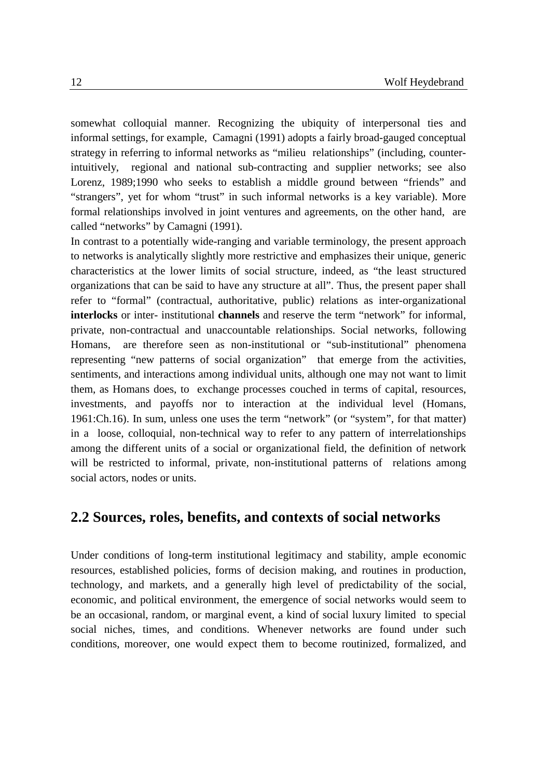somewhat colloquial manner. Recognizing the ubiquity of interpersonal ties and informal settings, for example, Camagni (1991) adopts a fairly broad-gauged conceptual strategy in referring to informal networks as "milieu relationships" (including, counterintuitively, regional and national sub-contracting and supplier networks; see also Lorenz, 1989;1990 who seeks to establish a middle ground between "friends" and "strangers", yet for whom "trust" in such informal networks is a key variable). More formal relationships involved in joint ventures and agreements, on the other hand, are called "networks" by Camagni (1991).

In contrast to a potentially wide-ranging and variable terminology, the present approach to networks is analytically slightly more restrictive and emphasizes their unique, generic characteristics at the lower limits of social structure, indeed, as "the least structured organizations that can be said to have any structure at all". Thus, the present paper shall refer to "formal" (contractual, authoritative, public) relations as inter-organizational **interlocks** or inter- institutional **channels** and reserve the term "network" for informal, private, non-contractual and unaccountable relationships. Social networks, following Homans, are therefore seen as non-institutional or "sub-institutional" phenomena representing "new patterns of social organization" that emerge from the activities, sentiments, and interactions among individual units, although one may not want to limit them, as Homans does, to exchange processes couched in terms of capital, resources, investments, and payoffs nor to interaction at the individual level (Homans, 1961:Ch.16). In sum, unless one uses the term "network" (or "system", for that matter) in a loose, colloquial, non-technical way to refer to any pattern of interrelationships among the different units of a social or organizational field, the definition of network will be restricted to informal, private, non-institutional patterns of relations among social actors, nodes or units.

#### **2.2 Sources, roles, benefits, and contexts of social networks**

Under conditions of long-term institutional legitimacy and stability, ample economic resources, established policies, forms of decision making, and routines in production, technology, and markets, and a generally high level of predictability of the social, economic, and political environment, the emergence of social networks would seem to be an occasional, random, or marginal event, a kind of social luxury limited to special social niches, times, and conditions. Whenever networks are found under such conditions, moreover, one would expect them to become routinized, formalized, and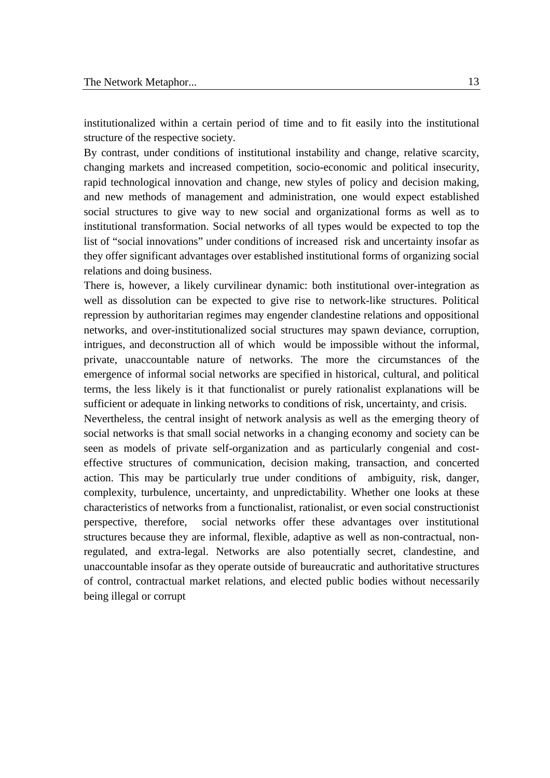institutionalized within a certain period of time and to fit easily into the institutional structure of the respective society.

By contrast, under conditions of institutional instability and change, relative scarcity, changing markets and increased competition, socio-economic and political insecurity, rapid technological innovation and change, new styles of policy and decision making, and new methods of management and administration, one would expect established social structures to give way to new social and organizational forms as well as to institutional transformation. Social networks of all types would be expected to top the list of "social innovations" under conditions of increased risk and uncertainty insofar as they offer significant advantages over established institutional forms of organizing social relations and doing business.

There is, however, a likely curvilinear dynamic: both institutional over-integration as well as dissolution can be expected to give rise to network-like structures. Political repression by authoritarian regimes may engender clandestine relations and oppositional networks, and over-institutionalized social structures may spawn deviance, corruption, intrigues, and deconstruction all of which would be impossible without the informal, private, unaccountable nature of networks. The more the circumstances of the emergence of informal social networks are specified in historical, cultural, and political terms, the less likely is it that functionalist or purely rationalist explanations will be sufficient or adequate in linking networks to conditions of risk, uncertainty, and crisis.

Nevertheless, the central insight of network analysis as well as the emerging theory of social networks is that small social networks in a changing economy and society can be seen as models of private self-organization and as particularly congenial and costeffective structures of communication, decision making, transaction, and concerted action. This may be particularly true under conditions of ambiguity, risk, danger, complexity, turbulence, uncertainty, and unpredictability. Whether one looks at these characteristics of networks from a functionalist, rationalist, or even social constructionist perspective, therefore, social networks offer these advantages over institutional structures because they are informal, flexible, adaptive as well as non-contractual, nonregulated, and extra-legal. Networks are also potentially secret, clandestine, and unaccountable insofar as they operate outside of bureaucratic and authoritative structures of control, contractual market relations, and elected public bodies without necessarily being illegal or corrupt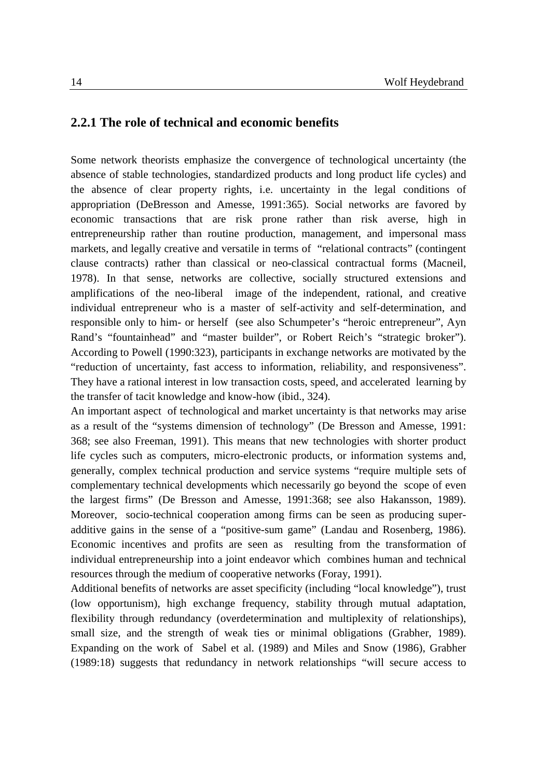#### **2.2.1 The role of technical and economic benefits**

Some network theorists emphasize the convergence of technological uncertainty (the absence of stable technologies, standardized products and long product life cycles) and the absence of clear property rights, i.e. uncertainty in the legal conditions of appropriation (DeBresson and Amesse, 1991:365). Social networks are favored by economic transactions that are risk prone rather than risk averse, high in entrepreneurship rather than routine production, management, and impersonal mass markets, and legally creative and versatile in terms of "relational contracts" (contingent clause contracts) rather than classical or neo-classical contractual forms (Macneil, 1978). In that sense, networks are collective, socially structured extensions and amplifications of the neo-liberal image of the independent, rational, and creative individual entrepreneur who is a master of self-activity and self-determination, and responsible only to him- or herself (see also Schumpeter's "heroic entrepreneur", Ayn Rand's "fountainhead" and "master builder", or Robert Reich's "strategic broker"). According to Powell (1990:323), participants in exchange networks are motivated by the "reduction of uncertainty, fast access to information, reliability, and responsiveness". They have a rational interest in low transaction costs, speed, and accelerated learning by the transfer of tacit knowledge and know-how (ibid., 324).

An important aspect of technological and market uncertainty is that networks may arise as a result of the "systems dimension of technology" (De Bresson and Amesse, 1991: 368; see also Freeman, 1991). This means that new technologies with shorter product life cycles such as computers, micro-electronic products, or information systems and, generally, complex technical production and service systems "require multiple sets of complementary technical developments which necessarily go beyond the scope of even the largest firms" (De Bresson and Amesse, 1991:368; see also Hakansson, 1989). Moreover, socio-technical cooperation among firms can be seen as producing superadditive gains in the sense of a "positive-sum game" (Landau and Rosenberg, 1986). Economic incentives and profits are seen as resulting from the transformation of individual entrepreneurship into a joint endeavor which combines human and technical resources through the medium of cooperative networks (Foray, 1991).

Additional benefits of networks are asset specificity (including "local knowledge"), trust (low opportunism), high exchange frequency, stability through mutual adaptation, flexibility through redundancy (overdetermination and multiplexity of relationships), small size, and the strength of weak ties or minimal obligations (Grabher, 1989). Expanding on the work of Sabel et al. (1989) and Miles and Snow (1986), Grabher (1989:18) suggests that redundancy in network relationships "will secure access to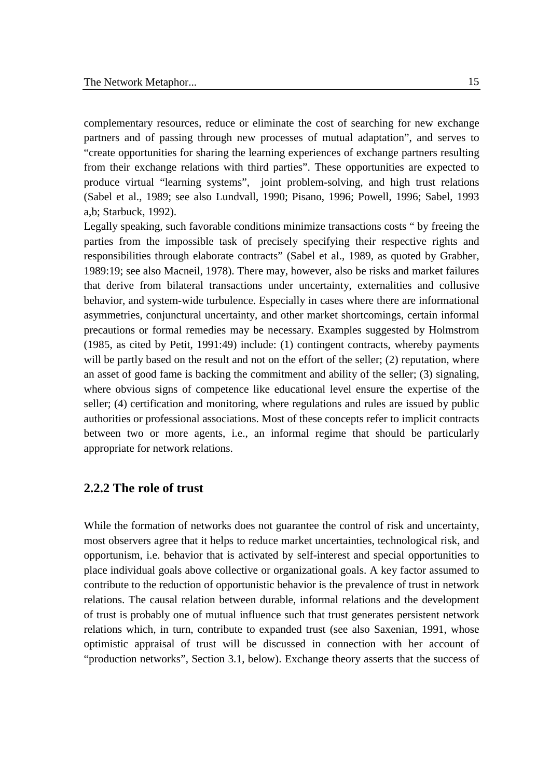complementary resources, reduce or eliminate the cost of searching for new exchange partners and of passing through new processes of mutual adaptation", and serves to "create opportunities for sharing the learning experiences of exchange partners resulting from their exchange relations with third parties". These opportunities are expected to produce virtual "learning systems", joint problem-solving, and high trust relations (Sabel et al., 1989; see also Lundvall, 1990; Pisano, 1996; Powell, 1996; Sabel, 1993 a,b; Starbuck, 1992).

Legally speaking, such favorable conditions minimize transactions costs " by freeing the parties from the impossible task of precisely specifying their respective rights and responsibilities through elaborate contracts" (Sabel et al., 1989, as quoted by Grabher, 1989:19; see also Macneil, 1978). There may, however, also be risks and market failures that derive from bilateral transactions under uncertainty, externalities and collusive behavior, and system-wide turbulence. Especially in cases where there are informational asymmetries, conjunctural uncertainty, and other market shortcomings, certain informal precautions or formal remedies may be necessary. Examples suggested by Holmstrom (1985, as cited by Petit, 1991:49) include: (1) contingent contracts, whereby payments will be partly based on the result and not on the effort of the seller; (2) reputation, where an asset of good fame is backing the commitment and ability of the seller; (3) signaling, where obvious signs of competence like educational level ensure the expertise of the seller; (4) certification and monitoring, where regulations and rules are issued by public authorities or professional associations. Most of these concepts refer to implicit contracts between two or more agents, i.e., an informal regime that should be particularly appropriate for network relations.

#### **2.2.2 The role of trust**

While the formation of networks does not guarantee the control of risk and uncertainty, most observers agree that it helps to reduce market uncertainties, technological risk, and opportunism, i.e. behavior that is activated by self-interest and special opportunities to place individual goals above collective or organizational goals. A key factor assumed to contribute to the reduction of opportunistic behavior is the prevalence of trust in network relations. The causal relation between durable, informal relations and the development of trust is probably one of mutual influence such that trust generates persistent network relations which, in turn, contribute to expanded trust (see also Saxenian, 1991, whose optimistic appraisal of trust will be discussed in connection with her account of "production networks", Section 3.1, below). Exchange theory asserts that the success of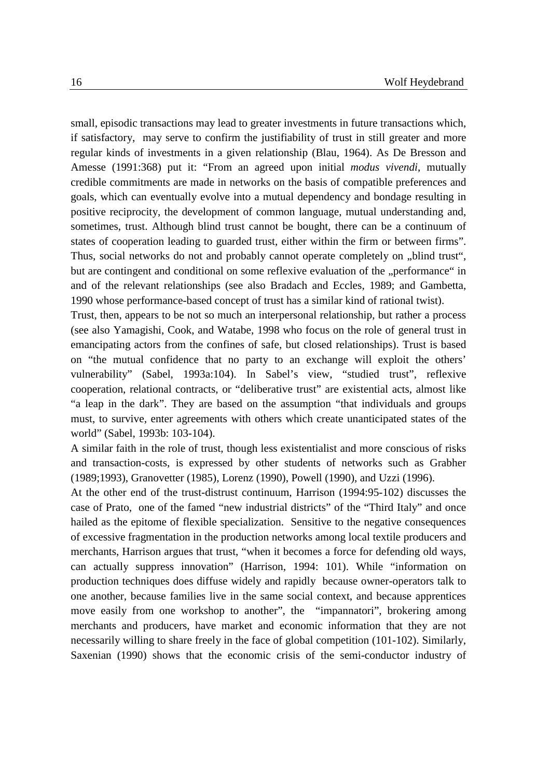small, episodic transactions may lead to greater investments in future transactions which, if satisfactory, may serve to confirm the justifiability of trust in still greater and more regular kinds of investments in a given relationship (Blau, 1964). As De Bresson and Amesse (1991:368) put it: "From an agreed upon initial *modus vivendi*, mutually credible commitments are made in networks on the basis of compatible preferences and goals, which can eventually evolve into a mutual dependency and bondage resulting in positive reciprocity, the development of common language, mutual understanding and, sometimes, trust. Although blind trust cannot be bought, there can be a continuum of states of cooperation leading to guarded trust, either within the firm or between firms". Thus, social networks do not and probably cannot operate completely on "blind trust", but are contingent and conditional on some reflexive evaluation of the "performance" in and of the relevant relationships (see also Bradach and Eccles, 1989; and Gambetta, 1990 whose performance-based concept of trust has a similar kind of rational twist).

Trust, then, appears to be not so much an interpersonal relationship, but rather a process (see also Yamagishi, Cook, and Watabe, 1998 who focus on the role of general trust in emancipating actors from the confines of safe, but closed relationships). Trust is based on "the mutual confidence that no party to an exchange will exploit the others' vulnerability" (Sabel, 1993a:104). In Sabel's view, "studied trust", reflexive cooperation, relational contracts, or "deliberative trust" are existential acts, almost like "a leap in the dark". They are based on the assumption "that individuals and groups must, to survive, enter agreements with others which create unanticipated states of the world" (Sabel, 1993b: 103-104).

A similar faith in the role of trust, though less existentialist and more conscious of risks and transaction-costs, is expressed by other students of networks such as Grabher (1989;1993), Granovetter (1985), Lorenz (1990), Powell (1990), and Uzzi (1996).

At the other end of the trust-distrust continuum, Harrison (1994:95-102) discusses the case of Prato, one of the famed "new industrial districts" of the "Third Italy" and once hailed as the epitome of flexible specialization. Sensitive to the negative consequences of excessive fragmentation in the production networks among local textile producers and merchants, Harrison argues that trust, "when it becomes a force for defending old ways, can actually suppress innovation" (Harrison, 1994: 101). While "information on production techniques does diffuse widely and rapidly because owner-operators talk to one another, because families live in the same social context, and because apprentices move easily from one workshop to another", the "impannatori", brokering among merchants and producers, have market and economic information that they are not necessarily willing to share freely in the face of global competition (101-102). Similarly, Saxenian (1990) shows that the economic crisis of the semi-conductor industry of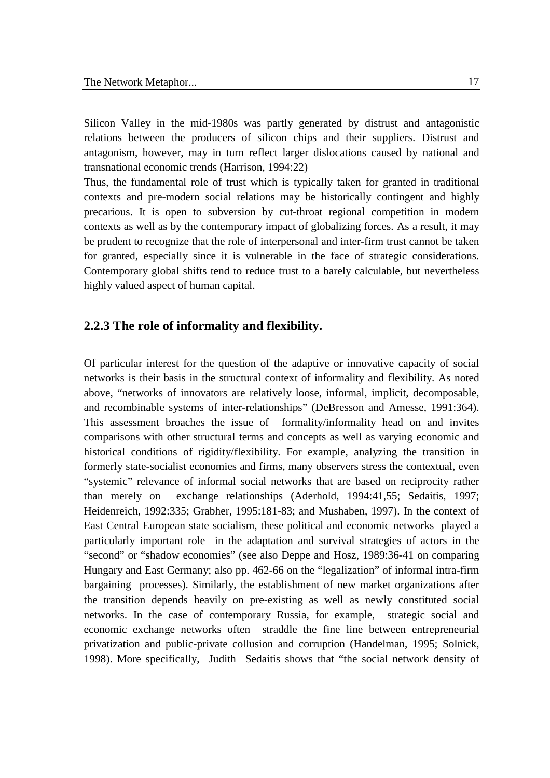Silicon Valley in the mid-1980s was partly generated by distrust and antagonistic relations between the producers of silicon chips and their suppliers. Distrust and antagonism, however, may in turn reflect larger dislocations caused by national and transnational economic trends (Harrison, 1994:22)

Thus, the fundamental role of trust which is typically taken for granted in traditional contexts and pre-modern social relations may be historically contingent and highly precarious. It is open to subversion by cut-throat regional competition in modern contexts as well as by the contemporary impact of globalizing forces. As a result, it may be prudent to recognize that the role of interpersonal and inter-firm trust cannot be taken for granted, especially since it is vulnerable in the face of strategic considerations. Contemporary global shifts tend to reduce trust to a barely calculable, but nevertheless highly valued aspect of human capital.

#### **2.2.3 The role of informality and flexibility.**

Of particular interest for the question of the adaptive or innovative capacity of social networks is their basis in the structural context of informality and flexibility. As noted above, "networks of innovators are relatively loose, informal, implicit, decomposable, and recombinable systems of inter-relationships" (DeBresson and Amesse, 1991:364). This assessment broaches the issue of formality/informality head on and invites comparisons with other structural terms and concepts as well as varying economic and historical conditions of rigidity/flexibility. For example, analyzing the transition in formerly state-socialist economies and firms, many observers stress the contextual, even "systemic" relevance of informal social networks that are based on reciprocity rather than merely on exchange relationships (Aderhold, 1994:41,55; Sedaitis, 1997; Heidenreich, 1992:335; Grabher, 1995:181-83; and Mushaben, 1997). In the context of East Central European state socialism, these political and economic networks played a particularly important role in the adaptation and survival strategies of actors in the "second" or "shadow economies" (see also Deppe and Hosz, 1989:36-41 on comparing Hungary and East Germany; also pp. 462-66 on the "legalization" of informal intra-firm bargaining processes). Similarly, the establishment of new market organizations after the transition depends heavily on pre-existing as well as newly constituted social networks. In the case of contemporary Russia, for example, strategic social and economic exchange networks often straddle the fine line between entrepreneurial privatization and public-private collusion and corruption (Handelman, 1995; Solnick, 1998). More specifically, Judith Sedaitis shows that "the social network density of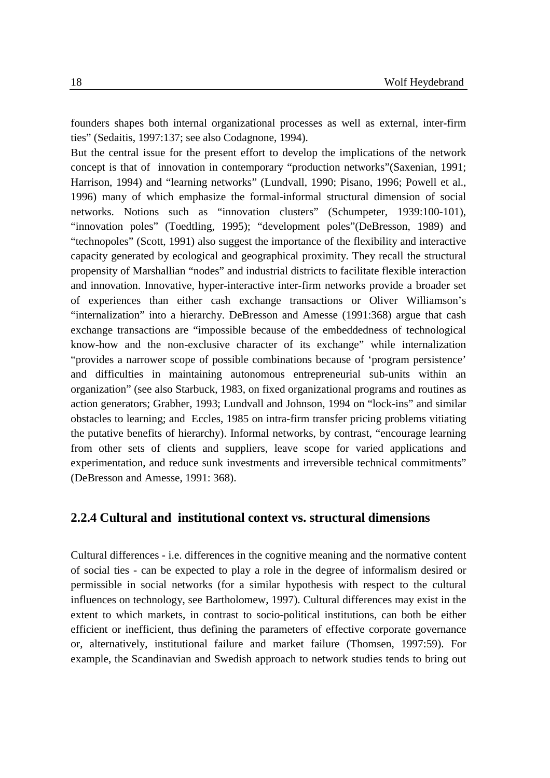founders shapes both internal organizational processes as well as external, inter-firm ties" (Sedaitis, 1997:137; see also Codagnone, 1994).

But the central issue for the present effort to develop the implications of the network concept is that of innovation in contemporary "production networks"(Saxenian, 1991; Harrison, 1994) and "learning networks" (Lundvall, 1990; Pisano, 1996; Powell et al., 1996) many of which emphasize the formal-informal structural dimension of social networks. Notions such as "innovation clusters" (Schumpeter, 1939:100-101), "innovation poles" (Toedtling, 1995); "development poles"(DeBresson, 1989) and "technopoles" (Scott, 1991) also suggest the importance of the flexibility and interactive capacity generated by ecological and geographical proximity. They recall the structural propensity of Marshallian "nodes" and industrial districts to facilitate flexible interaction and innovation. Innovative, hyper-interactive inter-firm networks provide a broader set of experiences than either cash exchange transactions or Oliver Williamson's "internalization" into a hierarchy. DeBresson and Amesse (1991:368) argue that cash exchange transactions are "impossible because of the embeddedness of technological know-how and the non-exclusive character of its exchange" while internalization "provides a narrower scope of possible combinations because of 'program persistence' and difficulties in maintaining autonomous entrepreneurial sub-units within an organization" (see also Starbuck, 1983, on fixed organizational programs and routines as action generators; Grabher, 1993; Lundvall and Johnson, 1994 on "lock-ins" and similar obstacles to learning; and Eccles, 1985 on intra-firm transfer pricing problems vitiating the putative benefits of hierarchy). Informal networks, by contrast, "encourage learning from other sets of clients and suppliers, leave scope for varied applications and experimentation, and reduce sunk investments and irreversible technical commitments" (DeBresson and Amesse, 1991: 368).

#### **2.2.4 Cultural and institutional context vs. structural dimensions**

Cultural differences - i.e. differences in the cognitive meaning and the normative content of social ties - can be expected to play a role in the degree of informalism desired or permissible in social networks (for a similar hypothesis with respect to the cultural influences on technology, see Bartholomew, 1997). Cultural differences may exist in the extent to which markets, in contrast to socio-political institutions, can both be either efficient or inefficient, thus defining the parameters of effective corporate governance or, alternatively, institutional failure and market failure (Thomsen, 1997:59). For example, the Scandinavian and Swedish approach to network studies tends to bring out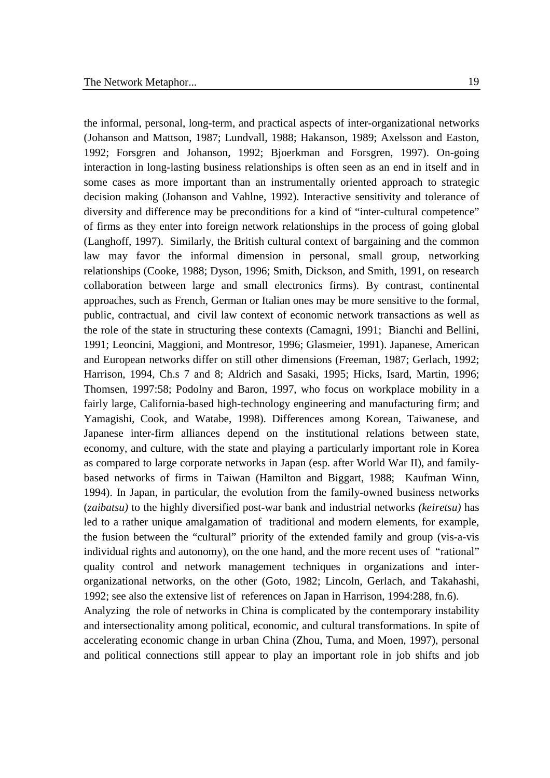the informal, personal, long-term, and practical aspects of inter-organizational networks (Johanson and Mattson, 1987; Lundvall, 1988; Hakanson, 1989; Axelsson and Easton, 1992; Forsgren and Johanson, 1992; Bjoerkman and Forsgren, 1997). On-going interaction in long-lasting business relationships is often seen as an end in itself and in some cases as more important than an instrumentally oriented approach to strategic decision making (Johanson and Vahlne, 1992). Interactive sensitivity and tolerance of diversity and difference may be preconditions for a kind of "inter-cultural competence" of firms as they enter into foreign network relationships in the process of going global (Langhoff, 1997). Similarly, the British cultural context of bargaining and the common law may favor the informal dimension in personal, small group, networking relationships (Cooke, 1988; Dyson, 1996; Smith, Dickson, and Smith, 1991, on research collaboration between large and small electronics firms). By contrast, continental approaches, such as French, German or Italian ones may be more sensitive to the formal, public, contractual, and civil law context of economic network transactions as well as the role of the state in structuring these contexts (Camagni, 1991; Bianchi and Bellini, 1991; Leoncini, Maggioni, and Montresor, 1996; Glasmeier, 1991). Japanese, American and European networks differ on still other dimensions (Freeman, 1987; Gerlach, 1992; Harrison, 1994, Ch.s 7 and 8; Aldrich and Sasaki, 1995; Hicks, Isard, Martin, 1996; Thomsen, 1997:58; Podolny and Baron, 1997, who focus on workplace mobility in a fairly large, California-based high-technology engineering and manufacturing firm; and Yamagishi, Cook, and Watabe, 1998). Differences among Korean, Taiwanese, and Japanese inter-firm alliances depend on the institutional relations between state, economy, and culture, with the state and playing a particularly important role in Korea as compared to large corporate networks in Japan (esp. after World War II), and familybased networks of firms in Taiwan (Hamilton and Biggart, 1988; Kaufman Winn, 1994). In Japan, in particular, the evolution from the family-owned business networks (*zaibatsu)* to the highly diversified post-war bank and industrial networks *(keiretsu)* has led to a rather unique amalgamation of traditional and modern elements, for example, the fusion between the "cultural" priority of the extended family and group (vis-a-vis individual rights and autonomy), on the one hand, and the more recent uses of "rational" quality control and network management techniques in organizations and interorganizational networks, on the other (Goto, 1982; Lincoln, Gerlach, and Takahashi, 1992; see also the extensive list of references on Japan in Harrison, 1994:288, fn.6).

Analyzing the role of networks in China is complicated by the contemporary instability and intersectionality among political, economic, and cultural transformations. In spite of accelerating economic change in urban China (Zhou, Tuma, and Moen, 1997), personal and political connections still appear to play an important role in job shifts and job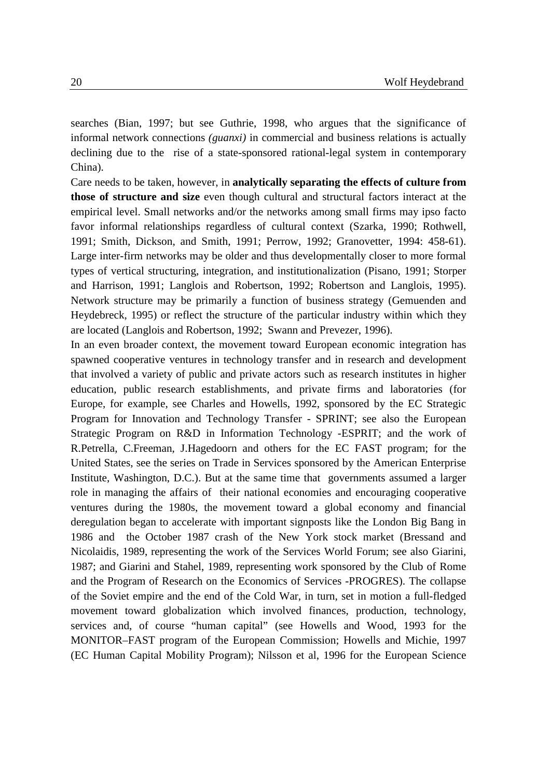searches (Bian, 1997; but see Guthrie, 1998, who argues that the significance of informal network connections *(guanxi)* in commercial and business relations is actually declining due to the rise of a state-sponsored rational-legal system in contemporary China).

Care needs to be taken, however, in **analytically separating the effects of culture from those of structure and size** even though cultural and structural factors interact at the empirical level. Small networks and/or the networks among small firms may ipso facto favor informal relationships regardless of cultural context (Szarka, 1990; Rothwell, 1991; Smith, Dickson, and Smith, 1991; Perrow, 1992; Granovetter, 1994: 458-61). Large inter-firm networks may be older and thus developmentally closer to more formal types of vertical structuring, integration, and institutionalization (Pisano, 1991; Storper and Harrison, 1991; Langlois and Robertson, 1992; Robertson and Langlois, 1995). Network structure may be primarily a function of business strategy (Gemuenden and Heydebreck, 1995) or reflect the structure of the particular industry within which they are located (Langlois and Robertson, 1992; Swann and Prevezer, 1996).

In an even broader context, the movement toward European economic integration has spawned cooperative ventures in technology transfer and in research and development that involved a variety of public and private actors such as research institutes in higher education, public research establishments, and private firms and laboratories (for Europe, for example, see Charles and Howells, 1992, sponsored by the EC Strategic Program for Innovation and Technology Transfer - SPRINT; see also the European Strategic Program on R&D in Information Technology -ESPRIT; and the work of R.Petrella, C.Freeman, J.Hagedoorn and others for the EC FAST program; for the United States, see the series on Trade in Services sponsored by the American Enterprise Institute, Washington, D.C.). But at the same time that governments assumed a larger role in managing the affairs of their national economies and encouraging cooperative ventures during the 1980s, the movement toward a global economy and financial deregulation began to accelerate with important signposts like the London Big Bang in 1986 and the October 1987 crash of the New York stock market (Bressand and Nicolaidis, 1989, representing the work of the Services World Forum; see also Giarini, 1987; and Giarini and Stahel, 1989, representing work sponsored by the Club of Rome and the Program of Research on the Economics of Services -PROGRES). The collapse of the Soviet empire and the end of the Cold War, in turn, set in motion a full-fledged movement toward globalization which involved finances, production, technology, services and, of course "human capital" (see Howells and Wood, 1993 for the MONITOR–FAST program of the European Commission; Howells and Michie, 1997 (EC Human Capital Mobility Program); Nilsson et al, 1996 for the European Science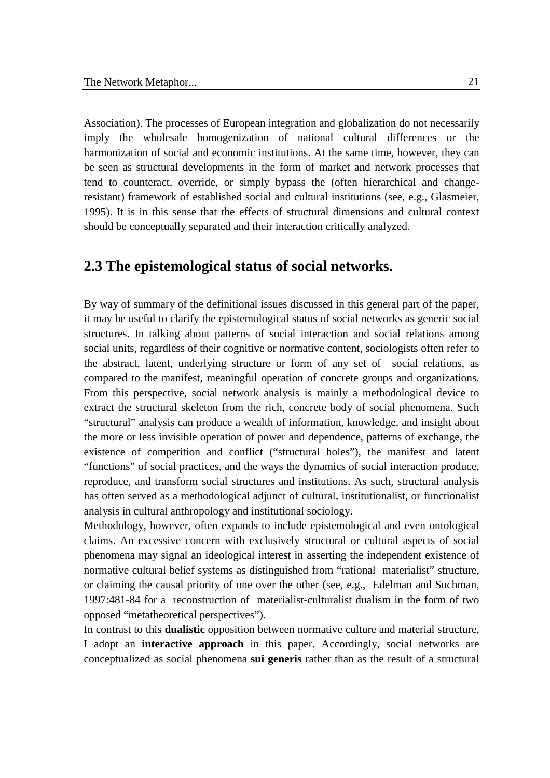Association). The processes of European integration and globalization do not necessarily imply the wholesale homogenization of national cultural differences or the harmonization of social and economic institutions. At the same time, however, they can be seen as structural developments in the form of market and network processes that tend to counteract, override, or simply bypass the (often hierarchical and changeresistant) framework of established social and cultural institutions (see, e.g., Glasmeier, 1995). It is in this sense that the effects of structural dimensions and cultural context should be conceptually separated and their interaction critically analyzed.

### **2.3 The epistemological status of social networks.**

By way of summary of the definitional issues discussed in this general part of the paper, it may be useful to clarify the epistemological status of social networks as generic social structures. In talking about patterns of social interaction and social relations among social units, regardless of their cognitive or normative content, sociologists often refer to the abstract, latent, underlying structure or form of any set of social relations, as compared to the manifest, meaningful operation of concrete groups and organizations. From this perspective, social network analysis is mainly a methodological device to extract the structural skeleton from the rich, concrete body of social phenomena. Such "structural" analysis can produce a wealth of information, knowledge, and insight about the more or less invisible operation of power and dependence, patterns of exchange, the existence of competition and conflict ("structural holes"), the manifest and latent "functions" of social practices, and the ways the dynamics of social interaction produce, reproduce, and transform social structures and institutions. As such, structural analysis has often served as a methodological adjunct of cultural, institutionalist, or functionalist analysis in cultural anthropology and institutional sociology.

Methodology, however, often expands to include epistemological and even ontological claims. An excessive concern with exclusively structural or cultural aspects of social phenomena may signal an ideological interest in asserting the independent existence of normative cultural belief systems as distinguished from "rational materialist" structure, or claiming the causal priority of one over the other (see, e.g., Edelman and Suchman, 1997:481-84 for a reconstruction of materialist-culturalist dualism in the form of two opposed "metatheoretical perspectives").

In contrast to this **dualistic** opposition between normative culture and material structure, I adopt an **interactive approach** in this paper. Accordingly, social networks are conceptualized as social phenomena **sui generis** rather than as the result of a structural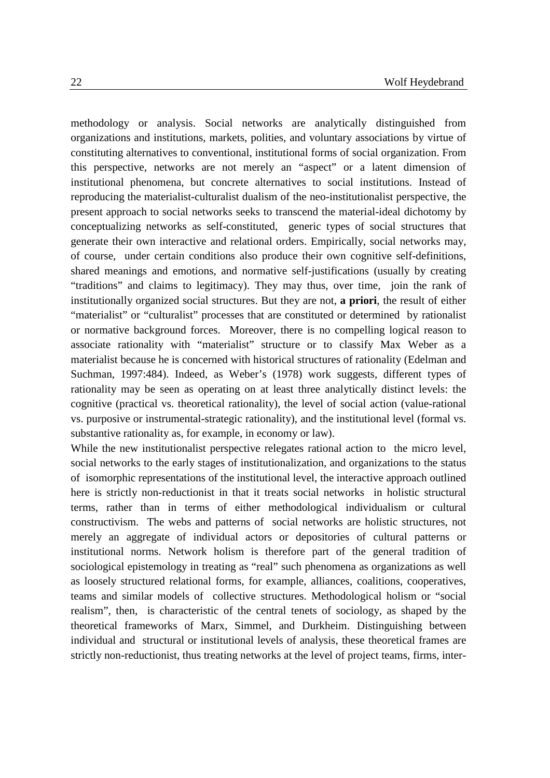methodology or analysis. Social networks are analytically distinguished from organizations and institutions, markets, polities, and voluntary associations by virtue of constituting alternatives to conventional, institutional forms of social organization. From this perspective, networks are not merely an "aspect" or a latent dimension of institutional phenomena, but concrete alternatives to social institutions. Instead of reproducing the materialist-culturalist dualism of the neo-institutionalist perspective, the present approach to social networks seeks to transcend the material-ideal dichotomy by conceptualizing networks as self-constituted, generic types of social structures that generate their own interactive and relational orders. Empirically, social networks may, of course, under certain conditions also produce their own cognitive self-definitions, shared meanings and emotions, and normative self-justifications (usually by creating "traditions" and claims to legitimacy). They may thus, over time, join the rank of institutionally organized social structures. But they are not, **a priori**, the result of either "materialist" or "culturalist" processes that are constituted or determined by rationalist or normative background forces. Moreover, there is no compelling logical reason to associate rationality with "materialist" structure or to classify Max Weber as a materialist because he is concerned with historical structures of rationality (Edelman and Suchman, 1997:484). Indeed, as Weber's (1978) work suggests, different types of rationality may be seen as operating on at least three analytically distinct levels: the cognitive (practical vs. theoretical rationality), the level of social action (value-rational vs. purposive or instrumental-strategic rationality), and the institutional level (formal vs. substantive rationality as, for example, in economy or law).

While the new institutionalist perspective relegates rational action to the micro level, social networks to the early stages of institutionalization, and organizations to the status of isomorphic representations of the institutional level, the interactive approach outlined here is strictly non-reductionist in that it treats social networks in holistic structural terms, rather than in terms of either methodological individualism or cultural constructivism. The webs and patterns of social networks are holistic structures, not merely an aggregate of individual actors or depositories of cultural patterns or institutional norms. Network holism is therefore part of the general tradition of sociological epistemology in treating as "real" such phenomena as organizations as well as loosely structured relational forms, for example, alliances, coalitions, cooperatives, teams and similar models of collective structures. Methodological holism or "social realism", then, is characteristic of the central tenets of sociology, as shaped by the theoretical frameworks of Marx, Simmel, and Durkheim. Distinguishing between individual and structural or institutional levels of analysis, these theoretical frames are strictly non-reductionist, thus treating networks at the level of project teams, firms, inter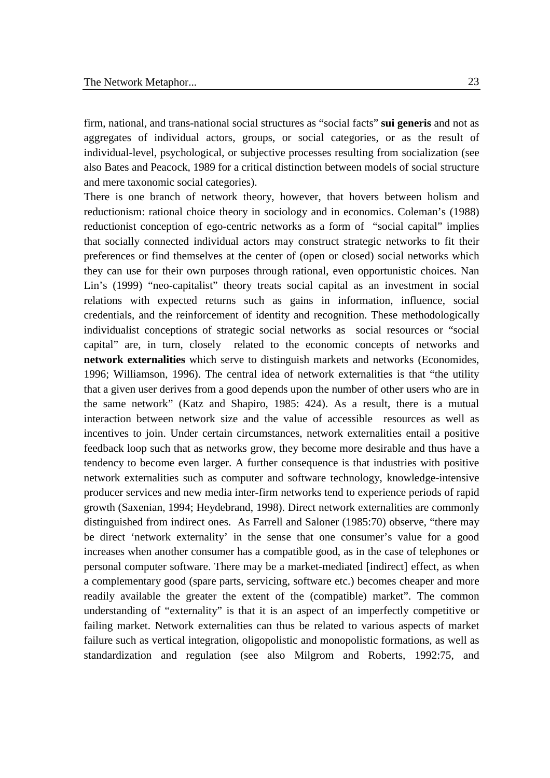firm, national, and trans-national social structures as "social facts" **sui generis** and not as aggregates of individual actors, groups, or social categories, or as the result of individual-level, psychological, or subjective processes resulting from socialization (see also Bates and Peacock, 1989 for a critical distinction between models of social structure and mere taxonomic social categories).

There is one branch of network theory, however, that hovers between holism and reductionism: rational choice theory in sociology and in economics. Coleman's (1988) reductionist conception of ego-centric networks as a form of "social capital" implies that socially connected individual actors may construct strategic networks to fit their preferences or find themselves at the center of (open or closed) social networks which they can use for their own purposes through rational, even opportunistic choices. Nan Lin's (1999) "neo-capitalist" theory treats social capital as an investment in social relations with expected returns such as gains in information, influence, social credentials, and the reinforcement of identity and recognition. These methodologically individualist conceptions of strategic social networks as social resources or "social capital" are, in turn, closely related to the economic concepts of networks and **network externalities** which serve to distinguish markets and networks (Economides, 1996; Williamson, 1996). The central idea of network externalities is that "the utility that a given user derives from a good depends upon the number of other users who are in the same network" (Katz and Shapiro, 1985: 424). As a result, there is a mutual interaction between network size and the value of accessible resources as well as incentives to join. Under certain circumstances, network externalities entail a positive feedback loop such that as networks grow, they become more desirable and thus have a tendency to become even larger. A further consequence is that industries with positive network externalities such as computer and software technology, knowledge-intensive producer services and new media inter-firm networks tend to experience periods of rapid growth (Saxenian, 1994; Heydebrand, 1998). Direct network externalities are commonly distinguished from indirect ones. As Farrell and Saloner (1985:70) observe, "there may be direct 'network externality' in the sense that one consumer's value for a good increases when another consumer has a compatible good, as in the case of telephones or personal computer software. There may be a market-mediated [indirect] effect, as when a complementary good (spare parts, servicing, software etc.) becomes cheaper and more readily available the greater the extent of the (compatible) market". The common understanding of "externality" is that it is an aspect of an imperfectly competitive or failing market. Network externalities can thus be related to various aspects of market failure such as vertical integration, oligopolistic and monopolistic formations, as well as standardization and regulation (see also Milgrom and Roberts, 1992:75, and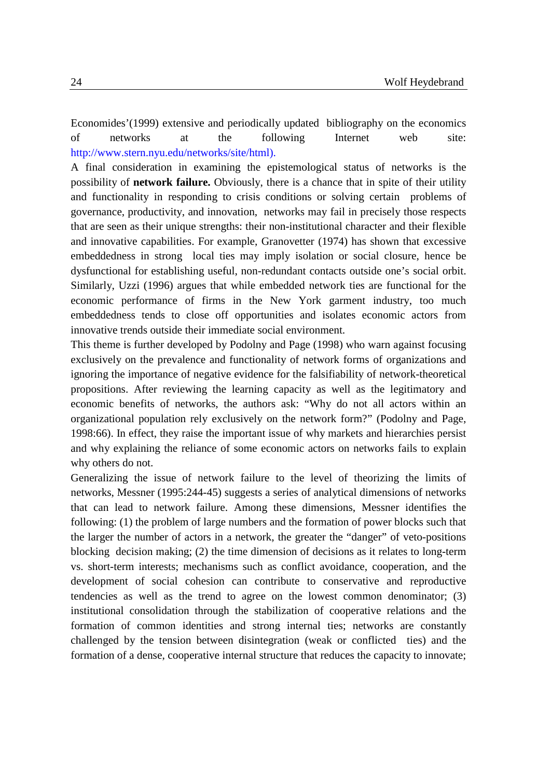Economides'(1999) extensive and periodically updated bibliography on the economics of networks at the following Internet web site: http://www.stern.nyu.edu/networks/site/html).

A final consideration in examining the epistemological status of networks is the possibility of **network failure.** Obviously, there is a chance that in spite of their utility and functionality in responding to crisis conditions or solving certain problems of governance, productivity, and innovation, networks may fail in precisely those respects that are seen as their unique strengths: their non-institutional character and their flexible and innovative capabilities. For example, Granovetter (1974) has shown that excessive embeddedness in strong local ties may imply isolation or social closure, hence be dysfunctional for establishing useful, non-redundant contacts outside one's social orbit. Similarly, Uzzi (1996) argues that while embedded network ties are functional for the economic performance of firms in the New York garment industry, too much embeddedness tends to close off opportunities and isolates economic actors from innovative trends outside their immediate social environment.

This theme is further developed by Podolny and Page (1998) who warn against focusing exclusively on the prevalence and functionality of network forms of organizations and ignoring the importance of negative evidence for the falsifiability of network-theoretical propositions. After reviewing the learning capacity as well as the legitimatory and economic benefits of networks, the authors ask: "Why do not all actors within an organizational population rely exclusively on the network form?" (Podolny and Page, 1998:66). In effect, they raise the important issue of why markets and hierarchies persist and why explaining the reliance of some economic actors on networks fails to explain why others do not.

Generalizing the issue of network failure to the level of theorizing the limits of networks, Messner (1995:244-45) suggests a series of analytical dimensions of networks that can lead to network failure. Among these dimensions, Messner identifies the following: (1) the problem of large numbers and the formation of power blocks such that the larger the number of actors in a network, the greater the "danger" of veto-positions blocking decision making; (2) the time dimension of decisions as it relates to long-term vs. short-term interests; mechanisms such as conflict avoidance, cooperation, and the development of social cohesion can contribute to conservative and reproductive tendencies as well as the trend to agree on the lowest common denominator; (3) institutional consolidation through the stabilization of cooperative relations and the formation of common identities and strong internal ties; networks are constantly challenged by the tension between disintegration (weak or conflicted ties) and the formation of a dense, cooperative internal structure that reduces the capacity to innovate;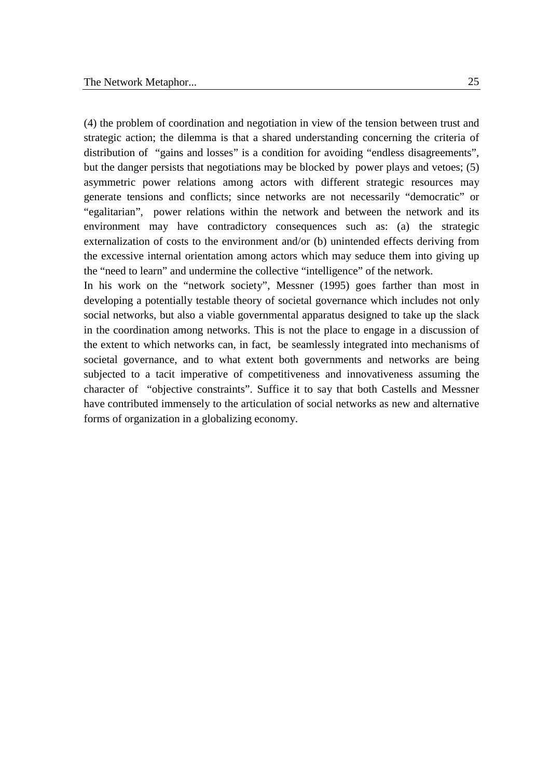(4) the problem of coordination and negotiation in view of the tension between trust and strategic action; the dilemma is that a shared understanding concerning the criteria of distribution of "gains and losses" is a condition for avoiding "endless disagreements", but the danger persists that negotiations may be blocked by power plays and vetoes; (5) asymmetric power relations among actors with different strategic resources may generate tensions and conflicts; since networks are not necessarily "democratic" or "egalitarian", power relations within the network and between the network and its environment may have contradictory consequences such as: (a) the strategic externalization of costs to the environment and/or (b) unintended effects deriving from the excessive internal orientation among actors which may seduce them into giving up the "need to learn" and undermine the collective "intelligence" of the network.

In his work on the "network society", Messner (1995) goes farther than most in developing a potentially testable theory of societal governance which includes not only social networks, but also a viable governmental apparatus designed to take up the slack in the coordination among networks. This is not the place to engage in a discussion of the extent to which networks can, in fact, be seamlessly integrated into mechanisms of societal governance, and to what extent both governments and networks are being subjected to a tacit imperative of competitiveness and innovativeness assuming the character of "objective constraints". Suffice it to say that both Castells and Messner have contributed immensely to the articulation of social networks as new and alternative forms of organization in a globalizing economy.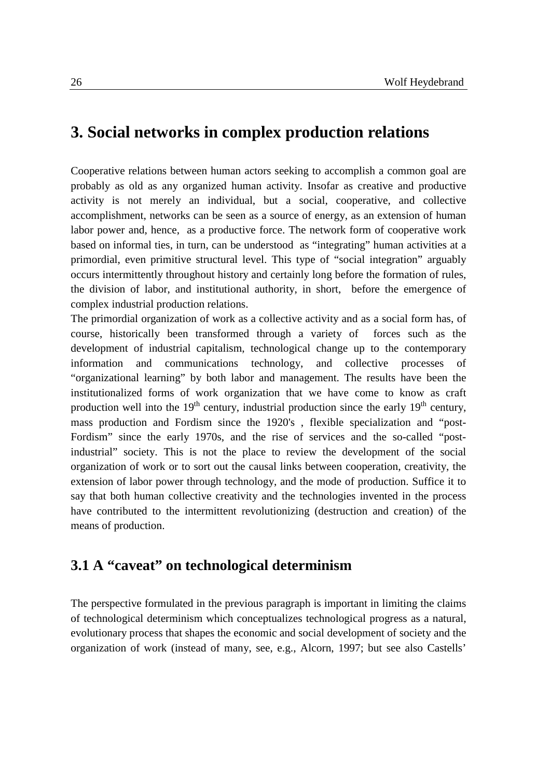## **3. Social networks in complex production relations**

Cooperative relations between human actors seeking to accomplish a common goal are probably as old as any organized human activity. Insofar as creative and productive activity is not merely an individual, but a social, cooperative, and collective accomplishment, networks can be seen as a source of energy, as an extension of human labor power and, hence, as a productive force. The network form of cooperative work based on informal ties, in turn, can be understood as "integrating" human activities at a primordial, even primitive structural level. This type of "social integration" arguably occurs intermittently throughout history and certainly long before the formation of rules, the division of labor, and institutional authority, in short, before the emergence of complex industrial production relations.

The primordial organization of work as a collective activity and as a social form has, of course, historically been transformed through a variety of forces such as the development of industrial capitalism, technological change up to the contemporary information and communications technology, and collective processes of "organizational learning" by both labor and management. The results have been the institutionalized forms of work organization that we have come to know as craft production well into the  $19<sup>th</sup>$  century, industrial production since the early  $19<sup>th</sup>$  century, mass production and Fordism since the 1920's , flexible specialization and "post-Fordism" since the early 1970s, and the rise of services and the so-called "postindustrial" society. This is not the place to review the development of the social organization of work or to sort out the causal links between cooperation, creativity, the extension of labor power through technology, and the mode of production. Suffice it to say that both human collective creativity and the technologies invented in the process have contributed to the intermittent revolutionizing (destruction and creation) of the means of production.

# **3.1 A "caveat" on technological determinism**

The perspective formulated in the previous paragraph is important in limiting the claims of technological determinism which conceptualizes technological progress as a natural, evolutionary process that shapes the economic and social development of society and the organization of work (instead of many, see, e.g., Alcorn, 1997; but see also Castells'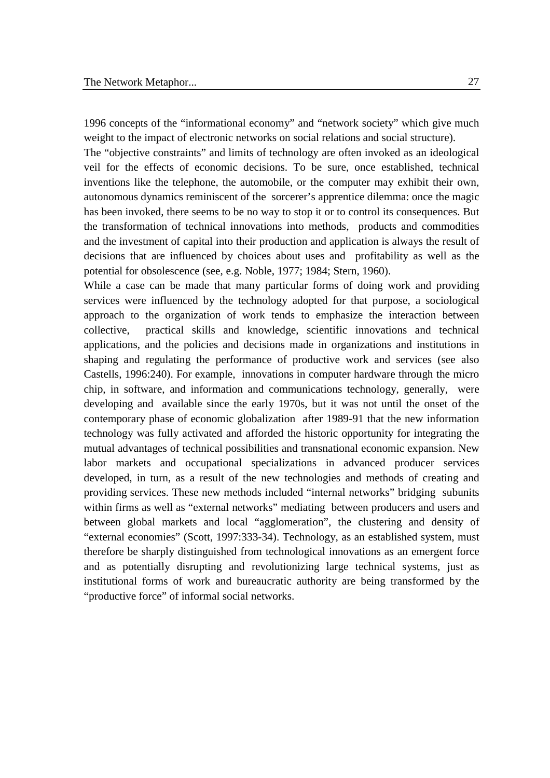1996 concepts of the "informational economy" and "network society" which give much weight to the impact of electronic networks on social relations and social structure).

The "objective constraints" and limits of technology are often invoked as an ideological veil for the effects of economic decisions. To be sure, once established, technical inventions like the telephone, the automobile, or the computer may exhibit their own, autonomous dynamics reminiscent of the sorcerer's apprentice dilemma: once the magic has been invoked, there seems to be no way to stop it or to control its consequences. But the transformation of technical innovations into methods, products and commodities and the investment of capital into their production and application is always the result of decisions that are influenced by choices about uses and profitability as well as the potential for obsolescence (see, e.g. Noble, 1977; 1984; Stern, 1960).

While a case can be made that many particular forms of doing work and providing services were influenced by the technology adopted for that purpose, a sociological approach to the organization of work tends to emphasize the interaction between collective, practical skills and knowledge, scientific innovations and technical applications, and the policies and decisions made in organizations and institutions in shaping and regulating the performance of productive work and services (see also Castells, 1996:240). For example, innovations in computer hardware through the micro chip, in software, and information and communications technology, generally, were developing and available since the early 1970s, but it was not until the onset of the contemporary phase of economic globalization after 1989-91 that the new information technology was fully activated and afforded the historic opportunity for integrating the mutual advantages of technical possibilities and transnational economic expansion. New labor markets and occupational specializations in advanced producer services developed, in turn, as a result of the new technologies and methods of creating and providing services. These new methods included "internal networks" bridging subunits within firms as well as "external networks" mediating between producers and users and between global markets and local "agglomeration", the clustering and density of "external economies" (Scott, 1997:333-34). Technology, as an established system, must therefore be sharply distinguished from technological innovations as an emergent force and as potentially disrupting and revolutionizing large technical systems, just as institutional forms of work and bureaucratic authority are being transformed by the "productive force" of informal social networks.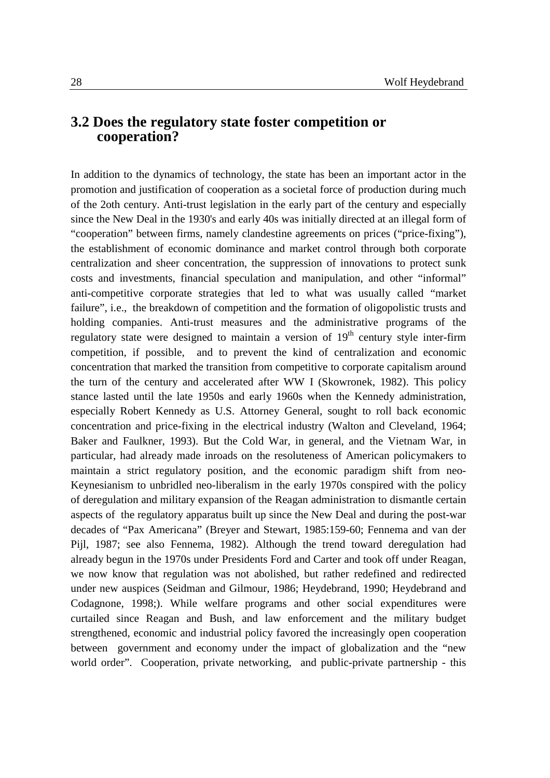### **3.2 Does the regulatory state foster competition or cooperation?**

In addition to the dynamics of technology, the state has been an important actor in the promotion and justification of cooperation as a societal force of production during much of the 2oth century. Anti-trust legislation in the early part of the century and especially since the New Deal in the 1930's and early 40s was initially directed at an illegal form of "cooperation" between firms, namely clandestine agreements on prices ("price-fixing"), the establishment of economic dominance and market control through both corporate centralization and sheer concentration, the suppression of innovations to protect sunk costs and investments, financial speculation and manipulation, and other "informal" anti-competitive corporate strategies that led to what was usually called "market failure", i.e., the breakdown of competition and the formation of oligopolistic trusts and holding companies. Anti-trust measures and the administrative programs of the regulatory state were designed to maintain a version of  $19<sup>th</sup>$  century style inter-firm competition, if possible, and to prevent the kind of centralization and economic concentration that marked the transition from competitive to corporate capitalism around the turn of the century and accelerated after WW I (Skowronek, 1982). This policy stance lasted until the late 1950s and early 1960s when the Kennedy administration, especially Robert Kennedy as U.S. Attorney General, sought to roll back economic concentration and price-fixing in the electrical industry (Walton and Cleveland, 1964; Baker and Faulkner, 1993). But the Cold War, in general, and the Vietnam War, in particular, had already made inroads on the resoluteness of American policymakers to maintain a strict regulatory position, and the economic paradigm shift from neo-Keynesianism to unbridled neo-liberalism in the early 1970s conspired with the policy of deregulation and military expansion of the Reagan administration to dismantle certain aspects of the regulatory apparatus built up since the New Deal and during the post-war decades of "Pax Americana" (Breyer and Stewart, 1985:159-60; Fennema and van der Pijl, 1987; see also Fennema, 1982). Although the trend toward deregulation had already begun in the 1970s under Presidents Ford and Carter and took off under Reagan, we now know that regulation was not abolished, but rather redefined and redirected under new auspices (Seidman and Gilmour, 1986; Heydebrand, 1990; Heydebrand and Codagnone, 1998;). While welfare programs and other social expenditures were curtailed since Reagan and Bush, and law enforcement and the military budget strengthened, economic and industrial policy favored the increasingly open cooperation between government and economy under the impact of globalization and the "new world order". Cooperation, private networking, and public-private partnership - this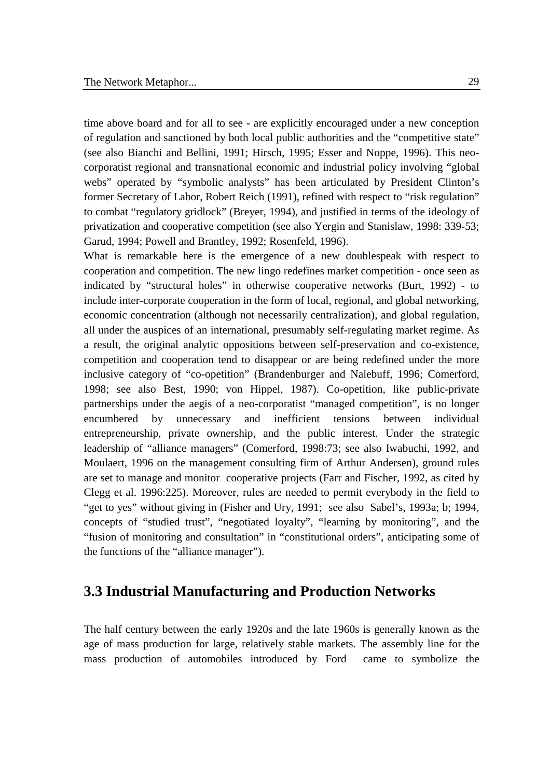time above board and for all to see - are explicitly encouraged under a new conception of regulation and sanctioned by both local public authorities and the "competitive state" (see also Bianchi and Bellini, 1991; Hirsch, 1995; Esser and Noppe, 1996). This neocorporatist regional and transnational economic and industrial policy involving "global webs" operated by "symbolic analysts" has been articulated by President Clinton's former Secretary of Labor, Robert Reich (1991), refined with respect to "risk regulation" to combat "regulatory gridlock" (Breyer, 1994), and justified in terms of the ideology of privatization and cooperative competition (see also Yergin and Stanislaw, 1998: 339-53; Garud, 1994; Powell and Brantley, 1992; Rosenfeld, 1996).

What is remarkable here is the emergence of a new doublespeak with respect to cooperation and competition. The new lingo redefines market competition - once seen as indicated by "structural holes" in otherwise cooperative networks (Burt, 1992) - to include inter-corporate cooperation in the form of local, regional, and global networking, economic concentration (although not necessarily centralization), and global regulation, all under the auspices of an international, presumably self-regulating market regime. As a result, the original analytic oppositions between self-preservation and co-existence, competition and cooperation tend to disappear or are being redefined under the more inclusive category of "co-opetition" (Brandenburger and Nalebuff, 1996; Comerford, 1998; see also Best, 1990; von Hippel, 1987). Co-opetition, like public-private partnerships under the aegis of a neo-corporatist "managed competition", is no longer encumbered by unnecessary and inefficient tensions between individual entrepreneurship, private ownership, and the public interest. Under the strategic leadership of "alliance managers" (Comerford, 1998:73; see also Iwabuchi, 1992, and Moulaert, 1996 on the management consulting firm of Arthur Andersen), ground rules are set to manage and monitor cooperative projects (Farr and Fischer, 1992, as cited by Clegg et al. 1996:225). Moreover, rules are needed to permit everybody in the field to "get to yes" without giving in (Fisher and Ury, 1991; see also Sabel's, 1993a; b; 1994, concepts of "studied trust", "negotiated loyalty", "learning by monitoring", and the "fusion of monitoring and consultation" in "constitutional orders", anticipating some of the functions of the "alliance manager").

### **3.3 Industrial Manufacturing and Production Networks**

The half century between the early 1920s and the late 1960s is generally known as the age of mass production for large, relatively stable markets. The assembly line for the mass production of automobiles introduced by Ford came to symbolize the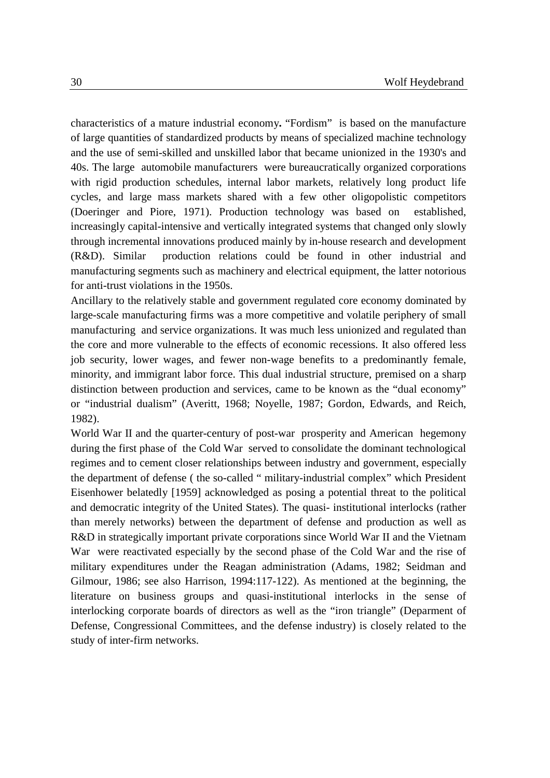characteristics of a mature industrial economy**.** "Fordism" is based on the manufacture of large quantities of standardized products by means of specialized machine technology and the use of semi-skilled and unskilled labor that became unionized in the 1930's and 40s. The large automobile manufacturers were bureaucratically organized corporations with rigid production schedules, internal labor markets, relatively long product life cycles, and large mass markets shared with a few other oligopolistic competitors (Doeringer and Piore, 1971). Production technology was based on established, increasingly capital-intensive and vertically integrated systems that changed only slowly through incremental innovations produced mainly by in-house research and development (R&D). Similar production relations could be found in other industrial and manufacturing segments such as machinery and electrical equipment, the latter notorious for anti-trust violations in the 1950s.

Ancillary to the relatively stable and government regulated core economy dominated by large-scale manufacturing firms was a more competitive and volatile periphery of small manufacturing and service organizations. It was much less unionized and regulated than the core and more vulnerable to the effects of economic recessions. It also offered less job security, lower wages, and fewer non-wage benefits to a predominantly female, minority, and immigrant labor force. This dual industrial structure, premised on a sharp distinction between production and services, came to be known as the "dual economy" or "industrial dualism" (Averitt, 1968; Noyelle, 1987; Gordon, Edwards, and Reich, 1982).

World War II and the quarter-century of post-war prosperity and American hegemony during the first phase of the Cold War served to consolidate the dominant technological regimes and to cement closer relationships between industry and government, especially the department of defense ( the so-called " military-industrial complex" which President Eisenhower belatedly [1959] acknowledged as posing a potential threat to the political and democratic integrity of the United States). The quasi- institutional interlocks (rather than merely networks) between the department of defense and production as well as R&D in strategically important private corporations since World War II and the Vietnam War were reactivated especially by the second phase of the Cold War and the rise of military expenditures under the Reagan administration (Adams, 1982; Seidman and Gilmour, 1986; see also Harrison, 1994:117-122). As mentioned at the beginning, the literature on business groups and quasi-institutional interlocks in the sense of interlocking corporate boards of directors as well as the "iron triangle" (Deparment of Defense, Congressional Committees, and the defense industry) is closely related to the study of inter-firm networks.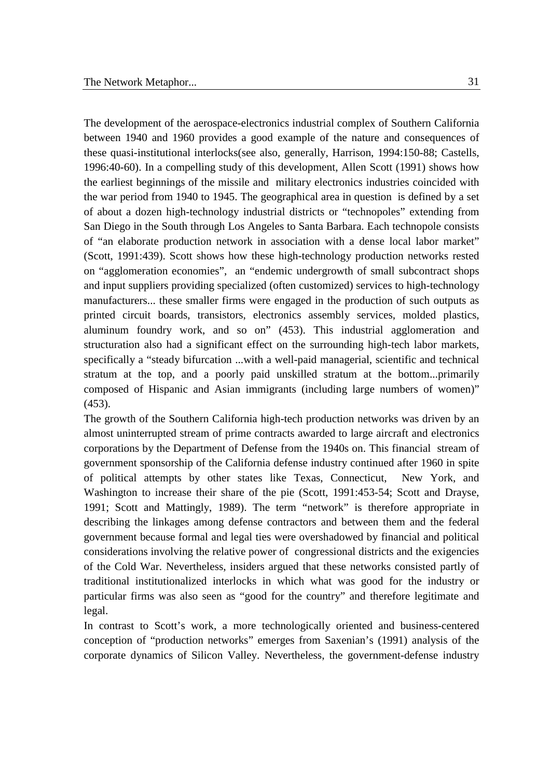The development of the aerospace-electronics industrial complex of Southern California between 1940 and 1960 provides a good example of the nature and consequences of these quasi-institutional interlocks(see also, generally, Harrison, 1994:150-88; Castells, 1996:40-60). In a compelling study of this development, Allen Scott (1991) shows how the earliest beginnings of the missile and military electronics industries coincided with the war period from 1940 to 1945. The geographical area in question is defined by a set of about a dozen high-technology industrial districts or "technopoles" extending from San Diego in the South through Los Angeles to Santa Barbara. Each technopole consists of "an elaborate production network in association with a dense local labor market" (Scott, 1991:439). Scott shows how these high-technology production networks rested on "agglomeration economies", an "endemic undergrowth of small subcontract shops and input suppliers providing specialized (often customized) services to high-technology manufacturers... these smaller firms were engaged in the production of such outputs as printed circuit boards, transistors, electronics assembly services, molded plastics, aluminum foundry work, and so on" (453). This industrial agglomeration and structuration also had a significant effect on the surrounding high-tech labor markets, specifically a "steady bifurcation ...with a well-paid managerial, scientific and technical stratum at the top, and a poorly paid unskilled stratum at the bottom...primarily composed of Hispanic and Asian immigrants (including large numbers of women)" (453).

The growth of the Southern California high-tech production networks was driven by an almost uninterrupted stream of prime contracts awarded to large aircraft and electronics corporations by the Department of Defense from the 1940s on. This financial stream of government sponsorship of the California defense industry continued after 1960 in spite of political attempts by other states like Texas, Connecticut, New York, and Washington to increase their share of the pie (Scott, 1991:453-54; Scott and Drayse, 1991; Scott and Mattingly, 1989). The term "network" is therefore appropriate in describing the linkages among defense contractors and between them and the federal government because formal and legal ties were overshadowed by financial and political considerations involving the relative power of congressional districts and the exigencies of the Cold War. Nevertheless, insiders argued that these networks consisted partly of traditional institutionalized interlocks in which what was good for the industry or particular firms was also seen as "good for the country" and therefore legitimate and legal.

In contrast to Scott's work, a more technologically oriented and business-centered conception of "production networks" emerges from Saxenian's (1991) analysis of the corporate dynamics of Silicon Valley. Nevertheless, the government-defense industry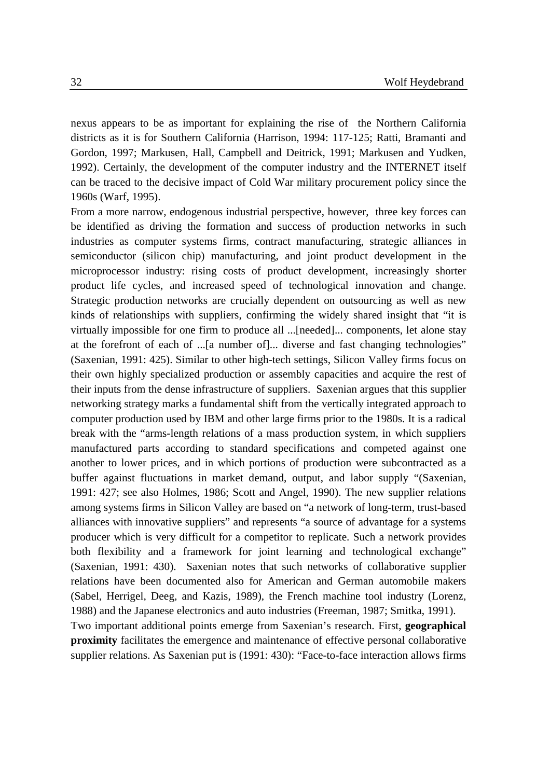nexus appears to be as important for explaining the rise of the Northern California districts as it is for Southern California (Harrison, 1994: 117-125; Ratti, Bramanti and Gordon, 1997; Markusen, Hall, Campbell and Deitrick, 1991; Markusen and Yudken, 1992). Certainly, the development of the computer industry and the INTERNET itself can be traced to the decisive impact of Cold War military procurement policy since the 1960s (Warf, 1995).

From a more narrow, endogenous industrial perspective, however, three key forces can be identified as driving the formation and success of production networks in such industries as computer systems firms, contract manufacturing, strategic alliances in semiconductor (silicon chip) manufacturing, and joint product development in the microprocessor industry: rising costs of product development, increasingly shorter product life cycles, and increased speed of technological innovation and change. Strategic production networks are crucially dependent on outsourcing as well as new kinds of relationships with suppliers, confirming the widely shared insight that "it is virtually impossible for one firm to produce all ...[needed]... components, let alone stay at the forefront of each of ...[a number of]... diverse and fast changing technologies" (Saxenian, 1991: 425). Similar to other high-tech settings, Silicon Valley firms focus on their own highly specialized production or assembly capacities and acquire the rest of their inputs from the dense infrastructure of suppliers. Saxenian argues that this supplier networking strategy marks a fundamental shift from the vertically integrated approach to computer production used by IBM and other large firms prior to the 1980s. It is a radical break with the "arms-length relations of a mass production system, in which suppliers manufactured parts according to standard specifications and competed against one another to lower prices, and in which portions of production were subcontracted as a buffer against fluctuations in market demand, output, and labor supply "(Saxenian, 1991: 427; see also Holmes, 1986; Scott and Angel, 1990). The new supplier relations among systems firms in Silicon Valley are based on "a network of long-term, trust-based alliances with innovative suppliers" and represents "a source of advantage for a systems producer which is very difficult for a competitor to replicate. Such a network provides both flexibility and a framework for joint learning and technological exchange" (Saxenian, 1991: 430). Saxenian notes that such networks of collaborative supplier relations have been documented also for American and German automobile makers (Sabel, Herrigel, Deeg, and Kazis, 1989), the French machine tool industry (Lorenz, 1988) and the Japanese electronics and auto industries (Freeman, 1987; Smitka, 1991). Two important additional points emerge from Saxenian's research. First, **geographical proximity** facilitates the emergence and maintenance of effective personal collaborative supplier relations. As Saxenian put is (1991: 430): "Face-to-face interaction allows firms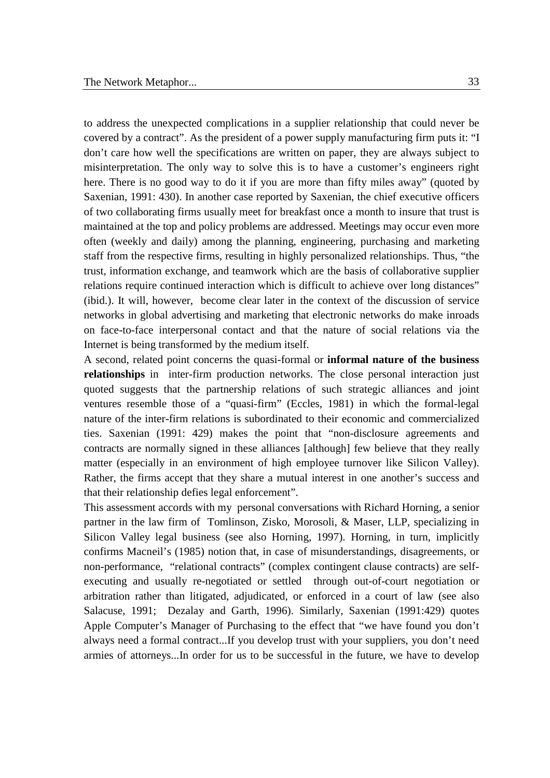to address the unexpected complications in a supplier relationship that could never be covered by a contract". As the president of a power supply manufacturing firm puts it: "I don't care how well the specifications are written on paper, they are always subject to misinterpretation. The only way to solve this is to have a customer's engineers right here. There is no good way to do it if you are more than fifty miles away" (quoted by Saxenian, 1991: 430). In another case reported by Saxenian, the chief executive officers of two collaborating firms usually meet for breakfast once a month to insure that trust is maintained at the top and policy problems are addressed. Meetings may occur even more often (weekly and daily) among the planning, engineering, purchasing and marketing staff from the respective firms, resulting in highly personalized relationships. Thus, "the trust, information exchange, and teamwork which are the basis of collaborative supplier relations require continued interaction which is difficult to achieve over long distances" (ibid.). It will, however, become clear later in the context of the discussion of service networks in global advertising and marketing that electronic networks do make inroads on face-to-face interpersonal contact and that the nature of social relations via the Internet is being transformed by the medium itself.

A second, related point concerns the quasi-formal or **informal nature of the business relationships** in inter-firm production networks. The close personal interaction just quoted suggests that the partnership relations of such strategic alliances and joint ventures resemble those of a "quasi-firm" (Eccles, 1981) in which the formal-legal nature of the inter-firm relations is subordinated to their economic and commercialized ties. Saxenian (1991: 429) makes the point that "non-disclosure agreements and contracts are normally signed in these alliances [although] few believe that they really matter (especially in an environment of high employee turnover like Silicon Valley). Rather, the firms accept that they share a mutual interest in one another's success and that their relationship defies legal enforcement".

This assessment accords with my personal conversations with Richard Horning, a senior partner in the law firm of Tomlinson, Zisko, Morosoli, & Maser, LLP, specializing in Silicon Valley legal business (see also Horning, 1997). Horning, in turn, implicitly confirms Macneil's (1985) notion that, in case of misunderstandings, disagreements, or non-performance, "relational contracts" (complex contingent clause contracts) are selfexecuting and usually re-negotiated or settled through out-of-court negotiation or arbitration rather than litigated, adjudicated, or enforced in a court of law (see also Salacuse, 1991; Dezalay and Garth, 1996). Similarly, Saxenian (1991:429) quotes Apple Computer's Manager of Purchasing to the effect that "we have found you don't always need a formal contract...If you develop trust with your suppliers, you don't need armies of attorneys...In order for us to be successful in the future, we have to develop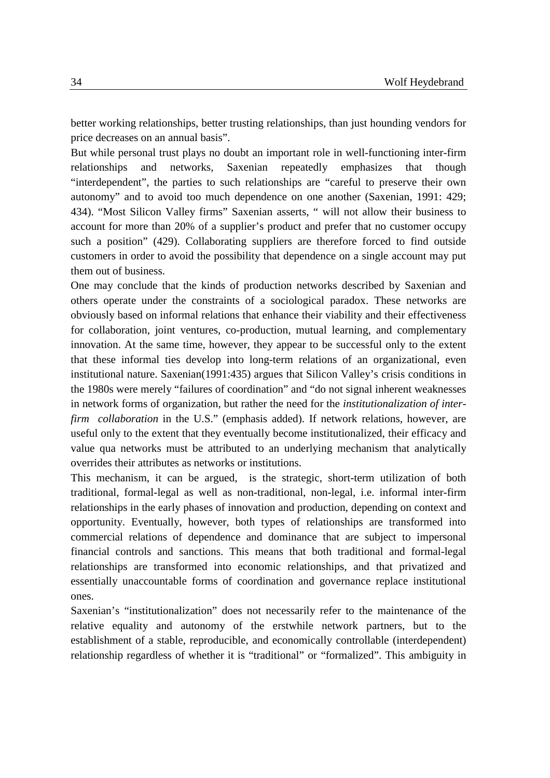better working relationships, better trusting relationships, than just hounding vendors for price decreases on an annual basis".

But while personal trust plays no doubt an important role in well-functioning inter-firm relationships and networks, Saxenian repeatedly emphasizes that though "interdependent", the parties to such relationships are "careful to preserve their own autonomy" and to avoid too much dependence on one another (Saxenian, 1991: 429; 434). "Most Silicon Valley firms" Saxenian asserts, " will not allow their business to account for more than 20% of a supplier's product and prefer that no customer occupy such a position" (429). Collaborating suppliers are therefore forced to find outside customers in order to avoid the possibility that dependence on a single account may put them out of business.

One may conclude that the kinds of production networks described by Saxenian and others operate under the constraints of a sociological paradox. These networks are obviously based on informal relations that enhance their viability and their effectiveness for collaboration, joint ventures, co-production, mutual learning, and complementary innovation. At the same time, however, they appear to be successful only to the extent that these informal ties develop into long-term relations of an organizational, even institutional nature. Saxenian(1991:435) argues that Silicon Valley's crisis conditions in the 1980s were merely "failures of coordination" and "do not signal inherent weaknesses in network forms of organization, but rather the need for the *institutionalization of interfirm collaboration* in the U.S." (emphasis added). If network relations, however, are useful only to the extent that they eventually become institutionalized, their efficacy and value qua networks must be attributed to an underlying mechanism that analytically overrides their attributes as networks or institutions.

This mechanism, it can be argued, is the strategic, short-term utilization of both traditional, formal-legal as well as non-traditional, non-legal, i.e. informal inter-firm relationships in the early phases of innovation and production, depending on context and opportunity. Eventually, however, both types of relationships are transformed into commercial relations of dependence and dominance that are subject to impersonal financial controls and sanctions. This means that both traditional and formal-legal relationships are transformed into economic relationships, and that privatized and essentially unaccountable forms of coordination and governance replace institutional ones.

Saxenian's "institutionalization" does not necessarily refer to the maintenance of the relative equality and autonomy of the erstwhile network partners, but to the establishment of a stable, reproducible, and economically controllable (interdependent) relationship regardless of whether it is "traditional" or "formalized". This ambiguity in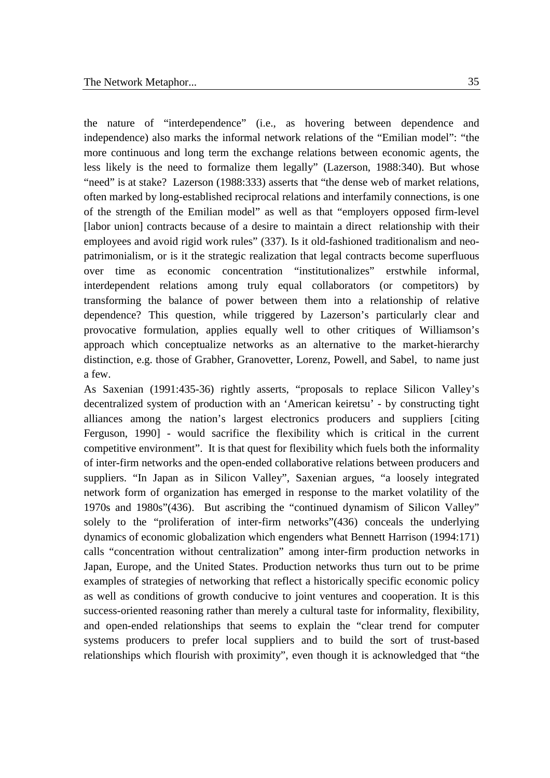the nature of "interdependence" (i.e., as hovering between dependence and independence) also marks the informal network relations of the "Emilian model": "the more continuous and long term the exchange relations between economic agents, the less likely is the need to formalize them legally" (Lazerson, 1988:340). But whose "need" is at stake? Lazerson (1988:333) asserts that "the dense web of market relations, often marked by long-established reciprocal relations and interfamily connections, is one of the strength of the Emilian model" as well as that "employers opposed firm-level [labor union] contracts because of a desire to maintain a direct relationship with their employees and avoid rigid work rules" (337). Is it old-fashioned traditionalism and neopatrimonialism, or is it the strategic realization that legal contracts become superfluous over time as economic concentration "institutionalizes" erstwhile informal, interdependent relations among truly equal collaborators (or competitors) by transforming the balance of power between them into a relationship of relative dependence? This question, while triggered by Lazerson's particularly clear and provocative formulation, applies equally well to other critiques of Williamson's approach which conceptualize networks as an alternative to the market-hierarchy distinction, e.g. those of Grabher, Granovetter, Lorenz, Powell, and Sabel, to name just a few.

As Saxenian (1991:435-36) rightly asserts, "proposals to replace Silicon Valley's decentralized system of production with an 'American keiretsu' - by constructing tight alliances among the nation's largest electronics producers and suppliers [citing Ferguson, 1990] - would sacrifice the flexibility which is critical in the current competitive environment". It is that quest for flexibility which fuels both the informality of inter-firm networks and the open-ended collaborative relations between producers and suppliers. "In Japan as in Silicon Valley", Saxenian argues, "a loosely integrated network form of organization has emerged in response to the market volatility of the 1970s and 1980s"(436). But ascribing the "continued dynamism of Silicon Valley" solely to the "proliferation of inter-firm networks"(436) conceals the underlying dynamics of economic globalization which engenders what Bennett Harrison (1994:171) calls "concentration without centralization" among inter-firm production networks in Japan, Europe, and the United States. Production networks thus turn out to be prime examples of strategies of networking that reflect a historically specific economic policy as well as conditions of growth conducive to joint ventures and cooperation. It is this success-oriented reasoning rather than merely a cultural taste for informality, flexibility, and open-ended relationships that seems to explain the "clear trend for computer systems producers to prefer local suppliers and to build the sort of trust-based relationships which flourish with proximity", even though it is acknowledged that "the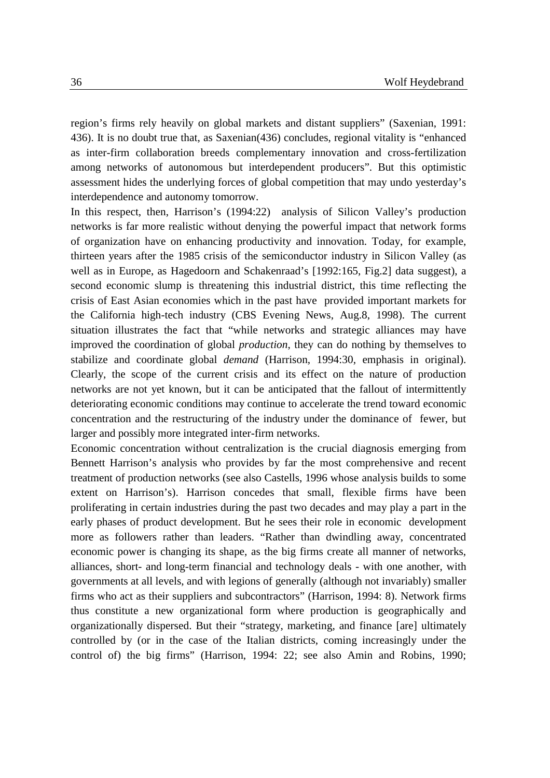region's firms rely heavily on global markets and distant suppliers" (Saxenian, 1991: 436). It is no doubt true that, as Saxenian(436) concludes, regional vitality is "enhanced as inter-firm collaboration breeds complementary innovation and cross-fertilization among networks of autonomous but interdependent producers". But this optimistic assessment hides the underlying forces of global competition that may undo yesterday's interdependence and autonomy tomorrow.

In this respect, then, Harrison's (1994:22) analysis of Silicon Valley's production networks is far more realistic without denying the powerful impact that network forms of organization have on enhancing productivity and innovation. Today, for example, thirteen years after the 1985 crisis of the semiconductor industry in Silicon Valley (as well as in Europe, as Hagedoorn and Schakenraad's [1992:165, Fig.2] data suggest), a second economic slump is threatening this industrial district, this time reflecting the crisis of East Asian economies which in the past have provided important markets for the California high-tech industry (CBS Evening News, Aug.8, 1998). The current situation illustrates the fact that "while networks and strategic alliances may have improved the coordination of global *production*, they can do nothing by themselves to stabilize and coordinate global *demand* (Harrison, 1994:30, emphasis in original). Clearly, the scope of the current crisis and its effect on the nature of production networks are not yet known, but it can be anticipated that the fallout of intermittently deteriorating economic conditions may continue to accelerate the trend toward economic concentration and the restructuring of the industry under the dominance of fewer, but larger and possibly more integrated inter-firm networks.

Economic concentration without centralization is the crucial diagnosis emerging from Bennett Harrison's analysis who provides by far the most comprehensive and recent treatment of production networks (see also Castells, 1996 whose analysis builds to some extent on Harrison's). Harrison concedes that small, flexible firms have been proliferating in certain industries during the past two decades and may play a part in the early phases of product development. But he sees their role in economic development more as followers rather than leaders. "Rather than dwindling away, concentrated economic power is changing its shape, as the big firms create all manner of networks, alliances, short- and long-term financial and technology deals - with one another, with governments at all levels, and with legions of generally (although not invariably) smaller firms who act as their suppliers and subcontractors" (Harrison, 1994: 8). Network firms thus constitute a new organizational form where production is geographically and organizationally dispersed. But their "strategy, marketing, and finance [are] ultimately controlled by (or in the case of the Italian districts, coming increasingly under the control of) the big firms" (Harrison, 1994: 22; see also Amin and Robins, 1990;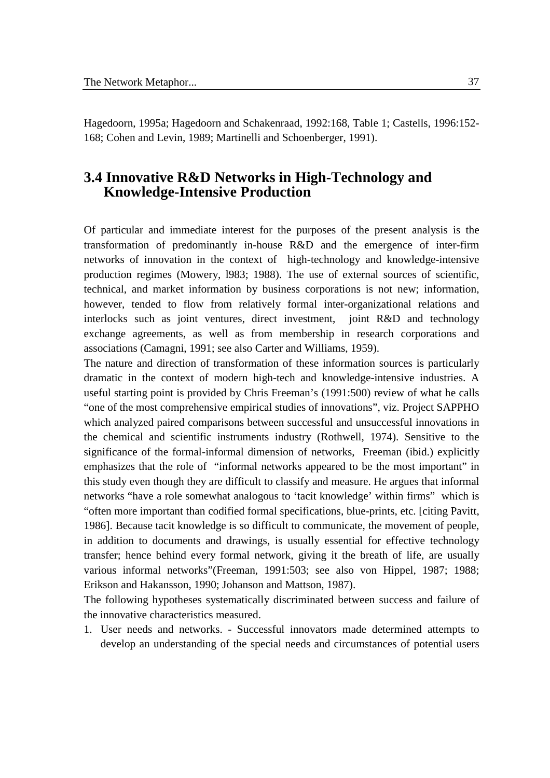Hagedoorn, 1995a; Hagedoorn and Schakenraad, 1992:168, Table 1; Castells, 1996:152- 168; Cohen and Levin, 1989; Martinelli and Schoenberger, 1991).

## **3.4 Innovative R&D Networks in High-Technology and Knowledge-Intensive Production**

Of particular and immediate interest for the purposes of the present analysis is the transformation of predominantly in-house R&D and the emergence of inter-firm networks of innovation in the context of high-technology and knowledge-intensive production regimes (Mowery, l983; 1988). The use of external sources of scientific, technical, and market information by business corporations is not new; information, however, tended to flow from relatively formal inter-organizational relations and interlocks such as joint ventures, direct investment, joint R&D and technology exchange agreements, as well as from membership in research corporations and associations (Camagni, 1991; see also Carter and Williams, 1959).

The nature and direction of transformation of these information sources is particularly dramatic in the context of modern high-tech and knowledge-intensive industries. A useful starting point is provided by Chris Freeman's (1991:500) review of what he calls "one of the most comprehensive empirical studies of innovations", viz. Project SAPPHO which analyzed paired comparisons between successful and unsuccessful innovations in the chemical and scientific instruments industry (Rothwell, 1974). Sensitive to the significance of the formal-informal dimension of networks, Freeman (ibid.) explicitly emphasizes that the role of "informal networks appeared to be the most important" in this study even though they are difficult to classify and measure. He argues that informal networks "have a role somewhat analogous to 'tacit knowledge' within firms" which is "often more important than codified formal specifications, blue-prints, etc. [citing Pavitt, 1986]. Because tacit knowledge is so difficult to communicate, the movement of people, in addition to documents and drawings, is usually essential for effective technology transfer; hence behind every formal network, giving it the breath of life, are usually various informal networks"(Freeman, 1991:503; see also von Hippel, 1987; 1988; Erikson and Hakansson, 1990; Johanson and Mattson, 1987).

The following hypotheses systematically discriminated between success and failure of the innovative characteristics measured.

1. User needs and networks. - Successful innovators made determined attempts to develop an understanding of the special needs and circumstances of potential users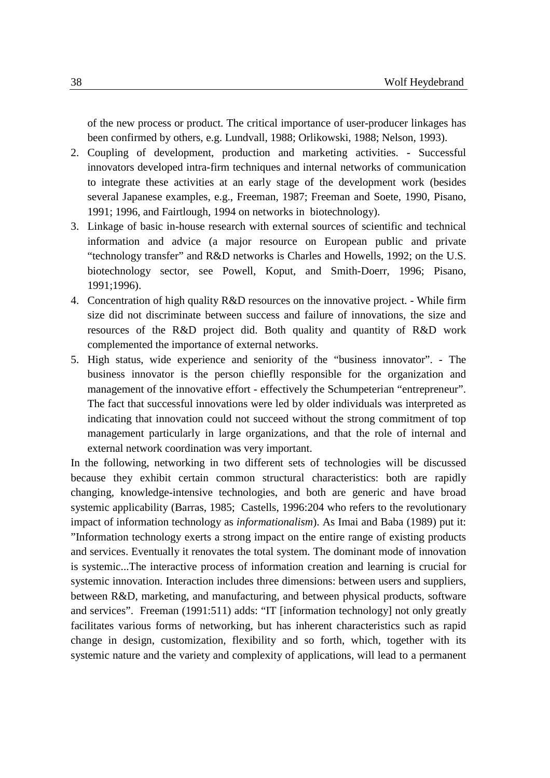of the new process or product. The critical importance of user-producer linkages has been confirmed by others, e.g. Lundvall, 1988; Orlikowski, 1988; Nelson, 1993).

- 2. Coupling of development, production and marketing activities. Successful innovators developed intra-firm techniques and internal networks of communication to integrate these activities at an early stage of the development work (besides several Japanese examples, e.g., Freeman, 1987; Freeman and Soete, 1990, Pisano, 1991; 1996, and Fairtlough, 1994 on networks in biotechnology).
- 3. Linkage of basic in-house research with external sources of scientific and technical information and advice (a major resource on European public and private "technology transfer" and R&D networks is Charles and Howells, 1992; on the U.S. biotechnology sector, see Powell, Koput, and Smith-Doerr, 1996; Pisano, 1991;1996).
- 4. Concentration of high quality R&D resources on the innovative project. While firm size did not discriminate between success and failure of innovations, the size and resources of the R&D project did. Both quality and quantity of R&D work complemented the importance of external networks.
- 5. High status, wide experience and seniority of the "business innovator". The business innovator is the person chieflly responsible for the organization and management of the innovative effort - effectively the Schumpeterian "entrepreneur". The fact that successful innovations were led by older individuals was interpreted as indicating that innovation could not succeed without the strong commitment of top management particularly in large organizations, and that the role of internal and external network coordination was very important.

In the following, networking in two different sets of technologies will be discussed because they exhibit certain common structural characteristics: both are rapidly changing, knowledge-intensive technologies, and both are generic and have broad systemic applicability (Barras, 1985; Castells, 1996:204 who refers to the revolutionary impact of information technology as *informationalism*). As Imai and Baba (1989) put it: "Information technology exerts a strong impact on the entire range of existing products and services. Eventually it renovates the total system. The dominant mode of innovation is systemic...The interactive process of information creation and learning is crucial for systemic innovation. Interaction includes three dimensions: between users and suppliers, between R&D, marketing, and manufacturing, and between physical products, software and services". Freeman (1991:511) adds: "IT [information technology] not only greatly facilitates various forms of networking, but has inherent characteristics such as rapid change in design, customization, flexibility and so forth, which, together with its systemic nature and the variety and complexity of applications, will lead to a permanent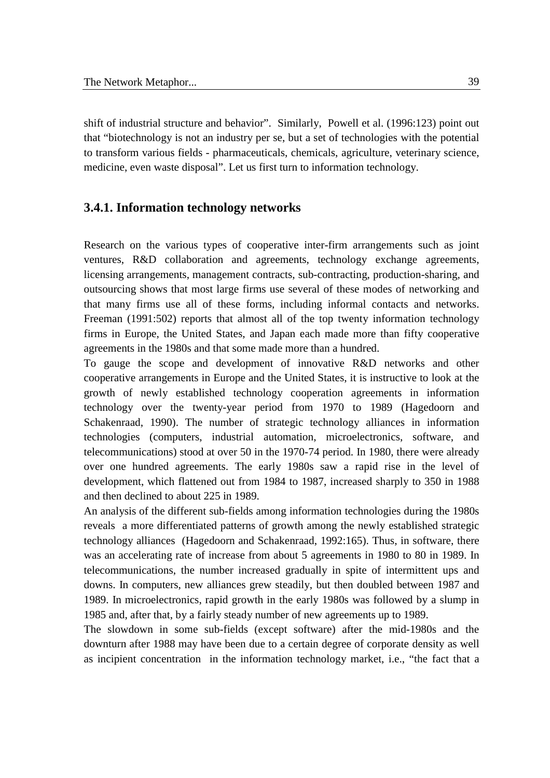shift of industrial structure and behavior". Similarly, Powell et al. (1996:123) point out that "biotechnology is not an industry per se, but a set of technologies with the potential to transform various fields - pharmaceuticals, chemicals, agriculture, veterinary science, medicine, even waste disposal". Let us first turn to information technology.

#### **3.4.1. Information technology networks**

Research on the various types of cooperative inter-firm arrangements such as joint ventures, R&D collaboration and agreements, technology exchange agreements, licensing arrangements, management contracts, sub-contracting, production-sharing, and outsourcing shows that most large firms use several of these modes of networking and that many firms use all of these forms, including informal contacts and networks. Freeman (1991:502) reports that almost all of the top twenty information technology firms in Europe, the United States, and Japan each made more than fifty cooperative agreements in the 1980s and that some made more than a hundred.

To gauge the scope and development of innovative R&D networks and other cooperative arrangements in Europe and the United States, it is instructive to look at the growth of newly established technology cooperation agreements in information technology over the twenty-year period from 1970 to 1989 (Hagedoorn and Schakenraad, 1990). The number of strategic technology alliances in information technologies (computers, industrial automation, microelectronics, software, and telecommunications) stood at over 50 in the 1970-74 period. In 1980, there were already over one hundred agreements. The early 1980s saw a rapid rise in the level of development, which flattened out from 1984 to 1987, increased sharply to 350 in 1988 and then declined to about 225 in 1989.

An analysis of the different sub-fields among information technologies during the 1980s reveals a more differentiated patterns of growth among the newly established strategic technology alliances (Hagedoorn and Schakenraad, 1992:165). Thus, in software, there was an accelerating rate of increase from about 5 agreements in 1980 to 80 in 1989. In telecommunications, the number increased gradually in spite of intermittent ups and downs. In computers, new alliances grew steadily, but then doubled between 1987 and 1989. In microelectronics, rapid growth in the early 1980s was followed by a slump in 1985 and, after that, by a fairly steady number of new agreements up to 1989.

The slowdown in some sub-fields (except software) after the mid-1980s and the downturn after 1988 may have been due to a certain degree of corporate density as well as incipient concentration in the information technology market, i.e., "the fact that a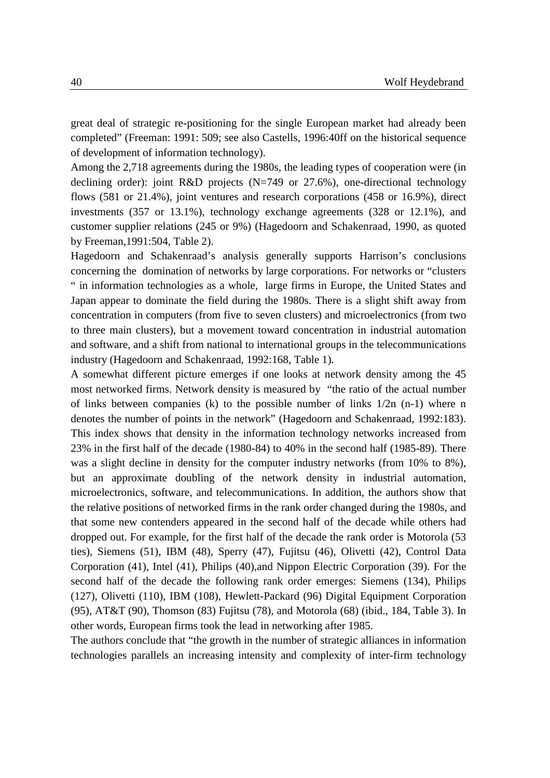great deal of strategic re-positioning for the single European market had already been completed" (Freeman: 1991: 509; see also Castells, 1996:40ff on the historical sequence of development of information technology).

Among the 2,718 agreements during the 1980s, the leading types of cooperation were (in declining order): joint R&D projects (N=749 or 27.6%), one-directional technology flows (581 or 21.4%), joint ventures and research corporations (458 or 16.9%), direct investments (357 or 13.1%), technology exchange agreements (328 or 12.1%), and customer supplier relations (245 or 9%) (Hagedoorn and Schakenraad, 1990, as quoted by Freeman,1991:504, Table 2).

Hagedoorn and Schakenraad's analysis generally supports Harrison's conclusions concerning the domination of networks by large corporations. For networks or "clusters " in information technologies as a whole, large firms in Europe, the United States and Japan appear to dominate the field during the 1980s. There is a slight shift away from concentration in computers (from five to seven clusters) and microelectronics (from two to three main clusters), but a movement toward concentration in industrial automation and software, and a shift from national to international groups in the telecommunications industry (Hagedoorn and Schakenraad, 1992:168, Table 1).

A somewhat different picture emerges if one looks at network density among the 45 most networked firms. Network density is measured by "the ratio of the actual number of links between companies (k) to the possible number of links  $1/2n$  (n-1) where n denotes the number of points in the network" (Hagedoorn and Schakenraad, 1992:183). This index shows that density in the information technology networks increased from 23% in the first half of the decade (1980-84) to 40% in the second half (1985-89). There was a slight decline in density for the computer industry networks (from 10% to 8%), but an approximate doubling of the network density in industrial automation, microelectronics, software, and telecommunications. In addition, the authors show that the relative positions of networked firms in the rank order changed during the 1980s, and that some new contenders appeared in the second half of the decade while others had dropped out. For example, for the first half of the decade the rank order is Motorola (53 ties), Siemens (51), IBM (48), Sperry (47), Fujitsu (46), Olivetti (42), Control Data Corporation (41), Intel (41), Philips (40),and Nippon Electric Corporation (39). For the second half of the decade the following rank order emerges: Siemens (134), Philips (127), Olivetti (110), IBM (108), Hewlett-Packard (96) Digital Equipment Corporation (95), AT&T (90), Thomson (83) Fujitsu (78), and Motorola (68) (ibid., 184, Table 3). In other words, European firms took the lead in networking after 1985.

The authors conclude that "the growth in the number of strategic alliances in information technologies parallels an increasing intensity and complexity of inter-firm technology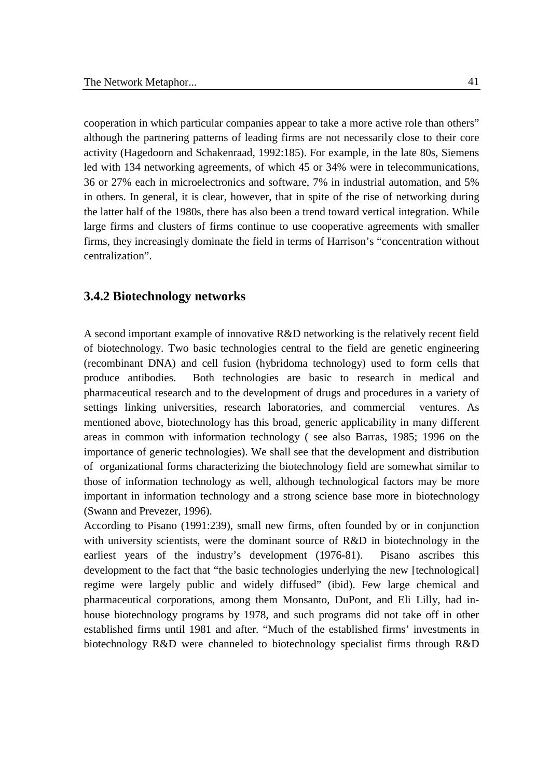cooperation in which particular companies appear to take a more active role than others" although the partnering patterns of leading firms are not necessarily close to their core activity (Hagedoorn and Schakenraad, 1992:185). For example, in the late 80s, Siemens led with 134 networking agreements, of which 45 or 34% were in telecommunications, 36 or 27% each in microelectronics and software, 7% in industrial automation, and 5% in others. In general, it is clear, however, that in spite of the rise of networking during the latter half of the 1980s, there has also been a trend toward vertical integration. While large firms and clusters of firms continue to use cooperative agreements with smaller firms, they increasingly dominate the field in terms of Harrison's "concentration without centralization".

#### **3.4.2 Biotechnology networks**

A second important example of innovative R&D networking is the relatively recent field of biotechnology. Two basic technologies central to the field are genetic engineering (recombinant DNA) and cell fusion (hybridoma technology) used to form cells that produce antibodies. Both technologies are basic to research in medical and pharmaceutical research and to the development of drugs and procedures in a variety of settings linking universities, research laboratories, and commercial ventures. As mentioned above, biotechnology has this broad, generic applicability in many different areas in common with information technology ( see also Barras, 1985; 1996 on the importance of generic technologies). We shall see that the development and distribution of organizational forms characterizing the biotechnology field are somewhat similar to those of information technology as well, although technological factors may be more important in information technology and a strong science base more in biotechnology (Swann and Prevezer, 1996).

According to Pisano (1991:239), small new firms, often founded by or in conjunction with university scientists, were the dominant source of R&D in biotechnology in the earliest years of the industry's development (1976-81). Pisano ascribes this development to the fact that "the basic technologies underlying the new [technological] regime were largely public and widely diffused" (ibid). Few large chemical and pharmaceutical corporations, among them Monsanto, DuPont, and Eli Lilly, had inhouse biotechnology programs by 1978, and such programs did not take off in other established firms until 1981 and after. "Much of the established firms' investments in biotechnology R&D were channeled to biotechnology specialist firms through R&D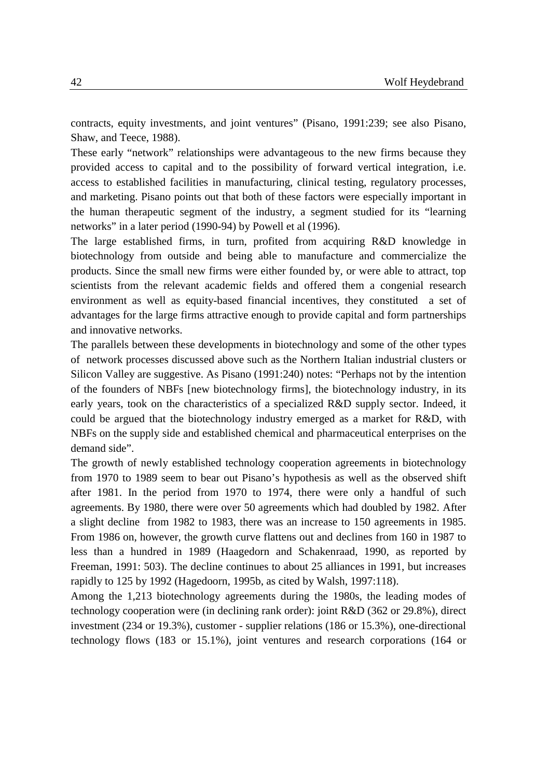contracts, equity investments, and joint ventures" (Pisano, 1991:239; see also Pisano, Shaw, and Teece, 1988).

These early "network" relationships were advantageous to the new firms because they provided access to capital and to the possibility of forward vertical integration, i.e. access to established facilities in manufacturing, clinical testing, regulatory processes, and marketing. Pisano points out that both of these factors were especially important in the human therapeutic segment of the industry, a segment studied for its "learning networks" in a later period (1990-94) by Powell et al (1996).

The large established firms, in turn, profited from acquiring R&D knowledge in biotechnology from outside and being able to manufacture and commercialize the products. Since the small new firms were either founded by, or were able to attract, top scientists from the relevant academic fields and offered them a congenial research environment as well as equity-based financial incentives, they constituted a set of advantages for the large firms attractive enough to provide capital and form partnerships and innovative networks.

The parallels between these developments in biotechnology and some of the other types of network processes discussed above such as the Northern Italian industrial clusters or Silicon Valley are suggestive. As Pisano (1991:240) notes: "Perhaps not by the intention of the founders of NBFs [new biotechnology firms], the biotechnology industry, in its early years, took on the characteristics of a specialized R&D supply sector. Indeed, it could be argued that the biotechnology industry emerged as a market for R&D, with NBFs on the supply side and established chemical and pharmaceutical enterprises on the demand side".

The growth of newly established technology cooperation agreements in biotechnology from 1970 to 1989 seem to bear out Pisano's hypothesis as well as the observed shift after 1981. In the period from 1970 to 1974, there were only a handful of such agreements. By 1980, there were over 50 agreements which had doubled by 1982. After a slight decline from 1982 to 1983, there was an increase to 150 agreements in 1985. From 1986 on, however, the growth curve flattens out and declines from 160 in 1987 to less than a hundred in 1989 (Haagedorn and Schakenraad, 1990, as reported by Freeman, 1991: 503). The decline continues to about 25 alliances in 1991, but increases rapidly to 125 by 1992 (Hagedoorn, 1995b, as cited by Walsh, 1997:118).

Among the 1,213 biotechnology agreements during the 1980s, the leading modes of technology cooperation were (in declining rank order): joint R&D (362 or 29.8%), direct investment (234 or 19.3%), customer - supplier relations (186 or 15.3%), one-directional technology flows (183 or 15.1%), joint ventures and research corporations (164 or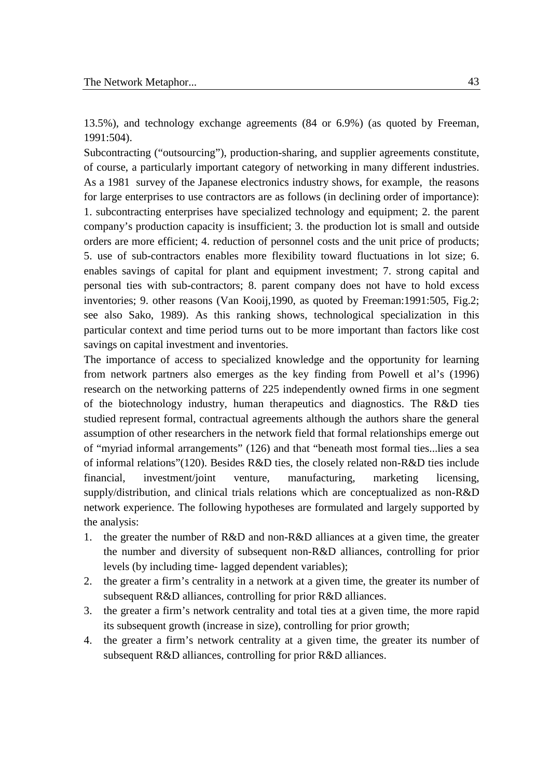13.5%), and technology exchange agreements (84 or 6.9%) (as quoted by Freeman, 1991:504).

Subcontracting ("outsourcing"), production-sharing, and supplier agreements constitute, of course, a particularly important category of networking in many different industries. As a 1981 survey of the Japanese electronics industry shows, for example, the reasons for large enterprises to use contractors are as follows (in declining order of importance): 1. subcontracting enterprises have specialized technology and equipment; 2. the parent company's production capacity is insufficient; 3. the production lot is small and outside orders are more efficient; 4. reduction of personnel costs and the unit price of products; 5. use of sub-contractors enables more flexibility toward fluctuations in lot size; 6. enables savings of capital for plant and equipment investment; 7. strong capital and personal ties with sub-contractors; 8. parent company does not have to hold excess inventories; 9. other reasons (Van Kooij,1990, as quoted by Freeman:1991:505, Fig.2; see also Sako, 1989). As this ranking shows, technological specialization in this particular context and time period turns out to be more important than factors like cost savings on capital investment and inventories.

The importance of access to specialized knowledge and the opportunity for learning from network partners also emerges as the key finding from Powell et al's (1996) research on the networking patterns of 225 independently owned firms in one segment of the biotechnology industry, human therapeutics and diagnostics. The R&D ties studied represent formal, contractual agreements although the authors share the general assumption of other researchers in the network field that formal relationships emerge out of "myriad informal arrangements" (126) and that "beneath most formal ties...lies a sea of informal relations"(120). Besides R&D ties, the closely related non-R&D ties include financial, investment/joint venture, manufacturing, marketing licensing, supply/distribution, and clinical trials relations which are conceptualized as non-R&D network experience. The following hypotheses are formulated and largely supported by the analysis:

- 1. the greater the number of R&D and non-R&D alliances at a given time, the greater the number and diversity of subsequent non-R&D alliances, controlling for prior levels (by including time- lagged dependent variables);
- 2. the greater a firm's centrality in a network at a given time, the greater its number of subsequent R&D alliances, controlling for prior R&D alliances.
- 3. the greater a firm's network centrality and total ties at a given time, the more rapid its subsequent growth (increase in size), controlling for prior growth;
- 4. the greater a firm's network centrality at a given time, the greater its number of subsequent R&D alliances, controlling for prior R&D alliances.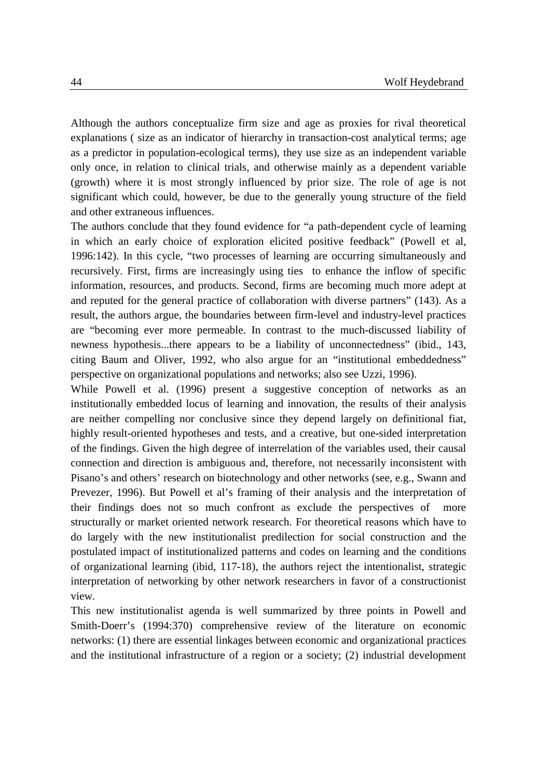Although the authors conceptualize firm size and age as proxies for rival theoretical explanations ( size as an indicator of hierarchy in transaction-cost analytical terms; age as a predictor in population-ecological terms), they use size as an independent variable only once, in relation to clinical trials, and otherwise mainly as a dependent variable (growth) where it is most strongly influenced by prior size. The role of age is not significant which could, however, be due to the generally young structure of the field and other extraneous influences.

The authors conclude that they found evidence for "a path-dependent cycle of learning in which an early choice of exploration elicited positive feedback" (Powell et al, 1996:142). In this cycle, "two processes of learning are occurring simultaneously and recursively. First, firms are increasingly using ties to enhance the inflow of specific information, resources, and products. Second, firms are becoming much more adept at and reputed for the general practice of collaboration with diverse partners" (143). As a result, the authors argue, the boundaries between firm-level and industry-level practices are "becoming ever more permeable. In contrast to the much-discussed liability of newness hypothesis...there appears to be a liability of unconnectedness" (ibid., 143, citing Baum and Oliver, 1992, who also argue for an "institutional embeddedness" perspective on organizational populations and networks; also see Uzzi, 1996).

While Powell et al. (1996) present a suggestive conception of networks as an institutionally embedded locus of learning and innovation, the results of their analysis are neither compelling nor conclusive since they depend largely on definitional fiat, highly result-oriented hypotheses and tests, and a creative, but one-sided interpretation of the findings. Given the high degree of interrelation of the variables used, their causal connection and direction is ambiguous and, therefore, not necessarily inconsistent with Pisano's and others' research on biotechnology and other networks (see, e.g., Swann and Prevezer, 1996). But Powell et al's framing of their analysis and the interpretation of their findings does not so much confront as exclude the perspectives of more structurally or market oriented network research. For theoretical reasons which have to do largely with the new institutionalist predilection for social construction and the postulated impact of institutionalized patterns and codes on learning and the conditions of organizational learning (ibid, 117-18), the authors reject the intentionalist, strategic interpretation of networking by other network researchers in favor of a constructionist view.

This new institutionalist agenda is well summarized by three points in Powell and Smith-Doerr's (1994:370) comprehensive review of the literature on economic networks: (1) there are essential linkages between economic and organizational practices and the institutional infrastructure of a region or a society; (2) industrial development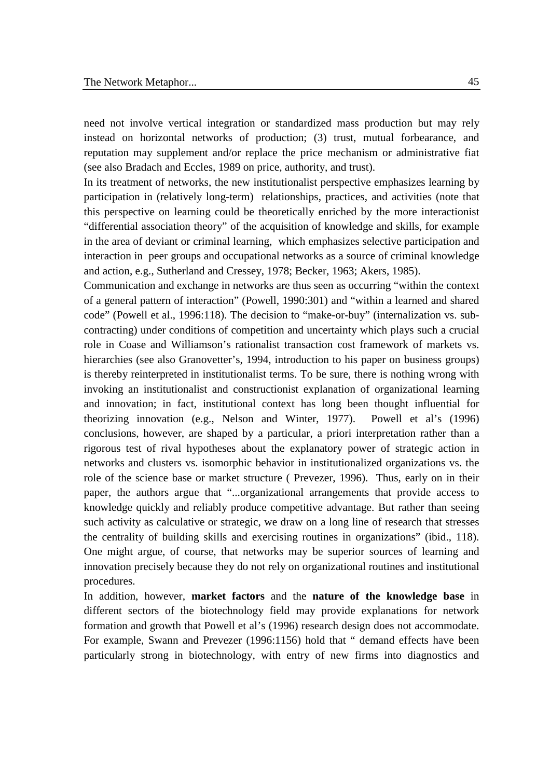need not involve vertical integration or standardized mass production but may rely instead on horizontal networks of production; (3) trust, mutual forbearance, and reputation may supplement and/or replace the price mechanism or administrative fiat (see also Bradach and Eccles, 1989 on price, authority, and trust).

In its treatment of networks, the new institutionalist perspective emphasizes learning by participation in (relatively long-term) relationships, practices, and activities (note that this perspective on learning could be theoretically enriched by the more interactionist "differential association theory" of the acquisition of knowledge and skills, for example in the area of deviant or criminal learning, which emphasizes selective participation and interaction in peer groups and occupational networks as a source of criminal knowledge and action, e.g., Sutherland and Cressey, 1978; Becker, 1963; Akers, 1985).

Communication and exchange in networks are thus seen as occurring "within the context of a general pattern of interaction" (Powell, 1990:301) and "within a learned and shared code" (Powell et al., 1996:118). The decision to "make-or-buy" (internalization vs. subcontracting) under conditions of competition and uncertainty which plays such a crucial role in Coase and Williamson's rationalist transaction cost framework of markets vs. hierarchies (see also Granovetter's, 1994, introduction to his paper on business groups) is thereby reinterpreted in institutionalist terms. To be sure, there is nothing wrong with invoking an institutionalist and constructionist explanation of organizational learning and innovation; in fact, institutional context has long been thought influential for theorizing innovation (e.g., Nelson and Winter, 1977). Powell et al's (1996) conclusions, however, are shaped by a particular, a priori interpretation rather than a rigorous test of rival hypotheses about the explanatory power of strategic action in networks and clusters vs. isomorphic behavior in institutionalized organizations vs. the role of the science base or market structure ( Prevezer, 1996). Thus, early on in their paper, the authors argue that "...organizational arrangements that provide access to knowledge quickly and reliably produce competitive advantage. But rather than seeing such activity as calculative or strategic, we draw on a long line of research that stresses the centrality of building skills and exercising routines in organizations" (ibid., 118). One might argue, of course, that networks may be superior sources of learning and innovation precisely because they do not rely on organizational routines and institutional procedures.

In addition, however, **market factors** and the **nature of the knowledge base** in different sectors of the biotechnology field may provide explanations for network formation and growth that Powell et al's (1996) research design does not accommodate. For example, Swann and Prevezer (1996:1156) hold that " demand effects have been particularly strong in biotechnology, with entry of new firms into diagnostics and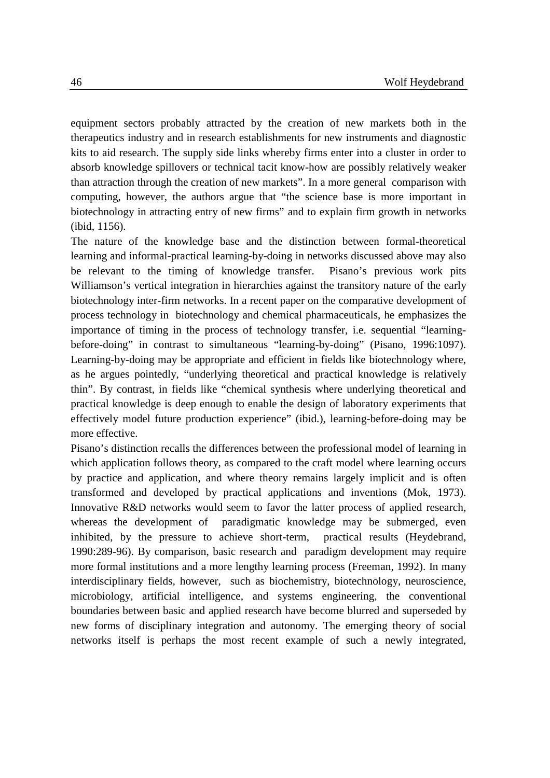equipment sectors probably attracted by the creation of new markets both in the therapeutics industry and in research establishments for new instruments and diagnostic kits to aid research. The supply side links whereby firms enter into a cluster in order to absorb knowledge spillovers or technical tacit know-how are possibly relatively weaker than attraction through the creation of new markets". In a more general comparison with computing, however, the authors argue that "the science base is more important in biotechnology in attracting entry of new firms" and to explain firm growth in networks (ibid, 1156).

The nature of the knowledge base and the distinction between formal-theoretical learning and informal-practical learning-by-doing in networks discussed above may also be relevant to the timing of knowledge transfer. Pisano's previous work pits Williamson's vertical integration in hierarchies against the transitory nature of the early biotechnology inter-firm networks. In a recent paper on the comparative development of process technology in biotechnology and chemical pharmaceuticals, he emphasizes the importance of timing in the process of technology transfer, i.e. sequential "learningbefore-doing" in contrast to simultaneous "learning-by-doing" (Pisano, 1996:1097). Learning-by-doing may be appropriate and efficient in fields like biotechnology where, as he argues pointedly, "underlying theoretical and practical knowledge is relatively thin". By contrast, in fields like "chemical synthesis where underlying theoretical and practical knowledge is deep enough to enable the design of laboratory experiments that effectively model future production experience" (ibid.), learning-before-doing may be more effective.

Pisano's distinction recalls the differences between the professional model of learning in which application follows theory, as compared to the craft model where learning occurs by practice and application, and where theory remains largely implicit and is often transformed and developed by practical applications and inventions (Mok, 1973). Innovative R&D networks would seem to favor the latter process of applied research, whereas the development of paradigmatic knowledge may be submerged, even inhibited, by the pressure to achieve short-term, practical results (Heydebrand, 1990:289-96). By comparison, basic research and paradigm development may require more formal institutions and a more lengthy learning process (Freeman, 1992). In many interdisciplinary fields, however, such as biochemistry, biotechnology, neuroscience, microbiology, artificial intelligence, and systems engineering, the conventional boundaries between basic and applied research have become blurred and superseded by new forms of disciplinary integration and autonomy. The emerging theory of social networks itself is perhaps the most recent example of such a newly integrated,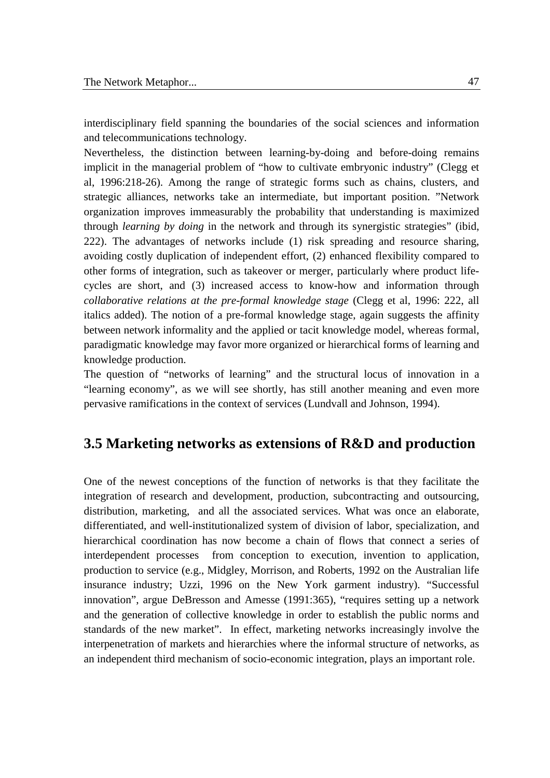interdisciplinary field spanning the boundaries of the social sciences and information and telecommunications technology.

Nevertheless, the distinction between learning-by-doing and before-doing remains implicit in the managerial problem of "how to cultivate embryonic industry" (Clegg et al, 1996:218-26). Among the range of strategic forms such as chains, clusters, and strategic alliances, networks take an intermediate, but important position. "Network organization improves immeasurably the probability that understanding is maximized through *learning by doing* in the network and through its synergistic strategies" (ibid, 222). The advantages of networks include (1) risk spreading and resource sharing, avoiding costly duplication of independent effort, (2) enhanced flexibility compared to other forms of integration, such as takeover or merger, particularly where product lifecycles are short, and (3) increased access to know-how and information through *collaborative relations at the pre-formal knowledge stage* (Clegg et al, 1996: 222, all italics added). The notion of a pre-formal knowledge stage, again suggests the affinity between network informality and the applied or tacit knowledge model, whereas formal, paradigmatic knowledge may favor more organized or hierarchical forms of learning and knowledge production.

The question of "networks of learning" and the structural locus of innovation in a "learning economy", as we will see shortly, has still another meaning and even more pervasive ramifications in the context of services (Lundvall and Johnson, 1994).

## **3.5 Marketing networks as extensions of R&D and production**

One of the newest conceptions of the function of networks is that they facilitate the integration of research and development, production, subcontracting and outsourcing, distribution, marketing, and all the associated services. What was once an elaborate, differentiated, and well-institutionalized system of division of labor, specialization, and hierarchical coordination has now become a chain of flows that connect a series of interdependent processes from conception to execution, invention to application, production to service (e.g., Midgley, Morrison, and Roberts, 1992 on the Australian life insurance industry; Uzzi, 1996 on the New York garment industry). "Successful innovation", argue DeBresson and Amesse (1991:365), "requires setting up a network and the generation of collective knowledge in order to establish the public norms and standards of the new market". In effect, marketing networks increasingly involve the interpenetration of markets and hierarchies where the informal structure of networks, as an independent third mechanism of socio-economic integration, plays an important role.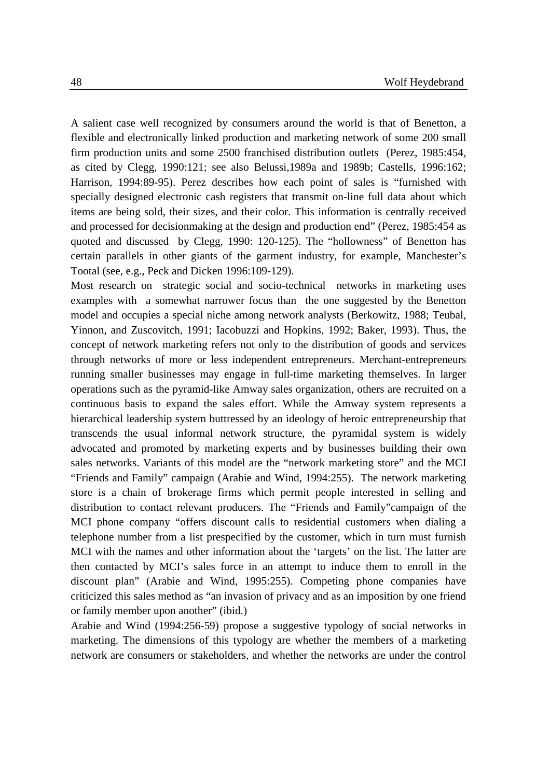A salient case well recognized by consumers around the world is that of Benetton, a flexible and electronically linked production and marketing network of some 200 small firm production units and some 2500 franchised distribution outlets (Perez, 1985:454, as cited by Clegg, 1990:121; see also Belussi,1989a and 1989b; Castells, 1996:162; Harrison, 1994:89-95). Perez describes how each point of sales is "furnished with specially designed electronic cash registers that transmit on-line full data about which items are being sold, their sizes, and their color. This information is centrally received and processed for decisionmaking at the design and production end" (Perez, 1985:454 as quoted and discussed by Clegg, 1990: 120-125). The "hollowness" of Benetton has certain parallels in other giants of the garment industry, for example, Manchester's Tootal (see, e.g., Peck and Dicken 1996:109-129).

Most research on strategic social and socio-technical networks in marketing uses examples with a somewhat narrower focus than the one suggested by the Benetton model and occupies a special niche among network analysts (Berkowitz, 1988; Teubal, Yinnon, and Zuscovitch, 1991; Iacobuzzi and Hopkins, 1992; Baker, 1993). Thus, the concept of network marketing refers not only to the distribution of goods and services through networks of more or less independent entrepreneurs. Merchant-entrepreneurs running smaller businesses may engage in full-time marketing themselves. In larger operations such as the pyramid-like Amway sales organization, others are recruited on a continuous basis to expand the sales effort. While the Amway system represents a hierarchical leadership system buttressed by an ideology of heroic entrepreneurship that transcends the usual informal network structure, the pyramidal system is widely advocated and promoted by marketing experts and by businesses building their own sales networks. Variants of this model are the "network marketing store" and the MCI "Friends and Family" campaign (Arabie and Wind, 1994:255). The network marketing store is a chain of brokerage firms which permit people interested in selling and distribution to contact relevant producers. The "Friends and Family"campaign of the MCI phone company "offers discount calls to residential customers when dialing a telephone number from a list prespecified by the customer, which in turn must furnish MCI with the names and other information about the 'targets' on the list. The latter are then contacted by MCI's sales force in an attempt to induce them to enroll in the discount plan" (Arabie and Wind, 1995:255). Competing phone companies have criticized this sales method as "an invasion of privacy and as an imposition by one friend or family member upon another" (ibid.)

Arabie and Wind (1994:256-59) propose a suggestive typology of social networks in marketing. The dimensions of this typology are whether the members of a marketing network are consumers or stakeholders, and whether the networks are under the control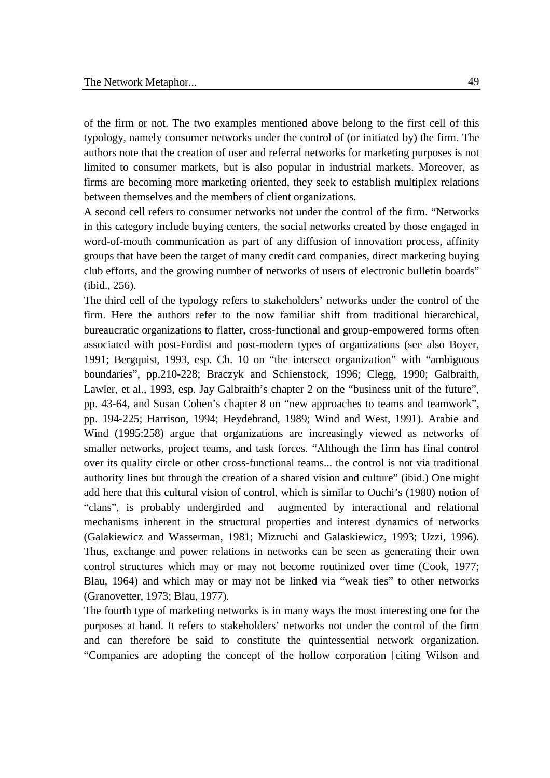of the firm or not. The two examples mentioned above belong to the first cell of this typology, namely consumer networks under the control of (or initiated by) the firm. The authors note that the creation of user and referral networks for marketing purposes is not limited to consumer markets, but is also popular in industrial markets. Moreover, as firms are becoming more marketing oriented, they seek to establish multiplex relations between themselves and the members of client organizations.

A second cell refers to consumer networks not under the control of the firm. "Networks in this category include buying centers, the social networks created by those engaged in word-of-mouth communication as part of any diffusion of innovation process, affinity groups that have been the target of many credit card companies, direct marketing buying club efforts, and the growing number of networks of users of electronic bulletin boards" (ibid., 256).

The third cell of the typology refers to stakeholders' networks under the control of the firm. Here the authors refer to the now familiar shift from traditional hierarchical, bureaucratic organizations to flatter, cross-functional and group-empowered forms often associated with post-Fordist and post-modern types of organizations (see also Boyer, 1991; Bergquist, 1993, esp. Ch. 10 on "the intersect organization" with "ambiguous boundaries", pp.210-228; Braczyk and Schienstock, 1996; Clegg, 1990; Galbraith, Lawler, et al., 1993, esp. Jay Galbraith's chapter 2 on the "business unit of the future", pp. 43-64, and Susan Cohen's chapter 8 on "new approaches to teams and teamwork", pp. 194-225; Harrison, 1994; Heydebrand, 1989; Wind and West, 1991). Arabie and Wind (1995:258) argue that organizations are increasingly viewed as networks of smaller networks, project teams, and task forces. "Although the firm has final control over its quality circle or other cross-functional teams... the control is not via traditional authority lines but through the creation of a shared vision and culture" (ibid.) One might add here that this cultural vision of control, which is similar to Ouchi's (1980) notion of "clans", is probably undergirded and augmented by interactional and relational mechanisms inherent in the structural properties and interest dynamics of networks (Galakiewicz and Wasserman, 1981; Mizruchi and Galaskiewicz, 1993; Uzzi, 1996). Thus, exchange and power relations in networks can be seen as generating their own control structures which may or may not become routinized over time (Cook, 1977; Blau, 1964) and which may or may not be linked via "weak ties" to other networks (Granovetter, 1973; Blau, 1977).

The fourth type of marketing networks is in many ways the most interesting one for the purposes at hand. It refers to stakeholders' networks not under the control of the firm and can therefore be said to constitute the quintessential network organization. "Companies are adopting the concept of the hollow corporation [citing Wilson and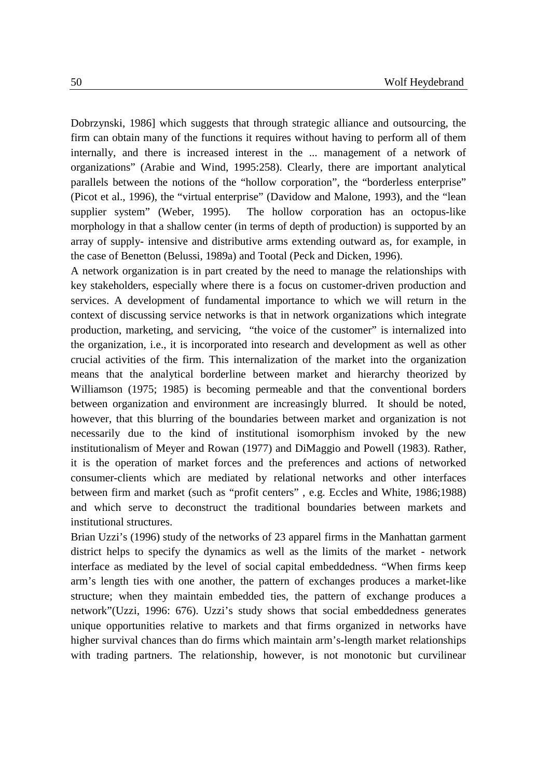Dobrzynski, 1986] which suggests that through strategic alliance and outsourcing, the firm can obtain many of the functions it requires without having to perform all of them internally, and there is increased interest in the ... management of a network of organizations" (Arabie and Wind, 1995:258). Clearly, there are important analytical parallels between the notions of the "hollow corporation", the "borderless enterprise" (Picot et al., 1996), the "virtual enterprise" (Davidow and Malone, 1993), and the "lean supplier system" (Weber, 1995). The hollow corporation has an octopus-like morphology in that a shallow center (in terms of depth of production) is supported by an array of supply- intensive and distributive arms extending outward as, for example, in the case of Benetton (Belussi, 1989a) and Tootal (Peck and Dicken, 1996).

A network organization is in part created by the need to manage the relationships with key stakeholders, especially where there is a focus on customer-driven production and services. A development of fundamental importance to which we will return in the context of discussing service networks is that in network organizations which integrate production, marketing, and servicing, "the voice of the customer" is internalized into the organization, i.e., it is incorporated into research and development as well as other crucial activities of the firm. This internalization of the market into the organization means that the analytical borderline between market and hierarchy theorized by Williamson (1975; 1985) is becoming permeable and that the conventional borders between organization and environment are increasingly blurred. It should be noted, however, that this blurring of the boundaries between market and organization is not necessarily due to the kind of institutional isomorphism invoked by the new institutionalism of Meyer and Rowan (1977) and DiMaggio and Powell (1983). Rather, it is the operation of market forces and the preferences and actions of networked consumer-clients which are mediated by relational networks and other interfaces between firm and market (such as "profit centers" , e.g. Eccles and White, 1986;1988) and which serve to deconstruct the traditional boundaries between markets and institutional structures.

Brian Uzzi's (1996) study of the networks of 23 apparel firms in the Manhattan garment district helps to specify the dynamics as well as the limits of the market - network interface as mediated by the level of social capital embeddedness. "When firms keep arm's length ties with one another, the pattern of exchanges produces a market-like structure; when they maintain embedded ties, the pattern of exchange produces a network"(Uzzi, 1996: 676). Uzzi's study shows that social embeddedness generates unique opportunities relative to markets and that firms organized in networks have higher survival chances than do firms which maintain arm's-length market relationships with trading partners. The relationship, however, is not monotonic but curvilinear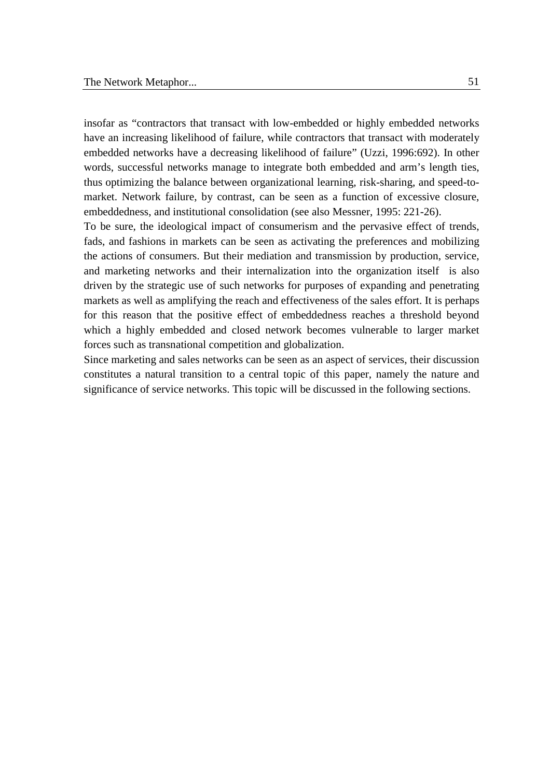insofar as "contractors that transact with low-embedded or highly embedded networks have an increasing likelihood of failure, while contractors that transact with moderately embedded networks have a decreasing likelihood of failure" (Uzzi, 1996:692). In other words, successful networks manage to integrate both embedded and arm's length ties, thus optimizing the balance between organizational learning, risk-sharing, and speed-tomarket. Network failure, by contrast, can be seen as a function of excessive closure, embeddedness, and institutional consolidation (see also Messner, 1995: 221-26).

To be sure, the ideological impact of consumerism and the pervasive effect of trends, fads, and fashions in markets can be seen as activating the preferences and mobilizing the actions of consumers. But their mediation and transmission by production, service, and marketing networks and their internalization into the organization itself is also driven by the strategic use of such networks for purposes of expanding and penetrating markets as well as amplifying the reach and effectiveness of the sales effort. It is perhaps for this reason that the positive effect of embeddedness reaches a threshold beyond which a highly embedded and closed network becomes vulnerable to larger market forces such as transnational competition and globalization.

Since marketing and sales networks can be seen as an aspect of services, their discussion constitutes a natural transition to a central topic of this paper, namely the nature and significance of service networks. This topic will be discussed in the following sections.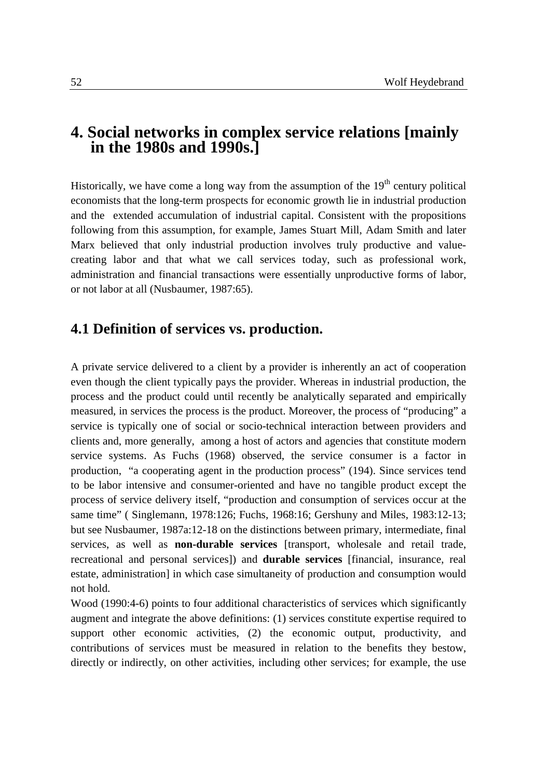# **4. Social networks in complex service relations [mainly in the 1980s and 1990s.]**

Historically, we have come a long way from the assumption of the  $19<sup>th</sup>$  century political economists that the long-term prospects for economic growth lie in industrial production and the extended accumulation of industrial capital. Consistent with the propositions following from this assumption, for example, James Stuart Mill, Adam Smith and later Marx believed that only industrial production involves truly productive and valuecreating labor and that what we call services today, such as professional work, administration and financial transactions were essentially unproductive forms of labor, or not labor at all (Nusbaumer, 1987:65).

## **4.1 Definition of services vs. production.**

A private service delivered to a client by a provider is inherently an act of cooperation even though the client typically pays the provider. Whereas in industrial production, the process and the product could until recently be analytically separated and empirically measured, in services the process is the product. Moreover, the process of "producing" a service is typically one of social or socio-technical interaction between providers and clients and, more generally, among a host of actors and agencies that constitute modern service systems. As Fuchs (1968) observed, the service consumer is a factor in production, "a cooperating agent in the production process" (194). Since services tend to be labor intensive and consumer-oriented and have no tangible product except the process of service delivery itself, "production and consumption of services occur at the same time" ( Singlemann, 1978:126; Fuchs, 1968:16; Gershuny and Miles, 1983:12-13; but see Nusbaumer, 1987a:12-18 on the distinctions between primary, intermediate, final services, as well as **non-durable services** [transport, wholesale and retail trade, recreational and personal services]) and **durable services** [financial, insurance, real estate, administration] in which case simultaneity of production and consumption would not hold.

Wood (1990:4-6) points to four additional characteristics of services which significantly augment and integrate the above definitions: (1) services constitute expertise required to support other economic activities, (2) the economic output, productivity, and contributions of services must be measured in relation to the benefits they bestow, directly or indirectly, on other activities, including other services; for example, the use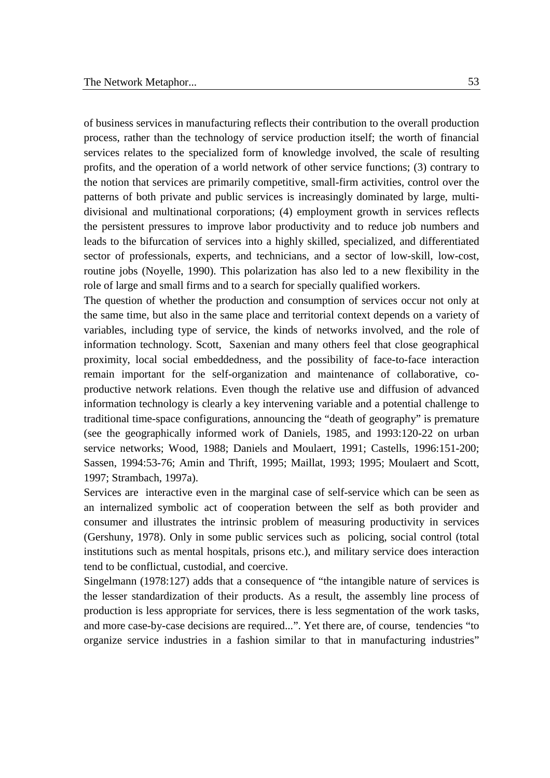of business services in manufacturing reflects their contribution to the overall production process, rather than the technology of service production itself; the worth of financial services relates to the specialized form of knowledge involved, the scale of resulting profits, and the operation of a world network of other service functions; (3) contrary to the notion that services are primarily competitive, small-firm activities, control over the patterns of both private and public services is increasingly dominated by large, multidivisional and multinational corporations; (4) employment growth in services reflects the persistent pressures to improve labor productivity and to reduce job numbers and leads to the bifurcation of services into a highly skilled, specialized, and differentiated sector of professionals, experts, and technicians, and a sector of low-skill, low-cost, routine jobs (Noyelle, 1990). This polarization has also led to a new flexibility in the role of large and small firms and to a search for specially qualified workers.

The question of whether the production and consumption of services occur not only at the same time, but also in the same place and territorial context depends on a variety of variables, including type of service, the kinds of networks involved, and the role of information technology. Scott, Saxenian and many others feel that close geographical proximity, local social embeddedness, and the possibility of face-to-face interaction remain important for the self-organization and maintenance of collaborative, coproductive network relations. Even though the relative use and diffusion of advanced information technology is clearly a key intervening variable and a potential challenge to traditional time-space configurations, announcing the "death of geography" is premature (see the geographically informed work of Daniels, 1985, and 1993:120-22 on urban service networks; Wood, 1988; Daniels and Moulaert, 1991; Castells, 1996:151-200; Sassen, 1994:53-76; Amin and Thrift, 1995; Maillat, 1993; 1995; Moulaert and Scott, 1997; Strambach, 1997a).

Services are interactive even in the marginal case of self-service which can be seen as an internalized symbolic act of cooperation between the self as both provider and consumer and illustrates the intrinsic problem of measuring productivity in services (Gershuny, 1978). Only in some public services such as policing, social control (total institutions such as mental hospitals, prisons etc.), and military service does interaction tend to be conflictual, custodial, and coercive.

Singelmann (1978:127) adds that a consequence of "the intangible nature of services is the lesser standardization of their products. As a result, the assembly line process of production is less appropriate for services, there is less segmentation of the work tasks, and more case-by-case decisions are required...". Yet there are, of course, tendencies "to organize service industries in a fashion similar to that in manufacturing industries"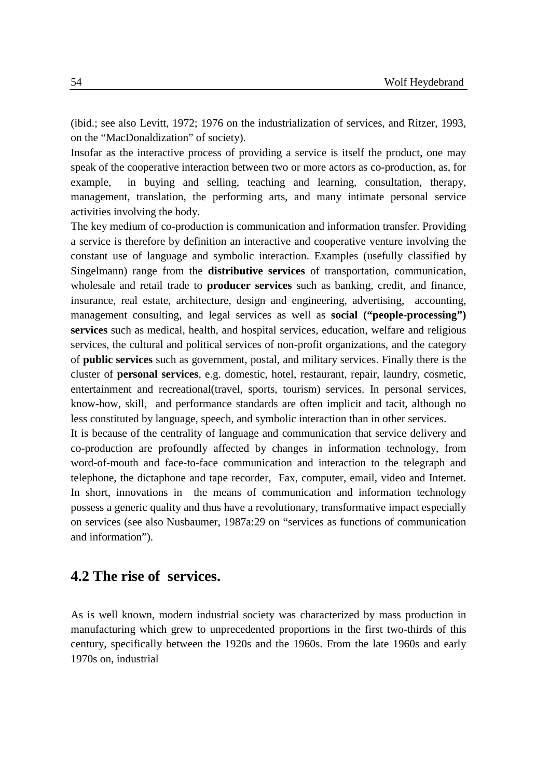(ibid.; see also Levitt, 1972; 1976 on the industrialization of services, and Ritzer, 1993, on the "MacDonaldization" of society).

Insofar as the interactive process of providing a service is itself the product, one may speak of the cooperative interaction between two or more actors as co-production, as, for example, in buying and selling, teaching and learning, consultation, therapy, management, translation, the performing arts, and many intimate personal service activities involving the body.

The key medium of co-production is communication and information transfer. Providing a service is therefore by definition an interactive and cooperative venture involving the constant use of language and symbolic interaction. Examples (usefully classified by Singelmann) range from the **distributive services** of transportation, communication, wholesale and retail trade to **producer services** such as banking, credit, and finance, insurance, real estate, architecture, design and engineering, advertising, accounting, management consulting, and legal services as well as **social ("people-processing") services** such as medical, health, and hospital services, education, welfare and religious services, the cultural and political services of non-profit organizations, and the category of **public services** such as government, postal, and military services. Finally there is the cluster of **personal services**, e.g. domestic, hotel, restaurant, repair, laundry, cosmetic, entertainment and recreational(travel, sports, tourism) services. In personal services, know-how, skill, and performance standards are often implicit and tacit, although no less constituted by language, speech, and symbolic interaction than in other services.

It is because of the centrality of language and communication that service delivery and co-production are profoundly affected by changes in information technology, from word-of-mouth and face-to-face communication and interaction to the telegraph and telephone, the dictaphone and tape recorder, Fax, computer, email, video and Internet. In short, innovations in the means of communication and information technology possess a generic quality and thus have a revolutionary, transformative impact especially on services (see also Nusbaumer, 1987a:29 on "services as functions of communication and information").

## **4.2 The rise of services.**

As is well known, modern industrial society was characterized by mass production in manufacturing which grew to unprecedented proportions in the first two-thirds of this century, specifically between the 1920s and the 1960s. From the late 1960s and early 1970s on, industrial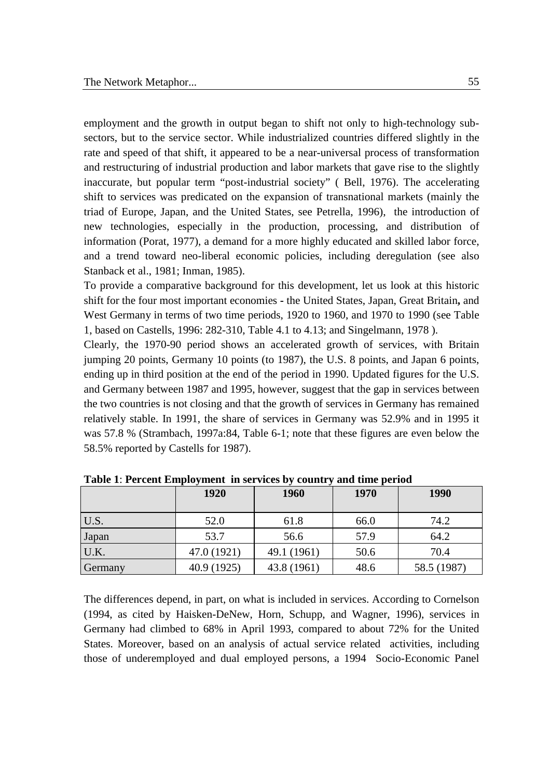employment and the growth in output began to shift not only to high-technology subsectors, but to the service sector. While industrialized countries differed slightly in the rate and speed of that shift, it appeared to be a near-universal process of transformation and restructuring of industrial production and labor markets that gave rise to the slightly inaccurate, but popular term "post-industrial society" ( Bell, 1976). The accelerating shift to services was predicated on the expansion of transnational markets (mainly the triad of Europe, Japan, and the United States, see Petrella, 1996), the introduction of new technologies, especially in the production, processing, and distribution of information (Porat, 1977), a demand for a more highly educated and skilled labor force, and a trend toward neo-liberal economic policies, including deregulation (see also Stanback et al., 1981; Inman, 1985).

To provide a comparative background for this development, let us look at this historic shift for the four most important economies **-** the United States, Japan, Great Britain**,** and West Germany in terms of two time periods, 1920 to 1960, and 1970 to 1990 (see Table 1, based on Castells, 1996: 282-310, Table 4.1 to 4.13; and Singelmann, 1978 ).

Clearly, the 1970-90 period shows an accelerated growth of services, with Britain jumping 20 points, Germany 10 points (to 1987), the U.S. 8 points, and Japan 6 points, ending up in third position at the end of the period in 1990. Updated figures for the U.S. and Germany between 1987 and 1995, however, suggest that the gap in services between the two countries is not closing and that the growth of services in Germany has remained relatively stable. In 1991, the share of services in Germany was 52.9% and in 1995 it was 57.8 % (Strambach, 1997a:84, Table 6-1; note that these figures are even below the 58.5% reported by Castells for 1987).

|         | 1920        | 1960        | 1970 | 1990        |
|---------|-------------|-------------|------|-------------|
| U.S.    | 52.0        | 61.8        | 66.0 | 74.2        |
| Japan   | 53.7        | 56.6        | 57.9 | 64.2        |
| U.K.    | 47.0 (1921) | 49.1 (1961) | 50.6 | 70.4        |
| Germany | 40.9 (1925) | 43.8 (1961) | 48.6 | 58.5 (1987) |

**Table 1**: **Percent Employment in services by country and time period**

The differences depend, in part, on what is included in services. According to Cornelson (1994, as cited by Haisken-DeNew, Horn, Schupp, and Wagner, 1996), services in Germany had climbed to 68% in April 1993, compared to about 72% for the United States. Moreover, based on an analysis of actual service related activities, including those of underemployed and dual employed persons, a 1994 Socio-Economic Panel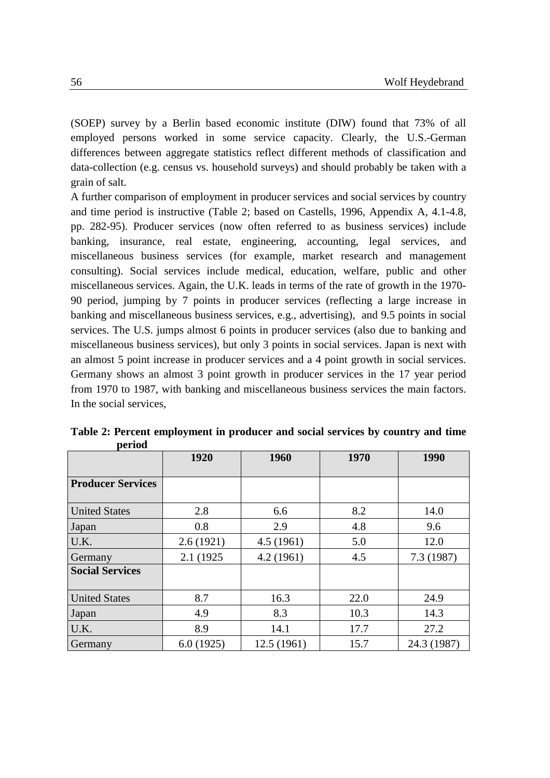(SOEP) survey by a Berlin based economic institute (DIW) found that 73% of all employed persons worked in some service capacity. Clearly, the U.S.-German differences between aggregate statistics reflect different methods of classification and data-collection (e.g. census vs. household surveys) and should probably be taken with a grain of salt.

A further comparison of employment in producer services and social services by country and time period is instructive (Table 2; based on Castells, 1996, Appendix A, 4.1-4.8, pp. 282-95). Producer services (now often referred to as business services) include banking, insurance, real estate, engineering, accounting, legal services, and miscellaneous business services (for example, market research and management consulting). Social services include medical, education, welfare, public and other miscellaneous services. Again, the U.K. leads in terms of the rate of growth in the 1970- 90 period, jumping by 7 points in producer services (reflecting a large increase in banking and miscellaneous business services, e.g., advertising), and 9.5 points in social services. The U.S. jumps almost 6 points in producer services (also due to banking and miscellaneous business services), but only 3 points in social services. Japan is next with an almost 5 point increase in producer services and a 4 point growth in social services. Germany shows an almost 3 point growth in producer services in the 17 year period from 1970 to 1987, with banking and miscellaneous business services the main factors. In the social services,

|                          | 1920       | 1960       |      | 1990        |  |
|--------------------------|------------|------------|------|-------------|--|
| <b>Producer Services</b> |            |            |      |             |  |
| <b>United States</b>     | 2.8        | 6.6        | 8.2  | 14.0        |  |
| Japan                    | 0.8        | 2.9        | 4.8  | 9.6         |  |
| U.K.                     | 2.6(1921)  | 4.5(1961)  | 5.0  | 12.0        |  |
| Germany                  | 2.1 (1925) | 4.2(1961)  | 4.5  | 7.3(1987)   |  |
| <b>Social Services</b>   |            |            |      |             |  |
| <b>United States</b>     | 8.7        | 16.3       | 22.0 | 24.9        |  |
| Japan                    | 4.9        | 8.3        | 10.3 | 14.3        |  |
| U.K.                     | 8.9        | 14.1       | 17.7 | 27.2        |  |
| Germany                  | 6.0(1925)  | 12.5(1961) | 15.7 | 24.3 (1987) |  |

**Table 2: Percent employment in producer and social services by country and time period**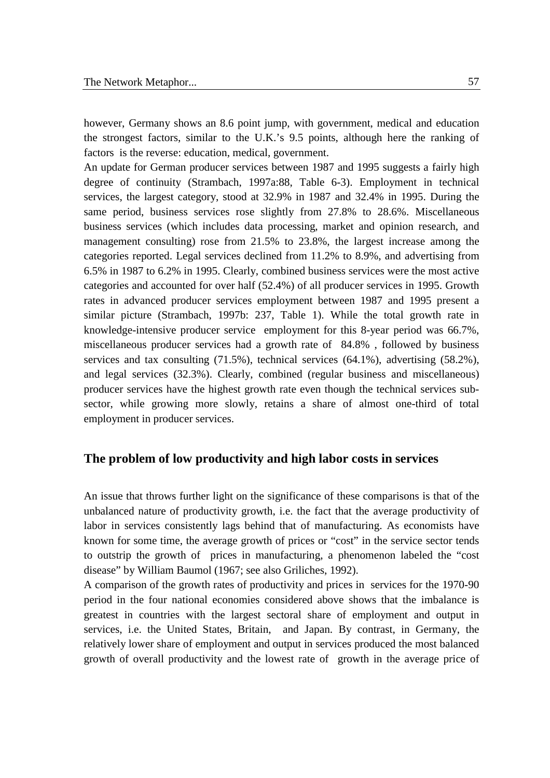however, Germany shows an 8.6 point jump, with government, medical and education the strongest factors, similar to the U.K.'s 9.5 points, although here the ranking of factors is the reverse: education, medical, government.

An update for German producer services between 1987 and 1995 suggests a fairly high degree of continuity (Strambach, 1997a:88, Table 6-3). Employment in technical services, the largest category, stood at 32.9% in 1987 and 32.4% in 1995. During the same period, business services rose slightly from 27.8% to 28.6%. Miscellaneous business services (which includes data processing, market and opinion research, and management consulting) rose from 21.5% to 23.8%, the largest increase among the categories reported. Legal services declined from 11.2% to 8.9%, and advertising from 6.5% in 1987 to 6.2% in 1995. Clearly, combined business services were the most active categories and accounted for over half (52.4%) of all producer services in 1995. Growth rates in advanced producer services employment between 1987 and 1995 present a similar picture (Strambach, 1997b: 237, Table 1). While the total growth rate in knowledge-intensive producer service employment for this 8-year period was 66.7%, miscellaneous producer services had a growth rate of 84.8% , followed by business services and tax consulting (71.5%), technical services (64.1%), advertising (58.2%), and legal services (32.3%). Clearly, combined (regular business and miscellaneous) producer services have the highest growth rate even though the technical services subsector, while growing more slowly, retains a share of almost one-third of total employment in producer services.

#### **The problem of low productivity and high labor costs in services**

An issue that throws further light on the significance of these comparisons is that of the unbalanced nature of productivity growth, i.e. the fact that the average productivity of labor in services consistently lags behind that of manufacturing. As economists have known for some time, the average growth of prices or "cost" in the service sector tends to outstrip the growth of prices in manufacturing, a phenomenon labeled the "cost disease" by William Baumol (1967; see also Griliches, 1992).

A comparison of the growth rates of productivity and prices in services for the 1970-90 period in the four national economies considered above shows that the imbalance is greatest in countries with the largest sectoral share of employment and output in services, i.e. the United States, Britain, and Japan. By contrast, in Germany, the relatively lower share of employment and output in services produced the most balanced growth of overall productivity and the lowest rate of growth in the average price of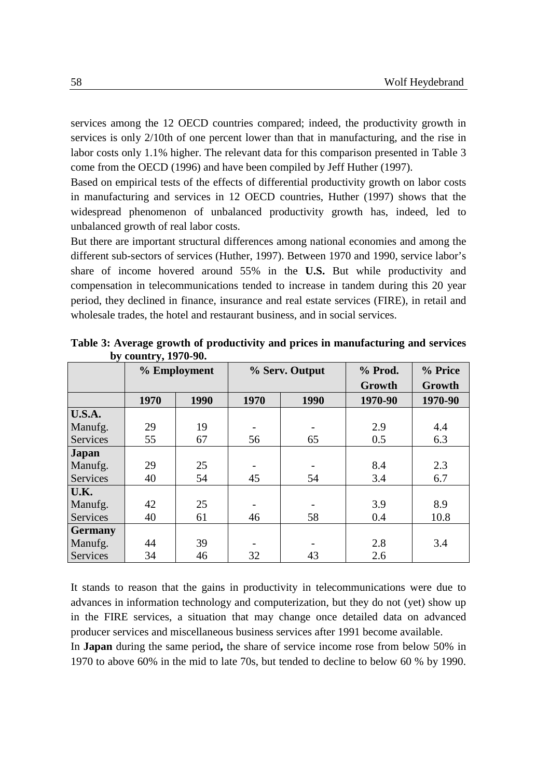services among the 12 OECD countries compared; indeed, the productivity growth in services is only 2/10th of one percent lower than that in manufacturing, and the rise in labor costs only 1.1% higher. The relevant data for this comparison presented in Table 3 come from the OECD (1996) and have been compiled by Jeff Huther (1997).

Based on empirical tests of the effects of differential productivity growth on labor costs in manufacturing and services in 12 OECD countries, Huther (1997) shows that the widespread phenomenon of unbalanced productivity growth has, indeed, led to unbalanced growth of real labor costs.

But there are important structural differences among national economies and among the different sub-sectors of services (Huther, 1997). Between 1970 and 1990, service labor's share of income hovered around 55% in the **U.S.** But while productivity and compensation in telecommunications tended to increase in tandem during this 20 year period, they declined in finance, insurance and real estate services (FIRE), in retail and wholesale trades, the hotel and restaurant business, and in social services.

|                | % Employment |      | % Serv. Output |      | % Prod. | % Price |
|----------------|--------------|------|----------------|------|---------|---------|
|                |              |      |                |      | Growth  | Growth  |
|                | 1970         | 1990 | 1970           | 1990 | 1970-90 | 1970-90 |
| <b>U.S.A.</b>  |              |      |                |      |         |         |
| Manufg.        | 29           | 19   |                |      | 2.9     | 4.4     |
| Services       | 55           | 67   | 56             | 65   | 0.5     | 6.3     |
| <b>Japan</b>   |              |      |                |      |         |         |
| Manufg.        | 29           | 25   |                |      | 8.4     | 2.3     |
| Services       | 40           | 54   | 45             | 54   | 3.4     | 6.7     |
| U.K.           |              |      |                |      |         |         |
| Manufg.        | 42           | 25   |                |      | 3.9     | 8.9     |
| Services       | 40           | 61   | 46             | 58   | 0.4     | 10.8    |
| <b>Germany</b> |              |      |                |      |         |         |
| Manufg.        | 44           | 39   |                |      | 2.8     | 3.4     |
| Services       | 34           | 46   | 32             | 43   | 2.6     |         |

**Table 3: Average growth of productivity and prices in manufacturing and services by country, 1970-90.**

It stands to reason that the gains in productivity in telecommunications were due to advances in information technology and computerization, but they do not (yet) show up in the FIRE services, a situation that may change once detailed data on advanced producer services and miscellaneous business services after 1991 become available.

In **Japan** during the same period**,** the share of service income rose from below 50% in 1970 to above 60% in the mid to late 70s, but tended to decline to below 60 % by 1990.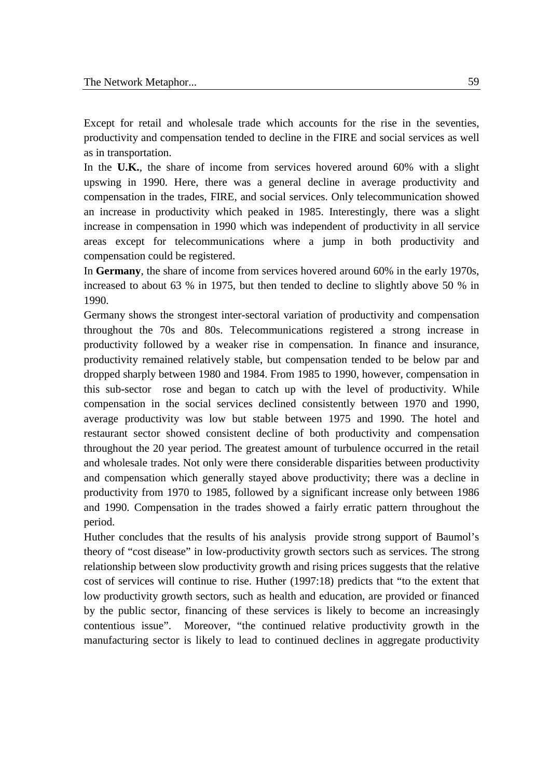Except for retail and wholesale trade which accounts for the rise in the seventies, productivity and compensation tended to decline in the FIRE and social services as well as in transportation.

In the **U.K.**, the share of income from services hovered around 60% with a slight upswing in 1990. Here, there was a general decline in average productivity and compensation in the trades, FIRE, and social services. Only telecommunication showed an increase in productivity which peaked in 1985. Interestingly, there was a slight increase in compensation in 1990 which was independent of productivity in all service areas except for telecommunications where a jump in both productivity and compensation could be registered.

In **Germany**, the share of income from services hovered around 60% in the early 1970s, increased to about 63 % in 1975, but then tended to decline to slightly above 50 % in 1990.

Germany shows the strongest inter-sectoral variation of productivity and compensation throughout the 70s and 80s. Telecommunications registered a strong increase in productivity followed by a weaker rise in compensation. In finance and insurance, productivity remained relatively stable, but compensation tended to be below par and dropped sharply between 1980 and 1984. From 1985 to 1990, however, compensation in this sub-sector rose and began to catch up with the level of productivity. While compensation in the social services declined consistently between 1970 and 1990, average productivity was low but stable between 1975 and 1990. The hotel and restaurant sector showed consistent decline of both productivity and compensation throughout the 20 year period. The greatest amount of turbulence occurred in the retail and wholesale trades. Not only were there considerable disparities between productivity and compensation which generally stayed above productivity; there was a decline in productivity from 1970 to 1985, followed by a significant increase only between 1986 and 1990. Compensation in the trades showed a fairly erratic pattern throughout the period.

Huther concludes that the results of his analysis provide strong support of Baumol's theory of "cost disease" in low-productivity growth sectors such as services. The strong relationship between slow productivity growth and rising prices suggests that the relative cost of services will continue to rise. Huther (1997:18) predicts that "to the extent that low productivity growth sectors, such as health and education, are provided or financed by the public sector, financing of these services is likely to become an increasingly contentious issue". Moreover, "the continued relative productivity growth in the manufacturing sector is likely to lead to continued declines in aggregate productivity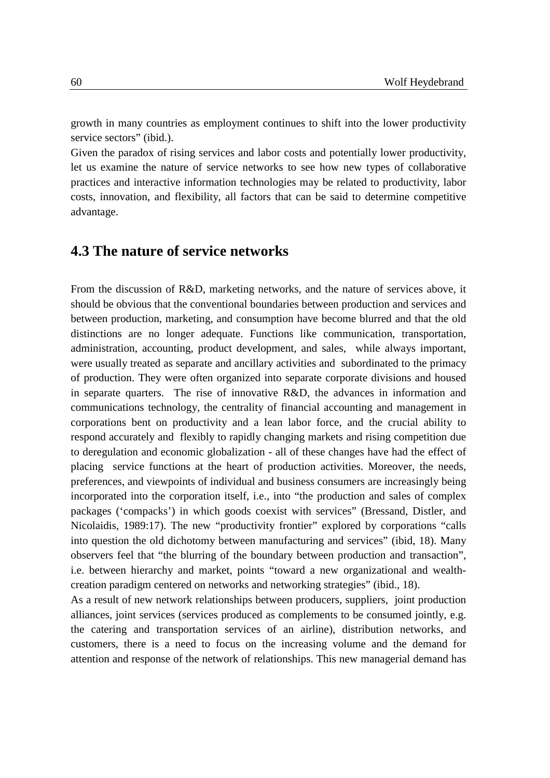growth in many countries as employment continues to shift into the lower productivity service sectors" (ibid.).

Given the paradox of rising services and labor costs and potentially lower productivity, let us examine the nature of service networks to see how new types of collaborative practices and interactive information technologies may be related to productivity, labor costs, innovation, and flexibility, all factors that can be said to determine competitive advantage.

## **4.3 The nature of service networks**

From the discussion of R&D, marketing networks, and the nature of services above, it should be obvious that the conventional boundaries between production and services and between production, marketing, and consumption have become blurred and that the old distinctions are no longer adequate. Functions like communication, transportation, administration, accounting, product development, and sales, while always important, were usually treated as separate and ancillary activities and subordinated to the primacy of production. They were often organized into separate corporate divisions and housed in separate quarters. The rise of innovative R&D, the advances in information and communications technology, the centrality of financial accounting and management in corporations bent on productivity and a lean labor force, and the crucial ability to respond accurately and flexibly to rapidly changing markets and rising competition due to deregulation and economic globalization - all of these changes have had the effect of placing service functions at the heart of production activities. Moreover, the needs, preferences, and viewpoints of individual and business consumers are increasingly being incorporated into the corporation itself, i.e., into "the production and sales of complex packages ('compacks') in which goods coexist with services" (Bressand, Distler, and Nicolaidis, 1989:17). The new "productivity frontier" explored by corporations "calls into question the old dichotomy between manufacturing and services" (ibid, 18). Many observers feel that "the blurring of the boundary between production and transaction", i.e. between hierarchy and market, points "toward a new organizational and wealthcreation paradigm centered on networks and networking strategies" (ibid., 18).

As a result of new network relationships between producers, suppliers, joint production alliances, joint services (services produced as complements to be consumed jointly, e.g. the catering and transportation services of an airline), distribution networks, and customers, there is a need to focus on the increasing volume and the demand for attention and response of the network of relationships. This new managerial demand has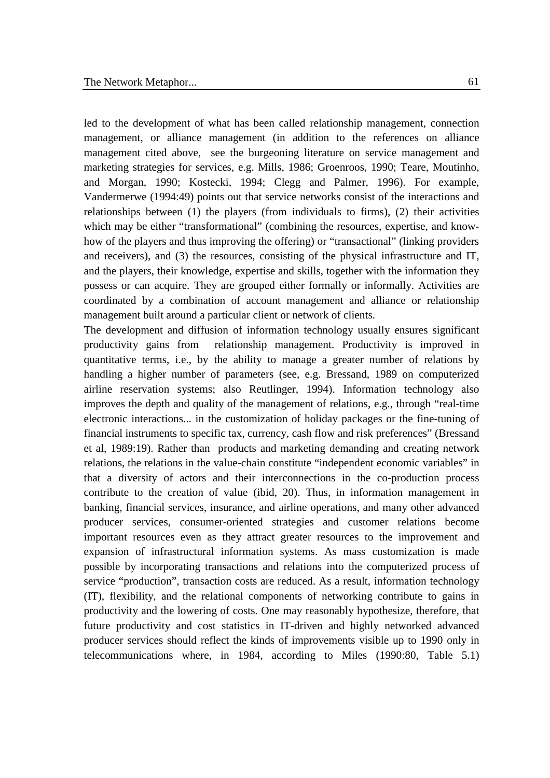led to the development of what has been called relationship management, connection management, or alliance management (in addition to the references on alliance management cited above, see the burgeoning literature on service management and marketing strategies for services, e.g. Mills, 1986; Groenroos, 1990; Teare, Moutinho, and Morgan, 1990; Kostecki, 1994; Clegg and Palmer, 1996). For example, Vandermerwe (1994:49) points out that service networks consist of the interactions and relationships between (1) the players (from individuals to firms), (2) their activities which may be either "transformational" (combining the resources, expertise, and knowhow of the players and thus improving the offering) or "transactional" (linking providers and receivers), and (3) the resources, consisting of the physical infrastructure and IT, and the players, their knowledge, expertise and skills, together with the information they possess or can acquire. They are grouped either formally or informally. Activities are coordinated by a combination of account management and alliance or relationship management built around a particular client or network of clients.

The development and diffusion of information technology usually ensures significant productivity gains from relationship management. Productivity is improved in quantitative terms, i.e., by the ability to manage a greater number of relations by handling a higher number of parameters (see, e.g. Bressand, 1989 on computerized airline reservation systems; also Reutlinger, 1994). Information technology also improves the depth and quality of the management of relations, e.g., through "real-time electronic interactions... in the customization of holiday packages or the fine-tuning of financial instruments to specific tax, currency, cash flow and risk preferences" (Bressand et al, 1989:19). Rather than products and marketing demanding and creating network relations, the relations in the value-chain constitute "independent economic variables" in that a diversity of actors and their interconnections in the co-production process contribute to the creation of value (ibid, 20). Thus, in information management in banking, financial services, insurance, and airline operations, and many other advanced producer services, consumer-oriented strategies and customer relations become important resources even as they attract greater resources to the improvement and expansion of infrastructural information systems. As mass customization is made possible by incorporating transactions and relations into the computerized process of service "production", transaction costs are reduced. As a result, information technology (IT), flexibility, and the relational components of networking contribute to gains in productivity and the lowering of costs. One may reasonably hypothesize, therefore, that future productivity and cost statistics in IT-driven and highly networked advanced producer services should reflect the kinds of improvements visible up to 1990 only in telecommunications where, in 1984, according to Miles (1990:80, Table 5.1)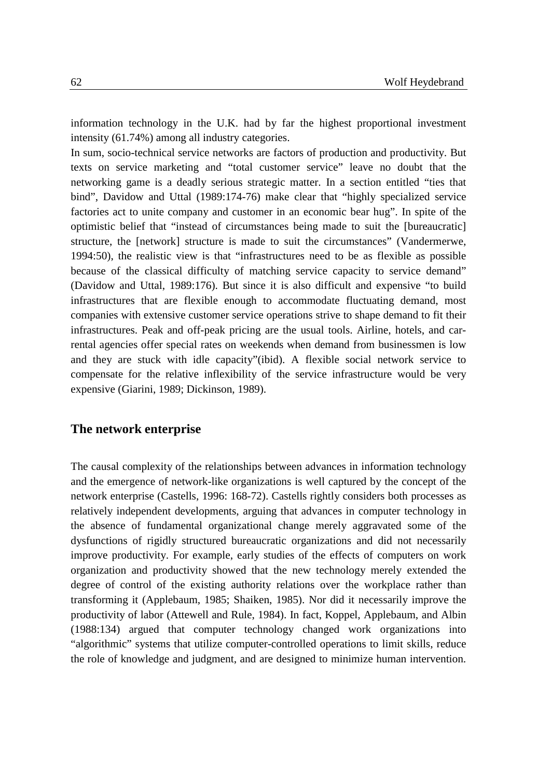information technology in the U.K. had by far the highest proportional investment intensity (61.74%) among all industry categories.

In sum, socio-technical service networks are factors of production and productivity. But texts on service marketing and "total customer service" leave no doubt that the networking game is a deadly serious strategic matter. In a section entitled "ties that bind", Davidow and Uttal (1989:174-76) make clear that "highly specialized service factories act to unite company and customer in an economic bear hug". In spite of the optimistic belief that "instead of circumstances being made to suit the [bureaucratic] structure, the [network] structure is made to suit the circumstances" (Vandermerwe, 1994:50), the realistic view is that "infrastructures need to be as flexible as possible because of the classical difficulty of matching service capacity to service demand" (Davidow and Uttal, 1989:176). But since it is also difficult and expensive "to build infrastructures that are flexible enough to accommodate fluctuating demand, most companies with extensive customer service operations strive to shape demand to fit their infrastructures. Peak and off-peak pricing are the usual tools. Airline, hotels, and carrental agencies offer special rates on weekends when demand from businessmen is low and they are stuck with idle capacity"(ibid). A flexible social network service to compensate for the relative inflexibility of the service infrastructure would be very expensive (Giarini, 1989; Dickinson, 1989).

#### **The network enterprise**

The causal complexity of the relationships between advances in information technology and the emergence of network-like organizations is well captured by the concept of the network enterprise (Castells, 1996: 168-72). Castells rightly considers both processes as relatively independent developments, arguing that advances in computer technology in the absence of fundamental organizational change merely aggravated some of the dysfunctions of rigidly structured bureaucratic organizations and did not necessarily improve productivity. For example, early studies of the effects of computers on work organization and productivity showed that the new technology merely extended the degree of control of the existing authority relations over the workplace rather than transforming it (Applebaum, 1985; Shaiken, 1985). Nor did it necessarily improve the productivity of labor (Attewell and Rule, 1984). In fact, Koppel, Applebaum, and Albin (1988:134) argued that computer technology changed work organizations into "algorithmic" systems that utilize computer-controlled operations to limit skills, reduce the role of knowledge and judgment, and are designed to minimize human intervention.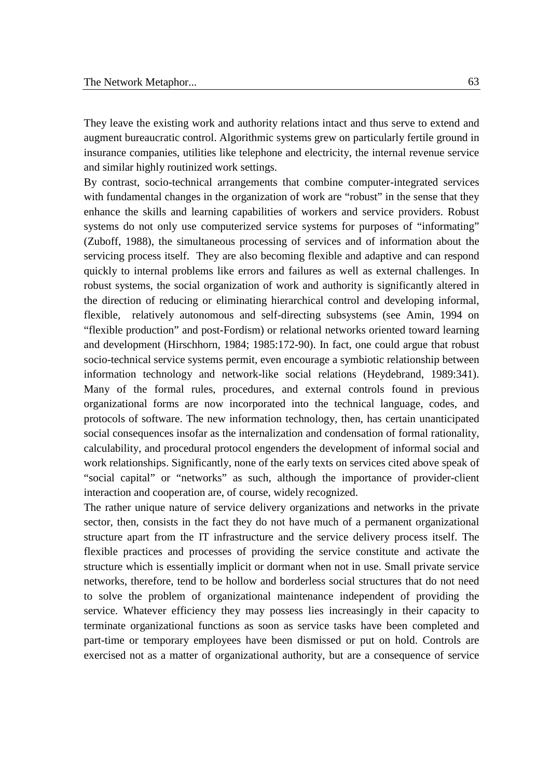They leave the existing work and authority relations intact and thus serve to extend and augment bureaucratic control. Algorithmic systems grew on particularly fertile ground in insurance companies, utilities like telephone and electricity, the internal revenue service and similar highly routinized work settings.

By contrast, socio-technical arrangements that combine computer-integrated services with fundamental changes in the organization of work are "robust" in the sense that they enhance the skills and learning capabilities of workers and service providers. Robust systems do not only use computerized service systems for purposes of "informating" (Zuboff, 1988), the simultaneous processing of services and of information about the servicing process itself. They are also becoming flexible and adaptive and can respond quickly to internal problems like errors and failures as well as external challenges. In robust systems, the social organization of work and authority is significantly altered in the direction of reducing or eliminating hierarchical control and developing informal, flexible, relatively autonomous and self-directing subsystems (see Amin, 1994 on "flexible production" and post-Fordism) or relational networks oriented toward learning and development (Hirschhorn, 1984; 1985:172-90). In fact, one could argue that robust socio-technical service systems permit, even encourage a symbiotic relationship between information technology and network-like social relations (Heydebrand, 1989:341). Many of the formal rules, procedures, and external controls found in previous organizational forms are now incorporated into the technical language, codes, and protocols of software. The new information technology, then, has certain unanticipated social consequences insofar as the internalization and condensation of formal rationality, calculability, and procedural protocol engenders the development of informal social and work relationships. Significantly, none of the early texts on services cited above speak of "social capital" or "networks" as such, although the importance of provider-client interaction and cooperation are, of course, widely recognized.

The rather unique nature of service delivery organizations and networks in the private sector, then, consists in the fact they do not have much of a permanent organizational structure apart from the IT infrastructure and the service delivery process itself. The flexible practices and processes of providing the service constitute and activate the structure which is essentially implicit or dormant when not in use. Small private service networks, therefore, tend to be hollow and borderless social structures that do not need to solve the problem of organizational maintenance independent of providing the service. Whatever efficiency they may possess lies increasingly in their capacity to terminate organizational functions as soon as service tasks have been completed and part-time or temporary employees have been dismissed or put on hold. Controls are exercised not as a matter of organizational authority, but are a consequence of service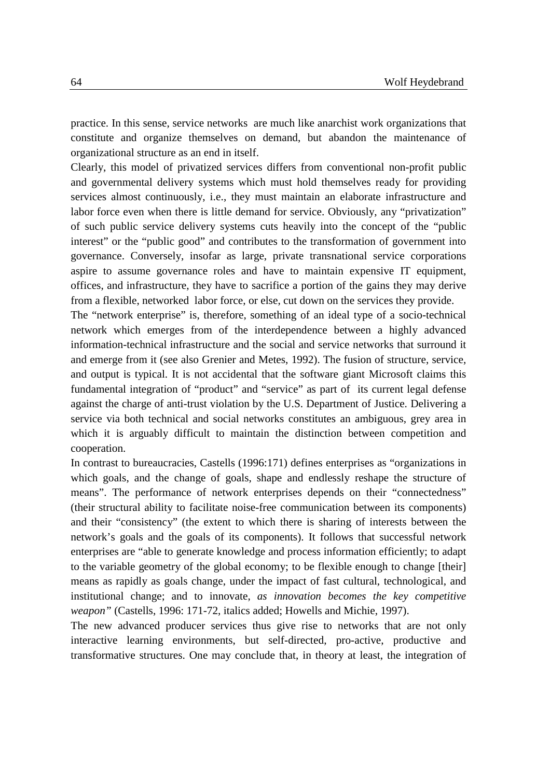practice. In this sense, service networks are much like anarchist work organizations that constitute and organize themselves on demand, but abandon the maintenance of organizational structure as an end in itself.

Clearly, this model of privatized services differs from conventional non-profit public and governmental delivery systems which must hold themselves ready for providing services almost continuously, i.e., they must maintain an elaborate infrastructure and labor force even when there is little demand for service. Obviously, any "privatization" of such public service delivery systems cuts heavily into the concept of the "public interest" or the "public good" and contributes to the transformation of government into governance. Conversely, insofar as large, private transnational service corporations aspire to assume governance roles and have to maintain expensive IT equipment, offices, and infrastructure, they have to sacrifice a portion of the gains they may derive from a flexible, networked labor force, or else, cut down on the services they provide.

The "network enterprise" is, therefore, something of an ideal type of a socio-technical network which emerges from of the interdependence between a highly advanced information-technical infrastructure and the social and service networks that surround it and emerge from it (see also Grenier and Metes, 1992). The fusion of structure, service, and output is typical. It is not accidental that the software giant Microsoft claims this fundamental integration of "product" and "service" as part of its current legal defense against the charge of anti-trust violation by the U.S. Department of Justice. Delivering a service via both technical and social networks constitutes an ambiguous, grey area in which it is arguably difficult to maintain the distinction between competition and cooperation.

In contrast to bureaucracies, Castells (1996:171) defines enterprises as "organizations in which goals, and the change of goals, shape and endlessly reshape the structure of means". The performance of network enterprises depends on their "connectedness" (their structural ability to facilitate noise-free communication between its components) and their "consistency" (the extent to which there is sharing of interests between the network's goals and the goals of its components). It follows that successful network enterprises are "able to generate knowledge and process information efficiently; to adapt to the variable geometry of the global economy; to be flexible enough to change [their] means as rapidly as goals change, under the impact of fast cultural, technological, and institutional change; and to innovate, *as innovation becomes the key competitive weapon"* (Castells, 1996: 171-72, italics added; Howells and Michie, 1997).

The new advanced producer services thus give rise to networks that are not only interactive learning environments, but self-directed, pro-active, productive and transformative structures. One may conclude that, in theory at least, the integration of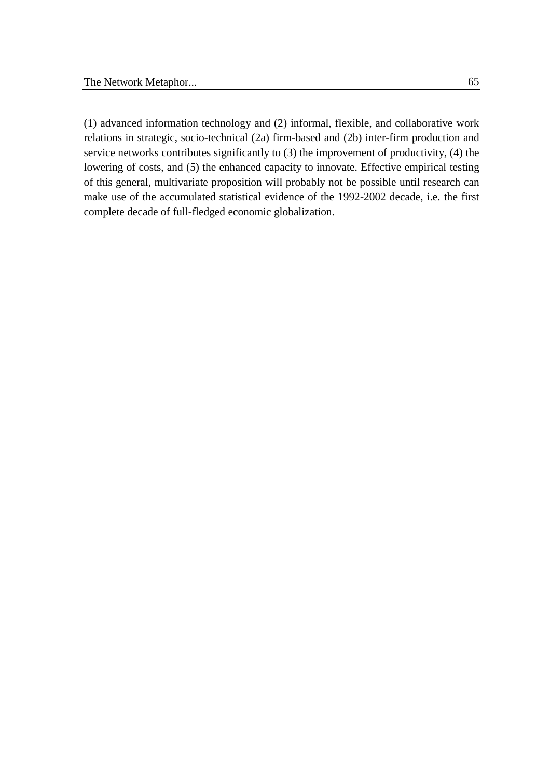(1) advanced information technology and (2) informal, flexible, and collaborative work relations in strategic, socio-technical (2a) firm-based and (2b) inter-firm production and service networks contributes significantly to (3) the improvement of productivity, (4) the lowering of costs, and (5) the enhanced capacity to innovate. Effective empirical testing of this general, multivariate proposition will probably not be possible until research can make use of the accumulated statistical evidence of the 1992-2002 decade, i.e. the first complete decade of full-fledged economic globalization.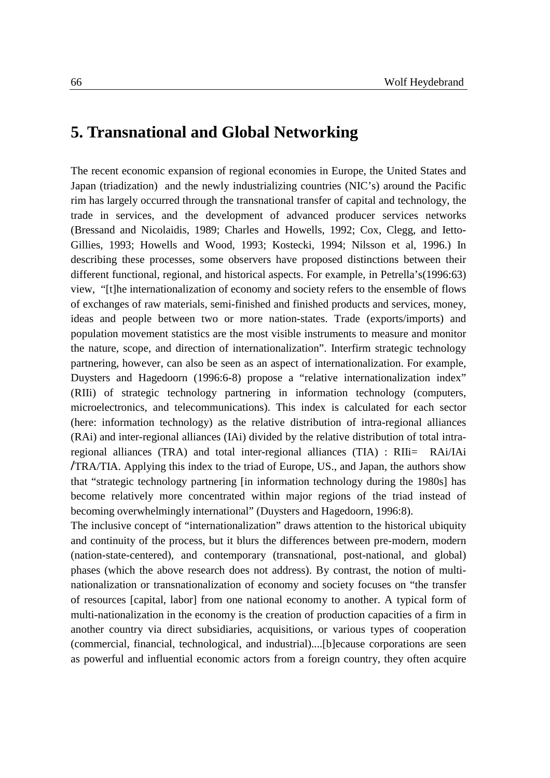# **5. Transnational and Global Networking**

The recent economic expansion of regional economies in Europe, the United States and Japan (triadization) and the newly industrializing countries (NIC's) around the Pacific rim has largely occurred through the transnational transfer of capital and technology, the trade in services, and the development of advanced producer services networks (Bressand and Nicolaidis, 1989; Charles and Howells, 1992; Cox, Clegg, and Ietto-Gillies, 1993; Howells and Wood, 1993; Kostecki, 1994; Nilsson et al, 1996.) In describing these processes, some observers have proposed distinctions between their different functional, regional, and historical aspects. For example, in Petrella's(1996:63) view, "[t]he internationalization of economy and society refers to the ensemble of flows of exchanges of raw materials, semi-finished and finished products and services, money, ideas and people between two or more nation-states. Trade (exports/imports) and population movement statistics are the most visible instruments to measure and monitor the nature, scope, and direction of internationalization". Interfirm strategic technology partnering, however, can also be seen as an aspect of internationalization. For example, Duysters and Hagedoorn (1996:6-8) propose a "relative internationalization index" (RIIi) of strategic technology partnering in information technology (computers, microelectronics, and telecommunications). This index is calculated for each sector (here: information technology) as the relative distribution of intra-regional alliances (RAi) and inter-regional alliances (IAi) divided by the relative distribution of total intraregional alliances (TRA) and total inter-regional alliances (TIA) : RIIi= RAi/IAi **/**TRA/TIA. Applying this index to the triad of Europe, US., and Japan, the authors show that "strategic technology partnering [in information technology during the 1980s] has become relatively more concentrated within major regions of the triad instead of becoming overwhelmingly international" (Duysters and Hagedoorn, 1996:8).

The inclusive concept of "internationalization" draws attention to the historical ubiquity and continuity of the process, but it blurs the differences between pre-modern, modern (nation-state-centered), and contemporary (transnational, post-national, and global) phases (which the above research does not address). By contrast, the notion of multinationalization or transnationalization of economy and society focuses on "the transfer of resources [capital, labor] from one national economy to another. A typical form of multi-nationalization in the economy is the creation of production capacities of a firm in another country via direct subsidiaries, acquisitions, or various types of cooperation (commercial, financial, technological, and industrial)....[b]ecause corporations are seen as powerful and influential economic actors from a foreign country, they often acquire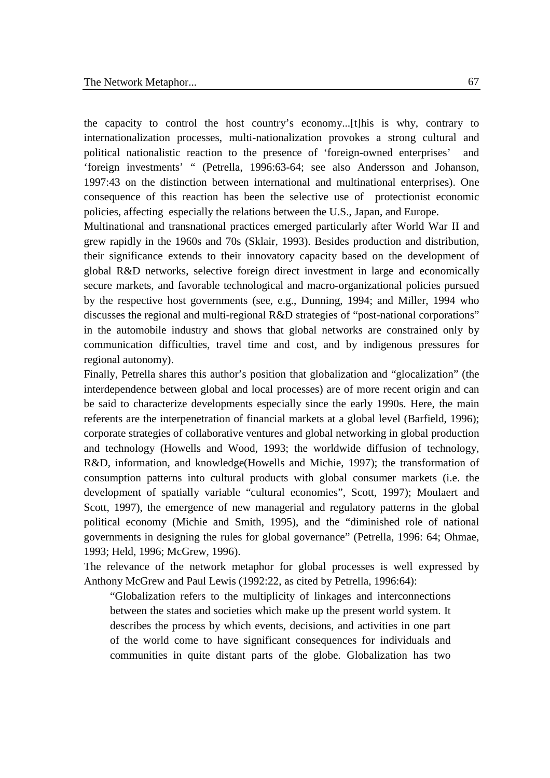the capacity to control the host country's economy...[t]his is why, contrary to internationalization processes, multi-nationalization provokes a strong cultural and political nationalistic reaction to the presence of 'foreign-owned enterprises' and 'foreign investments' " (Petrella, 1996:63-64; see also Andersson and Johanson, 1997:43 on the distinction between international and multinational enterprises). One consequence of this reaction has been the selective use of protectionist economic policies, affecting especially the relations between the U.S., Japan, and Europe.

Multinational and transnational practices emerged particularly after World War II and grew rapidly in the 1960s and 70s (Sklair, 1993). Besides production and distribution, their significance extends to their innovatory capacity based on the development of global R&D networks, selective foreign direct investment in large and economically secure markets, and favorable technological and macro-organizational policies pursued by the respective host governments (see, e.g., Dunning, 1994; and Miller, 1994 who discusses the regional and multi-regional R&D strategies of "post-national corporations" in the automobile industry and shows that global networks are constrained only by communication difficulties, travel time and cost, and by indigenous pressures for regional autonomy).

Finally, Petrella shares this author's position that globalization and "glocalization" (the interdependence between global and local processes) are of more recent origin and can be said to characterize developments especially since the early 1990s. Here, the main referents are the interpenetration of financial markets at a global level (Barfield, 1996); corporate strategies of collaborative ventures and global networking in global production and technology (Howells and Wood, 1993; the worldwide diffusion of technology, R&D, information, and knowledge(Howells and Michie, 1997); the transformation of consumption patterns into cultural products with global consumer markets (i.e. the development of spatially variable "cultural economies", Scott, 1997); Moulaert and Scott, 1997), the emergence of new managerial and regulatory patterns in the global political economy (Michie and Smith, 1995), and the "diminished role of national governments in designing the rules for global governance" (Petrella, 1996: 64; Ohmae, 1993; Held, 1996; McGrew, 1996).

The relevance of the network metaphor for global processes is well expressed by Anthony McGrew and Paul Lewis (1992:22, as cited by Petrella, 1996:64):

"Globalization refers to the multiplicity of linkages and interconnections between the states and societies which make up the present world system. It describes the process by which events, decisions, and activities in one part of the world come to have significant consequences for individuals and communities in quite distant parts of the globe. Globalization has two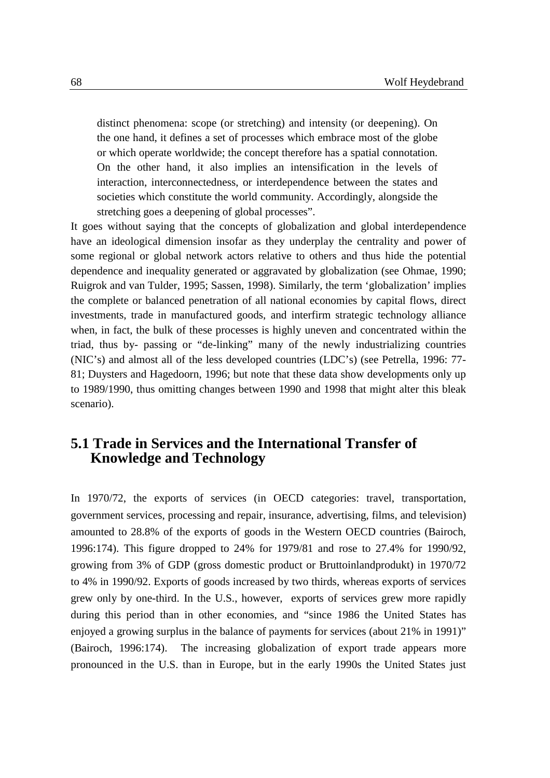distinct phenomena: scope (or stretching) and intensity (or deepening). On the one hand, it defines a set of processes which embrace most of the globe or which operate worldwide; the concept therefore has a spatial connotation. On the other hand, it also implies an intensification in the levels of interaction, interconnectedness, or interdependence between the states and societies which constitute the world community. Accordingly, alongside the stretching goes a deepening of global processes".

It goes without saying that the concepts of globalization and global interdependence have an ideological dimension insofar as they underplay the centrality and power of some regional or global network actors relative to others and thus hide the potential dependence and inequality generated or aggravated by globalization (see Ohmae, 1990; Ruigrok and van Tulder, 1995; Sassen, 1998). Similarly, the term 'globalization' implies the complete or balanced penetration of all national economies by capital flows, direct investments, trade in manufactured goods, and interfirm strategic technology alliance when, in fact, the bulk of these processes is highly uneven and concentrated within the triad, thus by- passing or "de-linking" many of the newly industrializing countries (NIC's) and almost all of the less developed countries (LDC's) (see Petrella, 1996: 77- 81; Duysters and Hagedoorn, 1996; but note that these data show developments only up to 1989/1990, thus omitting changes between 1990 and 1998 that might alter this bleak scenario).

## **5.1 Trade in Services and the International Transfer of Knowledge and Technology**

In 1970/72, the exports of services (in OECD categories: travel, transportation, government services, processing and repair, insurance, advertising, films, and television) amounted to 28.8% of the exports of goods in the Western OECD countries (Bairoch, 1996:174). This figure dropped to 24% for 1979/81 and rose to 27.4% for 1990/92, growing from 3% of GDP (gross domestic product or Bruttoinlandprodukt) in 1970/72 to 4% in 1990/92. Exports of goods increased by two thirds, whereas exports of services grew only by one-third. In the U.S., however, exports of services grew more rapidly during this period than in other economies, and "since 1986 the United States has enjoyed a growing surplus in the balance of payments for services (about 21% in 1991)" (Bairoch, 1996:174). The increasing globalization of export trade appears more pronounced in the U.S. than in Europe, but in the early 1990s the United States just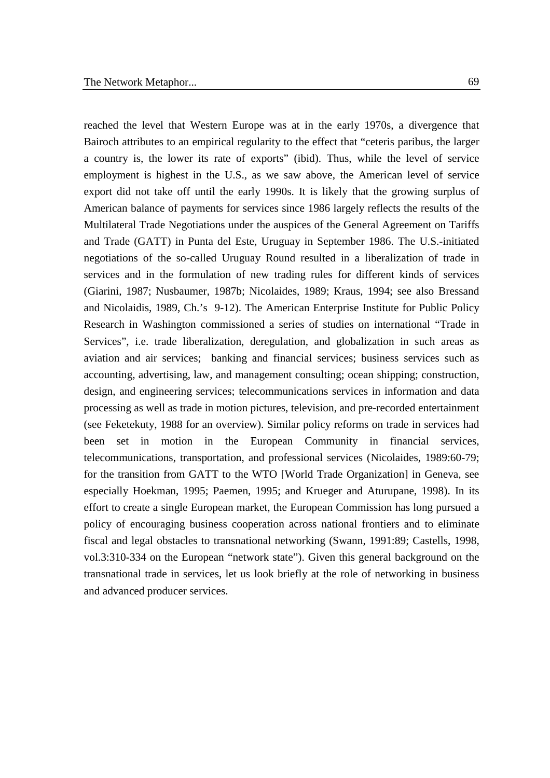reached the level that Western Europe was at in the early 1970s, a divergence that Bairoch attributes to an empirical regularity to the effect that "ceteris paribus, the larger a country is, the lower its rate of exports" (ibid). Thus, while the level of service employment is highest in the U.S., as we saw above, the American level of service export did not take off until the early 1990s. It is likely that the growing surplus of American balance of payments for services since 1986 largely reflects the results of the Multilateral Trade Negotiations under the auspices of the General Agreement on Tariffs and Trade (GATT) in Punta del Este, Uruguay in September 1986. The U.S.-initiated negotiations of the so-called Uruguay Round resulted in a liberalization of trade in services and in the formulation of new trading rules for different kinds of services (Giarini, 1987; Nusbaumer, 1987b; Nicolaides, 1989; Kraus, 1994; see also Bressand and Nicolaidis, 1989, Ch.'s 9-12). The American Enterprise Institute for Public Policy Research in Washington commissioned a series of studies on international "Trade in Services", i.e. trade liberalization, deregulation, and globalization in such areas as aviation and air services; banking and financial services; business services such as accounting, advertising, law, and management consulting; ocean shipping; construction, design, and engineering services; telecommunications services in information and data processing as well as trade in motion pictures, television, and pre-recorded entertainment (see Feketekuty, 1988 for an overview). Similar policy reforms on trade in services had been set in motion in the European Community in financial services, telecommunications, transportation, and professional services (Nicolaides, 1989:60-79; for the transition from GATT to the WTO [World Trade Organization] in Geneva, see especially Hoekman, 1995; Paemen, 1995; and Krueger and Aturupane, 1998). In its effort to create a single European market, the European Commission has long pursued a policy of encouraging business cooperation across national frontiers and to eliminate fiscal and legal obstacles to transnational networking (Swann, 1991:89; Castells, 1998, vol.3:310-334 on the European "network state"). Given this general background on the transnational trade in services, let us look briefly at the role of networking in business and advanced producer services.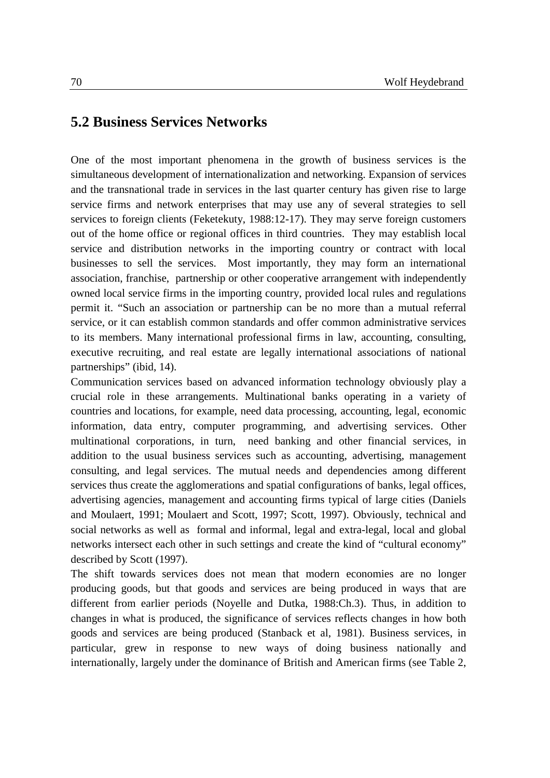## **5.2 Business Services Networks**

One of the most important phenomena in the growth of business services is the simultaneous development of internationalization and networking. Expansion of services and the transnational trade in services in the last quarter century has given rise to large service firms and network enterprises that may use any of several strategies to sell services to foreign clients (Feketekuty, 1988:12-17). They may serve foreign customers out of the home office or regional offices in third countries. They may establish local service and distribution networks in the importing country or contract with local businesses to sell the services.Most importantly, they may form an international association, franchise, partnership or other cooperative arrangement with independently owned local service firms in the importing country, provided local rules and regulations permit it. "Such an association or partnership can be no more than a mutual referral service, or it can establish common standards and offer common administrative services to its members. Many international professional firms in law, accounting, consulting, executive recruiting, and real estate are legally international associations of national partnerships" (ibid, 14).

Communication services based on advanced information technology obviously play a crucial role in these arrangements. Multinational banks operating in a variety of countries and locations, for example, need data processing, accounting, legal, economic information, data entry, computer programming, and advertising services. Other multinational corporations, in turn, need banking and other financial services, in addition to the usual business services such as accounting, advertising, management consulting, and legal services. The mutual needs and dependencies among different services thus create the agglomerations and spatial configurations of banks, legal offices, advertising agencies, management and accounting firms typical of large cities (Daniels and Moulaert, 1991; Moulaert and Scott, 1997; Scott, 1997). Obviously, technical and social networks as well as formal and informal, legal and extra-legal, local and global networks intersect each other in such settings and create the kind of "cultural economy" described by Scott (1997).

The shift towards services does not mean that modern economies are no longer producing goods, but that goods and services are being produced in ways that are different from earlier periods (Noyelle and Dutka, 1988:Ch.3). Thus, in addition to changes in what is produced, the significance of services reflects changes in how both goods and services are being produced (Stanback et al, 1981). Business services, in particular, grew in response to new ways of doing business nationally and internationally, largely under the dominance of British and American firms (see Table 2,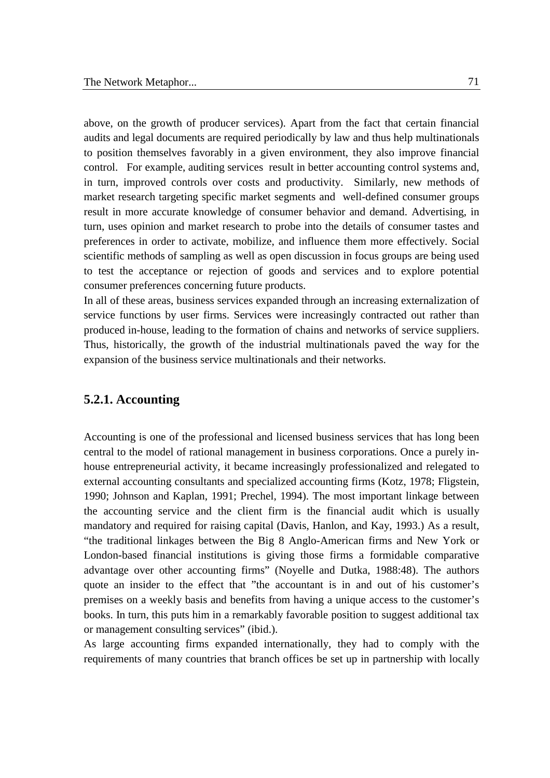above, on the growth of producer services). Apart from the fact that certain financial audits and legal documents are required periodically by law and thus help multinationals to position themselves favorably in a given environment, they also improve financial control. For example, auditing services result in better accounting control systems and, in turn, improved controls over costs and productivity. Similarly, new methods of market research targeting specific market segments and well-defined consumer groups result in more accurate knowledge of consumer behavior and demand. Advertising, in turn, uses opinion and market research to probe into the details of consumer tastes and preferences in order to activate, mobilize, and influence them more effectively. Social scientific methods of sampling as well as open discussion in focus groups are being used to test the acceptance or rejection of goods and services and to explore potential consumer preferences concerning future products.

In all of these areas, business services expanded through an increasing externalization of service functions by user firms. Services were increasingly contracted out rather than produced in-house, leading to the formation of chains and networks of service suppliers. Thus, historically, the growth of the industrial multinationals paved the way for the expansion of the business service multinationals and their networks.

#### **5.2.1. Accounting**

Accounting is one of the professional and licensed business services that has long been central to the model of rational management in business corporations. Once a purely inhouse entrepreneurial activity, it became increasingly professionalized and relegated to external accounting consultants and specialized accounting firms (Kotz, 1978; Fligstein, 1990; Johnson and Kaplan, 1991; Prechel, 1994). The most important linkage between the accounting service and the client firm is the financial audit which is usually mandatory and required for raising capital (Davis, Hanlon, and Kay, 1993.) As a result, "the traditional linkages between the Big 8 Anglo-American firms and New York or London-based financial institutions is giving those firms a formidable comparative advantage over other accounting firms" (Noyelle and Dutka, 1988:48). The authors quote an insider to the effect that "the accountant is in and out of his customer's premises on a weekly basis and benefits from having a unique access to the customer's books. In turn, this puts him in a remarkably favorable position to suggest additional tax or management consulting services" (ibid.).

As large accounting firms expanded internationally, they had to comply with the requirements of many countries that branch offices be set up in partnership with locally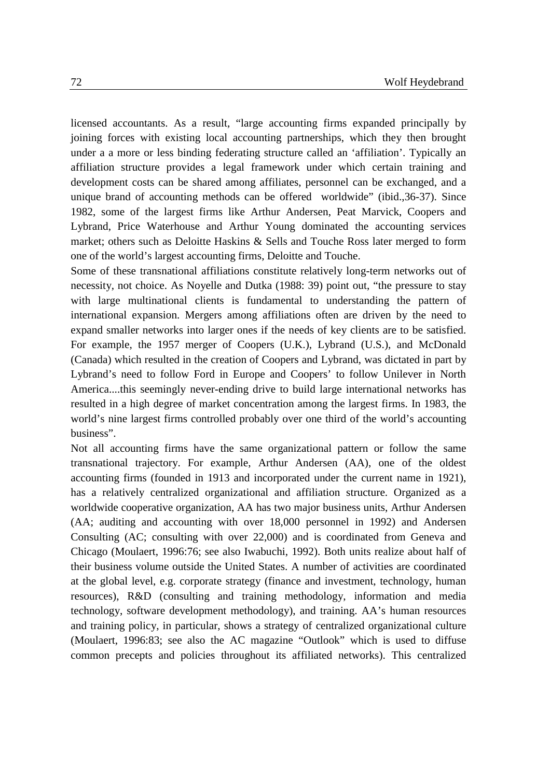licensed accountants. As a result, "large accounting firms expanded principally by joining forces with existing local accounting partnerships, which they then brought under a a more or less binding federating structure called an 'affiliation'. Typically an affiliation structure provides a legal framework under which certain training and development costs can be shared among affiliates, personnel can be exchanged, and a unique brand of accounting methods can be offered worldwide" (ibid.,36-37). Since 1982, some of the largest firms like Arthur Andersen, Peat Marvick, Coopers and Lybrand, Price Waterhouse and Arthur Young dominated the accounting services market; others such as Deloitte Haskins & Sells and Touche Ross later merged to form one of the world's largest accounting firms, Deloitte and Touche.

Some of these transnational affiliations constitute relatively long-term networks out of necessity, not choice. As Noyelle and Dutka (1988: 39) point out, "the pressure to stay with large multinational clients is fundamental to understanding the pattern of international expansion. Mergers among affiliations often are driven by the need to expand smaller networks into larger ones if the needs of key clients are to be satisfied. For example, the 1957 merger of Coopers (U.K.), Lybrand (U.S.), and McDonald (Canada) which resulted in the creation of Coopers and Lybrand, was dictated in part by Lybrand's need to follow Ford in Europe and Coopers' to follow Unilever in North America....this seemingly never-ending drive to build large international networks has resulted in a high degree of market concentration among the largest firms. In 1983, the world's nine largest firms controlled probably over one third of the world's accounting business".

Not all accounting firms have the same organizational pattern or follow the same transnational trajectory. For example, Arthur Andersen (AA), one of the oldest accounting firms (founded in 1913 and incorporated under the current name in 1921), has a relatively centralized organizational and affiliation structure. Organized as a worldwide cooperative organization, AA has two major business units, Arthur Andersen (AA; auditing and accounting with over 18,000 personnel in 1992) and Andersen Consulting (AC; consulting with over 22,000) and is coordinated from Geneva and Chicago (Moulaert, 1996:76; see also Iwabuchi, 1992). Both units realize about half of their business volume outside the United States. A number of activities are coordinated at the global level, e.g. corporate strategy (finance and investment, technology, human resources), R&D (consulting and training methodology, information and media technology, software development methodology), and training. AA's human resources and training policy, in particular, shows a strategy of centralized organizational culture (Moulaert, 1996:83; see also the AC magazine "Outlook" which is used to diffuse common precepts and policies throughout its affiliated networks). This centralized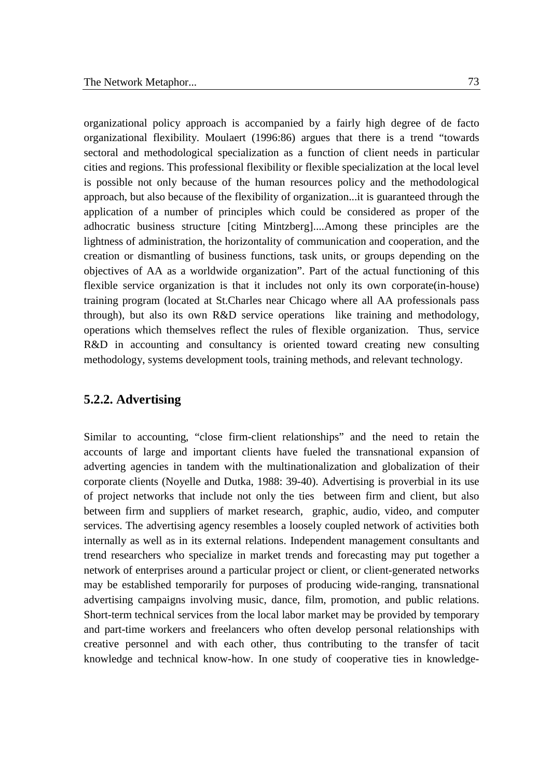organizational policy approach is accompanied by a fairly high degree of de facto organizational flexibility. Moulaert (1996:86) argues that there is a trend "towards sectoral and methodological specialization as a function of client needs in particular cities and regions. This professional flexibility or flexible specialization at the local level is possible not only because of the human resources policy and the methodological approach, but also because of the flexibility of organization...it is guaranteed through the application of a number of principles which could be considered as proper of the adhocratic business structure [citing Mintzberg]....Among these principles are the lightness of administration, the horizontality of communication and cooperation, and the creation or dismantling of business functions, task units, or groups depending on the objectives of AA as a worldwide organization". Part of the actual functioning of this flexible service organization is that it includes not only its own corporate(in-house) training program (located at St.Charles near Chicago where all AA professionals pass through), but also its own R&D service operations like training and methodology, operations which themselves reflect the rules of flexible organization. Thus, service R&D in accounting and consultancy is oriented toward creating new consulting methodology, systems development tools, training methods, and relevant technology.

#### **5.2.2. Advertising**

Similar to accounting, "close firm-client relationships" and the need to retain the accounts of large and important clients have fueled the transnational expansion of adverting agencies in tandem with the multinationalization and globalization of their corporate clients (Noyelle and Dutka, 1988: 39-40). Advertising is proverbial in its use of project networks that include not only the ties between firm and client, but also between firm and suppliers of market research, graphic, audio, video, and computer services. The advertising agency resembles a loosely coupled network of activities both internally as well as in its external relations. Independent management consultants and trend researchers who specialize in market trends and forecasting may put together a network of enterprises around a particular project or client, or client-generated networks may be established temporarily for purposes of producing wide-ranging, transnational advertising campaigns involving music, dance, film, promotion, and public relations. Short-term technical services from the local labor market may be provided by temporary and part-time workers and freelancers who often develop personal relationships with creative personnel and with each other, thus contributing to the transfer of tacit knowledge and technical know-how. In one study of cooperative ties in knowledge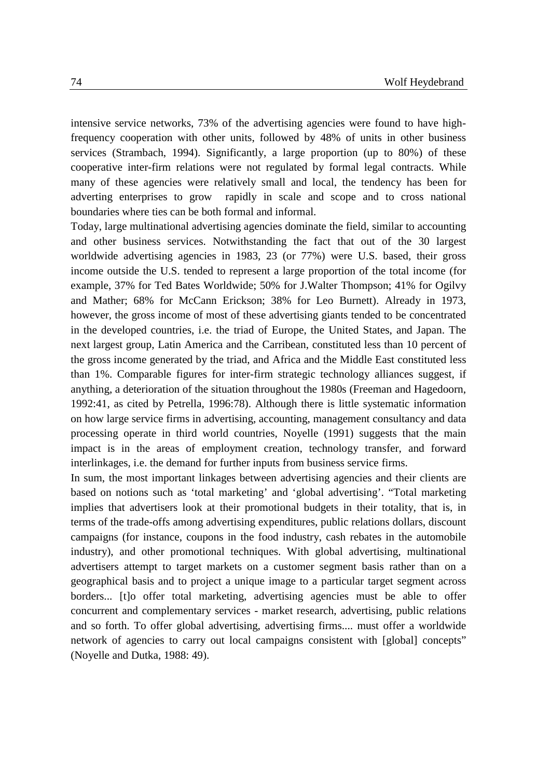intensive service networks, 73% of the advertising agencies were found to have highfrequency cooperation with other units, followed by 48% of units in other business services (Strambach, 1994). Significantly, a large proportion (up to 80%) of these cooperative inter-firm relations were not regulated by formal legal contracts. While many of these agencies were relatively small and local, the tendency has been for adverting enterprises to grow rapidly in scale and scope and to cross national boundaries where ties can be both formal and informal.

Today, large multinational advertising agencies dominate the field, similar to accounting and other business services. Notwithstanding the fact that out of the 30 largest worldwide advertising agencies in 1983, 23 (or 77%) were U.S. based, their gross income outside the U.S. tended to represent a large proportion of the total income (for example, 37% for Ted Bates Worldwide; 50% for J.Walter Thompson; 41% for Ogilvy and Mather; 68% for McCann Erickson; 38% for Leo Burnett). Already in 1973, however, the gross income of most of these advertising giants tended to be concentrated in the developed countries, i.e. the triad of Europe, the United States, and Japan. The next largest group, Latin America and the Carribean, constituted less than 10 percent of the gross income generated by the triad, and Africa and the Middle East constituted less than 1%. Comparable figures for inter-firm strategic technology alliances suggest, if anything, a deterioration of the situation throughout the 1980s (Freeman and Hagedoorn, 1992:41, as cited by Petrella, 1996:78). Although there is little systematic information on how large service firms in advertising, accounting, management consultancy and data processing operate in third world countries, Noyelle (1991) suggests that the main impact is in the areas of employment creation, technology transfer, and forward interlinkages, i.e. the demand for further inputs from business service firms.

In sum, the most important linkages between advertising agencies and their clients are based on notions such as 'total marketing' and 'global advertising'. "Total marketing implies that advertisers look at their promotional budgets in their totality, that is, in terms of the trade-offs among advertising expenditures, public relations dollars, discount campaigns (for instance, coupons in the food industry, cash rebates in the automobile industry), and other promotional techniques. With global advertising, multinational advertisers attempt to target markets on a customer segment basis rather than on a geographical basis and to project a unique image to a particular target segment across borders... [t]o offer total marketing, advertising agencies must be able to offer concurrent and complementary services - market research, advertising, public relations and so forth. To offer global advertising, advertising firms.... must offer a worldwide network of agencies to carry out local campaigns consistent with [global] concepts" (Noyelle and Dutka, 1988: 49).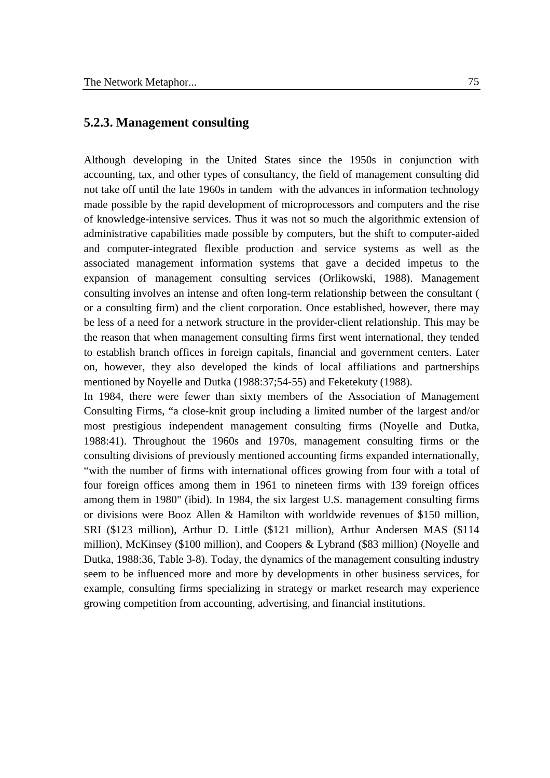#### **5.2.3. Management consulting**

Although developing in the United States since the 1950s in conjunction with accounting, tax, and other types of consultancy, the field of management consulting did not take off until the late 1960s in tandem with the advances in information technology made possible by the rapid development of microprocessors and computers and the rise of knowledge-intensive services. Thus it was not so much the algorithmic extension of administrative capabilities made possible by computers, but the shift to computer-aided and computer-integrated flexible production and service systems as well as the associated management information systems that gave a decided impetus to the expansion of management consulting services (Orlikowski, 1988). Management consulting involves an intense and often long-term relationship between the consultant ( or a consulting firm) and the client corporation. Once established, however, there may be less of a need for a network structure in the provider-client relationship. This may be the reason that when management consulting firms first went international, they tended to establish branch offices in foreign capitals, financial and government centers. Later on, however, they also developed the kinds of local affiliations and partnerships mentioned by Noyelle and Dutka (1988:37;54-55) and Feketekuty (1988).

In 1984, there were fewer than sixty members of the Association of Management Consulting Firms, "a close-knit group including a limited number of the largest and/or most prestigious independent management consulting firms (Noyelle and Dutka, 1988:41). Throughout the 1960s and 1970s, management consulting firms or the consulting divisions of previously mentioned accounting firms expanded internationally, "with the number of firms with international offices growing from four with a total of four foreign offices among them in 1961 to nineteen firms with 139 foreign offices among them in 1980" (ibid). In 1984, the six largest U.S. management consulting firms or divisions were Booz Allen & Hamilton with worldwide revenues of \$150 million, SRI (\$123 million), Arthur D. Little (\$121 million), Arthur Andersen MAS (\$114 million), McKinsey (\$100 million), and Coopers & Lybrand (\$83 million) (Noyelle and Dutka, 1988:36, Table 3-8). Today, the dynamics of the management consulting industry seem to be influenced more and more by developments in other business services, for example, consulting firms specializing in strategy or market research may experience growing competition from accounting, advertising, and financial institutions.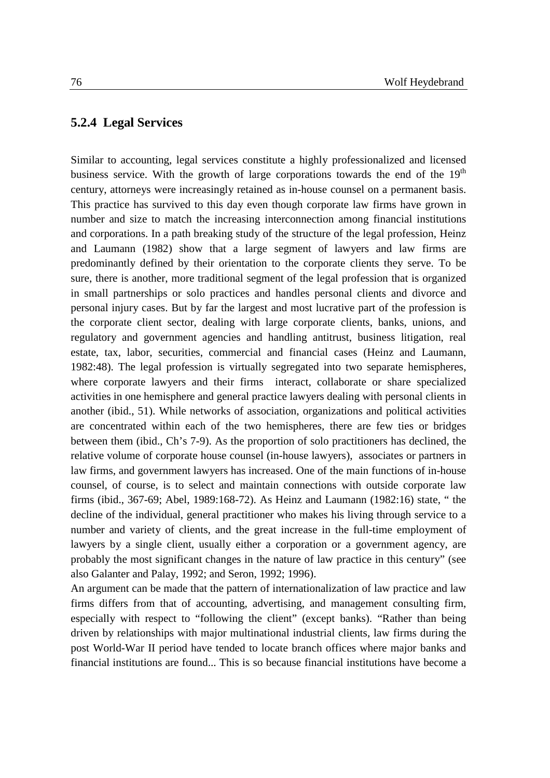#### **5.2.4 Legal Services**

Similar to accounting, legal services constitute a highly professionalized and licensed business service. With the growth of large corporations towards the end of the  $19<sup>th</sup>$ century, attorneys were increasingly retained as in-house counsel on a permanent basis. This practice has survived to this day even though corporate law firms have grown in number and size to match the increasing interconnection among financial institutions and corporations. In a path breaking study of the structure of the legal profession, Heinz and Laumann (1982) show that a large segment of lawyers and law firms are predominantly defined by their orientation to the corporate clients they serve. To be sure, there is another, more traditional segment of the legal profession that is organized in small partnerships or solo practices and handles personal clients and divorce and personal injury cases. But by far the largest and most lucrative part of the profession is the corporate client sector, dealing with large corporate clients, banks, unions, and regulatory and government agencies and handling antitrust, business litigation, real estate, tax, labor, securities, commercial and financial cases (Heinz and Laumann, 1982:48). The legal profession is virtually segregated into two separate hemispheres, where corporate lawyers and their firms interact, collaborate or share specialized activities in one hemisphere and general practice lawyers dealing with personal clients in another (ibid., 51). While networks of association, organizations and political activities are concentrated within each of the two hemispheres, there are few ties or bridges between them (ibid., Ch's 7-9). As the proportion of solo practitioners has declined, the relative volume of corporate house counsel (in-house lawyers), associates or partners in law firms, and government lawyers has increased. One of the main functions of in-house counsel, of course, is to select and maintain connections with outside corporate law firms (ibid., 367-69; Abel, 1989:168-72). As Heinz and Laumann (1982:16) state, " the decline of the individual, general practitioner who makes his living through service to a number and variety of clients, and the great increase in the full-time employment of lawyers by a single client, usually either a corporation or a government agency, are probably the most significant changes in the nature of law practice in this century" (see also Galanter and Palay, 1992; and Seron, 1992; 1996).

An argument can be made that the pattern of internationalization of law practice and law firms differs from that of accounting, advertising, and management consulting firm, especially with respect to "following the client" (except banks). "Rather than being driven by relationships with major multinational industrial clients, law firms during the post World-War II period have tended to locate branch offices where major banks and financial institutions are found... This is so because financial institutions have become a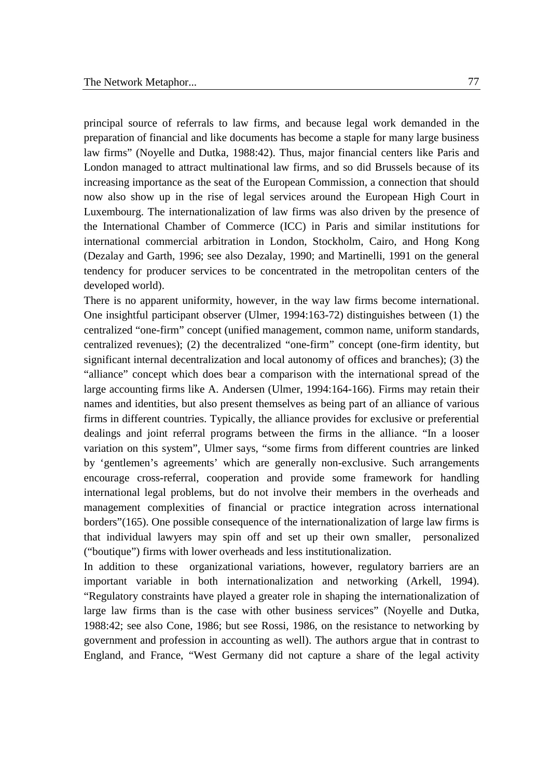principal source of referrals to law firms, and because legal work demanded in the preparation of financial and like documents has become a staple for many large business law firms" (Noyelle and Dutka, 1988:42). Thus, major financial centers like Paris and London managed to attract multinational law firms, and so did Brussels because of its increasing importance as the seat of the European Commission, a connection that should now also show up in the rise of legal services around the European High Court in Luxembourg. The internationalization of law firms was also driven by the presence of the International Chamber of Commerce (ICC) in Paris and similar institutions for international commercial arbitration in London, Stockholm, Cairo, and Hong Kong (Dezalay and Garth, 1996; see also Dezalay, 1990; and Martinelli, 1991 on the general tendency for producer services to be concentrated in the metropolitan centers of the developed world).

There is no apparent uniformity, however, in the way law firms become international. One insightful participant observer (Ulmer, 1994:163-72) distinguishes between (1) the centralized "one-firm" concept (unified management, common name, uniform standards, centralized revenues); (2) the decentralized "one-firm" concept (one-firm identity, but significant internal decentralization and local autonomy of offices and branches); (3) the "alliance" concept which does bear a comparison with the international spread of the large accounting firms like A. Andersen (Ulmer, 1994:164-166). Firms may retain their names and identities, but also present themselves as being part of an alliance of various firms in different countries. Typically, the alliance provides for exclusive or preferential dealings and joint referral programs between the firms in the alliance. "In a looser variation on this system", Ulmer says, "some firms from different countries are linked by 'gentlemen's agreements' which are generally non-exclusive. Such arrangements encourage cross-referral, cooperation and provide some framework for handling international legal problems, but do not involve their members in the overheads and management complexities of financial or practice integration across international borders"(165). One possible consequence of the internationalization of large law firms is that individual lawyers may spin off and set up their own smaller, personalized ("boutique") firms with lower overheads and less institutionalization.

In addition to these organizational variations, however, regulatory barriers are an important variable in both internationalization and networking (Arkell, 1994). "Regulatory constraints have played a greater role in shaping the internationalization of large law firms than is the case with other business services" (Noyelle and Dutka, 1988:42; see also Cone, 1986; but see Rossi, 1986, on the resistance to networking by government and profession in accounting as well). The authors argue that in contrast to England, and France, "West Germany did not capture a share of the legal activity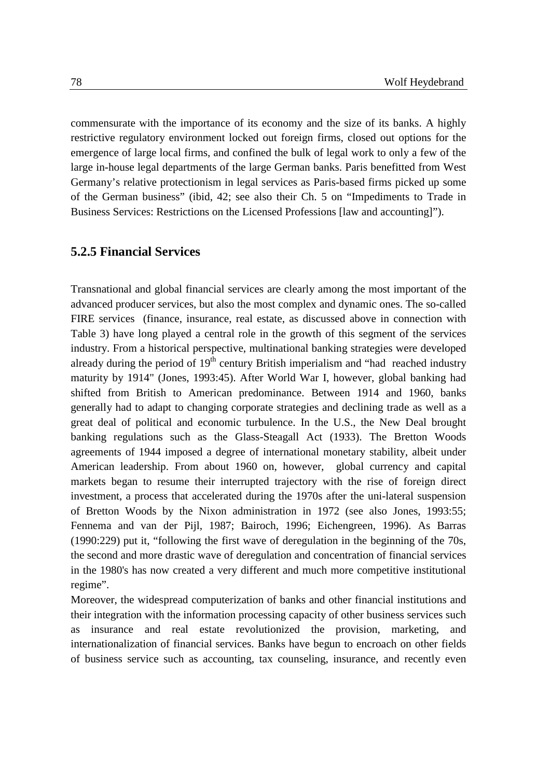commensurate with the importance of its economy and the size of its banks. A highly restrictive regulatory environment locked out foreign firms, closed out options for the emergence of large local firms, and confined the bulk of legal work to only a few of the large in-house legal departments of the large German banks. Paris benefitted from West Germany's relative protectionism in legal services as Paris-based firms picked up some of the German business" (ibid, 42; see also their Ch. 5 on "Impediments to Trade in Business Services: Restrictions on the Licensed Professions [law and accounting]").

#### **5.2.5 Financial Services**

Transnational and global financial services are clearly among the most important of the advanced producer services, but also the most complex and dynamic ones. The so-called FIRE services (finance, insurance, real estate, as discussed above in connection with Table 3) have long played a central role in the growth of this segment of the services industry. From a historical perspective, multinational banking strategies were developed already during the period of  $19<sup>th</sup>$  century British imperialism and "had reached industry maturity by 1914" (Jones, 1993:45). After World War I, however, global banking had shifted from British to American predominance. Between 1914 and 1960, banks generally had to adapt to changing corporate strategies and declining trade as well as a great deal of political and economic turbulence. In the U.S., the New Deal brought banking regulations such as the Glass-Steagall Act (1933). The Bretton Woods agreements of 1944 imposed a degree of international monetary stability, albeit under American leadership. From about 1960 on, however, global currency and capital markets began to resume their interrupted trajectory with the rise of foreign direct investment, a process that accelerated during the 1970s after the uni-lateral suspension of Bretton Woods by the Nixon administration in 1972 (see also Jones, 1993:55; Fennema and van der Pijl, 1987; Bairoch, 1996; Eichengreen, 1996). As Barras (1990:229) put it, "following the first wave of deregulation in the beginning of the 70s, the second and more drastic wave of deregulation and concentration of financial services in the 1980's has now created a very different and much more competitive institutional regime".

Moreover, the widespread computerization of banks and other financial institutions and their integration with the information processing capacity of other business services such as insurance and real estate revolutionized the provision, marketing, internationalization of financial services. Banks have begun to encroach on other fields of business service such as accounting, tax counseling, insurance, and recently even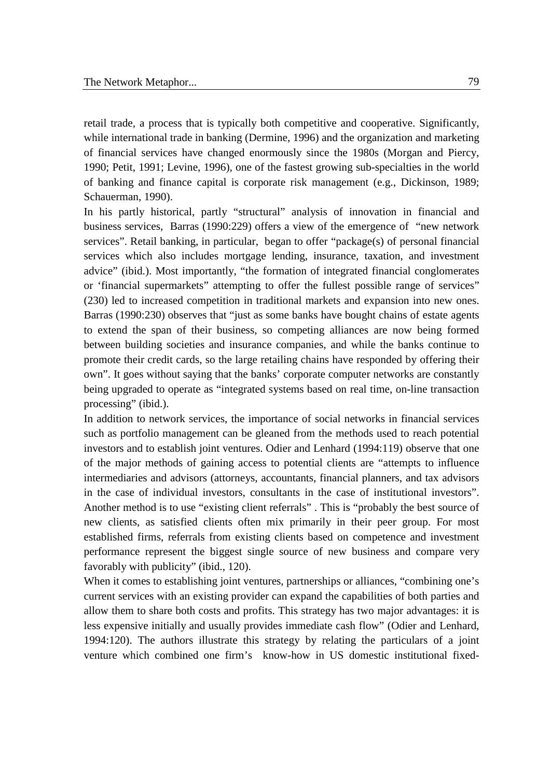retail trade, a process that is typically both competitive and cooperative. Significantly, while international trade in banking (Dermine, 1996) and the organization and marketing of financial services have changed enormously since the 1980s (Morgan and Piercy, 1990; Petit, 1991; Levine, 1996), one of the fastest growing sub-specialties in the world of banking and finance capital is corporate risk management (e.g., Dickinson, 1989; Schauerman, 1990).

In his partly historical, partly "structural" analysis of innovation in financial and business services, Barras (1990:229) offers a view of the emergence of "new network services". Retail banking, in particular, began to offer "package(s) of personal financial services which also includes mortgage lending, insurance, taxation, and investment advice" (ibid.). Most importantly, "the formation of integrated financial conglomerates or 'financial supermarkets" attempting to offer the fullest possible range of services" (230) led to increased competition in traditional markets and expansion into new ones. Barras (1990:230) observes that "just as some banks have bought chains of estate agents to extend the span of their business, so competing alliances are now being formed between building societies and insurance companies, and while the banks continue to promote their credit cards, so the large retailing chains have responded by offering their own". It goes without saying that the banks' corporate computer networks are constantly being upgraded to operate as "integrated systems based on real time, on-line transaction processing" (ibid.).

In addition to network services, the importance of social networks in financial services such as portfolio management can be gleaned from the methods used to reach potential investors and to establish joint ventures. Odier and Lenhard (1994:119) observe that one of the major methods of gaining access to potential clients are "attempts to influence intermediaries and advisors (attorneys, accountants, financial planners, and tax advisors in the case of individual investors, consultants in the case of institutional investors". Another method is to use "existing client referrals" . This is "probably the best source of new clients, as satisfied clients often mix primarily in their peer group. For most established firms, referrals from existing clients based on competence and investment performance represent the biggest single source of new business and compare very favorably with publicity" (ibid., 120).

When it comes to establishing joint ventures, partnerships or alliances, "combining one's current services with an existing provider can expand the capabilities of both parties and allow them to share both costs and profits. This strategy has two major advantages: it is less expensive initially and usually provides immediate cash flow" (Odier and Lenhard, 1994:120). The authors illustrate this strategy by relating the particulars of a joint venture which combined one firm's know-how in US domestic institutional fixed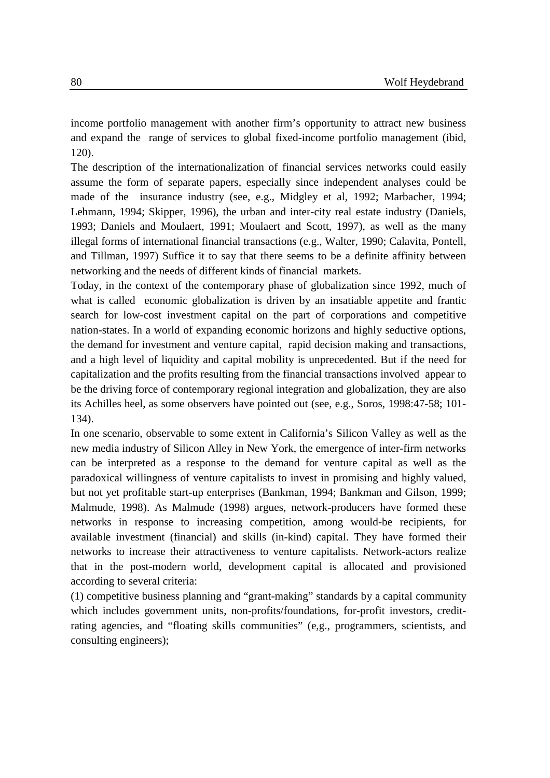income portfolio management with another firm's opportunity to attract new business and expand the range of services to global fixed-income portfolio management (ibid, 120).

The description of the internationalization of financial services networks could easily assume the form of separate papers, especially since independent analyses could be made of the insurance industry (see, e.g., Midgley et al, 1992; Marbacher, 1994; Lehmann, 1994; Skipper, 1996), the urban and inter-city real estate industry (Daniels, 1993; Daniels and Moulaert, 1991; Moulaert and Scott, 1997), as well as the many illegal forms of international financial transactions (e.g., Walter, 1990; Calavita, Pontell, and Tillman, 1997) Suffice it to say that there seems to be a definite affinity between networking and the needs of different kinds of financial markets.

Today, in the context of the contemporary phase of globalization since 1992, much of what is called economic globalization is driven by an insatiable appetite and frantic search for low-cost investment capital on the part of corporations and competitive nation-states. In a world of expanding economic horizons and highly seductive options, the demand for investment and venture capital, rapid decision making and transactions, and a high level of liquidity and capital mobility is unprecedented. But if the need for capitalization and the profits resulting from the financial transactions involved appear to be the driving force of contemporary regional integration and globalization, they are also its Achilles heel, as some observers have pointed out (see, e.g., Soros, 1998:47-58; 101- 134).

In one scenario, observable to some extent in California's Silicon Valley as well as the new media industry of Silicon Alley in New York, the emergence of inter-firm networks can be interpreted as a response to the demand for venture capital as well as the paradoxical willingness of venture capitalists to invest in promising and highly valued, but not yet profitable start-up enterprises (Bankman, 1994; Bankman and Gilson, 1999; Malmude, 1998). As Malmude (1998) argues, network-producers have formed these networks in response to increasing competition, among would-be recipients, for available investment (financial) and skills (in-kind) capital. They have formed their networks to increase their attractiveness to venture capitalists. Network-actors realize that in the post-modern world, development capital is allocated and provisioned according to several criteria:

(1) competitive business planning and "grant-making" standards by a capital community which includes government units, non-profits/foundations, for-profit investors, creditrating agencies, and "floating skills communities" (e,g., programmers, scientists, and consulting engineers);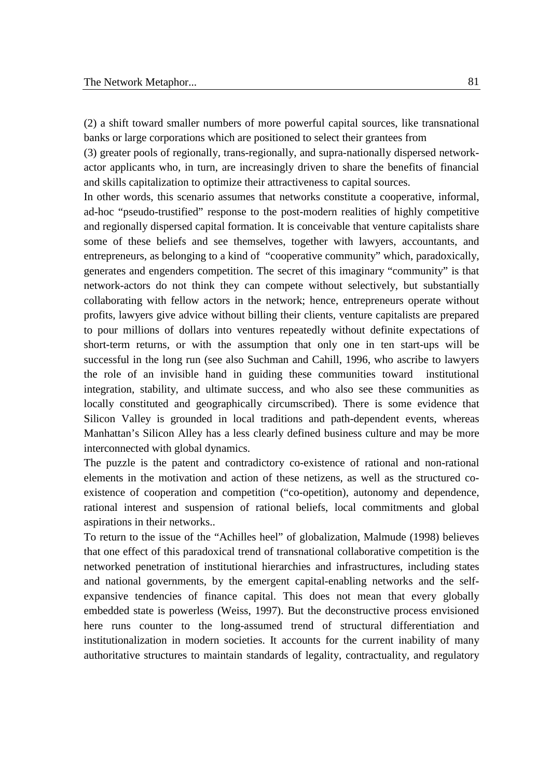(2) a shift toward smaller numbers of more powerful capital sources, like transnational banks or large corporations which are positioned to select their grantees from

(3) greater pools of regionally, trans-regionally, and supra-nationally dispersed networkactor applicants who, in turn, are increasingly driven to share the benefits of financial and skills capitalization to optimize their attractiveness to capital sources.

In other words, this scenario assumes that networks constitute a cooperative, informal, ad-hoc "pseudo-trustified" response to the post-modern realities of highly competitive and regionally dispersed capital formation. It is conceivable that venture capitalists share some of these beliefs and see themselves, together with lawyers, accountants, and entrepreneurs, as belonging to a kind of "cooperative community" which, paradoxically, generates and engenders competition. The secret of this imaginary "community" is that network-actors do not think they can compete without selectively, but substantially collaborating with fellow actors in the network; hence, entrepreneurs operate without profits, lawyers give advice without billing their clients, venture capitalists are prepared to pour millions of dollars into ventures repeatedly without definite expectations of short-term returns, or with the assumption that only one in ten start-ups will be successful in the long run (see also Suchman and Cahill, 1996, who ascribe to lawyers the role of an invisible hand in guiding these communities toward institutional integration, stability, and ultimate success, and who also see these communities as locally constituted and geographically circumscribed). There is some evidence that Silicon Valley is grounded in local traditions and path-dependent events, whereas Manhattan's Silicon Alley has a less clearly defined business culture and may be more interconnected with global dynamics.

The puzzle is the patent and contradictory co-existence of rational and non-rational elements in the motivation and action of these netizens, as well as the structured coexistence of cooperation and competition ("co-opetition), autonomy and dependence, rational interest and suspension of rational beliefs, local commitments and global aspirations in their networks..

To return to the issue of the "Achilles heel" of globalization, Malmude (1998) believes that one effect of this paradoxical trend of transnational collaborative competition is the networked penetration of institutional hierarchies and infrastructures, including states and national governments, by the emergent capital-enabling networks and the selfexpansive tendencies of finance capital. This does not mean that every globally embedded state is powerless (Weiss, 1997). But the deconstructive process envisioned here runs counter to the long-assumed trend of structural differentiation and institutionalization in modern societies. It accounts for the current inability of many authoritative structures to maintain standards of legality, contractuality, and regulatory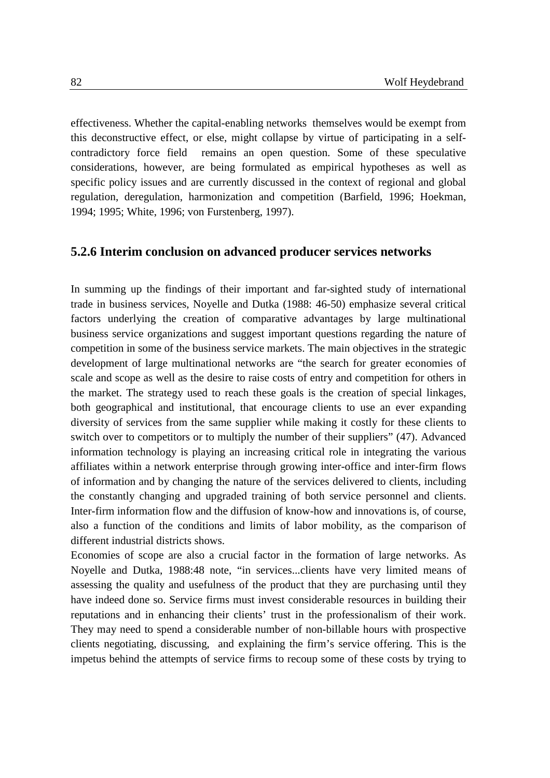effectiveness. Whether the capital-enabling networks themselves would be exempt from this deconstructive effect, or else, might collapse by virtue of participating in a selfcontradictory force field remains an open question. Some of these speculative considerations, however, are being formulated as empirical hypotheses as well as specific policy issues and are currently discussed in the context of regional and global regulation, deregulation, harmonization and competition (Barfield, 1996; Hoekman, 1994; 1995; White, 1996; von Furstenberg, 1997).

#### **5.2.6 Interim conclusion on advanced producer services networks**

In summing up the findings of their important and far-sighted study of international trade in business services, Noyelle and Dutka (1988: 46-50) emphasize several critical factors underlying the creation of comparative advantages by large multinational business service organizations and suggest important questions regarding the nature of competition in some of the business service markets. The main objectives in the strategic development of large multinational networks are "the search for greater economies of scale and scope as well as the desire to raise costs of entry and competition for others in the market. The strategy used to reach these goals is the creation of special linkages, both geographical and institutional, that encourage clients to use an ever expanding diversity of services from the same supplier while making it costly for these clients to switch over to competitors or to multiply the number of their suppliers" (47). Advanced information technology is playing an increasing critical role in integrating the various affiliates within a network enterprise through growing inter-office and inter-firm flows of information and by changing the nature of the services delivered to clients, including the constantly changing and upgraded training of both service personnel and clients. Inter-firm information flow and the diffusion of know-how and innovations is, of course, also a function of the conditions and limits of labor mobility, as the comparison of different industrial districts shows.

Economies of scope are also a crucial factor in the formation of large networks. As Noyelle and Dutka, 1988:48 note, "in services...clients have very limited means of assessing the quality and usefulness of the product that they are purchasing until they have indeed done so. Service firms must invest considerable resources in building their reputations and in enhancing their clients' trust in the professionalism of their work. They may need to spend a considerable number of non-billable hours with prospective clients negotiating, discussing, and explaining the firm's service offering. This is the impetus behind the attempts of service firms to recoup some of these costs by trying to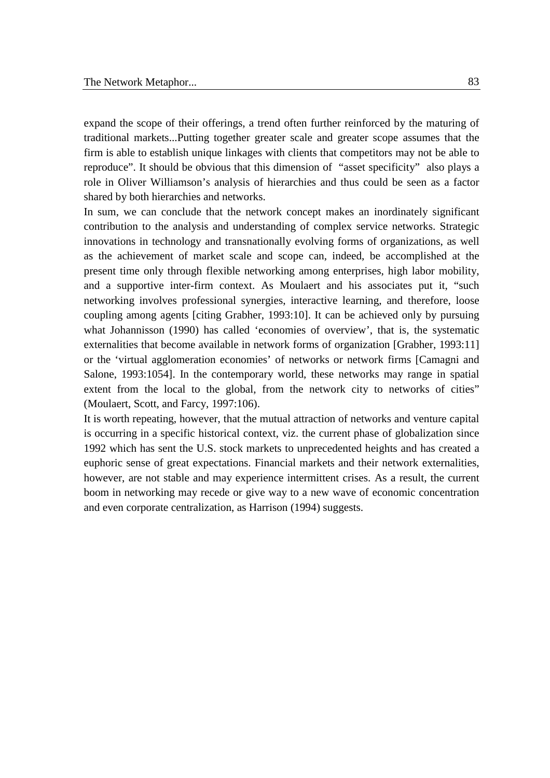expand the scope of their offerings, a trend often further reinforced by the maturing of traditional markets...Putting together greater scale and greater scope assumes that the firm is able to establish unique linkages with clients that competitors may not be able to reproduce". It should be obvious that this dimension of "asset specificity" also plays a role in Oliver Williamson's analysis of hierarchies and thus could be seen as a factor shared by both hierarchies and networks.

In sum, we can conclude that the network concept makes an inordinately significant contribution to the analysis and understanding of complex service networks. Strategic innovations in technology and transnationally evolving forms of organizations, as well as the achievement of market scale and scope can, indeed, be accomplished at the present time only through flexible networking among enterprises, high labor mobility, and a supportive inter-firm context. As Moulaert and his associates put it, "such networking involves professional synergies, interactive learning, and therefore, loose coupling among agents [citing Grabher, 1993:10]. It can be achieved only by pursuing what Johannisson (1990) has called 'economies of overview', that is, the systematic externalities that become available in network forms of organization [Grabher, 1993:11] or the 'virtual agglomeration economies' of networks or network firms [Camagni and Salone, 1993:1054]. In the contemporary world, these networks may range in spatial extent from the local to the global, from the network city to networks of cities" (Moulaert, Scott, and Farcy, 1997:106).

It is worth repeating, however, that the mutual attraction of networks and venture capital is occurring in a specific historical context, viz. the current phase of globalization since 1992 which has sent the U.S. stock markets to unprecedented heights and has created a euphoric sense of great expectations. Financial markets and their network externalities, however, are not stable and may experience intermittent crises. As a result, the current boom in networking may recede or give way to a new wave of economic concentration and even corporate centralization, as Harrison (1994) suggests.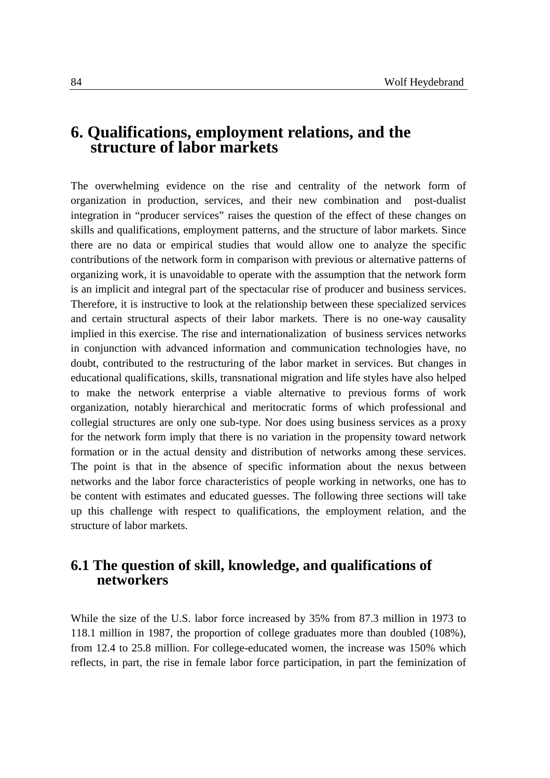# **6. Qualifications, employment relations, and the structure of labor markets**

The overwhelming evidence on the rise and centrality of the network form of organization in production, services, and their new combination and post-dualist integration in "producer services" raises the question of the effect of these changes on skills and qualifications, employment patterns, and the structure of labor markets. Since there are no data or empirical studies that would allow one to analyze the specific contributions of the network form in comparison with previous or alternative patterns of organizing work, it is unavoidable to operate with the assumption that the network form is an implicit and integral part of the spectacular rise of producer and business services. Therefore, it is instructive to look at the relationship between these specialized services and certain structural aspects of their labor markets. There is no one-way causality implied in this exercise. The rise and internationalization of business services networks in conjunction with advanced information and communication technologies have, no doubt, contributed to the restructuring of the labor market in services. But changes in educational qualifications, skills, transnational migration and life styles have also helped to make the network enterprise a viable alternative to previous forms of work organization, notably hierarchical and meritocratic forms of which professional and collegial structures are only one sub-type. Nor does using business services as a proxy for the network form imply that there is no variation in the propensity toward network formation or in the actual density and distribution of networks among these services. The point is that in the absence of specific information about the nexus between networks and the labor force characteristics of people working in networks, one has to be content with estimates and educated guesses. The following three sections will take up this challenge with respect to qualifications, the employment relation, and the structure of labor markets.

## **6.1 The question of skill, knowledge, and qualifications of networkers**

While the size of the U.S. labor force increased by 35% from 87.3 million in 1973 to 118.1 million in 1987, the proportion of college graduates more than doubled (108%), from 12.4 to 25.8 million. For college-educated women, the increase was 150% which reflects, in part, the rise in female labor force participation, in part the feminization of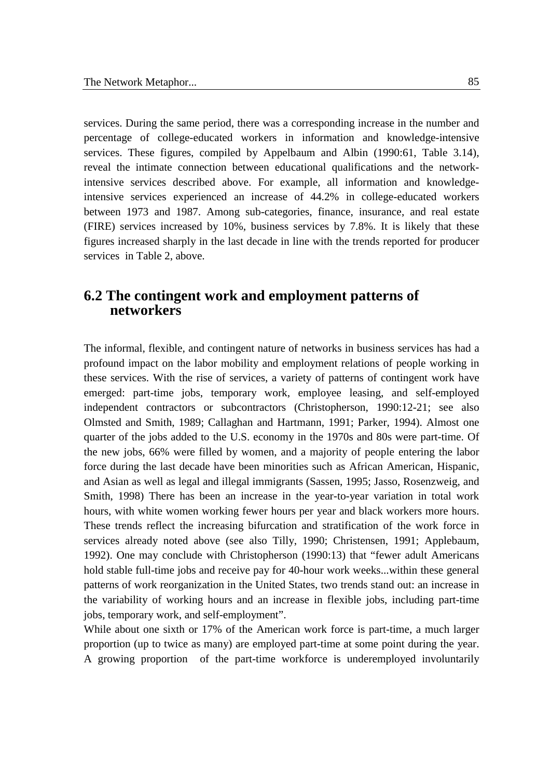services. During the same period, there was a corresponding increase in the number and percentage of college-educated workers in information and knowledge-intensive services. These figures, compiled by Appelbaum and Albin (1990:61, Table 3.14), reveal the intimate connection between educational qualifications and the networkintensive services described above. For example, all information and knowledgeintensive services experienced an increase of 44.2% in college-educated workers between 1973 and 1987. Among sub-categories, finance, insurance, and real estate (FIRE) services increased by 10%, business services by 7.8%. It is likely that these figures increased sharply in the last decade in line with the trends reported for producer services in Table 2, above.

### **6.2 The contingent work and employment patterns of networkers**

The informal, flexible, and contingent nature of networks in business services has had a profound impact on the labor mobility and employment relations of people working in these services. With the rise of services, a variety of patterns of contingent work have emerged: part-time jobs, temporary work, employee leasing, and self-employed independent contractors or subcontractors (Christopherson, 1990:12-21; see also Olmsted and Smith, 1989; Callaghan and Hartmann, 1991; Parker, 1994). Almost one quarter of the jobs added to the U.S. economy in the 1970s and 80s were part-time. Of the new jobs, 66% were filled by women, and a majority of people entering the labor force during the last decade have been minorities such as African American, Hispanic, and Asian as well as legal and illegal immigrants (Sassen, 1995; Jasso, Rosenzweig, and Smith, 1998) There has been an increase in the year-to-year variation in total work hours, with white women working fewer hours per year and black workers more hours. These trends reflect the increasing bifurcation and stratification of the work force in services already noted above (see also Tilly, 1990; Christensen, 1991; Applebaum, 1992). One may conclude with Christopherson (1990:13) that "fewer adult Americans hold stable full-time jobs and receive pay for 40-hour work weeks...within these general patterns of work reorganization in the United States, two trends stand out: an increase in the variability of working hours and an increase in flexible jobs, including part-time jobs, temporary work, and self-employment".

While about one sixth or 17% of the American work force is part-time, a much larger proportion (up to twice as many) are employed part-time at some point during the year. A growing proportion of the part-time workforce is underemployed involuntarily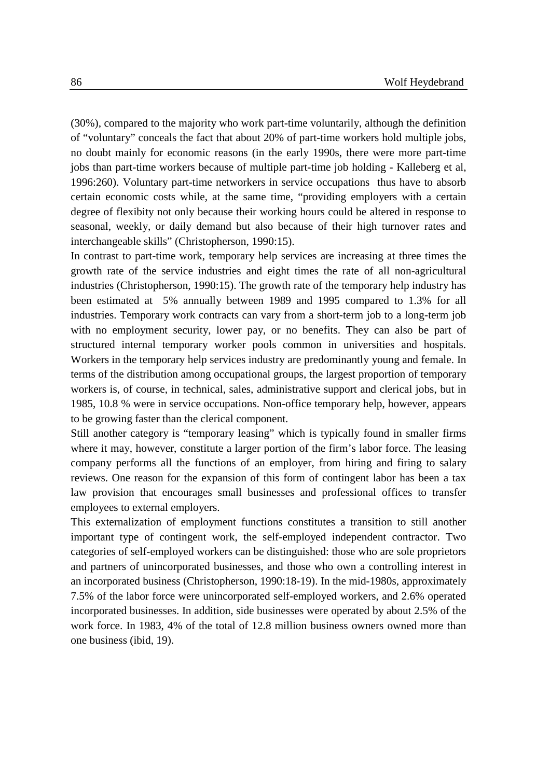(30%), compared to the majority who work part-time voluntarily, although the definition of "voluntary" conceals the fact that about 20% of part-time workers hold multiple jobs, no doubt mainly for economic reasons (in the early 1990s, there were more part-time jobs than part-time workers because of multiple part-time job holding - Kalleberg et al, 1996:260). Voluntary part-time networkers in service occupations thus have to absorb certain economic costs while, at the same time, "providing employers with a certain degree of flexibity not only because their working hours could be altered in response to seasonal, weekly, or daily demand but also because of their high turnover rates and interchangeable skills" (Christopherson, 1990:15).

In contrast to part-time work, temporary help services are increasing at three times the growth rate of the service industries and eight times the rate of all non-agricultural industries (Christopherson, 1990:15). The growth rate of the temporary help industry has been estimated at 5% annually between 1989 and 1995 compared to 1.3% for all industries. Temporary work contracts can vary from a short-term job to a long-term job with no employment security, lower pay, or no benefits. They can also be part of structured internal temporary worker pools common in universities and hospitals. Workers in the temporary help services industry are predominantly young and female. In terms of the distribution among occupational groups, the largest proportion of temporary workers is, of course, in technical, sales, administrative support and clerical jobs, but in 1985, 10.8 % were in service occupations. Non-office temporary help, however, appears to be growing faster than the clerical component.

Still another category is "temporary leasing" which is typically found in smaller firms where it may, however, constitute a larger portion of the firm's labor force. The leasing company performs all the functions of an employer, from hiring and firing to salary reviews. One reason for the expansion of this form of contingent labor has been a tax law provision that encourages small businesses and professional offices to transfer employees to external employers.

This externalization of employment functions constitutes a transition to still another important type of contingent work, the self-employed independent contractor. Two categories of self-employed workers can be distinguished: those who are sole proprietors and partners of unincorporated businesses, and those who own a controlling interest in an incorporated business (Christopherson, 1990:18-19). In the mid-1980s, approximately 7.5% of the labor force were unincorporated self-employed workers, and 2.6% operated incorporated businesses. In addition, side businesses were operated by about 2.5% of the work force. In 1983, 4% of the total of 12.8 million business owners owned more than one business (ibid, 19).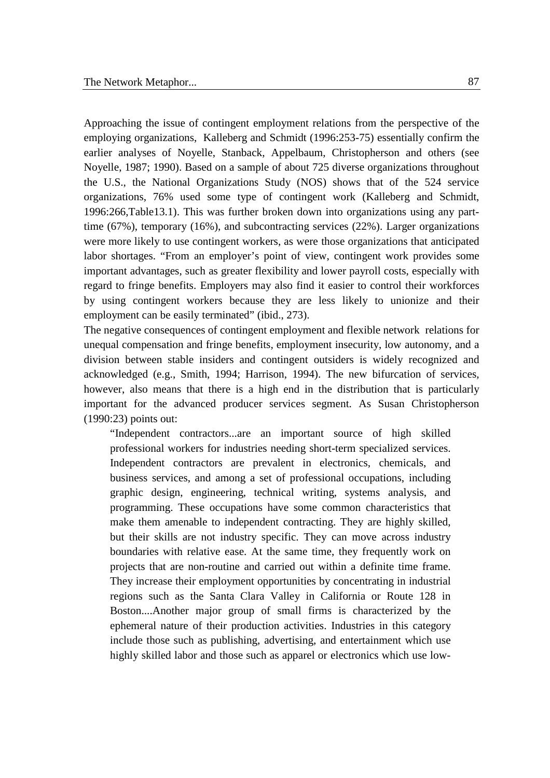Approaching the issue of contingent employment relations from the perspective of the employing organizations, Kalleberg and Schmidt (1996:253-75) essentially confirm the earlier analyses of Noyelle, Stanback, Appelbaum, Christopherson and others (see Noyelle, 1987; 1990). Based on a sample of about 725 diverse organizations throughout the U.S., the National Organizations Study (NOS) shows that of the 524 service organizations, 76% used some type of contingent work (Kalleberg and Schmidt, 1996:266,Table13.1). This was further broken down into organizations using any parttime (67%), temporary (16%), and subcontracting services (22%). Larger organizations were more likely to use contingent workers, as were those organizations that anticipated labor shortages. "From an employer's point of view, contingent work provides some important advantages, such as greater flexibility and lower payroll costs, especially with regard to fringe benefits. Employers may also find it easier to control their workforces by using contingent workers because they are less likely to unionize and their employment can be easily terminated" (ibid., 273).

The negative consequences of contingent employment and flexible network relations for unequal compensation and fringe benefits, employment insecurity, low autonomy, and a division between stable insiders and contingent outsiders is widely recognized and acknowledged (e.g., Smith, 1994; Harrison, 1994). The new bifurcation of services, however, also means that there is a high end in the distribution that is particularly important for the advanced producer services segment. As Susan Christopherson (1990:23) points out:

"Independent contractors...are an important source of high skilled professional workers for industries needing short-term specialized services. Independent contractors are prevalent in electronics, chemicals, and business services, and among a set of professional occupations, including graphic design, engineering, technical writing, systems analysis, and programming. These occupations have some common characteristics that make them amenable to independent contracting. They are highly skilled, but their skills are not industry specific. They can move across industry boundaries with relative ease. At the same time, they frequently work on projects that are non-routine and carried out within a definite time frame. They increase their employment opportunities by concentrating in industrial regions such as the Santa Clara Valley in California or Route 128 in Boston....Another major group of small firms is characterized by the ephemeral nature of their production activities. Industries in this category include those such as publishing, advertising, and entertainment which use highly skilled labor and those such as apparel or electronics which use low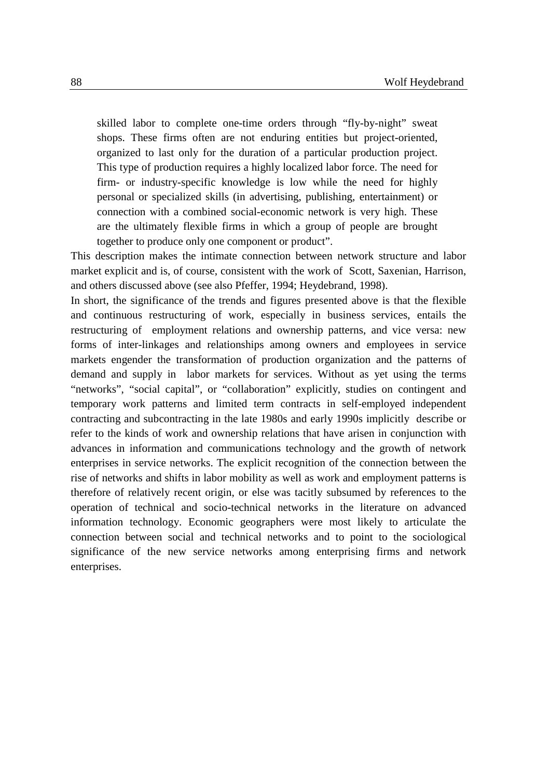skilled labor to complete one-time orders through "fly-by-night" sweat shops. These firms often are not enduring entities but project-oriented, organized to last only for the duration of a particular production project. This type of production requires a highly localized labor force. The need for firm- or industry-specific knowledge is low while the need for highly personal or specialized skills (in advertising, publishing, entertainment) or connection with a combined social-economic network is very high. These are the ultimately flexible firms in which a group of people are brought together to produce only one component or product".

This description makes the intimate connection between network structure and labor market explicit and is, of course, consistent with the work of Scott, Saxenian, Harrison, and others discussed above (see also Pfeffer, 1994; Heydebrand, 1998).

In short, the significance of the trends and figures presented above is that the flexible and continuous restructuring of work, especially in business services, entails the restructuring of employment relations and ownership patterns, and vice versa: new forms of inter-linkages and relationships among owners and employees in service markets engender the transformation of production organization and the patterns of demand and supply in labor markets for services. Without as yet using the terms "networks", "social capital", or "collaboration" explicitly, studies on contingent and temporary work patterns and limited term contracts in self-employed independent contracting and subcontracting in the late 1980s and early 1990s implicitly describe or refer to the kinds of work and ownership relations that have arisen in conjunction with advances in information and communications technology and the growth of network enterprises in service networks. The explicit recognition of the connection between the rise of networks and shifts in labor mobility as well as work and employment patterns is therefore of relatively recent origin, or else was tacitly subsumed by references to the operation of technical and socio-technical networks in the literature on advanced information technology. Economic geographers were most likely to articulate the connection between social and technical networks and to point to the sociological significance of the new service networks among enterprising firms and network enterprises.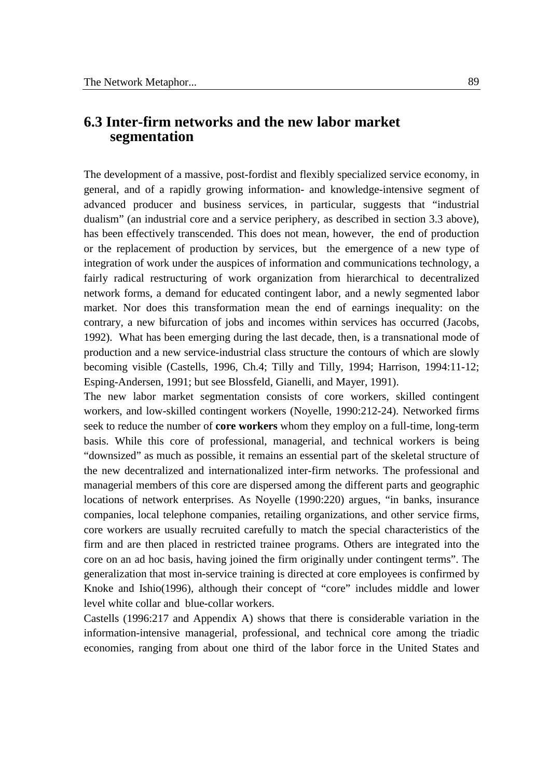## **6.3 Inter-firm networks and the new labor market segmentation**

The development of a massive, post-fordist and flexibly specialized service economy, in general, and of a rapidly growing information- and knowledge-intensive segment of advanced producer and business services, in particular, suggests that "industrial dualism" (an industrial core and a service periphery, as described in section 3.3 above), has been effectively transcended. This does not mean, however, the end of production or the replacement of production by services, but the emergence of a new type of integration of work under the auspices of information and communications technology, a fairly radical restructuring of work organization from hierarchical to decentralized network forms, a demand for educated contingent labor, and a newly segmented labor market. Nor does this transformation mean the end of earnings inequality: on the contrary, a new bifurcation of jobs and incomes within services has occurred (Jacobs, 1992). What has been emerging during the last decade, then, is a transnational mode of production and a new service-industrial class structure the contours of which are slowly becoming visible (Castells, 1996, Ch.4; Tilly and Tilly, 1994; Harrison, 1994:11-12; Esping-Andersen, 1991; but see Blossfeld, Gianelli, and Mayer, 1991).

The new labor market segmentation consists of core workers, skilled contingent workers, and low-skilled contingent workers (Noyelle, 1990:212-24). Networked firms seek to reduce the number of **core workers** whom they employ on a full-time, long-term basis. While this core of professional, managerial, and technical workers is being "downsized" as much as possible, it remains an essential part of the skeletal structure of the new decentralized and internationalized inter-firm networks. The professional and managerial members of this core are dispersed among the different parts and geographic locations of network enterprises. As Noyelle (1990:220) argues, "in banks, insurance companies, local telephone companies, retailing organizations, and other service firms, core workers are usually recruited carefully to match the special characteristics of the firm and are then placed in restricted trainee programs. Others are integrated into the core on an ad hoc basis, having joined the firm originally under contingent terms". The generalization that most in-service training is directed at core employees is confirmed by Knoke and Ishio(1996), although their concept of "core" includes middle and lower level white collar and blue-collar workers.

Castells (1996:217 and Appendix A) shows that there is considerable variation in the information-intensive managerial, professional, and technical core among the triadic economies, ranging from about one third of the labor force in the United States and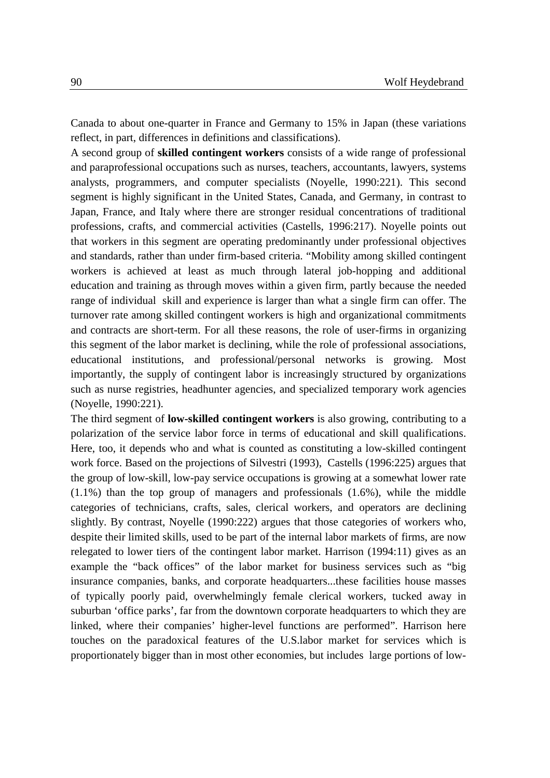Canada to about one-quarter in France and Germany to 15% in Japan (these variations reflect, in part, differences in definitions and classifications).

A second group of **skilled contingent workers** consists of a wide range of professional and paraprofessional occupations such as nurses, teachers, accountants, lawyers, systems analysts, programmers, and computer specialists (Noyelle, 1990:221). This second segment is highly significant in the United States, Canada, and Germany, in contrast to Japan, France, and Italy where there are stronger residual concentrations of traditional professions, crafts, and commercial activities (Castells, 1996:217). Noyelle points out that workers in this segment are operating predominantly under professional objectives and standards, rather than under firm-based criteria. "Mobility among skilled contingent workers is achieved at least as much through lateral job-hopping and additional education and training as through moves within a given firm, partly because the needed range of individual skill and experience is larger than what a single firm can offer. The turnover rate among skilled contingent workers is high and organizational commitments and contracts are short-term. For all these reasons, the role of user-firms in organizing this segment of the labor market is declining, while the role of professional associations, educational institutions, and professional/personal networks is growing. Most importantly, the supply of contingent labor is increasingly structured by organizations such as nurse registries, headhunter agencies, and specialized temporary work agencies (Noyelle, 1990:221).

The third segment of **low-skilled contingent workers** is also growing, contributing to a polarization of the service labor force in terms of educational and skill qualifications. Here, too, it depends who and what is counted as constituting a low-skilled contingent work force. Based on the projections of Silvestri (1993), Castells (1996:225) argues that the group of low-skill, low-pay service occupations is growing at a somewhat lower rate (1.1%) than the top group of managers and professionals (1.6%), while the middle categories of technicians, crafts, sales, clerical workers, and operators are declining slightly. By contrast, Noyelle (1990:222) argues that those categories of workers who, despite their limited skills, used to be part of the internal labor markets of firms, are now relegated to lower tiers of the contingent labor market. Harrison (1994:11) gives as an example the "back offices" of the labor market for business services such as "big insurance companies, banks, and corporate headquarters...these facilities house masses of typically poorly paid, overwhelmingly female clerical workers, tucked away in suburban 'office parks', far from the downtown corporate headquarters to which they are linked, where their companies' higher-level functions are performed". Harrison here touches on the paradoxical features of the U.S.labor market for services which is proportionately bigger than in most other economies, but includes large portions of low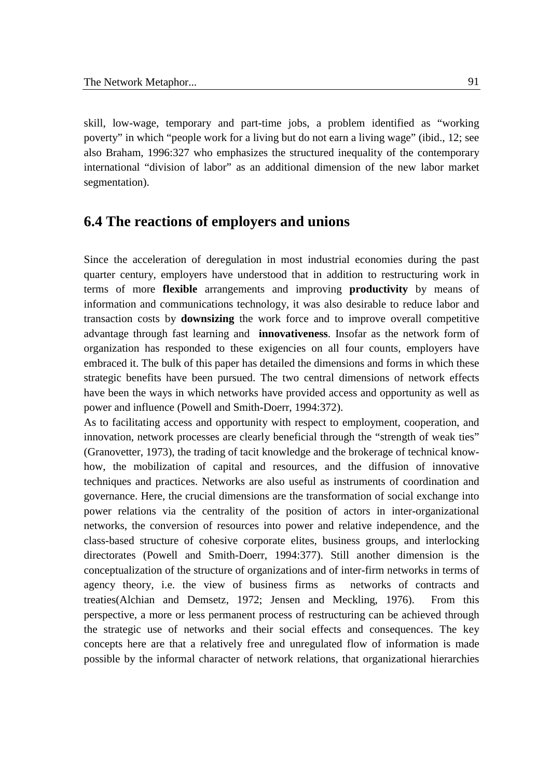skill, low-wage, temporary and part-time jobs, a problem identified as "working poverty" in which "people work for a living but do not earn a living wage" (ibid., 12; see also Braham, 1996:327 who emphasizes the structured inequality of the contemporary international "division of labor" as an additional dimension of the new labor market segmentation).

## **6.4 The reactions of employers and unions**

Since the acceleration of deregulation in most industrial economies during the past quarter century, employers have understood that in addition to restructuring work in terms of more **flexible** arrangements and improving **productivity** by means of information and communications technology, it was also desirable to reduce labor and transaction costs by **downsizing** the work force and to improve overall competitive advantage through fast learning and **innovativeness**. Insofar as the network form of organization has responded to these exigencies on all four counts, employers have embraced it. The bulk of this paper has detailed the dimensions and forms in which these strategic benefits have been pursued. The two central dimensions of network effects have been the ways in which networks have provided access and opportunity as well as power and influence (Powell and Smith-Doerr, 1994:372).

As to facilitating access and opportunity with respect to employment, cooperation, and innovation, network processes are clearly beneficial through the "strength of weak ties" (Granovetter, 1973), the trading of tacit knowledge and the brokerage of technical knowhow, the mobilization of capital and resources, and the diffusion of innovative techniques and practices. Networks are also useful as instruments of coordination and governance. Here, the crucial dimensions are the transformation of social exchange into power relations via the centrality of the position of actors in inter-organizational networks, the conversion of resources into power and relative independence, and the class-based structure of cohesive corporate elites, business groups, and interlocking directorates (Powell and Smith-Doerr, 1994:377). Still another dimension is the conceptualization of the structure of organizations and of inter-firm networks in terms of agency theory, i.e. the view of business firms as networks of contracts and treaties(Alchian and Demsetz, 1972; Jensen and Meckling, 1976). From this perspective, a more or less permanent process of restructuring can be achieved through the strategic use of networks and their social effects and consequences. The key concepts here are that a relatively free and unregulated flow of information is made possible by the informal character of network relations, that organizational hierarchies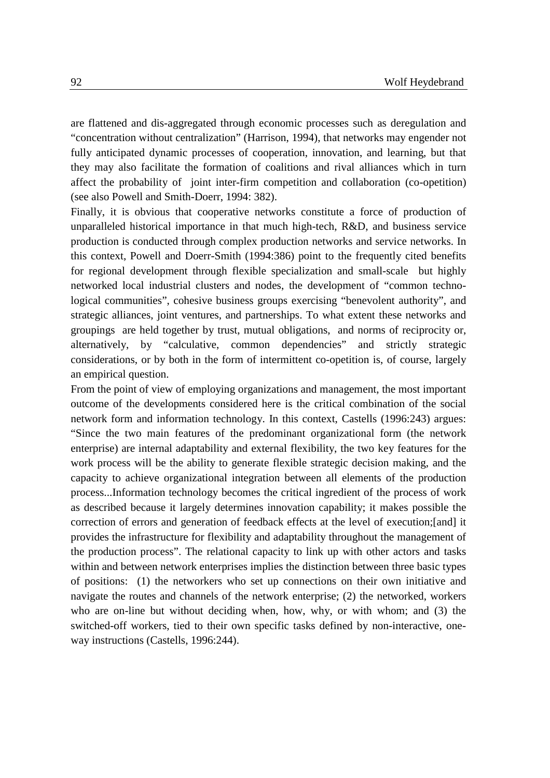are flattened and dis-aggregated through economic processes such as deregulation and "concentration without centralization" (Harrison, 1994), that networks may engender not fully anticipated dynamic processes of cooperation, innovation, and learning, but that they may also facilitate the formation of coalitions and rival alliances which in turn affect the probability of joint inter-firm competition and collaboration (co-opetition) (see also Powell and Smith-Doerr, 1994: 382).

Finally, it is obvious that cooperative networks constitute a force of production of unparalleled historical importance in that much high-tech, R&D, and business service production is conducted through complex production networks and service networks. In this context, Powell and Doerr-Smith (1994:386) point to the frequently cited benefits for regional development through flexible specialization and small-scale but highly networked local industrial clusters and nodes, the development of "common technological communities", cohesive business groups exercising "benevolent authority", and strategic alliances, joint ventures, and partnerships. To what extent these networks and groupings are held together by trust, mutual obligations, and norms of reciprocity or, alternatively, by "calculative, common dependencies" and strictly strategic considerations, or by both in the form of intermittent co-opetition is, of course, largely an empirical question.

From the point of view of employing organizations and management, the most important outcome of the developments considered here is the critical combination of the social network form and information technology. In this context, Castells (1996:243) argues: "Since the two main features of the predominant organizational form (the network enterprise) are internal adaptability and external flexibility, the two key features for the work process will be the ability to generate flexible strategic decision making, and the capacity to achieve organizational integration between all elements of the production process...Information technology becomes the critical ingredient of the process of work as described because it largely determines innovation capability; it makes possible the correction of errors and generation of feedback effects at the level of execution;[and] it provides the infrastructure for flexibility and adaptability throughout the management of the production process". The relational capacity to link up with other actors and tasks within and between network enterprises implies the distinction between three basic types of positions: (1) the networkers who set up connections on their own initiative and navigate the routes and channels of the network enterprise; (2) the networked, workers who are on-line but without deciding when, how, why, or with whom; and (3) the switched-off workers, tied to their own specific tasks defined by non-interactive, oneway instructions (Castells, 1996:244).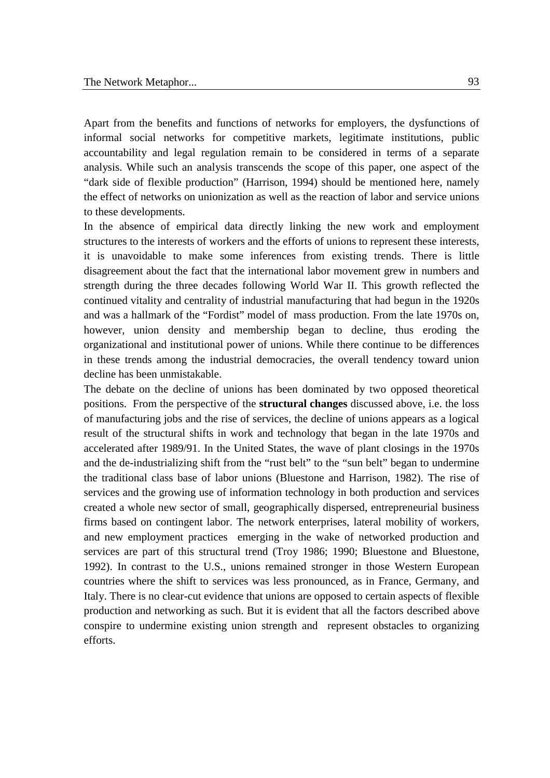Apart from the benefits and functions of networks for employers, the dysfunctions of informal social networks for competitive markets, legitimate institutions, public accountability and legal regulation remain to be considered in terms of a separate analysis. While such an analysis transcends the scope of this paper, one aspect of the "dark side of flexible production" (Harrison, 1994) should be mentioned here, namely the effect of networks on unionization as well as the reaction of labor and service unions to these developments.

In the absence of empirical data directly linking the new work and employment structures to the interests of workers and the efforts of unions to represent these interests, it is unavoidable to make some inferences from existing trends. There is little disagreement about the fact that the international labor movement grew in numbers and strength during the three decades following World War II. This growth reflected the continued vitality and centrality of industrial manufacturing that had begun in the 1920s and was a hallmark of the "Fordist" model of mass production. From the late 1970s on, however, union density and membership began to decline, thus eroding the organizational and institutional power of unions. While there continue to be differences in these trends among the industrial democracies, the overall tendency toward union decline has been unmistakable.

The debate on the decline of unions has been dominated by two opposed theoretical positions. From the perspective of the **structural changes** discussed above, i.e. the loss of manufacturing jobs and the rise of services, the decline of unions appears as a logical result of the structural shifts in work and technology that began in the late 1970s and accelerated after 1989/91. In the United States, the wave of plant closings in the 1970s and the de-industrializing shift from the "rust belt" to the "sun belt" began to undermine the traditional class base of labor unions (Bluestone and Harrison, 1982). The rise of services and the growing use of information technology in both production and services created a whole new sector of small, geographically dispersed, entrepreneurial business firms based on contingent labor. The network enterprises, lateral mobility of workers, and new employment practices emerging in the wake of networked production and services are part of this structural trend (Troy 1986; 1990; Bluestone and Bluestone, 1992). In contrast to the U.S., unions remained stronger in those Western European countries where the shift to services was less pronounced, as in France, Germany, and Italy. There is no clear-cut evidence that unions are opposed to certain aspects of flexible production and networking as such. But it is evident that all the factors described above conspire to undermine existing union strength and represent obstacles to organizing efforts.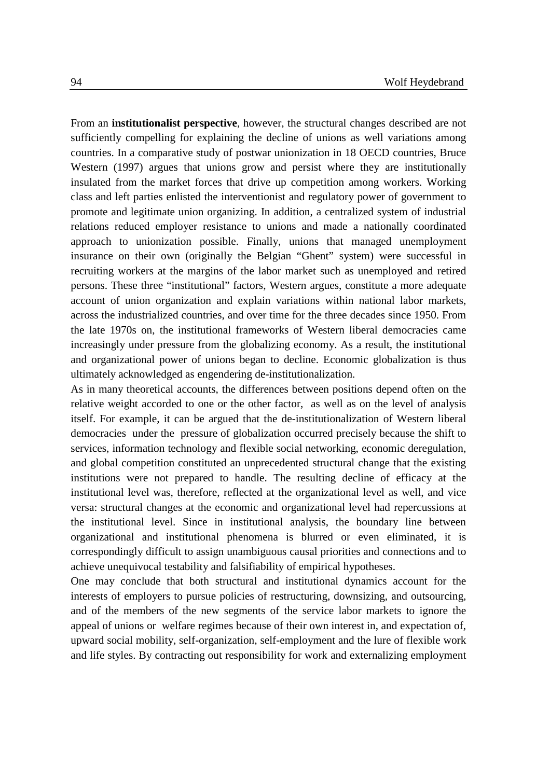From an **institutionalist perspective**, however, the structural changes described are not sufficiently compelling for explaining the decline of unions as well variations among countries. In a comparative study of postwar unionization in 18 OECD countries, Bruce Western (1997) argues that unions grow and persist where they are institutionally insulated from the market forces that drive up competition among workers. Working class and left parties enlisted the interventionist and regulatory power of government to promote and legitimate union organizing. In addition, a centralized system of industrial relations reduced employer resistance to unions and made a nationally coordinated approach to unionization possible. Finally, unions that managed unemployment insurance on their own (originally the Belgian "Ghent" system) were successful in recruiting workers at the margins of the labor market such as unemployed and retired persons. These three "institutional" factors, Western argues, constitute a more adequate account of union organization and explain variations within national labor markets, across the industrialized countries, and over time for the three decades since 1950. From the late 1970s on, the institutional frameworks of Western liberal democracies came increasingly under pressure from the globalizing economy. As a result, the institutional and organizational power of unions began to decline. Economic globalization is thus ultimately acknowledged as engendering de-institutionalization.

As in many theoretical accounts, the differences between positions depend often on the relative weight accorded to one or the other factor, as well as on the level of analysis itself. For example, it can be argued that the de-institutionalization of Western liberal democracies under the pressure of globalization occurred precisely because the shift to services, information technology and flexible social networking, economic deregulation, and global competition constituted an unprecedented structural change that the existing institutions were not prepared to handle. The resulting decline of efficacy at the institutional level was, therefore, reflected at the organizational level as well, and vice versa: structural changes at the economic and organizational level had repercussions at the institutional level. Since in institutional analysis, the boundary line between organizational and institutional phenomena is blurred or even eliminated, it is correspondingly difficult to assign unambiguous causal priorities and connections and to achieve unequivocal testability and falsifiability of empirical hypotheses.

One may conclude that both structural and institutional dynamics account for the interests of employers to pursue policies of restructuring, downsizing, and outsourcing, and of the members of the new segments of the service labor markets to ignore the appeal of unions or welfare regimes because of their own interest in, and expectation of, upward social mobility, self-organization, self-employment and the lure of flexible work and life styles. By contracting out responsibility for work and externalizing employment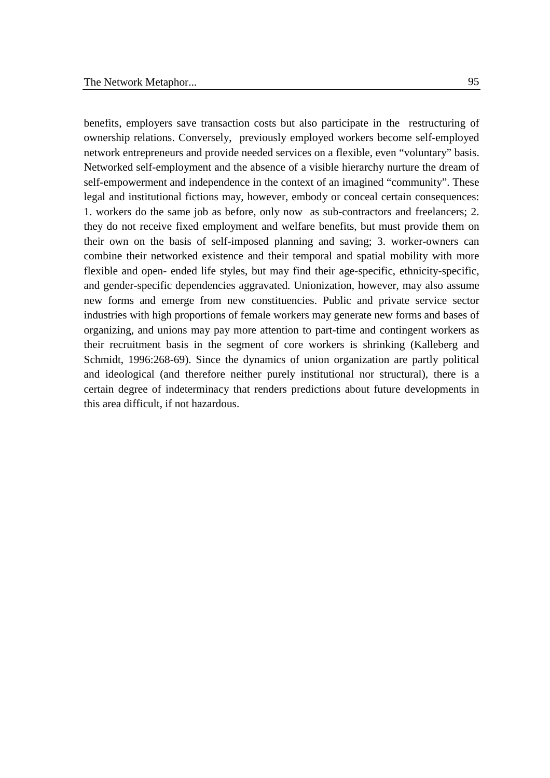benefits, employers save transaction costs but also participate in the restructuring of ownership relations. Conversely, previously employed workers become self-employed network entrepreneurs and provide needed services on a flexible, even "voluntary" basis. Networked self-employment and the absence of a visible hierarchy nurture the dream of self-empowerment and independence in the context of an imagined "community". These legal and institutional fictions may, however, embody or conceal certain consequences: 1. workers do the same job as before, only now as sub-contractors and freelancers; 2. they do not receive fixed employment and welfare benefits, but must provide them on their own on the basis of self-imposed planning and saving; 3. worker-owners can combine their networked existence and their temporal and spatial mobility with more flexible and open- ended life styles, but may find their age-specific, ethnicity-specific, and gender-specific dependencies aggravated. Unionization, however, may also assume new forms and emerge from new constituencies. Public and private service sector industries with high proportions of female workers may generate new forms and bases of organizing, and unions may pay more attention to part-time and contingent workers as their recruitment basis in the segment of core workers is shrinking (Kalleberg and Schmidt, 1996:268-69). Since the dynamics of union organization are partly political and ideological (and therefore neither purely institutional nor structural), there is a certain degree of indeterminacy that renders predictions about future developments in this area difficult, if not hazardous.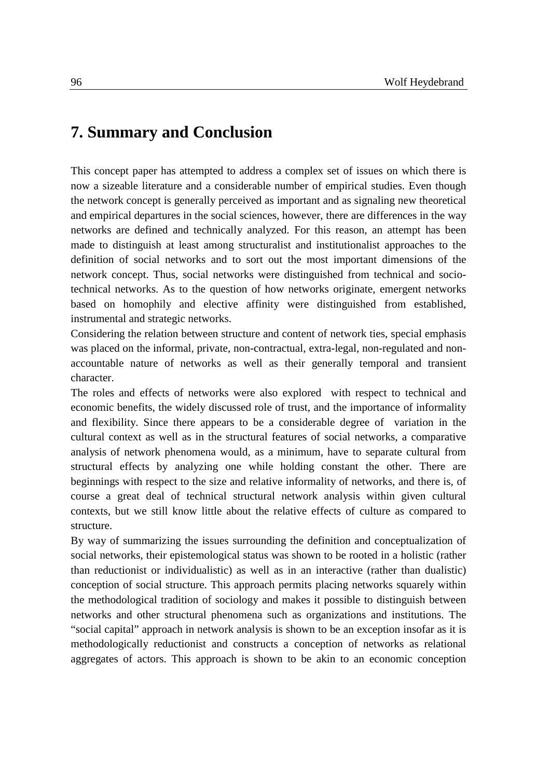# **7. Summary and Conclusion**

This concept paper has attempted to address a complex set of issues on which there is now a sizeable literature and a considerable number of empirical studies. Even though the network concept is generally perceived as important and as signaling new theoretical and empirical departures in the social sciences, however, there are differences in the way networks are defined and technically analyzed. For this reason, an attempt has been made to distinguish at least among structuralist and institutionalist approaches to the definition of social networks and to sort out the most important dimensions of the network concept. Thus, social networks were distinguished from technical and sociotechnical networks. As to the question of how networks originate, emergent networks based on homophily and elective affinity were distinguished from established, instrumental and strategic networks.

Considering the relation between structure and content of network ties, special emphasis was placed on the informal, private, non-contractual, extra-legal, non-regulated and nonaccountable nature of networks as well as their generally temporal and transient character.

The roles and effects of networks were also explored with respect to technical and economic benefits, the widely discussed role of trust, and the importance of informality and flexibility. Since there appears to be a considerable degree of variation in the cultural context as well as in the structural features of social networks, a comparative analysis of network phenomena would, as a minimum, have to separate cultural from structural effects by analyzing one while holding constant the other. There are beginnings with respect to the size and relative informality of networks, and there is, of course a great deal of technical structural network analysis within given cultural contexts, but we still know little about the relative effects of culture as compared to structure.

By way of summarizing the issues surrounding the definition and conceptualization of social networks, their epistemological status was shown to be rooted in a holistic (rather than reductionist or individualistic) as well as in an interactive (rather than dualistic) conception of social structure. This approach permits placing networks squarely within the methodological tradition of sociology and makes it possible to distinguish between networks and other structural phenomena such as organizations and institutions. The "social capital" approach in network analysis is shown to be an exception insofar as it is methodologically reductionist and constructs a conception of networks as relational aggregates of actors. This approach is shown to be akin to an economic conception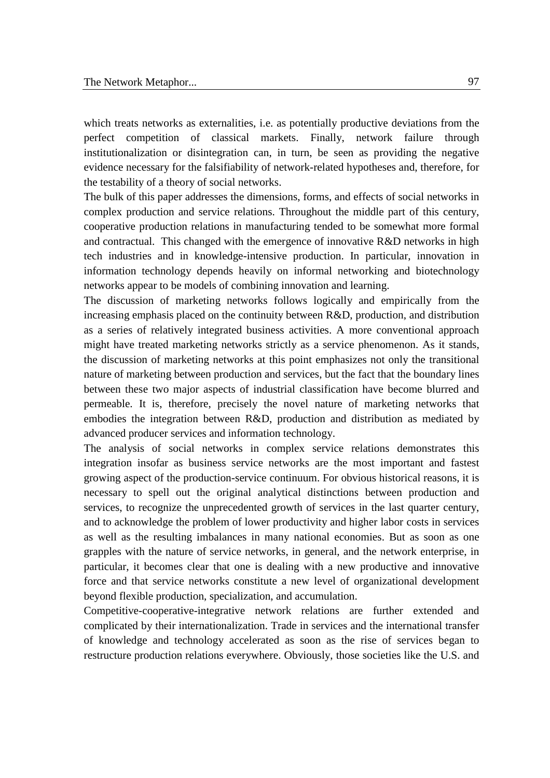which treats networks as externalities, i.e. as potentially productive deviations from the perfect competition of classical markets. Finally, network failure through institutionalization or disintegration can, in turn, be seen as providing the negative evidence necessary for the falsifiability of network-related hypotheses and, therefore, for the testability of a theory of social networks.

The bulk of this paper addresses the dimensions, forms, and effects of social networks in complex production and service relations. Throughout the middle part of this century, cooperative production relations in manufacturing tended to be somewhat more formal and contractual. This changed with the emergence of innovative R&D networks in high tech industries and in knowledge-intensive production. In particular, innovation in information technology depends heavily on informal networking and biotechnology networks appear to be models of combining innovation and learning.

The discussion of marketing networks follows logically and empirically from the increasing emphasis placed on the continuity between R&D, production, and distribution as a series of relatively integrated business activities. A more conventional approach might have treated marketing networks strictly as a service phenomenon. As it stands, the discussion of marketing networks at this point emphasizes not only the transitional nature of marketing between production and services, but the fact that the boundary lines between these two major aspects of industrial classification have become blurred and permeable. It is, therefore, precisely the novel nature of marketing networks that embodies the integration between R&D, production and distribution as mediated by advanced producer services and information technology.

The analysis of social networks in complex service relations demonstrates this integration insofar as business service networks are the most important and fastest growing aspect of the production-service continuum. For obvious historical reasons, it is necessary to spell out the original analytical distinctions between production and services, to recognize the unprecedented growth of services in the last quarter century, and to acknowledge the problem of lower productivity and higher labor costs in services as well as the resulting imbalances in many national economies. But as soon as one grapples with the nature of service networks, in general, and the network enterprise, in particular, it becomes clear that one is dealing with a new productive and innovative force and that service networks constitute a new level of organizational development beyond flexible production, specialization, and accumulation.

Competitive-cooperative-integrative network relations are further extended and complicated by their internationalization. Trade in services and the international transfer of knowledge and technology accelerated as soon as the rise of services began to restructure production relations everywhere. Obviously, those societies like the U.S. and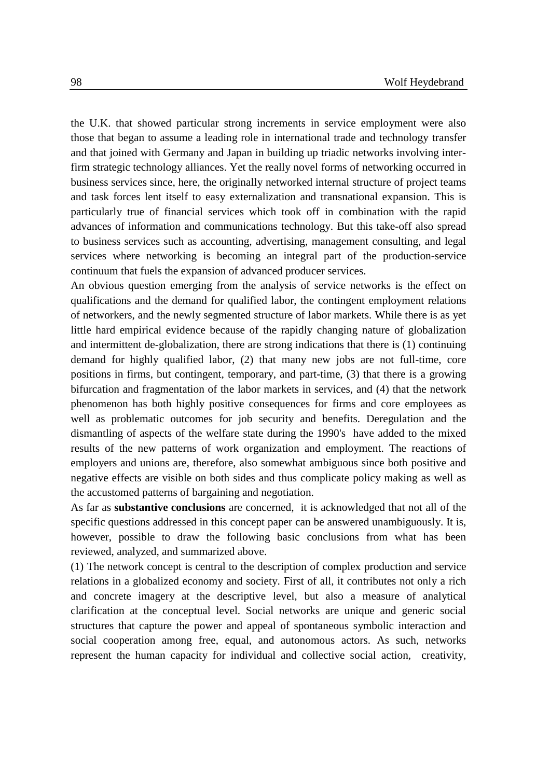the U.K. that showed particular strong increments in service employment were also those that began to assume a leading role in international trade and technology transfer and that joined with Germany and Japan in building up triadic networks involving interfirm strategic technology alliances. Yet the really novel forms of networking occurred in business services since, here, the originally networked internal structure of project teams and task forces lent itself to easy externalization and transnational expansion. This is particularly true of financial services which took off in combination with the rapid advances of information and communications technology. But this take-off also spread to business services such as accounting, advertising, management consulting, and legal services where networking is becoming an integral part of the production-service continuum that fuels the expansion of advanced producer services.

An obvious question emerging from the analysis of service networks is the effect on qualifications and the demand for qualified labor, the contingent employment relations of networkers, and the newly segmented structure of labor markets. While there is as yet little hard empirical evidence because of the rapidly changing nature of globalization and intermittent de-globalization, there are strong indications that there is (1) continuing demand for highly qualified labor, (2) that many new jobs are not full-time, core positions in firms, but contingent, temporary, and part-time, (3) that there is a growing bifurcation and fragmentation of the labor markets in services, and (4) that the network phenomenon has both highly positive consequences for firms and core employees as well as problematic outcomes for job security and benefits. Deregulation and the dismantling of aspects of the welfare state during the 1990's have added to the mixed results of the new patterns of work organization and employment. The reactions of employers and unions are, therefore, also somewhat ambiguous since both positive and negative effects are visible on both sides and thus complicate policy making as well as the accustomed patterns of bargaining and negotiation.

As far as **substantive conclusions** are concerned, it is acknowledged that not all of the specific questions addressed in this concept paper can be answered unambiguously. It is, however, possible to draw the following basic conclusions from what has been reviewed, analyzed, and summarized above.

(1) The network concept is central to the description of complex production and service relations in a globalized economy and society. First of all, it contributes not only a rich and concrete imagery at the descriptive level, but also a measure of analytical clarification at the conceptual level. Social networks are unique and generic social structures that capture the power and appeal of spontaneous symbolic interaction and social cooperation among free, equal, and autonomous actors. As such, networks represent the human capacity for individual and collective social action, creativity,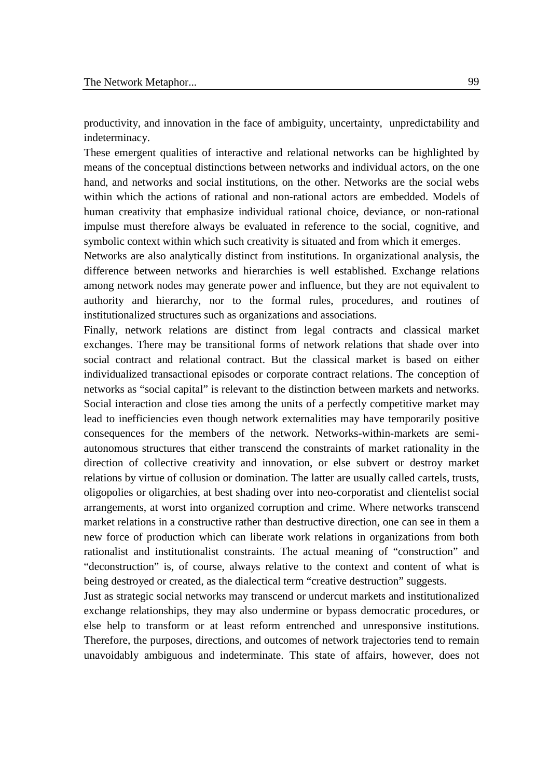productivity, and innovation in the face of ambiguity, uncertainty, unpredictability and indeterminacy.

These emergent qualities of interactive and relational networks can be highlighted by means of the conceptual distinctions between networks and individual actors, on the one hand, and networks and social institutions, on the other. Networks are the social webs within which the actions of rational and non-rational actors are embedded. Models of human creativity that emphasize individual rational choice, deviance, or non-rational impulse must therefore always be evaluated in reference to the social, cognitive, and symbolic context within which such creativity is situated and from which it emerges.

Networks are also analytically distinct from institutions. In organizational analysis, the difference between networks and hierarchies is well established. Exchange relations among network nodes may generate power and influence, but they are not equivalent to authority and hierarchy, nor to the formal rules, procedures, and routines of institutionalized structures such as organizations and associations.

Finally, network relations are distinct from legal contracts and classical market exchanges. There may be transitional forms of network relations that shade over into social contract and relational contract. But the classical market is based on either individualized transactional episodes or corporate contract relations. The conception of networks as "social capital" is relevant to the distinction between markets and networks. Social interaction and close ties among the units of a perfectly competitive market may lead to inefficiencies even though network externalities may have temporarily positive consequences for the members of the network. Networks-within-markets are semiautonomous structures that either transcend the constraints of market rationality in the direction of collective creativity and innovation, or else subvert or destroy market relations by virtue of collusion or domination. The latter are usually called cartels, trusts, oligopolies or oligarchies, at best shading over into neo-corporatist and clientelist social arrangements, at worst into organized corruption and crime. Where networks transcend market relations in a constructive rather than destructive direction, one can see in them a new force of production which can liberate work relations in organizations from both rationalist and institutionalist constraints. The actual meaning of "construction" and "deconstruction" is, of course, always relative to the context and content of what is being destroyed or created, as the dialectical term "creative destruction" suggests.

Just as strategic social networks may transcend or undercut markets and institutionalized exchange relationships, they may also undermine or bypass democratic procedures, or else help to transform or at least reform entrenched and unresponsive institutions. Therefore, the purposes, directions, and outcomes of network trajectories tend to remain unavoidably ambiguous and indeterminate. This state of affairs, however, does not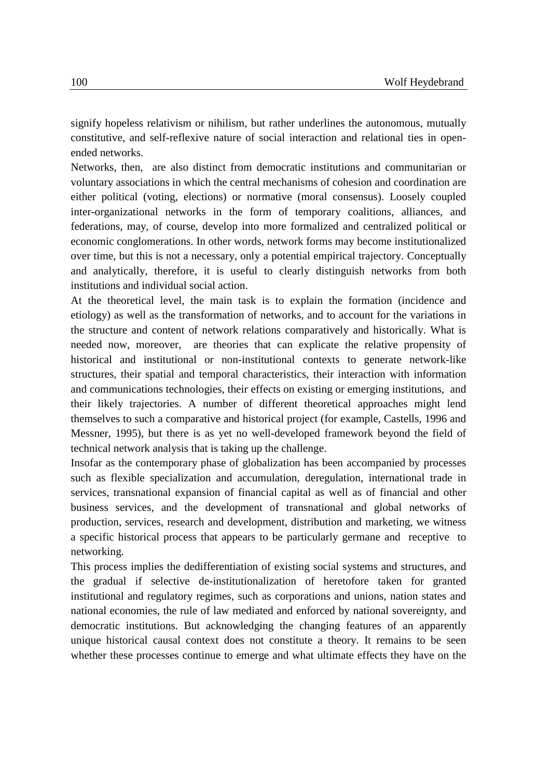signify hopeless relativism or nihilism, but rather underlines the autonomous, mutually constitutive, and self-reflexive nature of social interaction and relational ties in openended networks.

Networks, then, are also distinct from democratic institutions and communitarian or voluntary associations in which the central mechanisms of cohesion and coordination are either political (voting, elections) or normative (moral consensus). Loosely coupled inter-organizational networks in the form of temporary coalitions, alliances, and federations, may, of course, develop into more formalized and centralized political or economic conglomerations. In other words, network forms may become institutionalized over time, but this is not a necessary, only a potential empirical trajectory. Conceptually and analytically, therefore, it is useful to clearly distinguish networks from both institutions and individual social action.

At the theoretical level, the main task is to explain the formation (incidence and etiology) as well as the transformation of networks, and to account for the variations in the structure and content of network relations comparatively and historically. What is needed now, moreover, are theories that can explicate the relative propensity of historical and institutional or non-institutional contexts to generate network-like structures, their spatial and temporal characteristics, their interaction with information and communications technologies, their effects on existing or emerging institutions, and their likely trajectories. A number of different theoretical approaches might lend themselves to such a comparative and historical project (for example, Castells, 1996 and Messner, 1995), but there is as yet no well-developed framework beyond the field of technical network analysis that is taking up the challenge.

Insofar as the contemporary phase of globalization has been accompanied by processes such as flexible specialization and accumulation, deregulation, international trade in services, transnational expansion of financial capital as well as of financial and other business services, and the development of transnational and global networks of production, services, research and development, distribution and marketing, we witness a specific historical process that appears to be particularly germane and receptive to networking.

This process implies the dedifferentiation of existing social systems and structures, and the gradual if selective de-institutionalization of heretofore taken for granted institutional and regulatory regimes, such as corporations and unions, nation states and national economies, the rule of law mediated and enforced by national sovereignty, and democratic institutions. But acknowledging the changing features of an apparently unique historical causal context does not constitute a theory. It remains to be seen whether these processes continue to emerge and what ultimate effects they have on the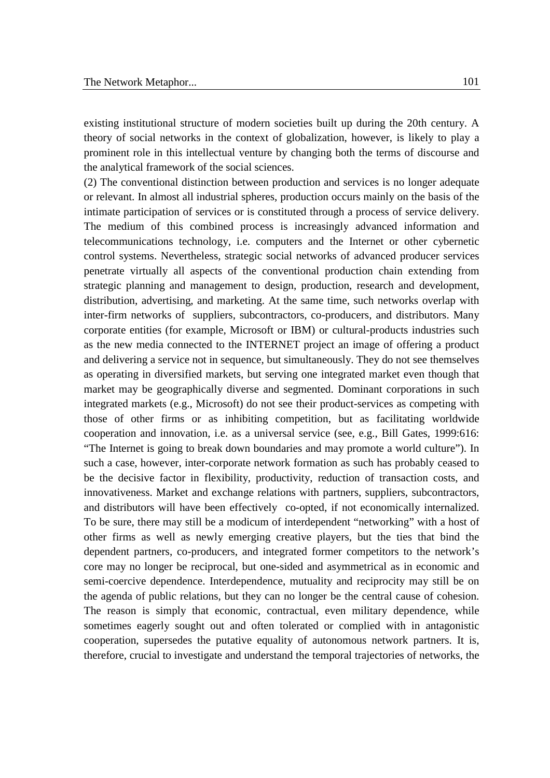existing institutional structure of modern societies built up during the 20th century. A theory of social networks in the context of globalization, however, is likely to play a prominent role in this intellectual venture by changing both the terms of discourse and the analytical framework of the social sciences.

(2) The conventional distinction between production and services is no longer adequate or relevant. In almost all industrial spheres, production occurs mainly on the basis of the intimate participation of services or is constituted through a process of service delivery. The medium of this combined process is increasingly advanced information and telecommunications technology, i.e. computers and the Internet or other cybernetic control systems. Nevertheless, strategic social networks of advanced producer services penetrate virtually all aspects of the conventional production chain extending from strategic planning and management to design, production, research and development, distribution, advertising, and marketing. At the same time, such networks overlap with inter-firm networks of suppliers, subcontractors, co-producers, and distributors. Many corporate entities (for example, Microsoft or IBM) or cultural-products industries such as the new media connected to the INTERNET project an image of offering a product and delivering a service not in sequence, but simultaneously. They do not see themselves as operating in diversified markets, but serving one integrated market even though that market may be geographically diverse and segmented. Dominant corporations in such integrated markets (e.g., Microsoft) do not see their product-services as competing with those of other firms or as inhibiting competition, but as facilitating worldwide cooperation and innovation, i.e. as a universal service (see, e.g., Bill Gates, 1999:616: "The Internet is going to break down boundaries and may promote a world culture"). In such a case, however, inter-corporate network formation as such has probably ceased to be the decisive factor in flexibility, productivity, reduction of transaction costs, and innovativeness. Market and exchange relations with partners, suppliers, subcontractors, and distributors will have been effectively co-opted, if not economically internalized. To be sure, there may still be a modicum of interdependent "networking" with a host of other firms as well as newly emerging creative players, but the ties that bind the dependent partners, co-producers, and integrated former competitors to the network's core may no longer be reciprocal, but one-sided and asymmetrical as in economic and semi-coercive dependence. Interdependence, mutuality and reciprocity may still be on the agenda of public relations, but they can no longer be the central cause of cohesion. The reason is simply that economic, contractual, even military dependence, while sometimes eagerly sought out and often tolerated or complied with in antagonistic cooperation, supersedes the putative equality of autonomous network partners. It is, therefore, crucial to investigate and understand the temporal trajectories of networks, the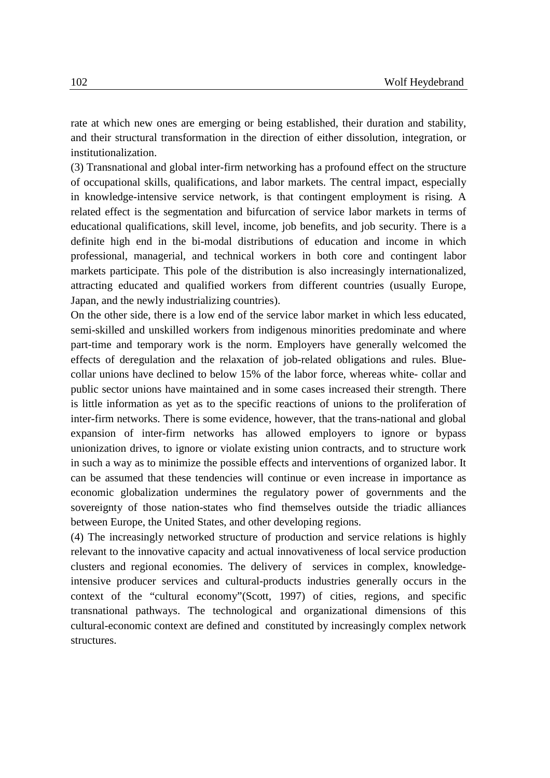rate at which new ones are emerging or being established, their duration and stability, and their structural transformation in the direction of either dissolution, integration, or institutionalization.

(3) Transnational and global inter-firm networking has a profound effect on the structure of occupational skills, qualifications, and labor markets. The central impact, especially in knowledge-intensive service network, is that contingent employment is rising. A related effect is the segmentation and bifurcation of service labor markets in terms of educational qualifications, skill level, income, job benefits, and job security. There is a definite high end in the bi-modal distributions of education and income in which professional, managerial, and technical workers in both core and contingent labor markets participate. This pole of the distribution is also increasingly internationalized, attracting educated and qualified workers from different countries (usually Europe, Japan, and the newly industrializing countries).

On the other side, there is a low end of the service labor market in which less educated, semi-skilled and unskilled workers from indigenous minorities predominate and where part-time and temporary work is the norm. Employers have generally welcomed the effects of deregulation and the relaxation of job-related obligations and rules. Bluecollar unions have declined to below 15% of the labor force, whereas white- collar and public sector unions have maintained and in some cases increased their strength. There is little information as yet as to the specific reactions of unions to the proliferation of inter-firm networks. There is some evidence, however, that the trans-national and global expansion of inter-firm networks has allowed employers to ignore or bypass unionization drives, to ignore or violate existing union contracts, and to structure work in such a way as to minimize the possible effects and interventions of organized labor. It can be assumed that these tendencies will continue or even increase in importance as economic globalization undermines the regulatory power of governments and the sovereignty of those nation-states who find themselves outside the triadic alliances between Europe, the United States, and other developing regions.

(4) The increasingly networked structure of production and service relations is highly relevant to the innovative capacity and actual innovativeness of local service production clusters and regional economies. The delivery of services in complex, knowledgeintensive producer services and cultural-products industries generally occurs in the context of the "cultural economy"(Scott, 1997) of cities, regions, and specific transnational pathways. The technological and organizational dimensions of this cultural-economic context are defined and constituted by increasingly complex network structures.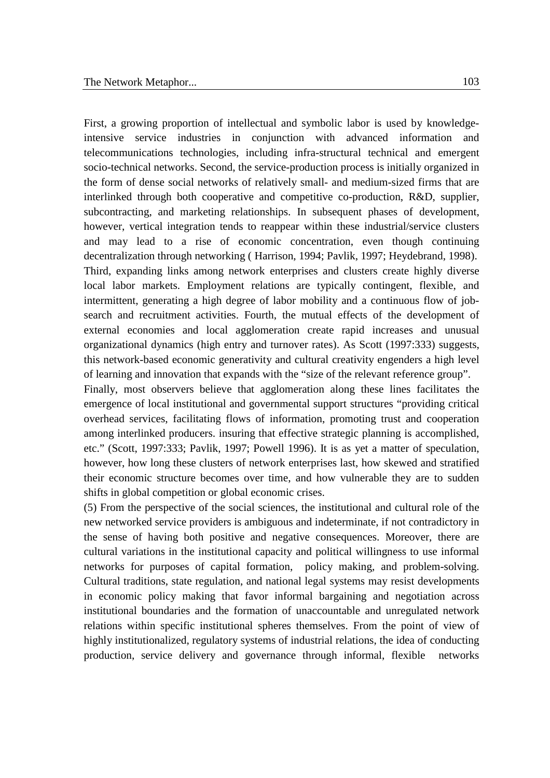First, a growing proportion of intellectual and symbolic labor is used by knowledgeintensive service industries in conjunction with advanced information and telecommunications technologies, including infra-structural technical and emergent socio-technical networks. Second, the service-production process is initially organized in the form of dense social networks of relatively small- and medium-sized firms that are interlinked through both cooperative and competitive co-production, R&D, supplier, subcontracting, and marketing relationships. In subsequent phases of development, however, vertical integration tends to reappear within these industrial/service clusters and may lead to a rise of economic concentration, even though continuing decentralization through networking ( Harrison, 1994; Pavlik, 1997; Heydebrand, 1998). Third, expanding links among network enterprises and clusters create highly diverse local labor markets. Employment relations are typically contingent, flexible, and intermittent, generating a high degree of labor mobility and a continuous flow of jobsearch and recruitment activities. Fourth, the mutual effects of the development of external economies and local agglomeration create rapid increases and unusual organizational dynamics (high entry and turnover rates). As Scott (1997:333) suggests, this network-based economic generativity and cultural creativity engenders a high level of learning and innovation that expands with the "size of the relevant reference group". Finally, most observers believe that agglomeration along these lines facilitates the

emergence of local institutional and governmental support structures "providing critical overhead services, facilitating flows of information, promoting trust and cooperation among interlinked producers. insuring that effective strategic planning is accomplished, etc." (Scott, 1997:333; Pavlik, 1997; Powell 1996). It is as yet a matter of speculation, however, how long these clusters of network enterprises last, how skewed and stratified their economic structure becomes over time, and how vulnerable they are to sudden shifts in global competition or global economic crises.

(5) From the perspective of the social sciences, the institutional and cultural role of the new networked service providers is ambiguous and indeterminate, if not contradictory in the sense of having both positive and negative consequences. Moreover, there are cultural variations in the institutional capacity and political willingness to use informal networks for purposes of capital formation, policy making, and problem-solving. Cultural traditions, state regulation, and national legal systems may resist developments in economic policy making that favor informal bargaining and negotiation across institutional boundaries and the formation of unaccountable and unregulated network relations within specific institutional spheres themselves. From the point of view of highly institutionalized, regulatory systems of industrial relations, the idea of conducting production, service delivery and governance through informal, flexible networks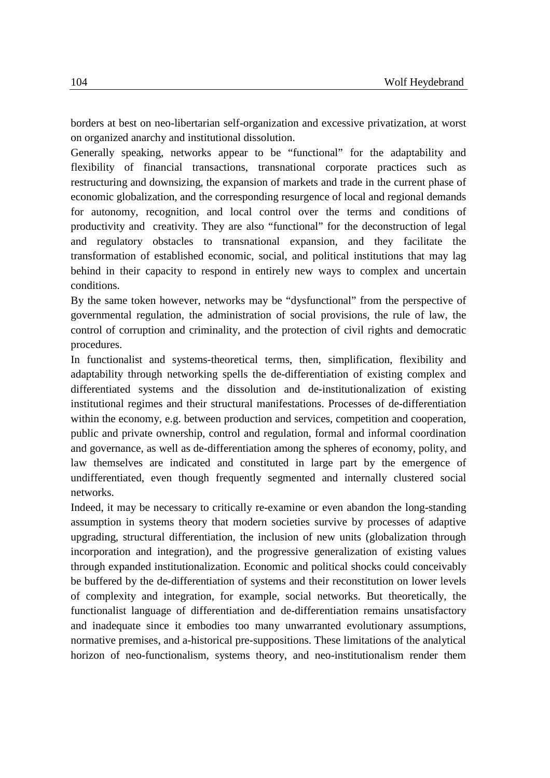borders at best on neo-libertarian self-organization and excessive privatization, at worst on organized anarchy and institutional dissolution.

Generally speaking, networks appear to be "functional" for the adaptability and flexibility of financial transactions, transnational corporate practices such as restructuring and downsizing, the expansion of markets and trade in the current phase of economic globalization, and the corresponding resurgence of local and regional demands for autonomy, recognition, and local control over the terms and conditions of productivity and creativity. They are also "functional" for the deconstruction of legal and regulatory obstacles to transnational expansion, and they facilitate the transformation of established economic, social, and political institutions that may lag behind in their capacity to respond in entirely new ways to complex and uncertain conditions.

By the same token however, networks may be "dysfunctional" from the perspective of governmental regulation, the administration of social provisions, the rule of law, the control of corruption and criminality, and the protection of civil rights and democratic procedures.

In functionalist and systems-theoretical terms, then, simplification, flexibility and adaptability through networking spells the de-differentiation of existing complex and differentiated systems and the dissolution and de-institutionalization of existing institutional regimes and their structural manifestations. Processes of de-differentiation within the economy, e.g. between production and services, competition and cooperation, public and private ownership, control and regulation, formal and informal coordination and governance, as well as de-differentiation among the spheres of economy, polity, and law themselves are indicated and constituted in large part by the emergence of undifferentiated, even though frequently segmented and internally clustered social networks.

Indeed, it may be necessary to critically re-examine or even abandon the long-standing assumption in systems theory that modern societies survive by processes of adaptive upgrading, structural differentiation, the inclusion of new units (globalization through incorporation and integration), and the progressive generalization of existing values through expanded institutionalization. Economic and political shocks could conceivably be buffered by the de-differentiation of systems and their reconstitution on lower levels of complexity and integration, for example, social networks. But theoretically, the functionalist language of differentiation and de-differentiation remains unsatisfactory and inadequate since it embodies too many unwarranted evolutionary assumptions, normative premises, and a-historical pre-suppositions. These limitations of the analytical horizon of neo-functionalism, systems theory, and neo-institutionalism render them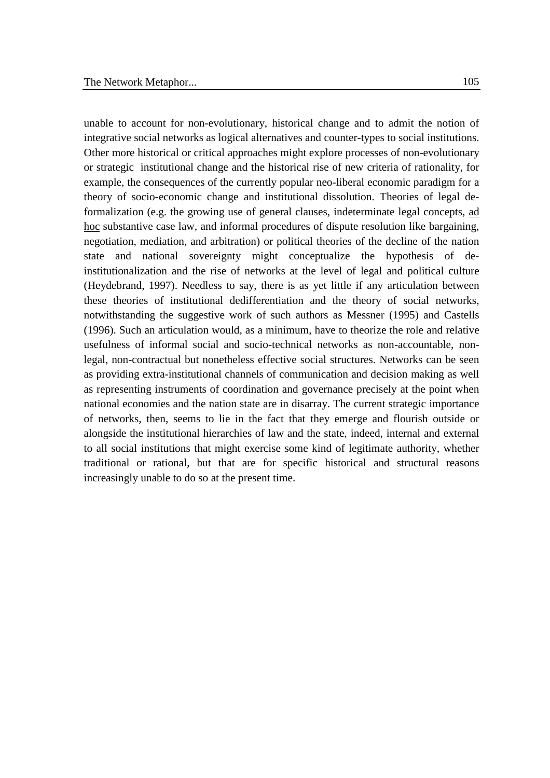unable to account for non-evolutionary, historical change and to admit the notion of integrative social networks as logical alternatives and counter-types to social institutions. Other more historical or critical approaches might explore processes of non-evolutionary or strategic institutional change and the historical rise of new criteria of rationality, for example, the consequences of the currently popular neo-liberal economic paradigm for a theory of socio-economic change and institutional dissolution. Theories of legal deformalization (e.g. the growing use of general clauses, indeterminate legal concepts, ad hoc substantive case law, and informal procedures of dispute resolution like bargaining, negotiation, mediation, and arbitration) or political theories of the decline of the nation state and national sovereignty might conceptualize the hypothesis of deinstitutionalization and the rise of networks at the level of legal and political culture (Heydebrand, 1997). Needless to say, there is as yet little if any articulation between these theories of institutional dedifferentiation and the theory of social networks, notwithstanding the suggestive work of such authors as Messner (1995) and Castells (1996). Such an articulation would, as a minimum, have to theorize the role and relative usefulness of informal social and socio-technical networks as non-accountable, nonlegal, non-contractual but nonetheless effective social structures. Networks can be seen as providing extra-institutional channels of communication and decision making as well as representing instruments of coordination and governance precisely at the point when national economies and the nation state are in disarray. The current strategic importance of networks, then, seems to lie in the fact that they emerge and flourish outside or alongside the institutional hierarchies of law and the state, indeed, internal and external to all social institutions that might exercise some kind of legitimate authority, whether traditional or rational, but that are for specific historical and structural reasons increasingly unable to do so at the present time.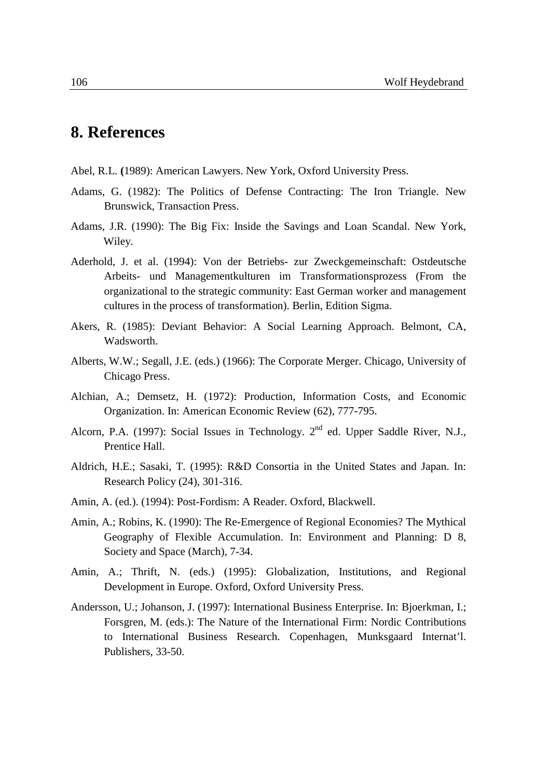## **8. References**

- Abel, R.L. **(**1989): American Lawyers. New York, Oxford University Press.
- Adams, G. (1982): The Politics of Defense Contracting: The Iron Triangle. New Brunswick, Transaction Press.
- Adams, J.R. (1990): The Big Fix: Inside the Savings and Loan Scandal. New York, Wiley.
- Aderhold, J. et al. (1994): Von der Betriebs- zur Zweckgemeinschaft: Ostdeutsche Arbeits- und Managementkulturen im Transformationsprozess (From the organizational to the strategic community: East German worker and management cultures in the process of transformation). Berlin, Edition Sigma.
- Akers, R. (1985): Deviant Behavior: A Social Learning Approach. Belmont, CA, Wadsworth.
- Alberts, W.W.; Segall, J.E. (eds.) (1966): The Corporate Merger. Chicago, University of Chicago Press.
- Alchian, A.; Demsetz, H. (1972): Production, Information Costs, and Economic Organization. In: American Economic Review (62), 777-795.
- Alcorn, P.A. (1997): Social Issues in Technology.  $2^{nd}$  ed. Upper Saddle River, N.J., Prentice Hall.
- Aldrich, H.E.; Sasaki, T. (1995): R&D Consortia in the United States and Japan. In: Research Policy (24), 301-316.
- Amin, A. (ed.). (1994): Post-Fordism: A Reader. Oxford, Blackwell.
- Amin, A.; Robins, K. (1990): The Re-Emergence of Regional Economies? The Mythical Geography of Flexible Accumulation. In: Environment and Planning: D 8, Society and Space (March), 7-34.
- Amin, A.; Thrift, N. (eds.) (1995): Globalization, Institutions, and Regional Development in Europe. Oxford, Oxford University Press.
- Andersson, U.; Johanson, J. (1997): International Business Enterprise. In: Bjoerkman, I.; Forsgren, M. (eds.): The Nature of the International Firm: Nordic Contributions to International Business Research. Copenhagen, Munksgaard Internat'l. Publishers, 33-50.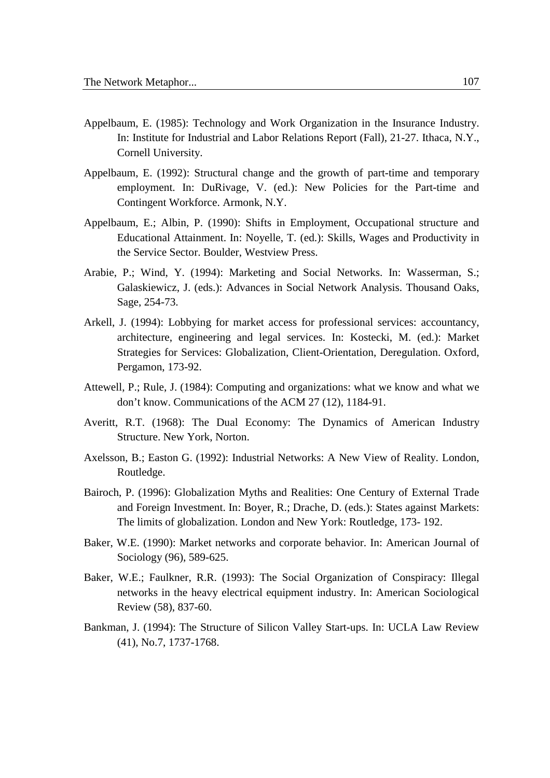- Appelbaum, E. (1985): Technology and Work Organization in the Insurance Industry. In: Institute for Industrial and Labor Relations Report (Fall), 21-27. Ithaca, N.Y., Cornell University.
- Appelbaum, E. (1992): Structural change and the growth of part-time and temporary employment. In: DuRivage, V. (ed.): New Policies for the Part-time and Contingent Workforce. Armonk, N.Y.
- Appelbaum, E.; Albin, P. (1990): Shifts in Employment, Occupational structure and Educational Attainment. In: Noyelle, T. (ed.): Skills, Wages and Productivity in the Service Sector. Boulder, Westview Press.
- Arabie, P.; Wind, Y. (1994): Marketing and Social Networks. In: Wasserman, S.; Galaskiewicz, J. (eds.): Advances in Social Network Analysis. Thousand Oaks, Sage, 254-73.
- Arkell, J. (1994): Lobbying for market access for professional services: accountancy, architecture, engineering and legal services. In: Kostecki, M. (ed.): Market Strategies for Services: Globalization, Client-Orientation, Deregulation. Oxford, Pergamon, 173-92.
- Attewell, P.; Rule, J. (1984): Computing and organizations: what we know and what we don't know. Communications of the ACM 27 (12), 1184-91.
- Averitt, R.T. (1968): The Dual Economy: The Dynamics of American Industry Structure. New York, Norton.
- Axelsson, B.; Easton G. (1992): Industrial Networks: A New View of Reality. London, Routledge.
- Bairoch, P. (1996): Globalization Myths and Realities: One Century of External Trade and Foreign Investment. In: Boyer, R.; Drache, D. (eds.): States against Markets: The limits of globalization. London and New York: Routledge, 173- 192.
- Baker, W.E. (1990): Market networks and corporate behavior. In: American Journal of Sociology (96), 589-625.
- Baker, W.E.; Faulkner, R.R. (1993): The Social Organization of Conspiracy: Illegal networks in the heavy electrical equipment industry. In: American Sociological Review (58), 837-60.
- Bankman, J. (1994): The Structure of Silicon Valley Start-ups. In: UCLA Law Review (41), No.7, 1737-1768.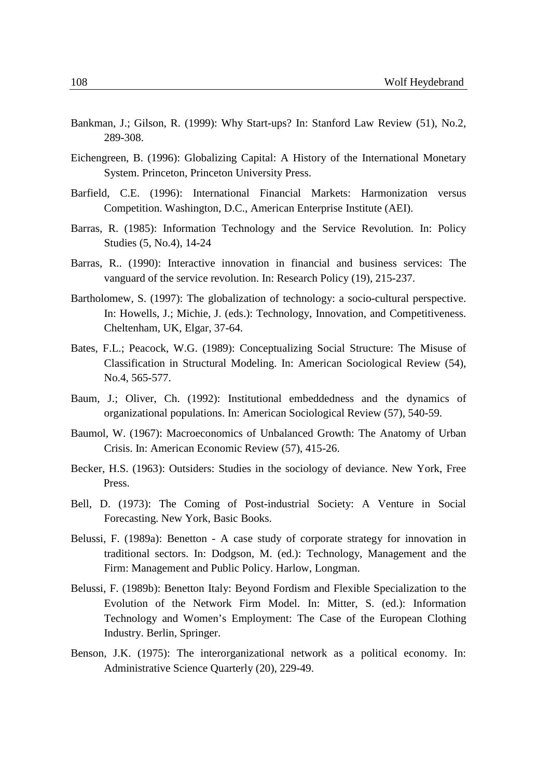- Bankman, J.; Gilson, R. (1999): Why Start-ups? In: Stanford Law Review (51), No.2, 289-308.
- Eichengreen, B. (1996): Globalizing Capital: A History of the International Monetary System. Princeton, Princeton University Press.
- Barfield, C.E. (1996): International Financial Markets: Harmonization versus Competition. Washington, D.C., American Enterprise Institute (AEI).
- Barras, R. (1985): Information Technology and the Service Revolution. In: Policy Studies (5, No.4), 14-24
- Barras, R.. (1990): Interactive innovation in financial and business services: The vanguard of the service revolution. In: Research Policy (19), 215-237.
- Bartholomew, S. (1997): The globalization of technology: a socio-cultural perspective. In: Howells, J.; Michie, J. (eds.): Technology, Innovation, and Competitiveness. Cheltenham, UK, Elgar, 37-64.
- Bates, F.L.; Peacock, W.G. (1989): Conceptualizing Social Structure: The Misuse of Classification in Structural Modeling. In: American Sociological Review (54), No.4, 565-577.
- Baum, J.; Oliver, Ch. (1992): Institutional embeddedness and the dynamics of organizational populations. In: American Sociological Review (57), 540-59.
- Baumol, W. (1967): Macroeconomics of Unbalanced Growth: The Anatomy of Urban Crisis. In: American Economic Review (57), 415-26.
- Becker, H.S. (1963): Outsiders: Studies in the sociology of deviance. New York, Free Press.
- Bell, D. (1973): The Coming of Post-industrial Society: A Venture in Social Forecasting. New York, Basic Books.
- Belussi, F. (1989a): Benetton A case study of corporate strategy for innovation in traditional sectors. In: Dodgson, M. (ed.): Technology, Management and the Firm: Management and Public Policy. Harlow, Longman.
- Belussi, F. (1989b): Benetton Italy: Beyond Fordism and Flexible Specialization to the Evolution of the Network Firm Model. In: Mitter, S. (ed.): Information Technology and Women's Employment: The Case of the European Clothing Industry. Berlin, Springer.
- Benson, J.K. (1975): The interorganizational network as a political economy. In: Administrative Science Quarterly (20), 229-49.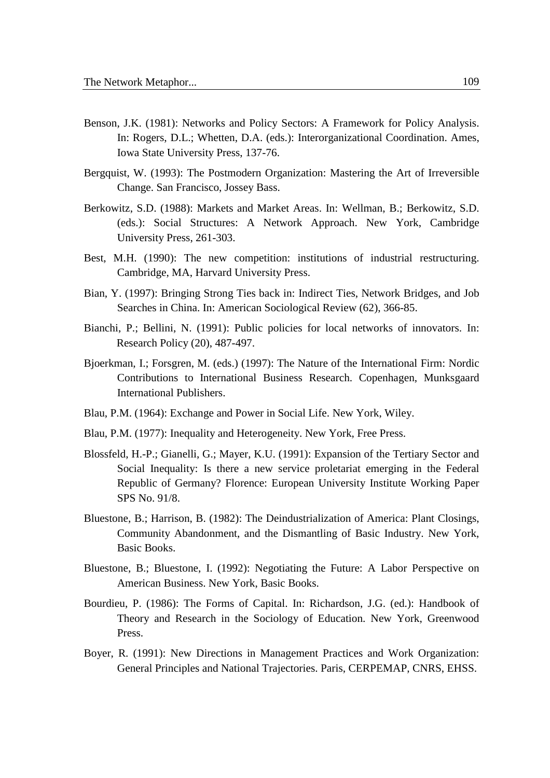- Benson, J.K. (1981): Networks and Policy Sectors: A Framework for Policy Analysis. In: Rogers, D.L.; Whetten, D.A. (eds.): Interorganizational Coordination. Ames, Iowa State University Press, 137-76.
- Bergquist, W. (1993): The Postmodern Organization: Mastering the Art of Irreversible Change. San Francisco, Jossey Bass.
- Berkowitz, S.D. (1988): Markets and Market Areas. In: Wellman, B.; Berkowitz, S.D. (eds.): Social Structures: A Network Approach. New York, Cambridge University Press, 261-303.
- Best, M.H. (1990): The new competition: institutions of industrial restructuring. Cambridge, MA, Harvard University Press.
- Bian, Y. (1997): Bringing Strong Ties back in: Indirect Ties, Network Bridges, and Job Searches in China. In: American Sociological Review (62), 366-85.
- Bianchi, P.; Bellini, N. (1991): Public policies for local networks of innovators. In: Research Policy (20), 487-497.
- Bjoerkman, I.; Forsgren, M. (eds.) (1997): The Nature of the International Firm: Nordic Contributions to International Business Research. Copenhagen, Munksgaard International Publishers.
- Blau, P.M. (1964): Exchange and Power in Social Life. New York, Wiley.
- Blau, P.M. (1977): Inequality and Heterogeneity. New York, Free Press.
- Blossfeld, H.-P.; Gianelli, G.; Mayer, K.U. (1991): Expansion of the Tertiary Sector and Social Inequality: Is there a new service proletariat emerging in the Federal Republic of Germany? Florence: European University Institute Working Paper SPS No. 91/8.
- Bluestone, B.; Harrison, B. (1982): The Deindustrialization of America: Plant Closings, Community Abandonment, and the Dismantling of Basic Industry. New York, Basic Books.
- Bluestone, B.; Bluestone, I. (1992): Negotiating the Future: A Labor Perspective on American Business. New York, Basic Books.
- Bourdieu, P. (1986): The Forms of Capital. In: Richardson, J.G. (ed.): Handbook of Theory and Research in the Sociology of Education. New York, Greenwood Press.
- Boyer, R. (1991): New Directions in Management Practices and Work Organization: General Principles and National Trajectories. Paris, CERPEMAP, CNRS, EHSS.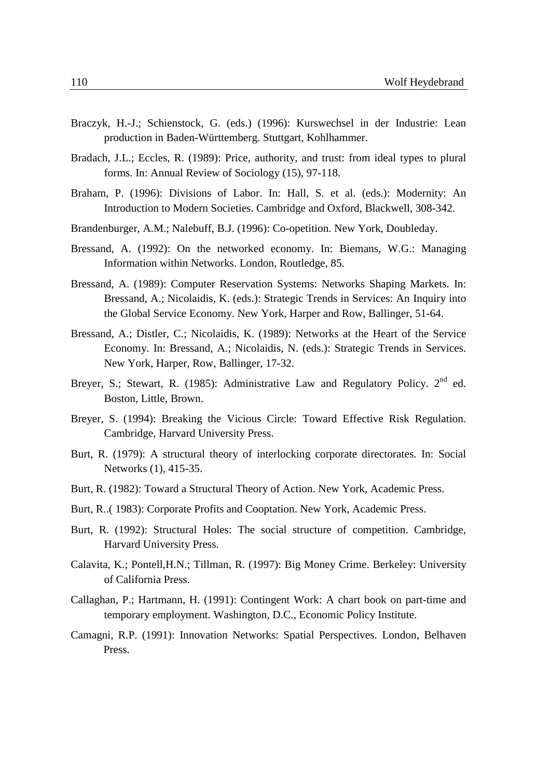- Braczyk, H.-J.; Schienstock, G. (eds.) (1996): Kurswechsel in der Industrie: Lean production in Baden-Württemberg. Stuttgart, Kohlhammer.
- Bradach, J.L.; Eccles, R. (1989): Price, authority, and trust: from ideal types to plural forms. In: Annual Review of Sociology (15), 97-118.
- Braham, P. (1996): Divisions of Labor. In: Hall, S. et al. (eds.): Modernity: An Introduction to Modern Societies. Cambridge and Oxford, Blackwell, 308-342.
- Brandenburger, A.M.; Nalebuff, B.J. (1996): Co-opetition. New York, Doubleday.
- Bressand, A. (1992): On the networked economy. In: Biemans, W.G.: Managing Information within Networks. London, Routledge, 85.
- Bressand, A. (1989): Computer Reservation Systems: Networks Shaping Markets. In: Bressand, A.; Nicolaidis, K. (eds.): Strategic Trends in Services: An Inquiry into the Global Service Economy. New York, Harper and Row, Ballinger, 51-64.
- Bressand, A.; Distler, C.; Nicolaidis, K. (1989): Networks at the Heart of the Service Economy. In: Bressand, A.; Nicolaidis, N. (eds.): Strategic Trends in Services. New York, Harper, Row, Ballinger, 17-32.
- Breyer, S.; Stewart, R. (1985): Administrative Law and Regulatory Policy. 2<sup>nd</sup> ed. Boston, Little, Brown.
- Breyer, S. (1994): Breaking the Vicious Circle: Toward Effective Risk Regulation. Cambridge, Harvard University Press.
- Burt, R. (1979): A structural theory of interlocking corporate directorates. In: Social Networks (1), 415-35.
- Burt, R. (1982): Toward a Structural Theory of Action. New York, Academic Press.
- Burt, R..( 1983): Corporate Profits and Cooptation. New York, Academic Press.
- Burt, R. (1992): Structural Holes: The social structure of competition. Cambridge, Harvard University Press.
- Calavita, K.; Pontell,H.N.; Tillman, R. (1997): Big Money Crime. Berkeley: University of California Press.
- Callaghan, P.; Hartmann, H. (1991): Contingent Work: A chart book on part-time and temporary employment. Washington, D.C., Economic Policy Institute.
- Camagni, R.P. (1991): Innovation Networks: Spatial Perspectives. London, Belhaven Press.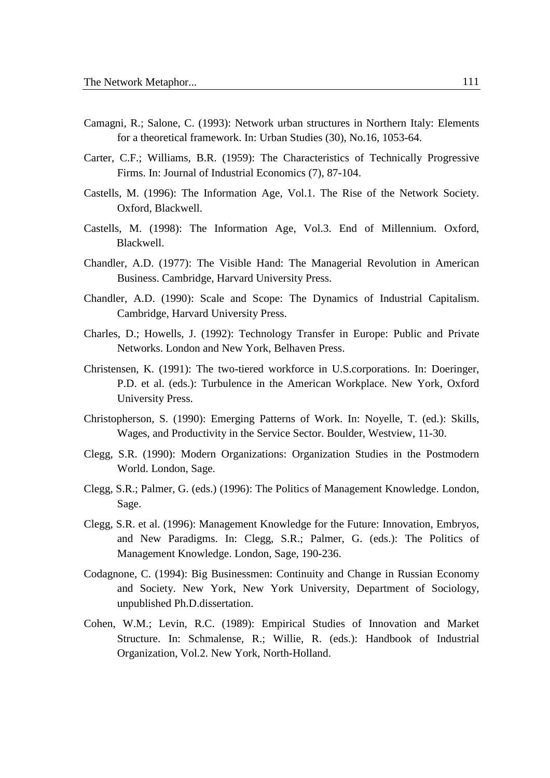- Camagni, R.; Salone, C. (1993): Network urban structures in Northern Italy: Elements for a theoretical framework. In: Urban Studies (30), No.16, 1053-64.
- Carter, C.F.; Williams, B.R. (1959): The Characteristics of Technically Progressive Firms. In: Journal of Industrial Economics (7), 87-104.
- Castells, M. (1996): The Information Age, Vol.1. The Rise of the Network Society. Oxford, Blackwell.
- Castells, M. (1998): The Information Age, Vol.3. End of Millennium. Oxford, Blackwell.
- Chandler, A.D. (1977): The Visible Hand: The Managerial Revolution in American Business. Cambridge, Harvard University Press.
- Chandler, A.D. (1990): Scale and Scope: The Dynamics of Industrial Capitalism. Cambridge, Harvard University Press.
- Charles, D.; Howells, J. (1992): Technology Transfer in Europe: Public and Private Networks. London and New York, Belhaven Press.
- Christensen, K. (1991): The two-tiered workforce in U.S.corporations. In: Doeringer, P.D. et al. (eds.): Turbulence in the American Workplace. New York, Oxford University Press.
- Christopherson, S. (1990): Emerging Patterns of Work. In: Noyelle, T. (ed.): Skills, Wages, and Productivity in the Service Sector. Boulder, Westview, 11-30.
- Clegg, S.R. (1990): Modern Organizations: Organization Studies in the Postmodern World. London, Sage.
- Clegg, S.R.; Palmer, G. (eds.) (1996): The Politics of Management Knowledge. London, Sage.
- Clegg, S.R. et al. (1996): Management Knowledge for the Future: Innovation, Embryos, and New Paradigms. In: Clegg, S.R.; Palmer, G. (eds.): The Politics of Management Knowledge. London, Sage, 190-236.
- Codagnone, C. (1994): Big Businessmen: Continuity and Change in Russian Economy and Society. New York, New York University, Department of Sociology, unpublished Ph.D.dissertation.
- Cohen, W.M.; Levin, R.C. (1989): Empirical Studies of Innovation and Market Structure. In: Schmalense, R.; Willie, R. (eds.): Handbook of Industrial Organization, Vol.2. New York, North-Holland.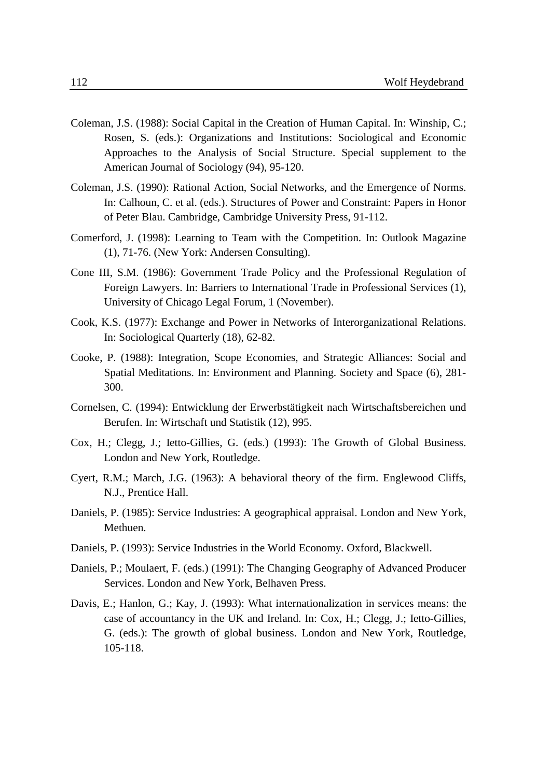- Coleman, J.S. (1988): Social Capital in the Creation of Human Capital. In: Winship, C.; Rosen, S. (eds.): Organizations and Institutions: Sociological and Economic Approaches to the Analysis of Social Structure. Special supplement to the American Journal of Sociology (94), 95-120.
- Coleman, J.S. (1990): Rational Action, Social Networks, and the Emergence of Norms. In: Calhoun, C. et al. (eds.). Structures of Power and Constraint: Papers in Honor of Peter Blau. Cambridge, Cambridge University Press, 91-112.
- Comerford, J. (1998): Learning to Team with the Competition. In: Outlook Magazine (1), 71-76. (New York: Andersen Consulting).
- Cone III, S.M. (1986): Government Trade Policy and the Professional Regulation of Foreign Lawyers. In: Barriers to International Trade in Professional Services (1), University of Chicago Legal Forum, 1 (November).
- Cook, K.S. (1977): Exchange and Power in Networks of Interorganizational Relations. In: Sociological Quarterly (18), 62-82.
- Cooke, P. (1988): Integration, Scope Economies, and Strategic Alliances: Social and Spatial Meditations. In: Environment and Planning. Society and Space (6), 281- 300.
- Cornelsen, C. (1994): Entwicklung der Erwerbstätigkeit nach Wirtschaftsbereichen und Berufen. In: Wirtschaft und Statistik (12), 995.
- Cox, H.; Clegg, J.; Ietto-Gillies, G. (eds.) (1993): The Growth of Global Business. London and New York, Routledge.
- Cyert, R.M.; March, J.G. (1963): A behavioral theory of the firm. Englewood Cliffs, N.J., Prentice Hall.
- Daniels, P. (1985): Service Industries: A geographical appraisal. London and New York, Methuen.
- Daniels, P. (1993): Service Industries in the World Economy. Oxford, Blackwell.
- Daniels, P.; Moulaert, F. (eds.) (1991): The Changing Geography of Advanced Producer Services. London and New York, Belhaven Press.
- Davis, E.; Hanlon, G.; Kay, J. (1993): What internationalization in services means: the case of accountancy in the UK and Ireland. In: Cox, H.; Clegg, J.; Ietto-Gillies, G. (eds.): The growth of global business. London and New York, Routledge, 105-118.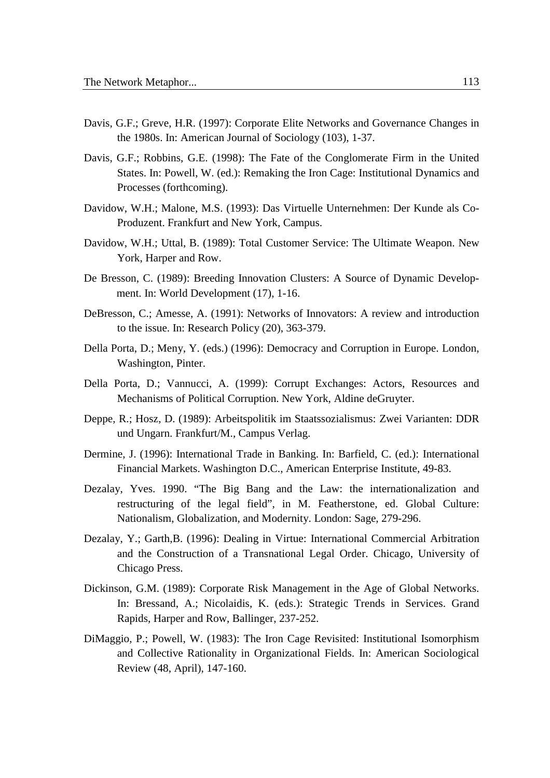- Davis, G.F.; Greve, H.R. (1997): Corporate Elite Networks and Governance Changes in the 1980s. In: American Journal of Sociology (103), 1-37.
- Davis, G.F.; Robbins, G.E. (1998): The Fate of the Conglomerate Firm in the United States. In: Powell, W. (ed.): Remaking the Iron Cage: Institutional Dynamics and Processes (forthcoming).
- Davidow, W.H.; Malone, M.S. (1993): Das Virtuelle Unternehmen: Der Kunde als Co-Produzent. Frankfurt and New York, Campus.
- Davidow, W.H.; Uttal, B. (1989): Total Customer Service: The Ultimate Weapon. New York, Harper and Row.
- De Bresson, C. (1989): Breeding Innovation Clusters: A Source of Dynamic Development. In: World Development (17), 1-16.
- DeBresson, C.; Amesse, A. (1991): Networks of Innovators: A review and introduction to the issue. In: Research Policy (20), 363-379.
- Della Porta, D.; Meny, Y. (eds.) (1996): Democracy and Corruption in Europe. London, Washington, Pinter.
- Della Porta, D.; Vannucci, A. (1999): Corrupt Exchanges: Actors, Resources and Mechanisms of Political Corruption. New York, Aldine deGruyter.
- Deppe, R.; Hosz, D. (1989): Arbeitspolitik im Staatssozialismus: Zwei Varianten: DDR und Ungarn. Frankfurt/M., Campus Verlag.
- Dermine, J. (1996): International Trade in Banking. In: Barfield, C. (ed.): International Financial Markets. Washington D.C., American Enterprise Institute, 49-83.
- Dezalay, Yves. 1990. "The Big Bang and the Law: the internationalization and restructuring of the legal field", in M. Featherstone, ed. Global Culture: Nationalism, Globalization, and Modernity. London: Sage, 279-296.
- Dezalay, Y.; Garth,B. (1996): Dealing in Virtue: International Commercial Arbitration and the Construction of a Transnational Legal Order. Chicago, University of Chicago Press.
- Dickinson, G.M. (1989): Corporate Risk Management in the Age of Global Networks. In: Bressand, A.; Nicolaidis, K. (eds.): Strategic Trends in Services. Grand Rapids, Harper and Row, Ballinger, 237-252.
- DiMaggio, P.; Powell, W. (1983): The Iron Cage Revisited: Institutional Isomorphism and Collective Rationality in Organizational Fields. In: American Sociological Review (48, April), 147-160.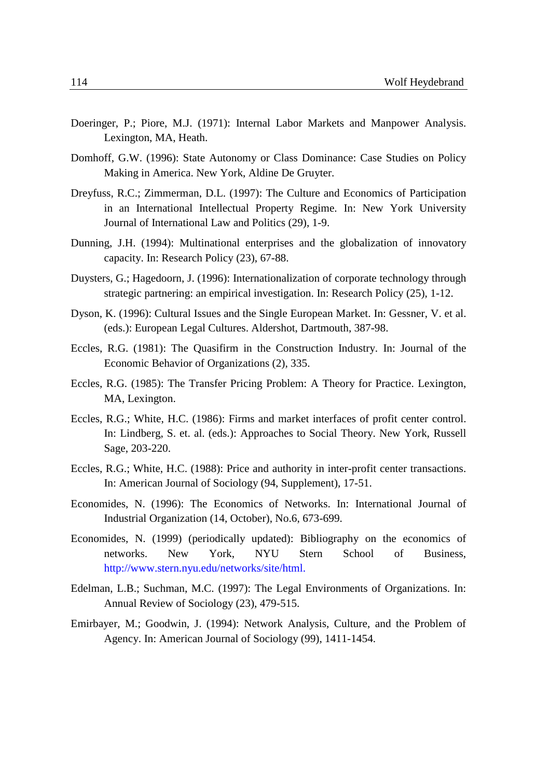- Doeringer, P.; Piore, M.J. (1971): Internal Labor Markets and Manpower Analysis. Lexington, MA, Heath.
- Domhoff, G.W. (1996): State Autonomy or Class Dominance: Case Studies on Policy Making in America. New York, Aldine De Gruyter.
- Dreyfuss, R.C.; Zimmerman, D.L. (1997): The Culture and Economics of Participation in an International Intellectual Property Regime. In: New York University Journal of International Law and Politics (29), 1-9.
- Dunning, J.H. (1994): Multinational enterprises and the globalization of innovatory capacity. In: Research Policy (23), 67-88.
- Duysters, G.; Hagedoorn, J. (1996): Internationalization of corporate technology through strategic partnering: an empirical investigation. In: Research Policy (25), 1-12.
- Dyson, K. (1996): Cultural Issues and the Single European Market. In: Gessner, V. et al. (eds.): European Legal Cultures. Aldershot, Dartmouth, 387-98.
- Eccles, R.G. (1981): The Quasifirm in the Construction Industry. In: Journal of the Economic Behavior of Organizations (2), 335.
- Eccles, R.G. (1985): The Transfer Pricing Problem: A Theory for Practice. Lexington, MA, Lexington.
- Eccles, R.G.; White, H.C. (1986): Firms and market interfaces of profit center control. In: Lindberg, S. et. al. (eds.): Approaches to Social Theory. New York, Russell Sage, 203-220.
- Eccles, R.G.; White, H.C. (1988): Price and authority in inter-profit center transactions. In: American Journal of Sociology (94, Supplement), 17-51.
- Economides, N. (1996): The Economics of Networks. In: International Journal of Industrial Organization (14, October), No.6, 673-699.
- Economides, N. (1999) (periodically updated): Bibliography on the economics of networks. New York, NYU Stern School of Business, http://www.stern.nyu.edu/networks/site/html.
- Edelman, L.B.; Suchman, M.C. (1997): The Legal Environments of Organizations. In: Annual Review of Sociology (23), 479-515.
- Emirbayer, M.; Goodwin, J. (1994): Network Analysis, Culture, and the Problem of Agency. In: American Journal of Sociology (99), 1411-1454.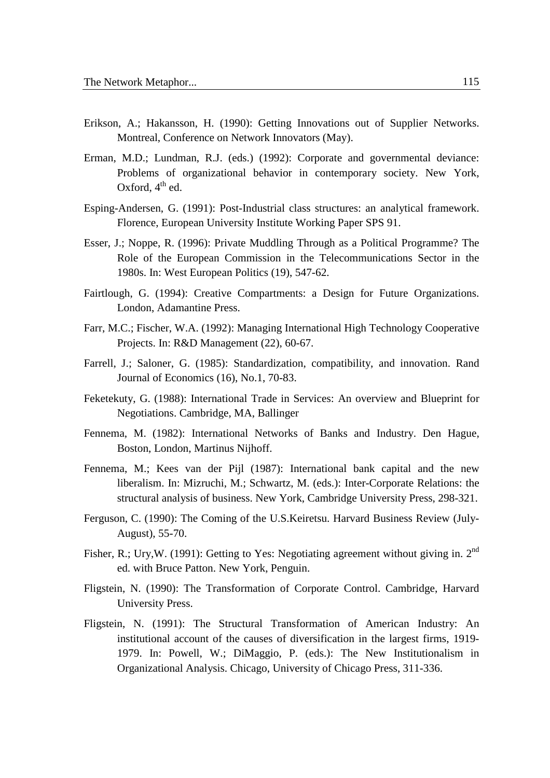- Erikson, A.; Hakansson, H. (1990): Getting Innovations out of Supplier Networks. Montreal, Conference on Network Innovators (May).
- Erman, M.D.; Lundman, R.J. (eds.) (1992): Corporate and governmental deviance: Problems of organizational behavior in contemporary society. New York, Oxford,  $4^{th}$  ed.
- Esping-Andersen, G. (1991): Post-Industrial class structures: an analytical framework. Florence, European University Institute Working Paper SPS 91.
- Esser, J.; Noppe, R. (1996): Private Muddling Through as a Political Programme? The Role of the European Commission in the Telecommunications Sector in the 1980s. In: West European Politics (19), 547-62.
- Fairtlough, G. (1994): Creative Compartments: a Design for Future Organizations. London, Adamantine Press.
- Farr, M.C.; Fischer, W.A. (1992): Managing International High Technology Cooperative Projects. In: R&D Management (22), 60-67.
- Farrell, J.; Saloner, G. (1985): Standardization, compatibility, and innovation. Rand Journal of Economics (16), No.1, 70-83.
- Feketekuty, G. (1988): International Trade in Services: An overview and Blueprint for Negotiations. Cambridge, MA, Ballinger
- Fennema, M. (1982): International Networks of Banks and Industry. Den Hague, Boston, London, Martinus Nijhoff.
- Fennema, M.; Kees van der Pijl (1987): International bank capital and the new liberalism. In: Mizruchi, M.; Schwartz, M. (eds.): Inter-Corporate Relations: the structural analysis of business. New York, Cambridge University Press, 298-321.
- Ferguson, C. (1990): The Coming of the U.S.Keiretsu. Harvard Business Review (July-August), 55-70.
- Fisher, R.; Ury, W. (1991): Getting to Yes: Negotiating agreement without giving in. 2<sup>nd</sup> ed. with Bruce Patton. New York, Penguin.
- Fligstein, N. (1990): The Transformation of Corporate Control. Cambridge, Harvard University Press.
- Fligstein, N. (1991): The Structural Transformation of American Industry: An institutional account of the causes of diversification in the largest firms, 1919- 1979. In: Powell, W.; DiMaggio, P. (eds.): The New Institutionalism in Organizational Analysis. Chicago, University of Chicago Press, 311-336.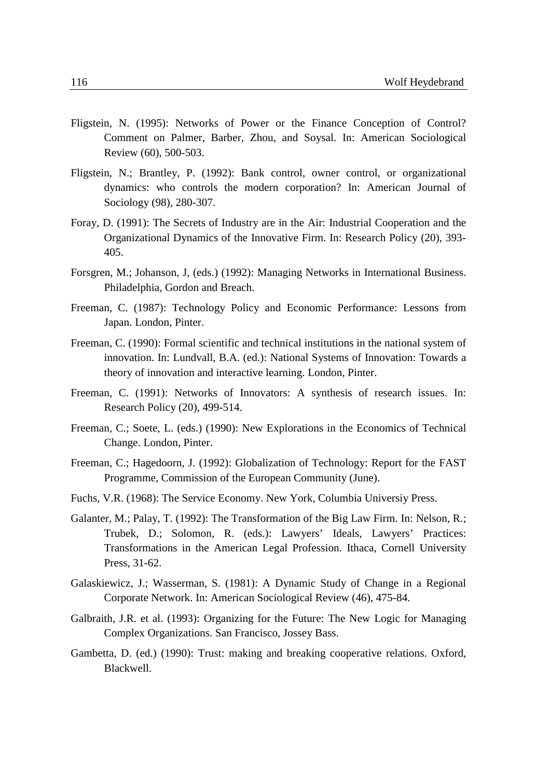- Fligstein, N. (1995): Networks of Power or the Finance Conception of Control? Comment on Palmer, Barber, Zhou, and Soysal. In: American Sociological Review (60), 500-503.
- Fligstein, N.; Brantley, P. (1992): Bank control, owner control, or organizational dynamics: who controls the modern corporation? In: American Journal of Sociology (98), 280-307.
- Foray, D. (1991): The Secrets of Industry are in the Air: Industrial Cooperation and the Organizational Dynamics of the Innovative Firm. In: Research Policy (20), 393- 405.
- Forsgren, M.; Johanson, J, (eds.) (1992): Managing Networks in International Business. Philadelphia, Gordon and Breach.
- Freeman, C. (1987): Technology Policy and Economic Performance: Lessons from Japan. London, Pinter.
- Freeman, C. (1990): Formal scientific and technical institutions in the national system of innovation. In: Lundvall, B.A. (ed.): National Systems of Innovation: Towards a theory of innovation and interactive learning. London, Pinter.
- Freeman, C. (1991): Networks of Innovators: A synthesis of research issues. In: Research Policy (20), 499-514.
- Freeman, C.; Soete, L. (eds.) (1990): New Explorations in the Economics of Technical Change. London, Pinter.
- Freeman, C.; Hagedoorn, J. (1992): Globalization of Technology: Report for the FAST Programme, Commission of the European Community (June).
- Fuchs, V.R. (1968): The Service Economy. New York, Columbia Universiy Press.
- Galanter, M.; Palay, T. (1992): The Transformation of the Big Law Firm. In: Nelson, R.; Trubek, D.; Solomon, R. (eds.): Lawyers' Ideals, Lawyers' Practices: Transformations in the American Legal Profession. Ithaca, Cornell University Press, 31-62.
- Galaskiewicz, J.; Wasserman, S. (1981): A Dynamic Study of Change in a Regional Corporate Network. In: American Sociological Review (46), 475-84.
- Galbraith, J.R. et al. (1993): Organizing for the Future: The New Logic for Managing Complex Organizations. San Francisco, Jossey Bass.
- Gambetta, D. (ed.) (1990): Trust: making and breaking cooperative relations. Oxford, Blackwell.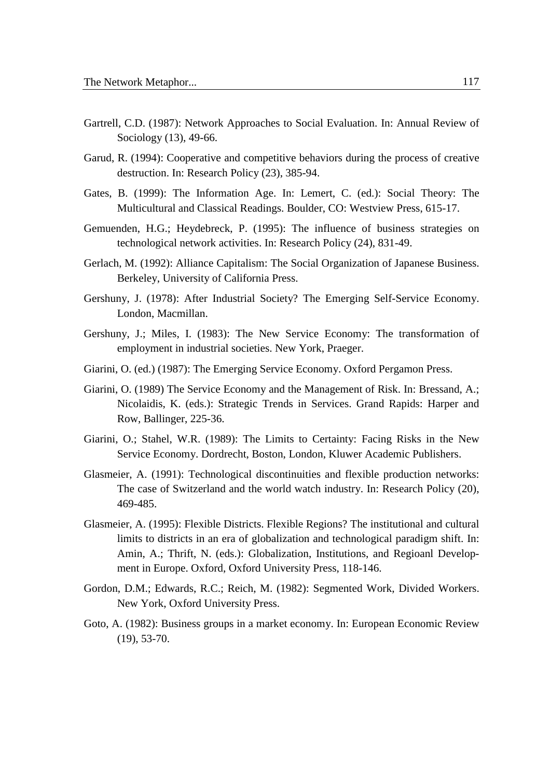- Gartrell, C.D. (1987): Network Approaches to Social Evaluation. In: Annual Review of Sociology (13), 49-66.
- Garud, R. (1994): Cooperative and competitive behaviors during the process of creative destruction. In: Research Policy (23), 385-94.
- Gates, B. (1999): The Information Age. In: Lemert, C. (ed.): Social Theory: The Multicultural and Classical Readings. Boulder, CO: Westview Press, 615-17.
- Gemuenden, H.G.; Heydebreck, P. (1995): The influence of business strategies on technological network activities. In: Research Policy (24), 831-49.
- Gerlach, M. (1992): Alliance Capitalism: The Social Organization of Japanese Business. Berkeley, University of California Press.
- Gershuny, J. (1978): After Industrial Society? The Emerging Self-Service Economy. London, Macmillan.
- Gershuny, J.; Miles, I. (1983): The New Service Economy: The transformation of employment in industrial societies. New York, Praeger.
- Giarini, O. (ed.) (1987): The Emerging Service Economy. Oxford Pergamon Press.
- Giarini, O. (1989) The Service Economy and the Management of Risk. In: Bressand, A.; Nicolaidis, K. (eds.): Strategic Trends in Services. Grand Rapids: Harper and Row, Ballinger, 225-36.
- Giarini, O.; Stahel, W.R. (1989): The Limits to Certainty: Facing Risks in the New Service Economy. Dordrecht, Boston, London, Kluwer Academic Publishers.
- Glasmeier, A. (1991): Technological discontinuities and flexible production networks: The case of Switzerland and the world watch industry. In: Research Policy (20), 469-485.
- Glasmeier, A. (1995): Flexible Districts. Flexible Regions? The institutional and cultural limits to districts in an era of globalization and technological paradigm shift. In: Amin, A.; Thrift, N. (eds.): Globalization, Institutions, and Regioanl Development in Europe. Oxford, Oxford University Press, 118-146.
- Gordon, D.M.; Edwards, R.C.; Reich, M. (1982): Segmented Work, Divided Workers. New York, Oxford University Press.
- Goto, A. (1982): Business groups in a market economy. In: European Economic Review (19), 53-70.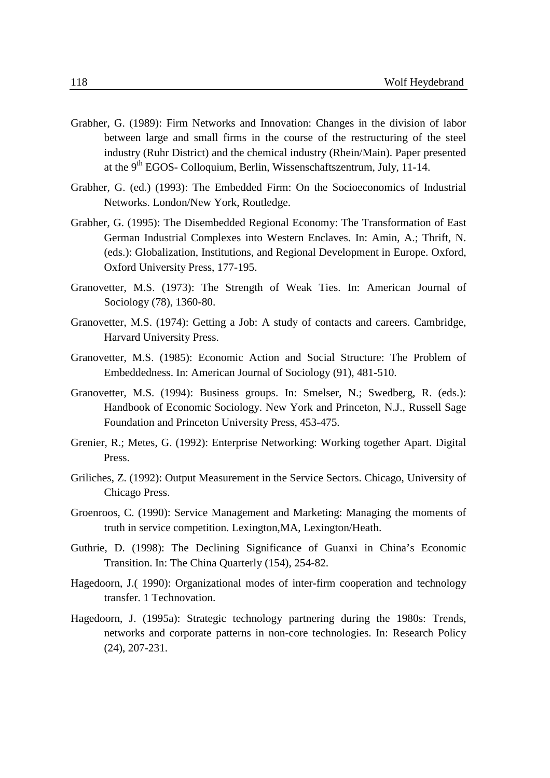- Grabher, G. (1989): Firm Networks and Innovation: Changes in the division of labor between large and small firms in the course of the restructuring of the steel industry (Ruhr District) and the chemical industry (Rhein/Main). Paper presented at the 9th EGOS- Colloquium, Berlin, Wissenschaftszentrum, July, 11-14.
- Grabher, G. (ed.) (1993): The Embedded Firm: On the Socioeconomics of Industrial Networks. London/New York, Routledge.
- Grabher, G. (1995): The Disembedded Regional Economy: The Transformation of East German Industrial Complexes into Western Enclaves. In: Amin, A.; Thrift, N. (eds.): Globalization, Institutions, and Regional Development in Europe. Oxford, Oxford University Press, 177-195.
- Granovetter, M.S. (1973): The Strength of Weak Ties. In: American Journal of Sociology (78), 1360-80.
- Granovetter, M.S. (1974): Getting a Job: A study of contacts and careers. Cambridge, Harvard University Press.
- Granovetter, M.S. (1985): Economic Action and Social Structure: The Problem of Embeddedness. In: American Journal of Sociology (91), 481-510.
- Granovetter, M.S. (1994): Business groups. In: Smelser, N.; Swedberg, R. (eds.): Handbook of Economic Sociology. New York and Princeton, N.J., Russell Sage Foundation and Princeton University Press, 453-475.
- Grenier, R.; Metes, G. (1992): Enterprise Networking: Working together Apart. Digital Press.
- Griliches, Z. (1992): Output Measurement in the Service Sectors. Chicago, University of Chicago Press.
- Groenroos, C. (1990): Service Management and Marketing: Managing the moments of truth in service competition. Lexington,MA, Lexington/Heath.
- Guthrie, D. (1998): The Declining Significance of Guanxi in China's Economic Transition. In: The China Quarterly (154), 254-82.
- Hagedoorn, J.( 1990): Organizational modes of inter-firm cooperation and technology transfer. 1 Technovation.
- Hagedoorn, J. (1995a): Strategic technology partnering during the 1980s: Trends, networks and corporate patterns in non-core technologies. In: Research Policy (24), 207-231.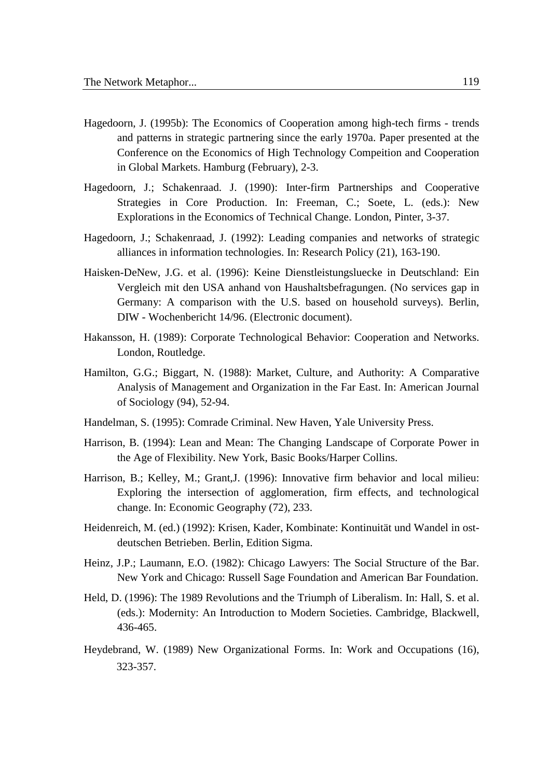- Hagedoorn, J. (1995b): The Economics of Cooperation among high-tech firms trends and patterns in strategic partnering since the early 1970a. Paper presented at the Conference on the Economics of High Technology Compeition and Cooperation in Global Markets. Hamburg (February), 2-3.
- Hagedoorn, J.; Schakenraad. J. (1990): Inter-firm Partnerships and Cooperative Strategies in Core Production. In: Freeman, C.; Soete, L. (eds.): New Explorations in the Economics of Technical Change. London, Pinter, 3-37.
- Hagedoorn, J.; Schakenraad, J. (1992): Leading companies and networks of strategic alliances in information technologies. In: Research Policy (21), 163-190.
- Haisken-DeNew, J.G. et al. (1996): Keine Dienstleistungsluecke in Deutschland: Ein Vergleich mit den USA anhand von Haushaltsbefragungen. (No services gap in Germany: A comparison with the U.S. based on household surveys). Berlin, DIW - Wochenbericht 14/96. (Electronic document).
- Hakansson, H. (1989): Corporate Technological Behavior: Cooperation and Networks. London, Routledge.
- Hamilton, G.G.; Biggart, N. (1988): Market, Culture, and Authority: A Comparative Analysis of Management and Organization in the Far East. In: American Journal of Sociology (94), 52-94.
- Handelman, S. (1995): Comrade Criminal. New Haven, Yale University Press.
- Harrison, B. (1994): Lean and Mean: The Changing Landscape of Corporate Power in the Age of Flexibility. New York, Basic Books/Harper Collins.
- Harrison, B.; Kelley, M.; Grant,J. (1996): Innovative firm behavior and local milieu: Exploring the intersection of agglomeration, firm effects, and technological change. In: Economic Geography (72), 233.
- Heidenreich, M. (ed.) (1992): Krisen, Kader, Kombinate: Kontinuität und Wandel in ostdeutschen Betrieben. Berlin, Edition Sigma.
- Heinz, J.P.; Laumann, E.O. (1982): Chicago Lawyers: The Social Structure of the Bar. New York and Chicago: Russell Sage Foundation and American Bar Foundation.
- Held, D. (1996): The 1989 Revolutions and the Triumph of Liberalism. In: Hall, S. et al. (eds.): Modernity: An Introduction to Modern Societies. Cambridge, Blackwell, 436-465.
- Heydebrand, W. (1989) New Organizational Forms. In: Work and Occupations (16), 323-357.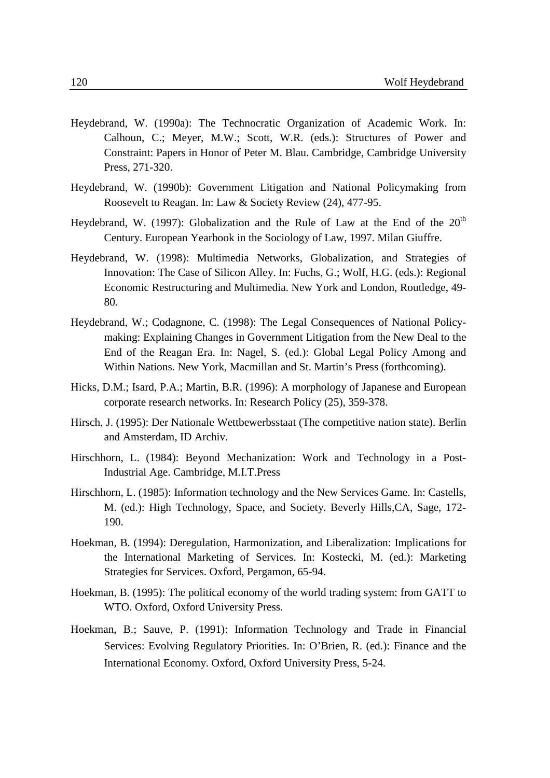- Heydebrand, W. (1990a): The Technocratic Organization of Academic Work. In: Calhoun, C.; Meyer, M.W.; Scott, W.R. (eds.): Structures of Power and Constraint: Papers in Honor of Peter M. Blau. Cambridge, Cambridge University Press, 271-320.
- Heydebrand, W. (1990b): Government Litigation and National Policymaking from Roosevelt to Reagan. In: Law & Society Review (24), 477-95.
- Heydebrand, W. (1997): Globalization and the Rule of Law at the End of the  $20<sup>th</sup>$ Century. European Yearbook in the Sociology of Law, 1997. Milan Giuffre.
- Heydebrand, W. (1998): Multimedia Networks, Globalization, and Strategies of Innovation: The Case of Silicon Alley. In: Fuchs, G.; Wolf, H.G. (eds.): Regional Economic Restructuring and Multimedia. New York and London, Routledge, 49- 80.
- Heydebrand, W.; Codagnone, C. (1998): The Legal Consequences of National Policymaking: Explaining Changes in Government Litigation from the New Deal to the End of the Reagan Era. In: Nagel, S. (ed.): Global Legal Policy Among and Within Nations. New York, Macmillan and St. Martin's Press (forthcoming).
- Hicks, D.M.; Isard, P.A.; Martin, B.R. (1996): A morphology of Japanese and European corporate research networks. In: Research Policy (25), 359-378.
- Hirsch, J. (1995): Der Nationale Wettbewerbsstaat (The competitive nation state). Berlin and Amsterdam, ID Archiv.
- Hirschhorn, L. (1984): Beyond Mechanization: Work and Technology in a Post-Industrial Age. Cambridge, M.I.T.Press
- Hirschhorn, L. (1985): Information technology and the New Services Game. In: Castells, M. (ed.): High Technology, Space, and Society. Beverly Hills,CA, Sage, 172- 190.
- Hoekman, B. (1994): Deregulation, Harmonization, and Liberalization: Implications for the International Marketing of Services. In: Kostecki, M. (ed.): Marketing Strategies for Services. Oxford, Pergamon, 65-94.
- Hoekman, B. (1995): The political economy of the world trading system: from GATT to WTO. Oxford, Oxford University Press.
- Hoekman, B.; Sauve, P. (1991): Information Technology and Trade in Financial Services: Evolving Regulatory Priorities. In: O'Brien, R. (ed.): Finance and the International Economy. Oxford, Oxford University Press, 5-24.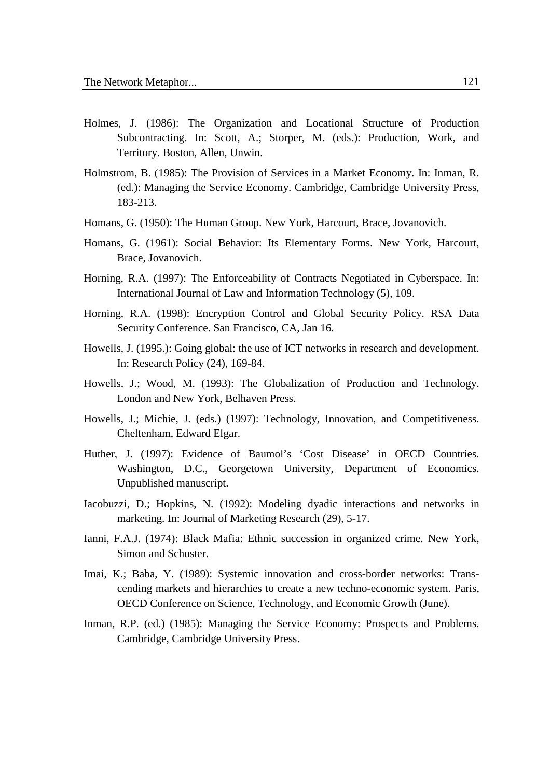- Holmes, J. (1986): The Organization and Locational Structure of Production Subcontracting. In: Scott, A.; Storper, M. (eds.): Production, Work, and Territory. Boston, Allen, Unwin.
- Holmstrom, B. (1985): The Provision of Services in a Market Economy. In: Inman, R. (ed.): Managing the Service Economy. Cambridge, Cambridge University Press, 183-213.
- Homans, G. (1950): The Human Group. New York, Harcourt, Brace, Jovanovich.
- Homans, G. (1961): Social Behavior: Its Elementary Forms. New York, Harcourt, Brace, Jovanovich.
- Horning, R.A. (1997): The Enforceability of Contracts Negotiated in Cyberspace. In: International Journal of Law and Information Technology (5), 109.
- Horning, R.A. (1998): Encryption Control and Global Security Policy. RSA Data Security Conference. San Francisco, CA, Jan 16.
- Howells, J. (1995.): Going global: the use of ICT networks in research and development. In: Research Policy (24), 169-84.
- Howells, J.; Wood, M. (1993): The Globalization of Production and Technology. London and New York, Belhaven Press.
- Howells, J.; Michie, J. (eds.) (1997): Technology, Innovation, and Competitiveness. Cheltenham, Edward Elgar.
- Huther, J. (1997): Evidence of Baumol's 'Cost Disease' in OECD Countries. Washington, D.C., Georgetown University, Department of Economics. Unpublished manuscript.
- Iacobuzzi, D.; Hopkins, N. (1992): Modeling dyadic interactions and networks in marketing. In: Journal of Marketing Research (29), 5-17.
- Ianni, F.A.J. (1974): Black Mafia: Ethnic succession in organized crime. New York, Simon and Schuster.
- Imai, K.; Baba, Y. (1989): Systemic innovation and cross-border networks: Transcending markets and hierarchies to create a new techno-economic system. Paris, OECD Conference on Science, Technology, and Economic Growth (June).
- Inman, R.P. (ed.) (1985): Managing the Service Economy: Prospects and Problems. Cambridge, Cambridge University Press.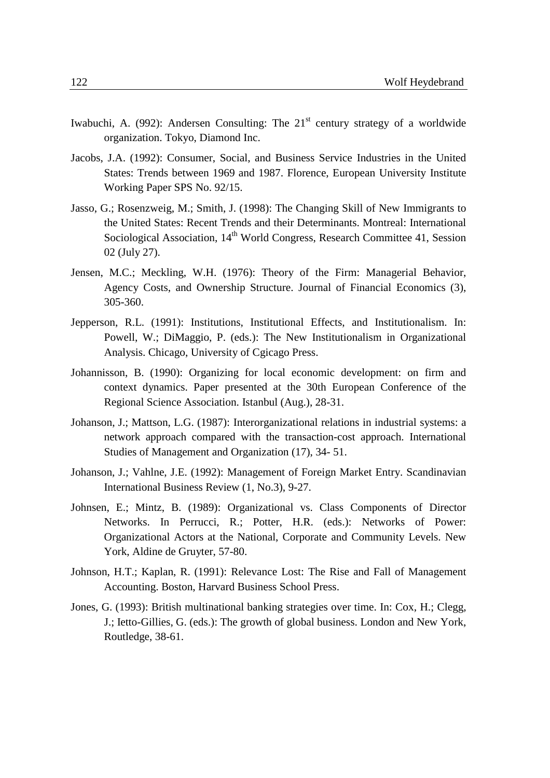- Iwabuchi, A. (992): Andersen Consulting: The  $21<sup>st</sup>$  century strategy of a worldwide organization. Tokyo, Diamond Inc.
- Jacobs, J.A. (1992): Consumer, Social, and Business Service Industries in the United States: Trends between 1969 and 1987. Florence, European University Institute Working Paper SPS No. 92/15.
- Jasso, G.; Rosenzweig, M.; Smith, J. (1998): The Changing Skill of New Immigrants to the United States: Recent Trends and their Determinants. Montreal: International Sociological Association, 14<sup>th</sup> World Congress, Research Committee 41, Session 02 (July 27).
- Jensen, M.C.; Meckling, W.H. (1976): Theory of the Firm: Managerial Behavior, Agency Costs, and Ownership Structure. Journal of Financial Economics (3), 305-360.
- Jepperson, R.L. (1991): Institutions, Institutional Effects, and Institutionalism. In: Powell, W.; DiMaggio, P. (eds.): The New Institutionalism in Organizational Analysis. Chicago, University of Cgicago Press.
- Johannisson, B. (1990): Organizing for local economic development: on firm and context dynamics. Paper presented at the 30th European Conference of the Regional Science Association. Istanbul (Aug.), 28-31.
- Johanson, J.; Mattson, L.G. (1987): Interorganizational relations in industrial systems: a network approach compared with the transaction-cost approach. International Studies of Management and Organization (17), 34- 51.
- Johanson, J.; Vahlne, J.E. (1992): Management of Foreign Market Entry. Scandinavian International Business Review (1, No.3), 9-27.
- Johnsen, E.; Mintz, B. (1989): Organizational vs. Class Components of Director Networks. In Perrucci, R.; Potter, H.R. (eds.): Networks of Power: Organizational Actors at the National, Corporate and Community Levels. New York, Aldine de Gruyter, 57-80.
- Johnson, H.T.; Kaplan, R. (1991): Relevance Lost: The Rise and Fall of Management Accounting. Boston, Harvard Business School Press.
- Jones, G. (1993): British multinational banking strategies over time. In: Cox, H.; Clegg, J.; Ietto-Gillies, G. (eds.): The growth of global business. London and New York, Routledge, 38-61.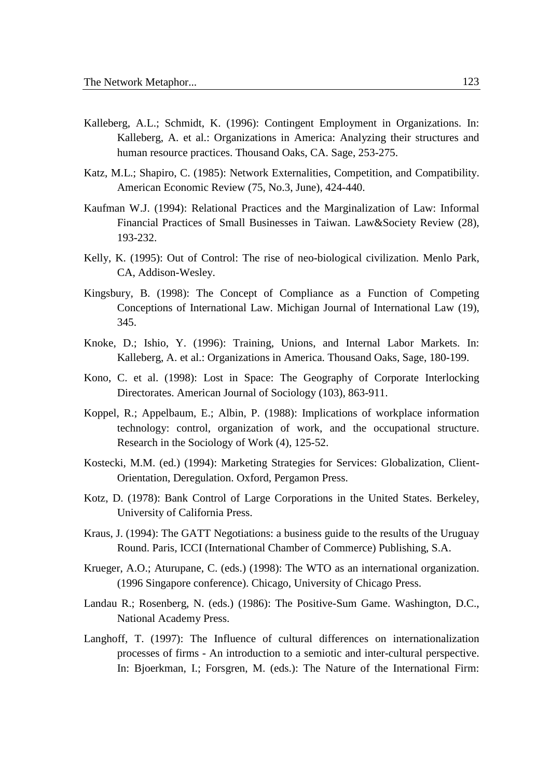- Kalleberg, A.L.; Schmidt, K. (1996): Contingent Employment in Organizations. In: Kalleberg, A. et al.: Organizations in America: Analyzing their structures and human resource practices. Thousand Oaks, CA. Sage, 253-275.
- Katz, M.L.; Shapiro, C. (1985): Network Externalities, Competition, and Compatibility. American Economic Review (75, No.3, June), 424-440.
- Kaufman W.J. (1994): Relational Practices and the Marginalization of Law: Informal Financial Practices of Small Businesses in Taiwan. Law&Society Review (28), 193-232.
- Kelly, K. (1995): Out of Control: The rise of neo-biological civilization. Menlo Park, CA, Addison-Wesley.
- Kingsbury, B. (1998): The Concept of Compliance as a Function of Competing Conceptions of International Law. Michigan Journal of International Law (19), 345.
- Knoke, D.; Ishio, Y. (1996): Training, Unions, and Internal Labor Markets. In: Kalleberg, A. et al.: Organizations in America. Thousand Oaks, Sage, 180-199.
- Kono, C. et al. (1998): Lost in Space: The Geography of Corporate Interlocking Directorates. American Journal of Sociology (103), 863-911.
- Koppel, R.; Appelbaum, E.; Albin, P. (1988): Implications of workplace information technology: control, organization of work, and the occupational structure. Research in the Sociology of Work (4), 125-52.
- Kostecki, M.M. (ed.) (1994): Marketing Strategies for Services: Globalization, Client-Orientation, Deregulation. Oxford, Pergamon Press.
- Kotz, D. (1978): Bank Control of Large Corporations in the United States. Berkeley, University of California Press.
- Kraus, J. (1994): The GATT Negotiations: a business guide to the results of the Uruguay Round. Paris, ICCI (International Chamber of Commerce) Publishing, S.A.
- Krueger, A.O.; Aturupane, C. (eds.) (1998): The WTO as an international organization. (1996 Singapore conference). Chicago, University of Chicago Press.
- Landau R.; Rosenberg, N. (eds.) (1986): The Positive-Sum Game. Washington, D.C., National Academy Press.
- Langhoff, T. (1997): The Influence of cultural differences on internationalization processes of firms - An introduction to a semiotic and inter-cultural perspective. In: Bjoerkman, I.; Forsgren, M. (eds.): The Nature of the International Firm: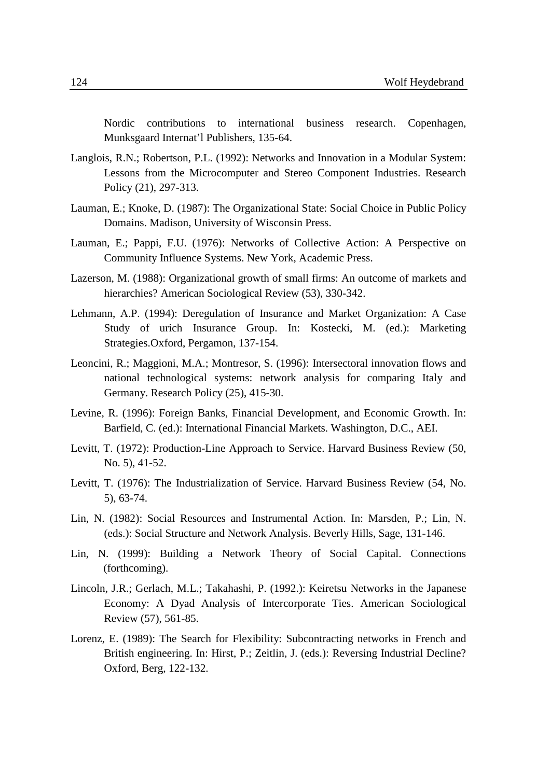Nordic contributions to international business research. Copenhagen, Munksgaard Internat'l Publishers, 135-64.

- Langlois, R.N.; Robertson, P.L. (1992): Networks and Innovation in a Modular System: Lessons from the Microcomputer and Stereo Component Industries. Research Policy (21), 297-313.
- Lauman, E.; Knoke, D. (1987): The Organizational State: Social Choice in Public Policy Domains. Madison, University of Wisconsin Press.
- Lauman, E.; Pappi, F.U. (1976): Networks of Collective Action: A Perspective on Community Influence Systems. New York, Academic Press.
- Lazerson, M. (1988): Organizational growth of small firms: An outcome of markets and hierarchies? American Sociological Review (53), 330-342.
- Lehmann, A.P. (1994): Deregulation of Insurance and Market Organization: A Case Study of urich Insurance Group. In: Kostecki, M. (ed.): Marketing Strategies.Oxford, Pergamon, 137-154.
- Leoncini, R.; Maggioni, M.A.; Montresor, S. (1996): Intersectoral innovation flows and national technological systems: network analysis for comparing Italy and Germany. Research Policy (25), 415-30.
- Levine, R. (1996): Foreign Banks, Financial Development, and Economic Growth. In: Barfield, C. (ed.): International Financial Markets. Washington, D.C., AEI.
- Levitt, T. (1972): Production-Line Approach to Service. Harvard Business Review (50, No. 5), 41-52.
- Levitt, T. (1976): The Industrialization of Service. Harvard Business Review (54, No. 5), 63-74.
- Lin, N. (1982): Social Resources and Instrumental Action. In: Marsden, P.; Lin, N. (eds.): Social Structure and Network Analysis. Beverly Hills, Sage, 131-146.
- Lin, N. (1999): Building a Network Theory of Social Capital. Connections (forthcoming).
- Lincoln, J.R.; Gerlach, M.L.; Takahashi, P. (1992.): Keiretsu Networks in the Japanese Economy: A Dyad Analysis of Intercorporate Ties. American Sociological Review (57), 561-85.
- Lorenz, E. (1989): The Search for Flexibility: Subcontracting networks in French and British engineering. In: Hirst, P.; Zeitlin, J. (eds.): Reversing Industrial Decline? Oxford, Berg, 122-132.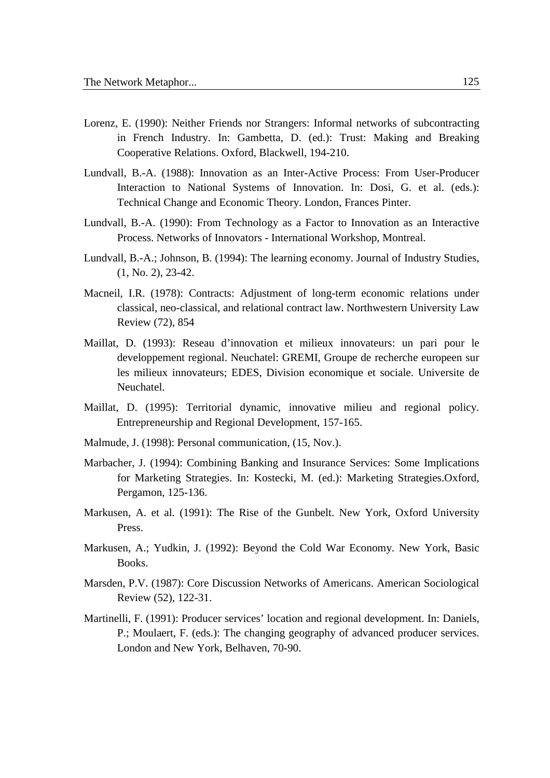- Lorenz, E. (1990): Neither Friends nor Strangers: Informal networks of subcontracting in French Industry. In: Gambetta, D. (ed.): Trust: Making and Breaking Cooperative Relations. Oxford, Blackwell, 194-210.
- Lundvall, B.-A. (1988): Innovation as an Inter-Active Process: From User-Producer Interaction to National Systems of Innovation. In: Dosi, G. et al. (eds.): Technical Change and Economic Theory. London, Frances Pinter.
- Lundvall, B.-A. (1990): From Technology as a Factor to Innovation as an Interactive Process. Networks of Innovators - International Workshop, Montreal.
- Lundvall, B.-A.; Johnson, B. (1994): The learning economy. Journal of Industry Studies, (1, No. 2), 23-42.
- Macneil, I.R. (1978): Contracts: Adjustment of long-term economic relations under classical, neo-classical, and relational contract law. Northwestern University Law Review (72), 854
- Maillat, D. (1993): Reseau d'innovation et milieux innovateurs: un pari pour le developpement regional. Neuchatel: GREMI, Groupe de recherche europeen sur les milieux innovateurs; EDES, Division economique et sociale. Universite de Neuchatel.
- Maillat, D. (1995): Territorial dynamic, innovative milieu and regional policy. Entrepreneurship and Regional Development, 157-165.
- Malmude, J. (1998): Personal communication, (15, Nov.).
- Marbacher, J. (1994): Combining Banking and Insurance Services: Some Implications for Marketing Strategies. In: Kostecki, M. (ed.): Marketing Strategies.Oxford, Pergamon, 125-136.
- Markusen, A. et al. (1991): The Rise of the Gunbelt. New York, Oxford University Press.
- Markusen, A.; Yudkin, J. (1992): Beyond the Cold War Economy. New York, Basic Books.
- Marsden, P.V. (1987): Core Discussion Networks of Americans. American Sociological Review (52), 122-31.
- Martinelli, F. (1991): Producer services' location and regional development. In: Daniels, P.; Moulaert, F. (eds.): The changing geography of advanced producer services. London and New York, Belhaven, 70-90.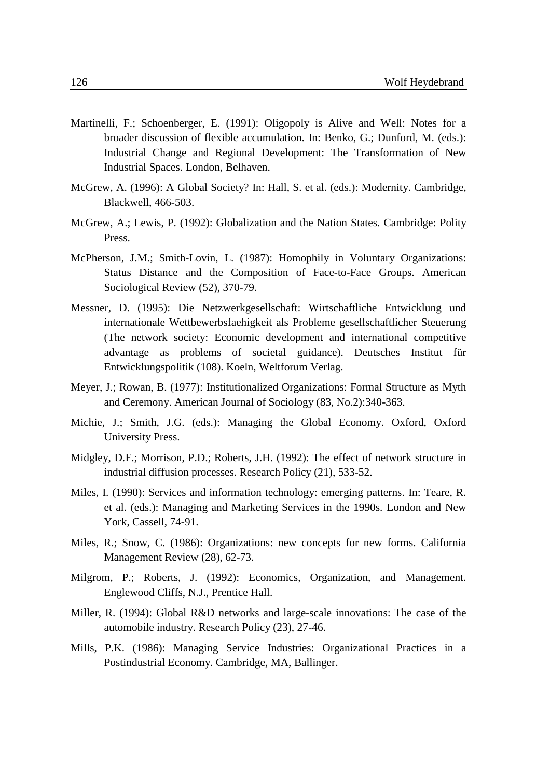- Martinelli, F.; Schoenberger, E. (1991): Oligopoly is Alive and Well: Notes for a broader discussion of flexible accumulation. In: Benko, G.; Dunford, M. (eds.): Industrial Change and Regional Development: The Transformation of New Industrial Spaces. London, Belhaven.
- McGrew, A. (1996): A Global Society? In: Hall, S. et al. (eds.): Modernity. Cambridge, Blackwell, 466-503.
- McGrew, A.; Lewis, P. (1992): Globalization and the Nation States. Cambridge: Polity Press.
- McPherson, J.M.; Smith-Lovin, L. (1987): Homophily in Voluntary Organizations: Status Distance and the Composition of Face-to-Face Groups. American Sociological Review (52), 370-79.
- Messner, D. (1995): Die Netzwerkgesellschaft: Wirtschaftliche Entwicklung und internationale Wettbewerbsfaehigkeit als Probleme gesellschaftlicher Steuerung (The network society: Economic development and international competitive advantage as problems of societal guidance). Deutsches Institut für Entwicklungspolitik (108). Koeln, Weltforum Verlag.
- Meyer, J.; Rowan, B. (1977): Institutionalized Organizations: Formal Structure as Myth and Ceremony. American Journal of Sociology (83, No.2):340-363.
- Michie, J.; Smith, J.G. (eds.): Managing the Global Economy. Oxford, Oxford University Press.
- Midgley, D.F.; Morrison, P.D.; Roberts, J.H. (1992): The effect of network structure in industrial diffusion processes. Research Policy (21), 533-52.
- Miles, I. (1990): Services and information technology: emerging patterns. In: Teare, R. et al. (eds.): Managing and Marketing Services in the 1990s. London and New York, Cassell, 74-91.
- Miles, R.; Snow, C. (1986): Organizations: new concepts for new forms. California Management Review (28), 62-73.
- Milgrom, P.; Roberts, J. (1992): Economics, Organization, and Management. Englewood Cliffs, N.J., Prentice Hall.
- Miller, R. (1994): Global R&D networks and large-scale innovations: The case of the automobile industry. Research Policy (23), 27-46.
- Mills, P.K. (1986): Managing Service Industries: Organizational Practices in a Postindustrial Economy. Cambridge, MA, Ballinger.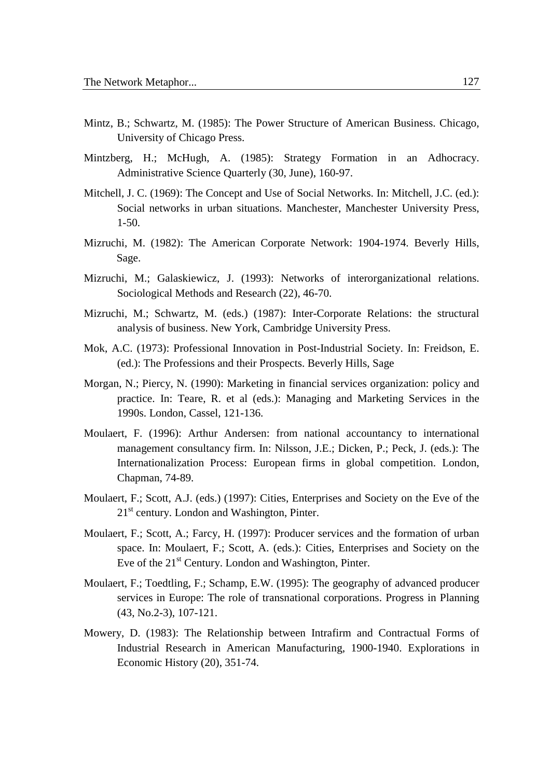- Mintz, B.; Schwartz, M. (1985): The Power Structure of American Business. Chicago, University of Chicago Press.
- Mintzberg, H.; McHugh, A. (1985): Strategy Formation in an Adhocracy. Administrative Science Quarterly (30, June), 160-97.
- Mitchell, J. C. (1969): The Concept and Use of Social Networks. In: Mitchell, J.C. (ed.): Social networks in urban situations. Manchester, Manchester University Press, 1-50.
- Mizruchi, M. (1982): The American Corporate Network: 1904-1974. Beverly Hills, Sage.
- Mizruchi, M.; Galaskiewicz, J. (1993): Networks of interorganizational relations. Sociological Methods and Research (22), 46-70.
- Mizruchi, M.; Schwartz, M. (eds.) (1987): Inter-Corporate Relations: the structural analysis of business. New York, Cambridge University Press.
- Mok, A.C. (1973): Professional Innovation in Post-Industrial Society. In: Freidson, E. (ed.): The Professions and their Prospects. Beverly Hills, Sage
- Morgan, N.; Piercy, N. (1990): Marketing in financial services organization: policy and practice. In: Teare, R. et al (eds.): Managing and Marketing Services in the 1990s. London, Cassel, 121-136.
- Moulaert, F. (1996): Arthur Andersen: from national accountancy to international management consultancy firm. In: Nilsson, J.E.; Dicken, P.; Peck, J. (eds.): The Internationalization Process: European firms in global competition. London, Chapman, 74-89.
- Moulaert, F.; Scott, A.J. (eds.) (1997): Cities, Enterprises and Society on the Eve of the  $21<sup>st</sup>$  century. London and Washington, Pinter.
- Moulaert, F.; Scott, A.; Farcy, H. (1997): Producer services and the formation of urban space. In: Moulaert, F.; Scott, A. (eds.): Cities, Enterprises and Society on the Eve of the  $21^{st}$  Century. London and Washington, Pinter.
- Moulaert, F.; Toedtling, F.; Schamp, E.W. (1995): The geography of advanced producer services in Europe: The role of transnational corporations. Progress in Planning (43, No.2-3), 107-121.
- Mowery, D. (1983): The Relationship between Intrafirm and Contractual Forms of Industrial Research in American Manufacturing, 1900-1940. Explorations in Economic History (20), 351-74.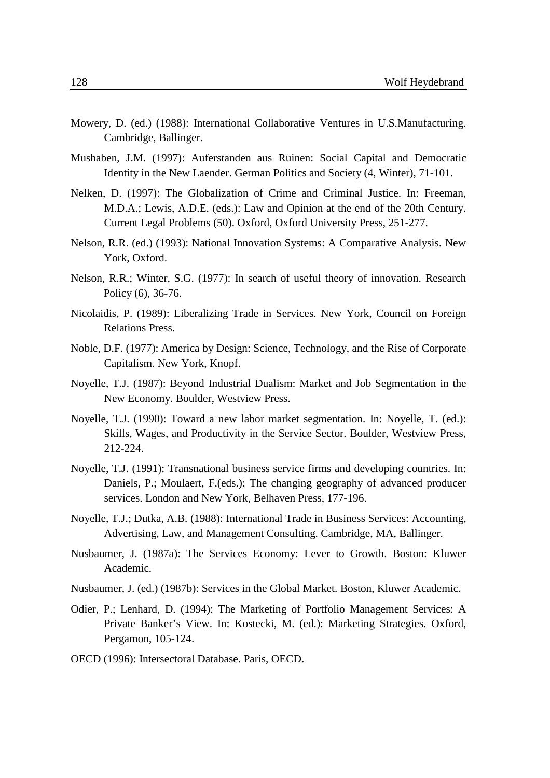- Mowery, D. (ed.) (1988): International Collaborative Ventures in U.S.Manufacturing. Cambridge, Ballinger.
- Mushaben, J.M. (1997): Auferstanden aus Ruinen: Social Capital and Democratic Identity in the New Laender. German Politics and Society (4, Winter), 71-101.
- Nelken, D. (1997): The Globalization of Crime and Criminal Justice. In: Freeman, M.D.A.; Lewis, A.D.E. (eds.): Law and Opinion at the end of the 20th Century. Current Legal Problems (50). Oxford, Oxford University Press, 251-277.
- Nelson, R.R. (ed.) (1993): National Innovation Systems: A Comparative Analysis. New York, Oxford.
- Nelson, R.R.; Winter, S.G. (1977): In search of useful theory of innovation. Research Policy (6), 36-76.
- Nicolaidis, P. (1989): Liberalizing Trade in Services. New York, Council on Foreign Relations Press.
- Noble, D.F. (1977): America by Design: Science, Technology, and the Rise of Corporate Capitalism. New York, Knopf.
- Noyelle, T.J. (1987): Beyond Industrial Dualism: Market and Job Segmentation in the New Economy. Boulder, Westview Press.
- Noyelle, T.J. (1990): Toward a new labor market segmentation. In: Noyelle, T. (ed.): Skills, Wages, and Productivity in the Service Sector. Boulder, Westview Press, 212-224.
- Noyelle, T.J. (1991): Transnational business service firms and developing countries. In: Daniels, P.; Moulaert, F.(eds.): The changing geography of advanced producer services. London and New York, Belhaven Press, 177-196.
- Noyelle, T.J.; Dutka, A.B. (1988): International Trade in Business Services: Accounting, Advertising, Law, and Management Consulting. Cambridge, MA, Ballinger.
- Nusbaumer, J. (1987a): The Services Economy: Lever to Growth. Boston: Kluwer Academic.
- Nusbaumer, J. (ed.) (1987b): Services in the Global Market. Boston, Kluwer Academic.
- Odier, P.; Lenhard, D. (1994): The Marketing of Portfolio Management Services: A Private Banker's View. In: Kostecki, M. (ed.): Marketing Strategies. Oxford, Pergamon, 105-124.
- OECD (1996): Intersectoral Database. Paris, OECD.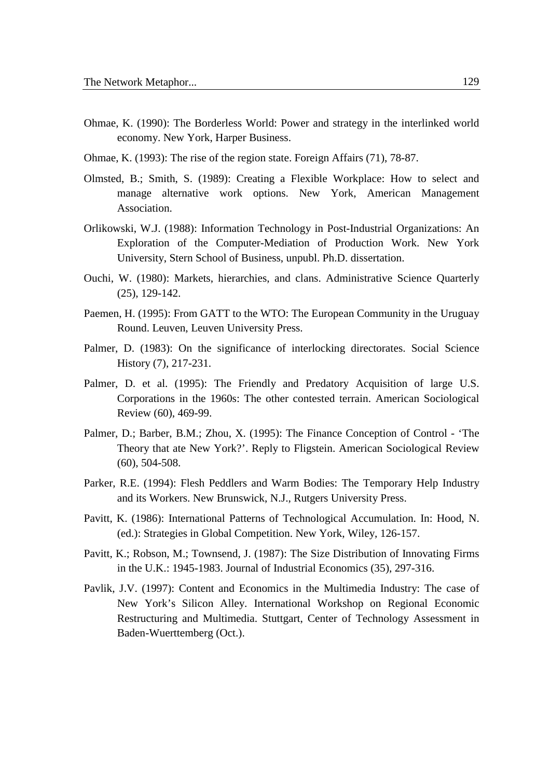- Ohmae, K. (1990): The Borderless World: Power and strategy in the interlinked world economy. New York, Harper Business.
- Ohmae, K. (1993): The rise of the region state. Foreign Affairs (71), 78-87.
- Olmsted, B.; Smith, S. (1989): Creating a Flexible Workplace: How to select and manage alternative work options. New York, American Management Association.
- Orlikowski, W.J. (1988): Information Technology in Post-Industrial Organizations: An Exploration of the Computer-Mediation of Production Work. New York University, Stern School of Business, unpubl. Ph.D. dissertation.
- Ouchi, W. (1980): Markets, hierarchies, and clans. Administrative Science Quarterly (25), 129-142.
- Paemen, H. (1995): From GATT to the WTO: The European Community in the Uruguay Round. Leuven, Leuven University Press.
- Palmer, D. (1983): On the significance of interlocking directorates. Social Science History (7), 217-231.
- Palmer, D. et al. (1995): The Friendly and Predatory Acquisition of large U.S. Corporations in the 1960s: The other contested terrain. American Sociological Review (60), 469-99.
- Palmer, D.; Barber, B.M.; Zhou, X. (1995): The Finance Conception of Control 'The Theory that ate New York?'. Reply to Fligstein. American Sociological Review (60), 504-508.
- Parker, R.E. (1994): Flesh Peddlers and Warm Bodies: The Temporary Help Industry and its Workers. New Brunswick, N.J., Rutgers University Press.
- Pavitt, K. (1986): International Patterns of Technological Accumulation. In: Hood, N. (ed.): Strategies in Global Competition. New York, Wiley, 126-157.
- Pavitt, K.; Robson, M.; Townsend, J. (1987): The Size Distribution of Innovating Firms in the U.K.: 1945-1983. Journal of Industrial Economics (35), 297-316.
- Pavlik, J.V. (1997): Content and Economics in the Multimedia Industry: The case of New York's Silicon Alley. International Workshop on Regional Economic Restructuring and Multimedia. Stuttgart, Center of Technology Assessment in Baden-Wuerttemberg (Oct.).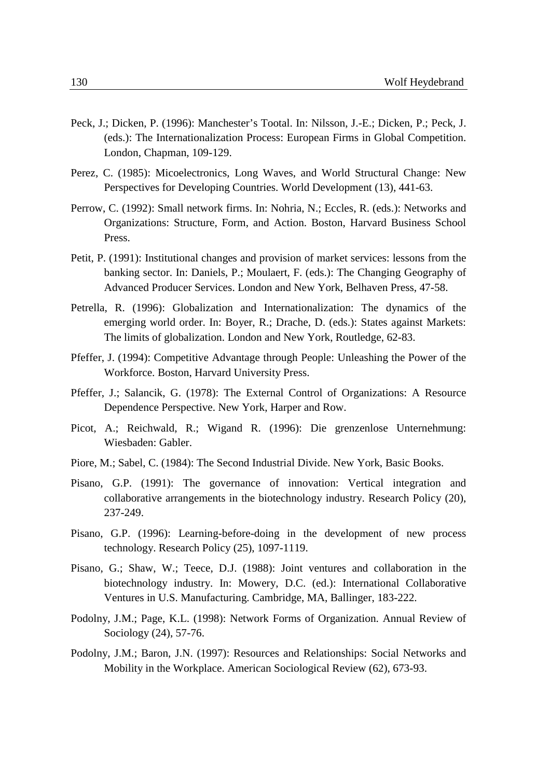- Peck, J.; Dicken, P. (1996): Manchester's Tootal. In: Nilsson, J.-E.; Dicken, P.; Peck, J. (eds.): The Internationalization Process: European Firms in Global Competition. London, Chapman, 109-129.
- Perez, C. (1985): Micoelectronics, Long Waves, and World Structural Change: New Perspectives for Developing Countries. World Development (13), 441-63.
- Perrow, C. (1992): Small network firms. In: Nohria, N.; Eccles, R. (eds.): Networks and Organizations: Structure, Form, and Action. Boston, Harvard Business School Press.
- Petit, P. (1991): Institutional changes and provision of market services: lessons from the banking sector. In: Daniels, P.; Moulaert, F. (eds.): The Changing Geography of Advanced Producer Services. London and New York, Belhaven Press, 47-58.
- Petrella, R. (1996): Globalization and Internationalization: The dynamics of the emerging world order. In: Boyer, R.; Drache, D. (eds.): States against Markets: The limits of globalization. London and New York, Routledge, 62-83.
- Pfeffer, J. (1994): Competitive Advantage through People: Unleashing the Power of the Workforce. Boston, Harvard University Press.
- Pfeffer, J.; Salancik, G. (1978): The External Control of Organizations: A Resource Dependence Perspective. New York, Harper and Row.
- Picot, A.; Reichwald, R.; Wigand R. (1996): Die grenzenlose Unternehmung: Wiesbaden: Gabler.
- Piore, M.; Sabel, C. (1984): The Second Industrial Divide. New York, Basic Books.
- Pisano, G.P. (1991): The governance of innovation: Vertical integration and collaborative arrangements in the biotechnology industry. Research Policy (20), 237-249.
- Pisano, G.P. (1996): Learning-before-doing in the development of new process technology. Research Policy (25), 1097-1119.
- Pisano, G.; Shaw, W.; Teece, D.J. (1988): Joint ventures and collaboration in the biotechnology industry. In: Mowery, D.C. (ed.): International Collaborative Ventures in U.S. Manufacturing. Cambridge, MA, Ballinger, 183-222.
- Podolny, J.M.; Page, K.L. (1998): Network Forms of Organization. Annual Review of Sociology (24), 57-76.
- Podolny, J.M.; Baron, J.N. (1997): Resources and Relationships: Social Networks and Mobility in the Workplace. American Sociological Review (62), 673-93.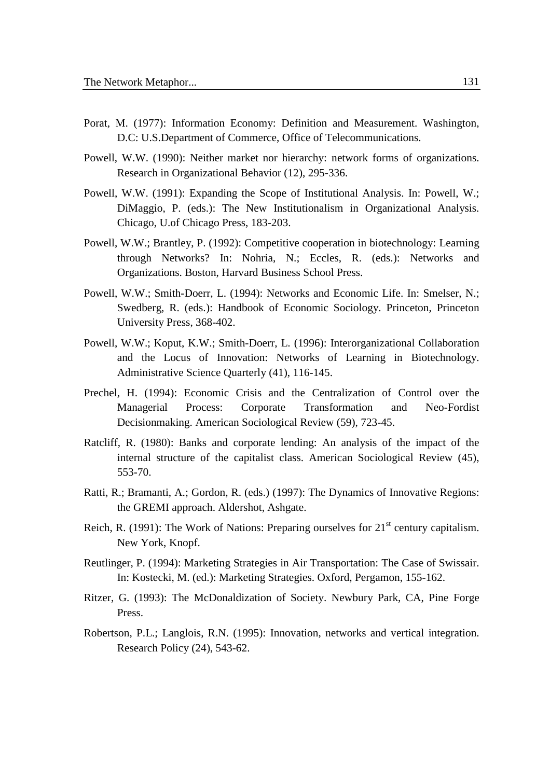- Porat, M. (1977): Information Economy: Definition and Measurement. Washington, D.C: U.S.Department of Commerce, Office of Telecommunications.
- Powell, W.W. (1990): Neither market nor hierarchy: network forms of organizations. Research in Organizational Behavior (12), 295-336.
- Powell, W.W. (1991): Expanding the Scope of Institutional Analysis. In: Powell, W.; DiMaggio, P. (eds.): The New Institutionalism in Organizational Analysis. Chicago, U.of Chicago Press, 183-203.
- Powell, W.W.; Brantley, P. (1992): Competitive cooperation in biotechnology: Learning through Networks? In: Nohria, N.; Eccles, R. (eds.): Networks and Organizations. Boston, Harvard Business School Press.
- Powell, W.W.; Smith-Doerr, L. (1994): Networks and Economic Life. In: Smelser, N.; Swedberg, R. (eds.): Handbook of Economic Sociology. Princeton, Princeton University Press, 368-402.
- Powell, W.W.; Koput, K.W.; Smith-Doerr, L. (1996): Interorganizational Collaboration and the Locus of Innovation: Networks of Learning in Biotechnology. Administrative Science Quarterly (41), 116-145.
- Prechel, H. (1994): Economic Crisis and the Centralization of Control over the Managerial Process: Corporate Transformation and Neo-Fordist Decisionmaking. American Sociological Review (59), 723-45.
- Ratcliff, R. (1980): Banks and corporate lending: An analysis of the impact of the internal structure of the capitalist class. American Sociological Review (45), 553-70.
- Ratti, R.; Bramanti, A.; Gordon, R. (eds.) (1997): The Dynamics of Innovative Regions: the GREMI approach. Aldershot, Ashgate.
- Reich, R. (1991): The Work of Nations: Preparing ourselves for  $21<sup>st</sup>$  century capitalism. New York, Knopf.
- Reutlinger, P. (1994): Marketing Strategies in Air Transportation: The Case of Swissair. In: Kostecki, M. (ed.): Marketing Strategies. Oxford, Pergamon, 155-162.
- Ritzer, G. (1993): The McDonaldization of Society. Newbury Park, CA, Pine Forge Press.
- Robertson, P.L.; Langlois, R.N. (1995): Innovation, networks and vertical integration. Research Policy (24), 543-62.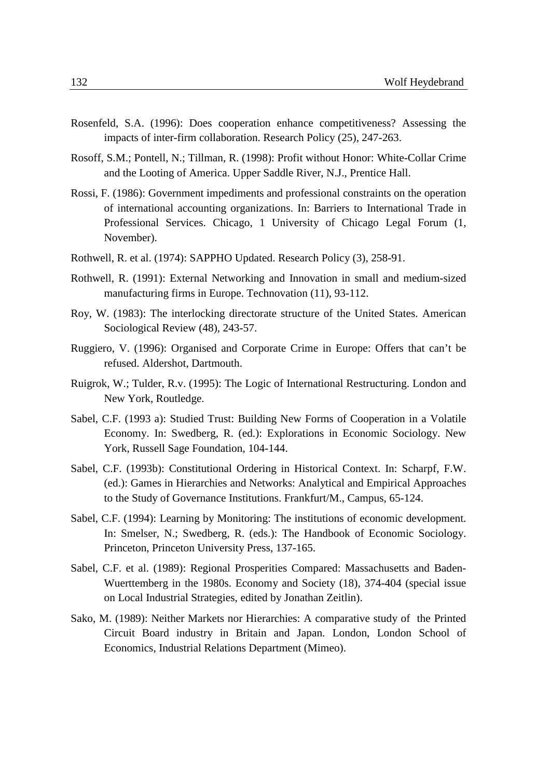- Rosenfeld, S.A. (1996): Does cooperation enhance competitiveness? Assessing the impacts of inter-firm collaboration. Research Policy (25), 247-263.
- Rosoff, S.M.; Pontell, N.; Tillman, R. (1998): Profit without Honor: White-Collar Crime and the Looting of America. Upper Saddle River, N.J., Prentice Hall.
- Rossi, F. (1986): Government impediments and professional constraints on the operation of international accounting organizations. In: Barriers to International Trade in Professional Services. Chicago, 1 University of Chicago Legal Forum (1, November).
- Rothwell, R. et al. (1974): SAPPHO Updated. Research Policy (3), 258-91.
- Rothwell, R. (1991): External Networking and Innovation in small and medium-sized manufacturing firms in Europe. Technovation (11), 93-112.
- Roy, W. (1983): The interlocking directorate structure of the United States. American Sociological Review (48), 243-57.
- Ruggiero, V. (1996): Organised and Corporate Crime in Europe: Offers that can't be refused. Aldershot, Dartmouth.
- Ruigrok, W.; Tulder, R.v. (1995): The Logic of International Restructuring. London and New York, Routledge.
- Sabel, C.F. (1993 a): Studied Trust: Building New Forms of Cooperation in a Volatile Economy. In: Swedberg, R. (ed.): Explorations in Economic Sociology. New York, Russell Sage Foundation, 104-144.
- Sabel, C.F. (1993b): Constitutional Ordering in Historical Context. In: Scharpf, F.W. (ed.): Games in Hierarchies and Networks: Analytical and Empirical Approaches to the Study of Governance Institutions. Frankfurt/M., Campus, 65-124.
- Sabel, C.F. (1994): Learning by Monitoring: The institutions of economic development. In: Smelser, N.; Swedberg, R. (eds.): The Handbook of Economic Sociology. Princeton, Princeton University Press, 137-165.
- Sabel, C.F. et al. (1989): Regional Prosperities Compared: Massachusetts and Baden-Wuerttemberg in the 1980s. Economy and Society (18), 374-404 (special issue on Local Industrial Strategies, edited by Jonathan Zeitlin).
- Sako, M. (1989): Neither Markets nor Hierarchies: A comparative study of the Printed Circuit Board industry in Britain and Japan. London, London School of Economics, Industrial Relations Department (Mimeo).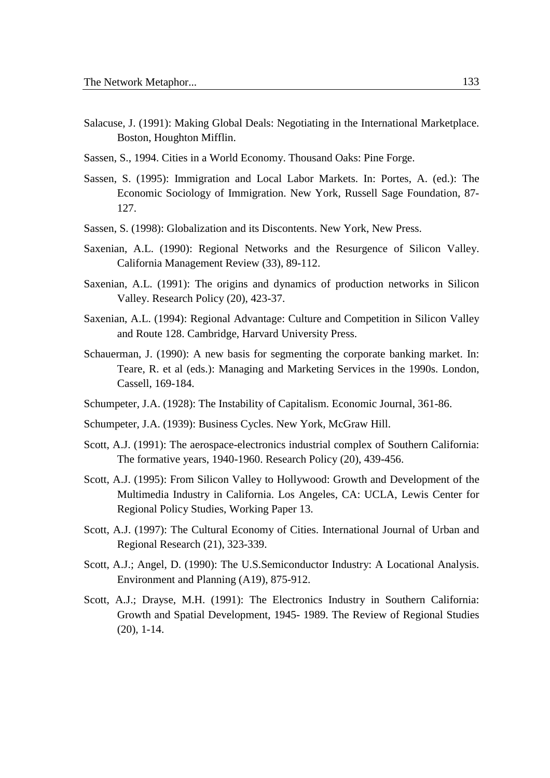- Salacuse, J. (1991): Making Global Deals: Negotiating in the International Marketplace. Boston, Houghton Mifflin.
- Sassen, S., 1994. Cities in a World Economy. Thousand Oaks: Pine Forge.
- Sassen, S. (1995): Immigration and Local Labor Markets. In: Portes, A. (ed.): The Economic Sociology of Immigration. New York, Russell Sage Foundation, 87- 127.
- Sassen, S. (1998): Globalization and its Discontents. New York, New Press.
- Saxenian, A.L. (1990): Regional Networks and the Resurgence of Silicon Valley. California Management Review (33), 89-112.
- Saxenian, A.L. (1991): The origins and dynamics of production networks in Silicon Valley. Research Policy (20), 423-37.
- Saxenian, A.L. (1994): Regional Advantage: Culture and Competition in Silicon Valley and Route 128. Cambridge, Harvard University Press.
- Schauerman, J. (1990): A new basis for segmenting the corporate banking market. In: Teare, R. et al (eds.): Managing and Marketing Services in the 1990s. London, Cassell, 169-184.
- Schumpeter, J.A. (1928): The Instability of Capitalism. Economic Journal, 361-86.
- Schumpeter, J.A. (1939): Business Cycles. New York, McGraw Hill.
- Scott, A.J. (1991): The aerospace-electronics industrial complex of Southern California: The formative years, 1940-1960. Research Policy (20), 439-456.
- Scott, A.J. (1995): From Silicon Valley to Hollywood: Growth and Development of the Multimedia Industry in California. Los Angeles, CA: UCLA, Lewis Center for Regional Policy Studies, Working Paper 13.
- Scott, A.J. (1997): The Cultural Economy of Cities. International Journal of Urban and Regional Research (21), 323-339.
- Scott, A.J.; Angel, D. (1990): The U.S.Semiconductor Industry: A Locational Analysis. Environment and Planning (A19), 875-912.
- Scott, A.J.; Drayse, M.H. (1991): The Electronics Industry in Southern California: Growth and Spatial Development, 1945- 1989. The Review of Regional Studies (20), 1-14.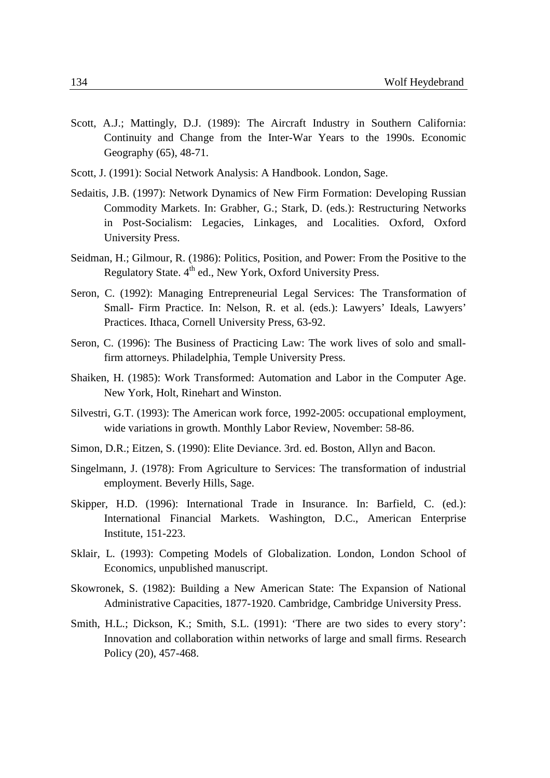- Scott, A.J.; Mattingly, D.J. (1989): The Aircraft Industry in Southern California: Continuity and Change from the Inter-War Years to the 1990s. Economic Geography (65), 48-71.
- Scott, J. (1991): Social Network Analysis: A Handbook. London, Sage.
- Sedaitis, J.B. (1997): Network Dynamics of New Firm Formation: Developing Russian Commodity Markets. In: Grabher, G.; Stark, D. (eds.): Restructuring Networks in Post-Socialism: Legacies, Linkages, and Localities. Oxford, Oxford University Press.
- Seidman, H.; Gilmour, R. (1986): Politics, Position, and Power: From the Positive to the Regulatory State. 4<sup>th</sup> ed., New York, Oxford University Press.
- Seron, C. (1992): Managing Entrepreneurial Legal Services: The Transformation of Small- Firm Practice. In: Nelson, R. et al. (eds.): Lawyers' Ideals, Lawyers' Practices. Ithaca, Cornell University Press, 63-92.
- Seron, C. (1996): The Business of Practicing Law: The work lives of solo and smallfirm attorneys. Philadelphia, Temple University Press.
- Shaiken, H. (1985): Work Transformed: Automation and Labor in the Computer Age. New York, Holt, Rinehart and Winston.
- Silvestri, G.T. (1993): The American work force, 1992-2005: occupational employment, wide variations in growth. Monthly Labor Review, November: 58-86.
- Simon, D.R.; Eitzen, S. (1990): Elite Deviance. 3rd. ed. Boston, Allyn and Bacon.
- Singelmann, J. (1978): From Agriculture to Services: The transformation of industrial employment. Beverly Hills, Sage.
- Skipper, H.D. (1996): International Trade in Insurance. In: Barfield, C. (ed.): International Financial Markets. Washington, D.C., American Enterprise Institute, 151-223.
- Sklair, L. (1993): Competing Models of Globalization. London, London School of Economics, unpublished manuscript.
- Skowronek, S. (1982): Building a New American State: The Expansion of National Administrative Capacities, 1877-1920. Cambridge, Cambridge University Press.
- Smith, H.L.; Dickson, K.; Smith, S.L. (1991): 'There are two sides to every story': Innovation and collaboration within networks of large and small firms. Research Policy (20), 457-468.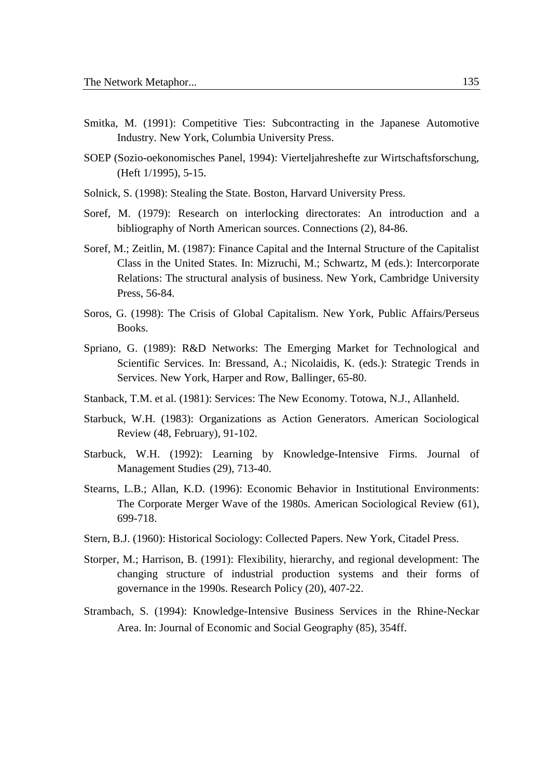- Smitka, M. (1991): Competitive Ties: Subcontracting in the Japanese Automotive Industry. New York, Columbia University Press.
- SOEP (Sozio-oekonomisches Panel, 1994): Vierteljahreshefte zur Wirtschaftsforschung, (Heft 1/1995), 5-15.
- Solnick, S. (1998): Stealing the State. Boston, Harvard University Press.
- Soref, M. (1979): Research on interlocking directorates: An introduction and a bibliography of North American sources. Connections (2), 84-86.
- Soref, M.; Zeitlin, M. (1987): Finance Capital and the Internal Structure of the Capitalist Class in the United States. In: Mizruchi, M.; Schwartz, M (eds.): Intercorporate Relations: The structural analysis of business. New York, Cambridge University Press, 56-84.
- Soros, G. (1998): The Crisis of Global Capitalism. New York, Public Affairs/Perseus Books.
- Spriano, G. (1989): R&D Networks: The Emerging Market for Technological and Scientific Services. In: Bressand, A.; Nicolaidis, K. (eds.): Strategic Trends in Services. New York, Harper and Row, Ballinger, 65-80.
- Stanback, T.M. et al. (1981): Services: The New Economy. Totowa, N.J., Allanheld.
- Starbuck, W.H. (1983): Organizations as Action Generators. American Sociological Review (48, February), 91-102.
- Starbuck, W.H. (1992): Learning by Knowledge-Intensive Firms. Journal of Management Studies (29), 713-40.
- Stearns, L.B.; Allan, K.D. (1996): Economic Behavior in Institutional Environments: The Corporate Merger Wave of the 1980s. American Sociological Review (61), 699-718.
- Stern, B.J. (1960): Historical Sociology: Collected Papers. New York, Citadel Press.
- Storper, M.; Harrison, B. (1991): Flexibility, hierarchy, and regional development: The changing structure of industrial production systems and their forms of governance in the 1990s. Research Policy (20), 407-22.
- Strambach, S. (1994): Knowledge-Intensive Business Services in the Rhine-Neckar Area. In: Journal of Economic and Social Geography (85), 354ff.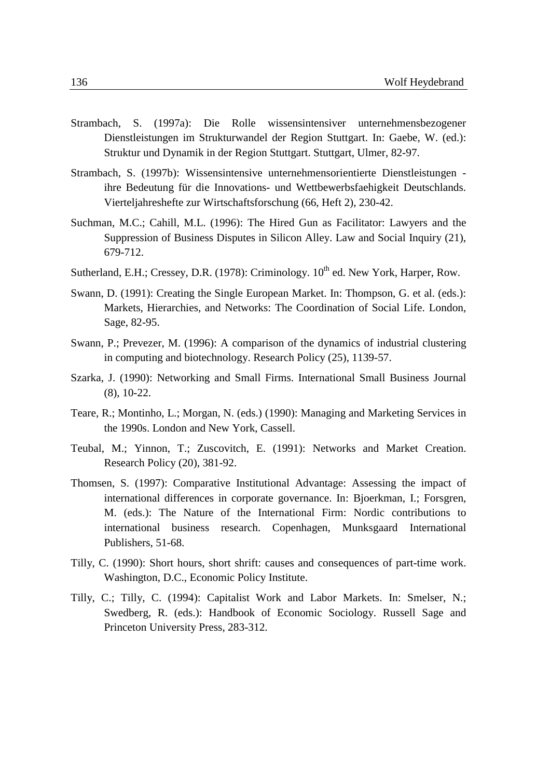- Strambach, S. (1997a): Die Rolle wissensintensiver unternehmensbezogener Dienstleistungen im Strukturwandel der Region Stuttgart. In: Gaebe, W. (ed.): Struktur und Dynamik in der Region Stuttgart. Stuttgart, Ulmer, 82-97.
- Strambach, S. (1997b): Wissensintensive unternehmensorientierte Dienstleistungen ihre Bedeutung für die Innovations- und Wettbewerbsfaehigkeit Deutschlands. Vierteljahreshefte zur Wirtschaftsforschung (66, Heft 2), 230-42.
- Suchman, M.C.; Cahill, M.L. (1996): The Hired Gun as Facilitator: Lawyers and the Suppression of Business Disputes in Silicon Alley. Law and Social Inquiry (21), 679-712.
- Sutherland, E.H.; Cressey, D.R. (1978): Criminology.  $10^{th}$  ed. New York, Harper, Row.
- Swann, D. (1991): Creating the Single European Market. In: Thompson, G. et al. (eds.): Markets, Hierarchies, and Networks: The Coordination of Social Life. London, Sage, 82-95.
- Swann, P.; Prevezer, M. (1996): A comparison of the dynamics of industrial clustering in computing and biotechnology. Research Policy (25), 1139-57.
- Szarka, J. (1990): Networking and Small Firms. International Small Business Journal (8), 10-22.
- Teare, R.; Montinho, L.; Morgan, N. (eds.) (1990): Managing and Marketing Services in the 1990s. London and New York, Cassell.
- Teubal, M.; Yinnon, T.; Zuscovitch, E. (1991): Networks and Market Creation. Research Policy (20), 381-92.
- Thomsen, S. (1997): Comparative Institutional Advantage: Assessing the impact of international differences in corporate governance. In: Bjoerkman, I.; Forsgren, M. (eds.): The Nature of the International Firm: Nordic contributions to international business research. Copenhagen, Munksgaard International Publishers, 51-68.
- Tilly, C. (1990): Short hours, short shrift: causes and consequences of part-time work. Washington, D.C., Economic Policy Institute.
- Tilly, C.; Tilly, C. (1994): Capitalist Work and Labor Markets. In: Smelser, N.; Swedberg, R. (eds.): Handbook of Economic Sociology. Russell Sage and Princeton University Press, 283-312.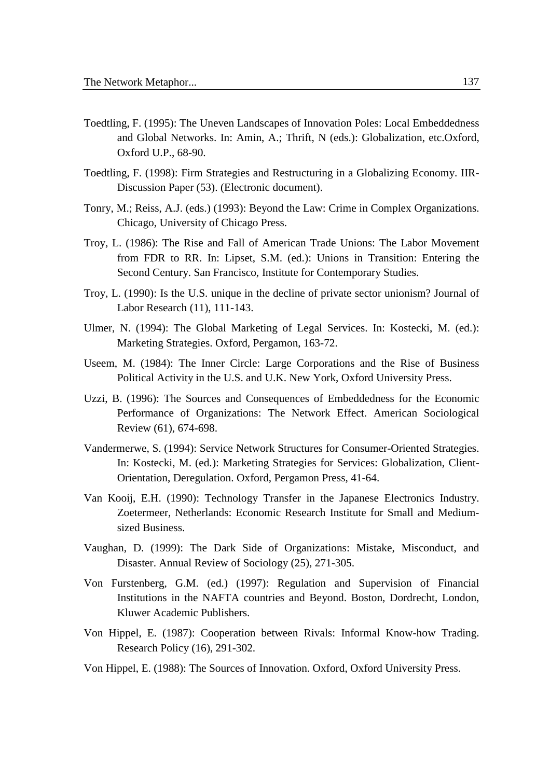- Toedtling, F. (1995): The Uneven Landscapes of Innovation Poles: Local Embeddedness and Global Networks. In: Amin, A.; Thrift, N (eds.): Globalization, etc.Oxford, Oxford U.P., 68-90.
- Toedtling, F. (1998): Firm Strategies and Restructuring in a Globalizing Economy. IIR-Discussion Paper (53). (Electronic document).
- Tonry, M.; Reiss, A.J. (eds.) (1993): Beyond the Law: Crime in Complex Organizations. Chicago, University of Chicago Press.
- Troy, L. (1986): The Rise and Fall of American Trade Unions: The Labor Movement from FDR to RR. In: Lipset, S.M. (ed.): Unions in Transition: Entering the Second Century. San Francisco, Institute for Contemporary Studies.
- Troy, L. (1990): Is the U.S. unique in the decline of private sector unionism? Journal of Labor Research (11), 111-143.
- Ulmer, N. (1994): The Global Marketing of Legal Services. In: Kostecki, M. (ed.): Marketing Strategies. Oxford, Pergamon, 163-72.
- Useem, M. (1984): The Inner Circle: Large Corporations and the Rise of Business Political Activity in the U.S. and U.K. New York, Oxford University Press.
- Uzzi, B. (1996): The Sources and Consequences of Embeddedness for the Economic Performance of Organizations: The Network Effect. American Sociological Review (61), 674-698.
- Vandermerwe, S. (1994): Service Network Structures for Consumer-Oriented Strategies. In: Kostecki, M. (ed.): Marketing Strategies for Services: Globalization, Client-Orientation, Deregulation. Oxford, Pergamon Press, 41-64.
- Van Kooij, E.H. (1990): Technology Transfer in the Japanese Electronics Industry. Zoetermeer, Netherlands: Economic Research Institute for Small and Mediumsized Business.
- Vaughan, D. (1999): The Dark Side of Organizations: Mistake, Misconduct, and Disaster. Annual Review of Sociology (25), 271-305.
- Von Furstenberg, G.M. (ed.) (1997): Regulation and Supervision of Financial Institutions in the NAFTA countries and Beyond. Boston, Dordrecht, London, Kluwer Academic Publishers.
- Von Hippel, E. (1987): Cooperation between Rivals: Informal Know-how Trading. Research Policy (16), 291-302.
- Von Hippel, E. (1988): The Sources of Innovation. Oxford, Oxford University Press.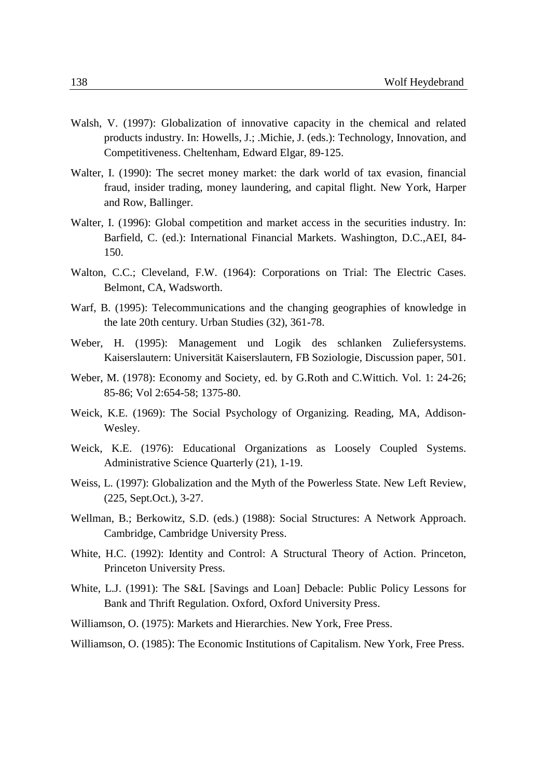- Walsh, V. (1997): Globalization of innovative capacity in the chemical and related products industry. In: Howells, J.; .Michie, J. (eds.): Technology, Innovation, and Competitiveness. Cheltenham, Edward Elgar, 89-125.
- Walter, I. (1990): The secret money market: the dark world of tax evasion, financial fraud, insider trading, money laundering, and capital flight. New York, Harper and Row, Ballinger.
- Walter, I. (1996): Global competition and market access in the securities industry. In: Barfield, C. (ed.): International Financial Markets. Washington, D.C.,AEI, 84- 150.
- Walton, C.C.; Cleveland, F.W. (1964): Corporations on Trial: The Electric Cases. Belmont, CA, Wadsworth.
- Warf, B. (1995): Telecommunications and the changing geographies of knowledge in the late 20th century. Urban Studies (32), 361-78.
- Weber, H. (1995): Management und Logik des schlanken Zuliefersystems. Kaiserslautern: Universität Kaiserslautern, FB Soziologie, Discussion paper, 501.
- Weber, M. (1978): Economy and Society, ed. by G.Roth and C.Wittich. Vol. 1: 24-26; 85-86; Vol 2:654-58; 1375-80.
- Weick, K.E. (1969): The Social Psychology of Organizing. Reading, MA, Addison-Wesley.
- Weick, K.E. (1976): Educational Organizations as Loosely Coupled Systems. Administrative Science Quarterly (21), 1-19.
- Weiss, L. (1997): Globalization and the Myth of the Powerless State. New Left Review, (225, Sept.Oct.), 3-27.
- Wellman, B.; Berkowitz, S.D. (eds.) (1988): Social Structures: A Network Approach. Cambridge, Cambridge University Press.
- White, H.C. (1992): Identity and Control: A Structural Theory of Action. Princeton, Princeton University Press.
- White, L.J. (1991): The S&L [Savings and Loan] Debacle: Public Policy Lessons for Bank and Thrift Regulation. Oxford, Oxford University Press.
- Williamson, O. (1975): Markets and Hierarchies. New York, Free Press.

Williamson, O. (1985): The Economic Institutions of Capitalism. New York, Free Press.